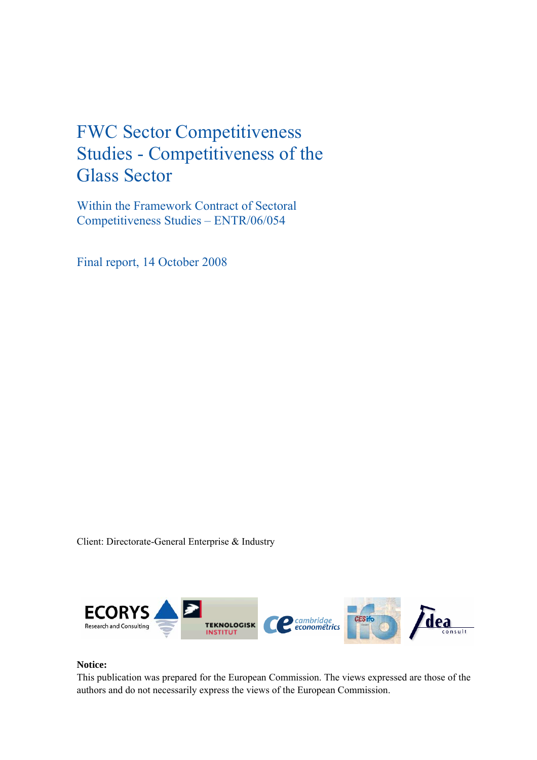## FWC Sector Competitiveness Studies - Competitiveness of the Glass Sector

Within the Framework Contract of Sectoral Competitiveness Studies – ENTR/06/054

Final report, 14 October 2008

Client: Directorate-General Enterprise & Industry



## **Notice:**

This publication was prepared for the European Commission. The views expressed are those of the authors and do not necessarily express the views of the European Commission.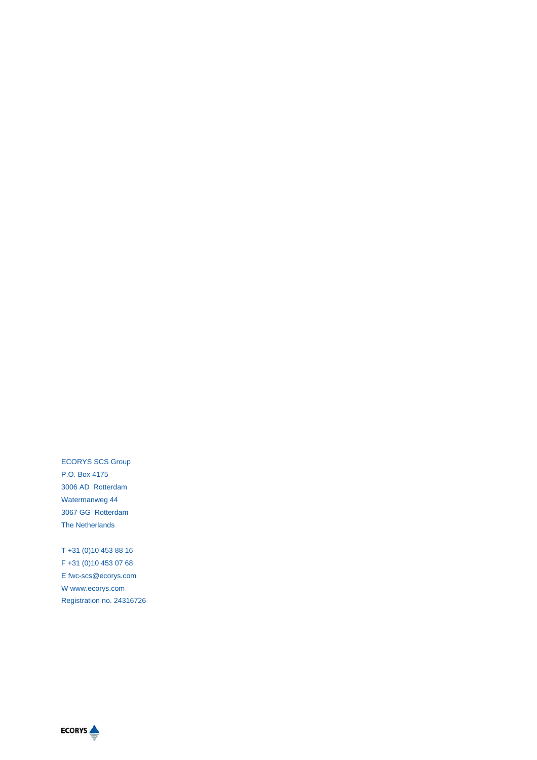ECORYS SCS Group P.O. Box 4175 3006 AD Rotterdam Watermanweg 44 3067 GG Rotterdam The Netherlands

T +31 (0)10 453 88 16 F +31 (0)10 453 07 68 E fwc-scs@ecorys.com W www.ecorys.com Registration no. 24316726

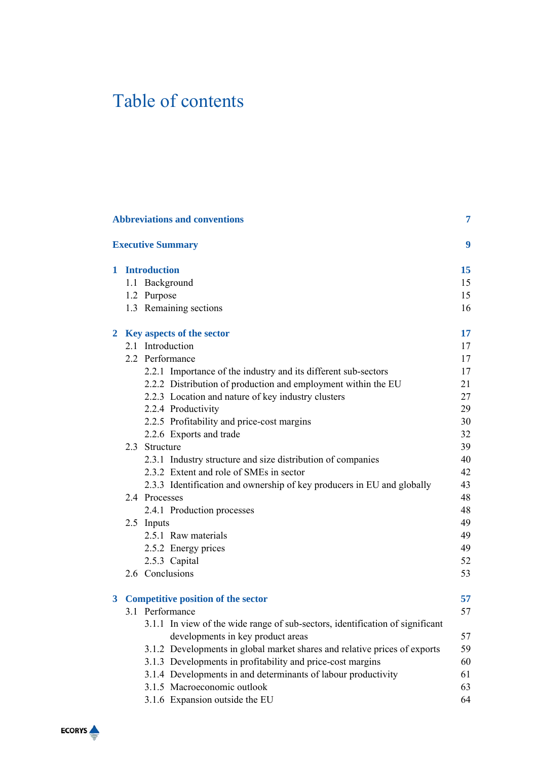# Table of contents

| 7<br><b>Abbreviations and conventions</b> |                                                                               |    |  |  |  |
|-------------------------------------------|-------------------------------------------------------------------------------|----|--|--|--|
|                                           | <b>Executive Summary</b>                                                      | 9  |  |  |  |
|                                           | 1 Introduction                                                                | 15 |  |  |  |
|                                           | 1.1 Background                                                                | 15 |  |  |  |
|                                           | 1.2 Purpose                                                                   | 15 |  |  |  |
|                                           | 1.3 Remaining sections                                                        | 16 |  |  |  |
|                                           | 2 Key aspects of the sector                                                   | 17 |  |  |  |
|                                           | 2.1 Introduction                                                              | 17 |  |  |  |
|                                           | 2.2 Performance                                                               | 17 |  |  |  |
|                                           | 2.2.1 Importance of the industry and its different sub-sectors                | 17 |  |  |  |
|                                           | 2.2.2 Distribution of production and employment within the EU                 | 21 |  |  |  |
|                                           | 2.2.3 Location and nature of key industry clusters                            | 27 |  |  |  |
|                                           | 2.2.4 Productivity                                                            | 29 |  |  |  |
|                                           | 2.2.5 Profitability and price-cost margins                                    | 30 |  |  |  |
|                                           | 2.2.6 Exports and trade                                                       | 32 |  |  |  |
|                                           | 2.3 Structure                                                                 | 39 |  |  |  |
|                                           | 2.3.1 Industry structure and size distribution of companies                   | 40 |  |  |  |
|                                           | 2.3.2 Extent and role of SMEs in sector                                       | 42 |  |  |  |
|                                           | 2.3.3 Identification and ownership of key producers in EU and globally        | 43 |  |  |  |
|                                           | 2.4 Processes                                                                 | 48 |  |  |  |
|                                           | 2.4.1 Production processes                                                    | 48 |  |  |  |
|                                           | 2.5 Inputs                                                                    | 49 |  |  |  |
|                                           | 2.5.1 Raw materials                                                           | 49 |  |  |  |
|                                           | 2.5.2 Energy prices                                                           | 49 |  |  |  |
|                                           | 2.5.3 Capital                                                                 | 52 |  |  |  |
|                                           | 2.6 Conclusions                                                               | 53 |  |  |  |
| 3                                         | <b>Competitive position of the sector</b>                                     | 57 |  |  |  |
|                                           | 3.1 Performance                                                               | 57 |  |  |  |
|                                           | 3.1.1 In view of the wide range of sub-sectors, identification of significant |    |  |  |  |
|                                           | developments in key product areas                                             | 57 |  |  |  |
|                                           | 3.1.2 Developments in global market shares and relative prices of exports     | 59 |  |  |  |
|                                           | 3.1.3 Developments in profitability and price-cost margins                    | 60 |  |  |  |
|                                           | 3.1.4 Developments in and determinants of labour productivity                 | 61 |  |  |  |
|                                           | 3.1.5 Macroeconomic outlook                                                   | 63 |  |  |  |
|                                           | 3.1.6 Expansion outside the EU                                                | 64 |  |  |  |

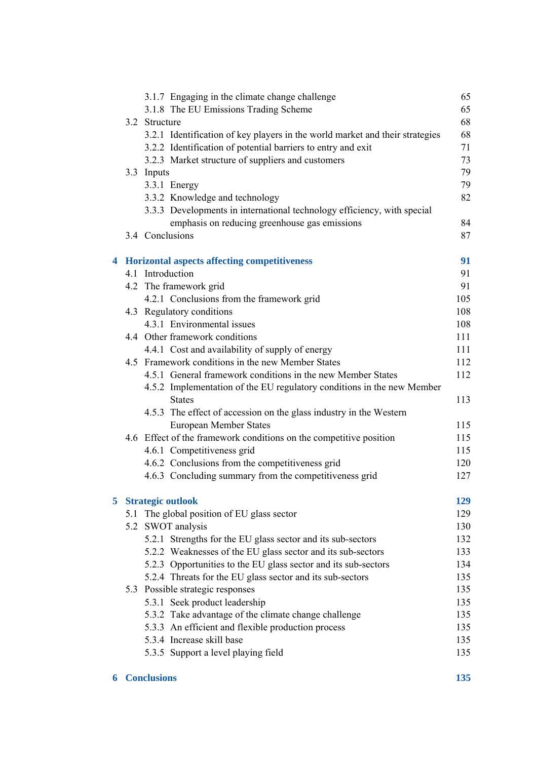|   | 3.1.7 Engaging in the climate change challenge                                          | 65  |
|---|-----------------------------------------------------------------------------------------|-----|
|   | 3.1.8 The EU Emissions Trading Scheme                                                   | 65  |
|   | 3.2 Structure                                                                           | 68  |
|   | 3.2.1 Identification of key players in the world market and their strategies            | 68  |
|   | 3.2.2 Identification of potential barriers to entry and exit                            | 71  |
|   | 3.2.3 Market structure of suppliers and customers                                       | 73  |
|   | 3.3 Inputs                                                                              | 79  |
|   | 3.3.1 Energy                                                                            | 79  |
|   | 3.3.2 Knowledge and technology                                                          | 82  |
|   | 3.3.3 Developments in international technology efficiency, with special                 |     |
|   | emphasis on reducing greenhouse gas emissions                                           | 84  |
|   | 3.4 Conclusions                                                                         | 87  |
|   | 4 Horizontal aspects affecting competitiveness                                          | 91  |
|   | 4.1 Introduction                                                                        | 91  |
|   | 4.2 The framework grid                                                                  | 91  |
|   | 4.2.1 Conclusions from the framework grid                                               | 105 |
|   | 4.3 Regulatory conditions                                                               | 108 |
|   | 4.3.1 Environmental issues                                                              | 108 |
|   | 4.4 Other framework conditions                                                          | 111 |
|   | 4.4.1 Cost and availability of supply of energy                                         | 111 |
|   | 4.5 Framework conditions in the new Member States                                       | 112 |
|   | 4.5.1 General framework conditions in the new Member States                             | 112 |
|   | 4.5.2 Implementation of the EU regulatory conditions in the new Member<br><b>States</b> | 113 |
|   | 4.5.3 The effect of accession on the glass industry in the Western                      |     |
|   | <b>European Member States</b>                                                           | 115 |
|   | 4.6 Effect of the framework conditions on the competitive position                      | 115 |
|   | 4.6.1 Competitiveness grid                                                              | 115 |
|   | 4.6.2 Conclusions from the competitiveness grid                                         | 120 |
|   | 4.6.3 Concluding summary from the competitiveness grid                                  | 127 |
|   |                                                                                         |     |
| 5 | <b>Strategic outlook</b>                                                                | 129 |
|   | 5.1 The global position of EU glass sector                                              | 129 |
|   | 5.2 SWOT analysis                                                                       | 130 |
|   | 5.2.1 Strengths for the EU glass sector and its sub-sectors                             | 132 |
|   | 5.2.2 Weaknesses of the EU glass sector and its sub-sectors                             | 133 |
|   | 5.2.3 Opportunities to the EU glass sector and its sub-sectors                          | 134 |
|   | 5.2.4 Threats for the EU glass sector and its sub-sectors                               | 135 |
|   | 5.3 Possible strategic responses                                                        | 135 |
|   | 5.3.1 Seek product leadership                                                           | 135 |
|   | 5.3.2 Take advantage of the climate change challenge                                    | 135 |
|   | 5.3.3 An efficient and flexible production process                                      | 135 |
|   | 5.3.4 Increase skill base                                                               | 135 |
|   | 5.3.5 Support a level playing field                                                     | 135 |

## **6 Conclusions 135**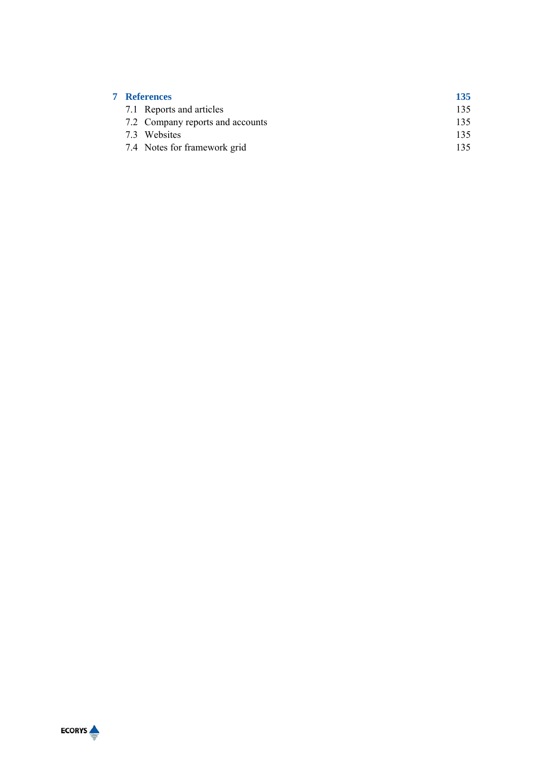| <b>7</b> References              | 135  |
|----------------------------------|------|
| 7.1 Reports and articles         | 135. |
| 7.2 Company reports and accounts | 135  |
| 7.3 Websites                     | 135. |
| 7.4 Notes for framework grid     | 135  |

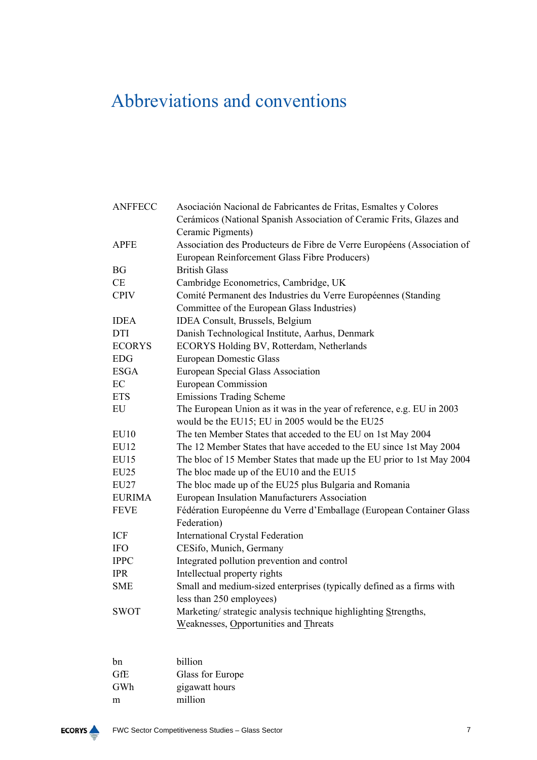# Abbreviations and conventions

| <b>ANFFECC</b>                                                               | Asociación Nacional de Fabricantes de Fritas, Esmaltes y Colores        |  |  |
|------------------------------------------------------------------------------|-------------------------------------------------------------------------|--|--|
|                                                                              | Cerámicos (National Spanish Association of Ceramic Frits, Glazes and    |  |  |
|                                                                              | Ceramic Pigments)                                                       |  |  |
| <b>APFE</b>                                                                  | Association des Producteurs de Fibre de Verre Européens (Association of |  |  |
|                                                                              | European Reinforcement Glass Fibre Producers)                           |  |  |
| <b>BG</b>                                                                    | <b>British Glass</b>                                                    |  |  |
| CE                                                                           | Cambridge Econometrics, Cambridge, UK                                   |  |  |
| <b>CPIV</b>                                                                  | Comité Permanent des Industries du Verre Européennes (Standing          |  |  |
|                                                                              | Committee of the European Glass Industries)                             |  |  |
| <b>IDEA</b>                                                                  | IDEA Consult, Brussels, Belgium                                         |  |  |
| <b>DTI</b>                                                                   | Danish Technological Institute, Aarhus, Denmark                         |  |  |
| <b>ECORYS</b>                                                                | ECORYS Holding BV, Rotterdam, Netherlands                               |  |  |
| <b>EDG</b>                                                                   | <b>European Domestic Glass</b>                                          |  |  |
| <b>ESGA</b>                                                                  | European Special Glass Association                                      |  |  |
| EC                                                                           | <b>European Commission</b>                                              |  |  |
| <b>ETS</b>                                                                   | <b>Emissions Trading Scheme</b>                                         |  |  |
| The European Union as it was in the year of reference, e.g. EU in 2003<br>EU |                                                                         |  |  |
|                                                                              | would be the EU15; EU in 2005 would be the EU25                         |  |  |
| <b>EU10</b>                                                                  | The ten Member States that acceded to the EU on 1st May 2004            |  |  |
| <b>EU12</b>                                                                  | The 12 Member States that have acceded to the EU since 1st May 2004     |  |  |
| EU15                                                                         | The bloc of 15 Member States that made up the EU prior to 1st May 2004  |  |  |
| <b>EU25</b>                                                                  | The bloc made up of the EU10 and the EU15                               |  |  |
| <b>EU27</b>                                                                  | The bloc made up of the EU25 plus Bulgaria and Romania                  |  |  |
| <b>EURIMA</b>                                                                | European Insulation Manufacturers Association                           |  |  |
| <b>FEVE</b>                                                                  | Fédération Européenne du Verre d'Emballage (European Container Glass    |  |  |
|                                                                              | Federation)                                                             |  |  |
| ICF                                                                          | <b>International Crystal Federation</b>                                 |  |  |
| <b>IFO</b>                                                                   | CESifo, Munich, Germany                                                 |  |  |
| <b>IPPC</b>                                                                  | Integrated pollution prevention and control                             |  |  |
| <b>IPR</b>                                                                   | Intellectual property rights                                            |  |  |
| <b>SME</b>                                                                   | Small and medium-sized enterprises (typically defined as a firms with   |  |  |
|                                                                              | less than 250 employees)                                                |  |  |
| <b>SWOT</b>                                                                  | Marketing/strategic analysis technique highlighting Strengths,          |  |  |
|                                                                              | Weaknesses, Opportunities and Threats                                   |  |  |

| bn  | billion          |
|-----|------------------|
| GfE | Glass for Europe |
| GWh | gigawatt hours   |
| m   | million          |
|     |                  |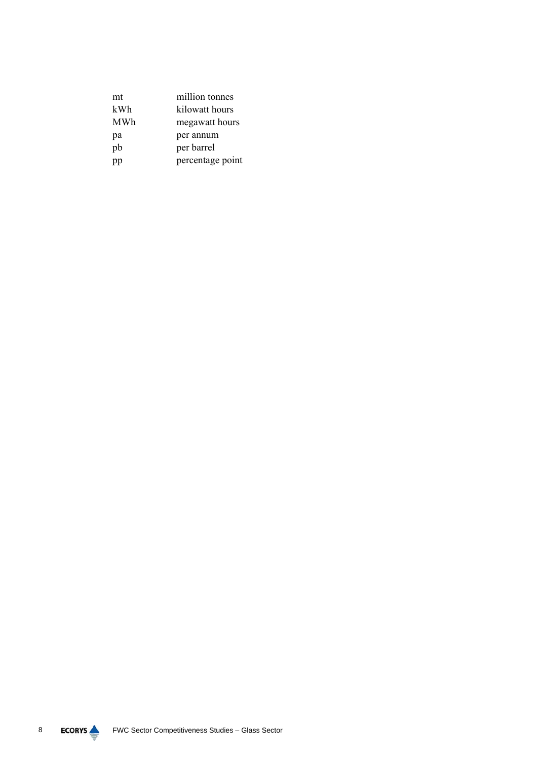| mt  | million tonnes   |
|-----|------------------|
| kWh | kilowatt hours   |
| MWh | megawatt hours   |
| pa  | per annum        |
| pb  | per barrel       |
| pp  | percentage point |

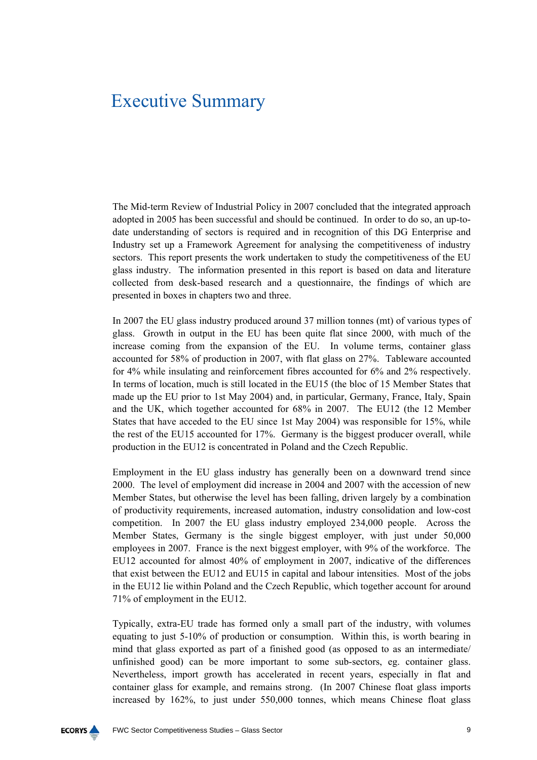## Executive Summary

The Mid-term Review of Industrial Policy in 2007 concluded that the integrated approach adopted in 2005 has been successful and should be continued. In order to do so, an up-todate understanding of sectors is required and in recognition of this DG Enterprise and Industry set up a Framework Agreement for analysing the competitiveness of industry sectors. This report presents the work undertaken to study the competitiveness of the EU glass industry. The information presented in this report is based on data and literature collected from desk-based research and a questionnaire, the findings of which are presented in boxes in chapters two and three.

In 2007 the EU glass industry produced around 37 million tonnes (mt) of various types of glass. Growth in output in the EU has been quite flat since 2000, with much of the increase coming from the expansion of the EU. In volume terms, container glass accounted for 58% of production in 2007, with flat glass on 27%. Tableware accounted for 4% while insulating and reinforcement fibres accounted for 6% and 2% respectively. In terms of location, much is still located in the EU15 (the bloc of 15 Member States that made up the EU prior to 1st May 2004) and, in particular, Germany, France, Italy, Spain and the UK, which together accounted for 68% in 2007. The EU12 (the 12 Member States that have acceded to the EU since 1st May 2004) was responsible for 15%, while the rest of the EU15 accounted for 17%. Germany is the biggest producer overall, while production in the EU12 is concentrated in Poland and the Czech Republic.

Employment in the EU glass industry has generally been on a downward trend since 2000. The level of employment did increase in 2004 and 2007 with the accession of new Member States, but otherwise the level has been falling, driven largely by a combination of productivity requirements, increased automation, industry consolidation and low-cost competition. In 2007 the EU glass industry employed 234,000 people. Across the Member States, Germany is the single biggest employer, with just under 50,000 employees in 2007. France is the next biggest employer, with 9% of the workforce. The EU12 accounted for almost 40% of employment in 2007, indicative of the differences that exist between the EU12 and EU15 in capital and labour intensities. Most of the jobs in the EU12 lie within Poland and the Czech Republic, which together account for around 71% of employment in the EU12.

Typically, extra-EU trade has formed only a small part of the industry, with volumes equating to just 5-10% of production or consumption. Within this, is worth bearing in mind that glass exported as part of a finished good (as opposed to as an intermediate/ unfinished good) can be more important to some sub-sectors, eg. container glass. Nevertheless, import growth has accelerated in recent years, especially in flat and container glass for example, and remains strong. (In 2007 Chinese float glass imports increased by 162%, to just under 550,000 tonnes, which means Chinese float glass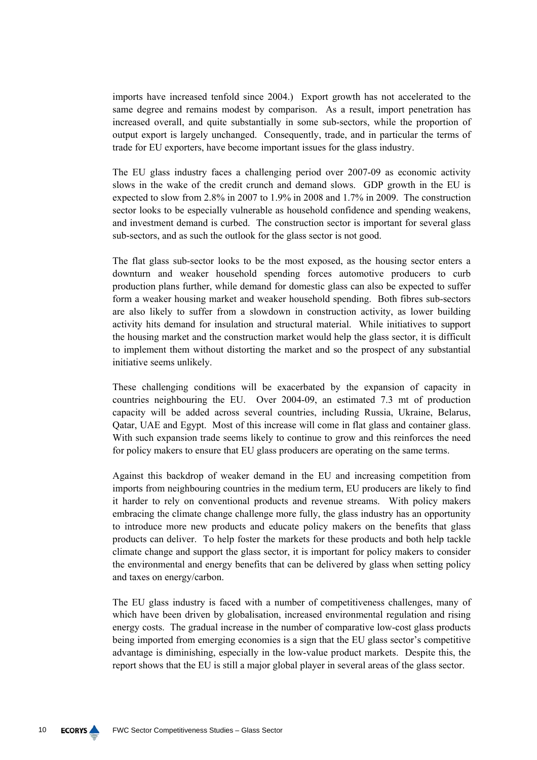imports have increased tenfold since 2004.) Export growth has not accelerated to the same degree and remains modest by comparison. As a result, import penetration has increased overall, and quite substantially in some sub-sectors, while the proportion of output export is largely unchanged. Consequently, trade, and in particular the terms of trade for EU exporters, have become important issues for the glass industry.

The EU glass industry faces a challenging period over 2007-09 as economic activity slows in the wake of the credit crunch and demand slows. GDP growth in the EU is expected to slow from 2.8% in 2007 to 1.9% in 2008 and 1.7% in 2009. The construction sector looks to be especially vulnerable as household confidence and spending weakens, and investment demand is curbed. The construction sector is important for several glass sub-sectors, and as such the outlook for the glass sector is not good.

The flat glass sub-sector looks to be the most exposed, as the housing sector enters a downturn and weaker household spending forces automotive producers to curb production plans further, while demand for domestic glass can also be expected to suffer form a weaker housing market and weaker household spending. Both fibres sub-sectors are also likely to suffer from a slowdown in construction activity, as lower building activity hits demand for insulation and structural material. While initiatives to support the housing market and the construction market would help the glass sector, it is difficult to implement them without distorting the market and so the prospect of any substantial initiative seems unlikely.

These challenging conditions will be exacerbated by the expansion of capacity in countries neighbouring the EU. Over 2004-09, an estimated 7.3 mt of production capacity will be added across several countries, including Russia, Ukraine, Belarus, Qatar, UAE and Egypt. Most of this increase will come in flat glass and container glass. With such expansion trade seems likely to continue to grow and this reinforces the need for policy makers to ensure that EU glass producers are operating on the same terms.

Against this backdrop of weaker demand in the EU and increasing competition from imports from neighbouring countries in the medium term, EU producers are likely to find it harder to rely on conventional products and revenue streams. With policy makers embracing the climate change challenge more fully, the glass industry has an opportunity to introduce more new products and educate policy makers on the benefits that glass products can deliver. To help foster the markets for these products and both help tackle climate change and support the glass sector, it is important for policy makers to consider the environmental and energy benefits that can be delivered by glass when setting policy and taxes on energy/carbon.

The EU glass industry is faced with a number of competitiveness challenges, many of which have been driven by globalisation, increased environmental regulation and rising energy costs. The gradual increase in the number of comparative low-cost glass products being imported from emerging economies is a sign that the EU glass sector's competitive advantage is diminishing, especially in the low-value product markets. Despite this, the report shows that the EU is still a major global player in several areas of the glass sector.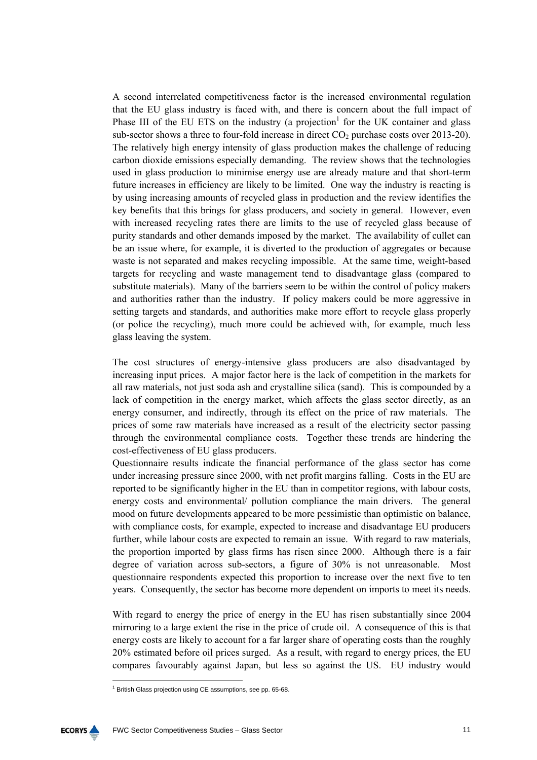A second interrelated competitiveness factor is the increased environmental regulation that the EU glass industry is faced with, and there is concern about the full impact of Phase III of the EU ETS on the industry (a projection<sup>1</sup> for the UK container and glass sub-sector shows a three to four-fold increase in direct  $CO<sub>2</sub>$  purchase costs over 2013-20). The relatively high energy intensity of glass production makes the challenge of reducing carbon dioxide emissions especially demanding. The review shows that the technologies used in glass production to minimise energy use are already mature and that short-term future increases in efficiency are likely to be limited. One way the industry is reacting is by using increasing amounts of recycled glass in production and the review identifies the key benefits that this brings for glass producers, and society in general. However, even with increased recycling rates there are limits to the use of recycled glass because of purity standards and other demands imposed by the market. The availability of cullet can be an issue where, for example, it is diverted to the production of aggregates or because waste is not separated and makes recycling impossible. At the same time, weight-based targets for recycling and waste management tend to disadvantage glass (compared to substitute materials). Many of the barriers seem to be within the control of policy makers and authorities rather than the industry. If policy makers could be more aggressive in setting targets and standards, and authorities make more effort to recycle glass properly (or police the recycling), much more could be achieved with, for example, much less glass leaving the system.

The cost structures of energy-intensive glass producers are also disadvantaged by increasing input prices. A major factor here is the lack of competition in the markets for all raw materials, not just soda ash and crystalline silica (sand). This is compounded by a lack of competition in the energy market, which affects the glass sector directly, as an energy consumer, and indirectly, through its effect on the price of raw materials. The prices of some raw materials have increased as a result of the electricity sector passing through the environmental compliance costs. Together these trends are hindering the cost-effectiveness of EU glass producers.

Questionnaire results indicate the financial performance of the glass sector has come under increasing pressure since 2000, with net profit margins falling. Costs in the EU are reported to be significantly higher in the EU than in competitor regions, with labour costs, energy costs and environmental/ pollution compliance the main drivers. The general mood on future developments appeared to be more pessimistic than optimistic on balance, with compliance costs, for example, expected to increase and disadvantage EU producers further, while labour costs are expected to remain an issue. With regard to raw materials, the proportion imported by glass firms has risen since 2000. Although there is a fair degree of variation across sub-sectors, a figure of 30% is not unreasonable. Most questionnaire respondents expected this proportion to increase over the next five to ten years. Consequently, the sector has become more dependent on imports to meet its needs.

With regard to energy the price of energy in the EU has risen substantially since 2004 mirroring to a large extent the rise in the price of crude oil. A consequence of this is that energy costs are likely to account for a far larger share of operating costs than the roughly 20% estimated before oil prices surged. As a result, with regard to energy prices, the EU compares favourably against Japan, but less so against the US. EU industry would

<sup>&</sup>lt;sup>1</sup> British Glass projection using CE assumptions, see pp. 65-68.

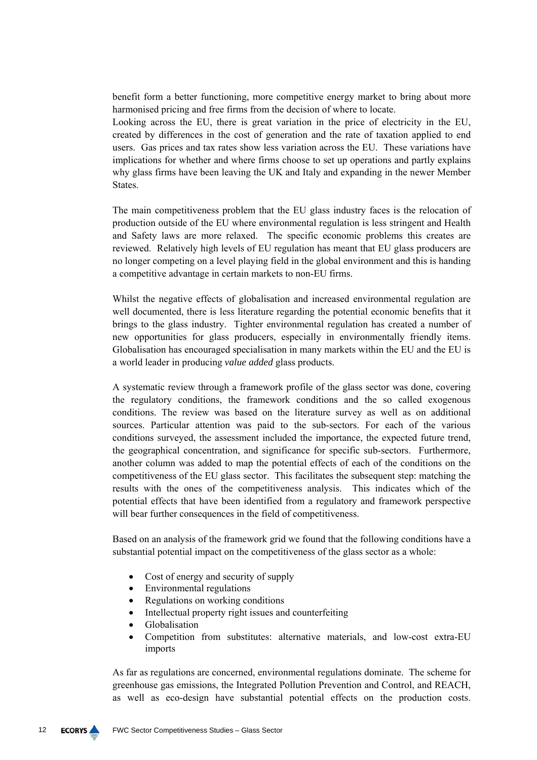benefit form a better functioning, more competitive energy market to bring about more harmonised pricing and free firms from the decision of where to locate.

Looking across the EU, there is great variation in the price of electricity in the EU, created by differences in the cost of generation and the rate of taxation applied to end users. Gas prices and tax rates show less variation across the EU. These variations have implications for whether and where firms choose to set up operations and partly explains why glass firms have been leaving the UK and Italy and expanding in the newer Member **States** 

The main competitiveness problem that the EU glass industry faces is the relocation of production outside of the EU where environmental regulation is less stringent and Health and Safety laws are more relaxed. The specific economic problems this creates are reviewed. Relatively high levels of EU regulation has meant that EU glass producers are no longer competing on a level playing field in the global environment and this is handing a competitive advantage in certain markets to non-EU firms.

Whilst the negative effects of globalisation and increased environmental regulation are well documented, there is less literature regarding the potential economic benefits that it brings to the glass industry. Tighter environmental regulation has created a number of new opportunities for glass producers, especially in environmentally friendly items. Globalisation has encouraged specialisation in many markets within the EU and the EU is a world leader in producing *value added* glass products.

A systematic review through a framework profile of the glass sector was done, covering the regulatory conditions, the framework conditions and the so called exogenous conditions. The review was based on the literature survey as well as on additional sources. Particular attention was paid to the sub-sectors. For each of the various conditions surveyed, the assessment included the importance, the expected future trend, the geographical concentration, and significance for specific sub-sectors. Furthermore, another column was added to map the potential effects of each of the conditions on the competitiveness of the EU glass sector. This facilitates the subsequent step: matching the results with the ones of the competitiveness analysis. This indicates which of the potential effects that have been identified from a regulatory and framework perspective will bear further consequences in the field of competitiveness.

Based on an analysis of the framework grid we found that the following conditions have a substantial potential impact on the competitiveness of the glass sector as a whole:

- Cost of energy and security of supply
- Environmental regulations
- Regulations on working conditions
- Intellectual property right issues and counterfeiting
- Globalisation
- Competition from substitutes: alternative materials, and low-cost extra-EU imports

As far as regulations are concerned, environmental regulations dominate. The scheme for greenhouse gas emissions, the Integrated Pollution Prevention and Control, and REACH, as well as eco-design have substantial potential effects on the production costs.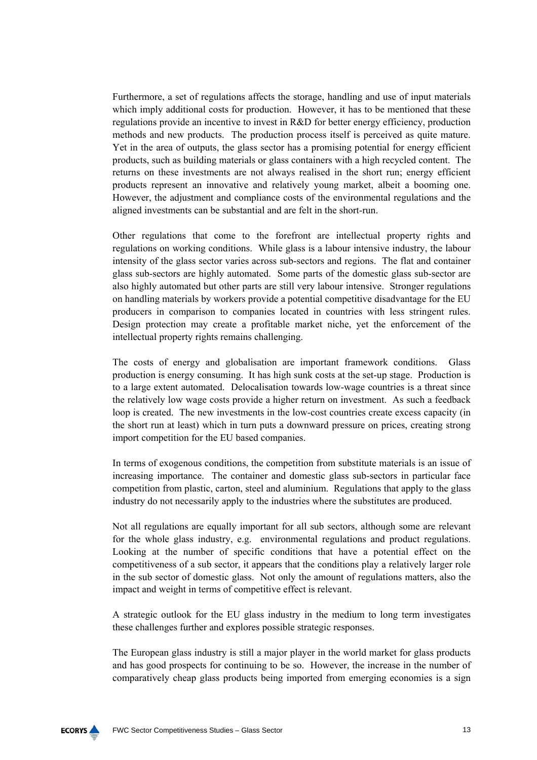Furthermore, a set of regulations affects the storage, handling and use of input materials which imply additional costs for production. However, it has to be mentioned that these regulations provide an incentive to invest in R&D for better energy efficiency, production methods and new products. The production process itself is perceived as quite mature. Yet in the area of outputs, the glass sector has a promising potential for energy efficient products, such as building materials or glass containers with a high recycled content. The returns on these investments are not always realised in the short run; energy efficient products represent an innovative and relatively young market, albeit a booming one. However, the adjustment and compliance costs of the environmental regulations and the aligned investments can be substantial and are felt in the short-run.

Other regulations that come to the forefront are intellectual property rights and regulations on working conditions. While glass is a labour intensive industry, the labour intensity of the glass sector varies across sub-sectors and regions. The flat and container glass sub-sectors are highly automated. Some parts of the domestic glass sub-sector are also highly automated but other parts are still very labour intensive. Stronger regulations on handling materials by workers provide a potential competitive disadvantage for the EU producers in comparison to companies located in countries with less stringent rules. Design protection may create a profitable market niche, yet the enforcement of the intellectual property rights remains challenging.

The costs of energy and globalisation are important framework conditions. Glass production is energy consuming. It has high sunk costs at the set-up stage. Production is to a large extent automated. Delocalisation towards low-wage countries is a threat since the relatively low wage costs provide a higher return on investment. As such a feedback loop is created. The new investments in the low-cost countries create excess capacity (in the short run at least) which in turn puts a downward pressure on prices, creating strong import competition for the EU based companies.

In terms of exogenous conditions, the competition from substitute materials is an issue of increasing importance. The container and domestic glass sub-sectors in particular face competition from plastic, carton, steel and aluminium. Regulations that apply to the glass industry do not necessarily apply to the industries where the substitutes are produced.

Not all regulations are equally important for all sub sectors, although some are relevant for the whole glass industry, e.g. environmental regulations and product regulations. Looking at the number of specific conditions that have a potential effect on the competitiveness of a sub sector, it appears that the conditions play a relatively larger role in the sub sector of domestic glass. Not only the amount of regulations matters, also the impact and weight in terms of competitive effect is relevant.

A strategic outlook for the EU glass industry in the medium to long term investigates these challenges further and explores possible strategic responses.

The European glass industry is still a major player in the world market for glass products and has good prospects for continuing to be so. However, the increase in the number of comparatively cheap glass products being imported from emerging economies is a sign

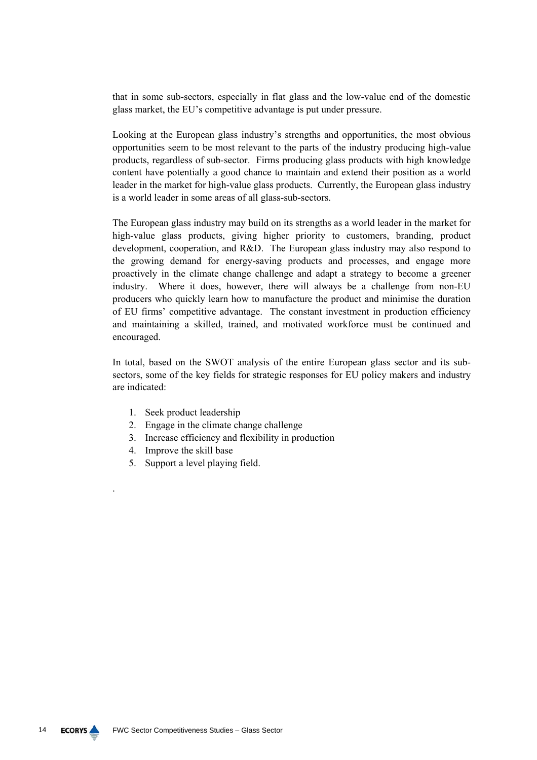that in some sub-sectors, especially in flat glass and the low-value end of the domestic glass market, the EU's competitive advantage is put under pressure.

Looking at the European glass industry's strengths and opportunities, the most obvious opportunities seem to be most relevant to the parts of the industry producing high-value products, regardless of sub-sector. Firms producing glass products with high knowledge content have potentially a good chance to maintain and extend their position as a world leader in the market for high-value glass products. Currently, the European glass industry is a world leader in some areas of all glass-sub-sectors.

The European glass industry may build on its strengths as a world leader in the market for high-value glass products, giving higher priority to customers, branding, product development, cooperation, and R&D. The European glass industry may also respond to the growing demand for energy-saving products and processes, and engage more proactively in the climate change challenge and adapt a strategy to become a greener industry. Where it does, however, there will always be a challenge from non-EU producers who quickly learn how to manufacture the product and minimise the duration of EU firms' competitive advantage. The constant investment in production efficiency and maintaining a skilled, trained, and motivated workforce must be continued and encouraged.

In total, based on the SWOT analysis of the entire European glass sector and its subsectors, some of the key fields for strategic responses for EU policy makers and industry are indicated:

- 1. Seek product leadership
- 2. Engage in the climate change challenge
- 3. Increase efficiency and flexibility in production
- 4. Improve the skill base

.

5. Support a level playing field.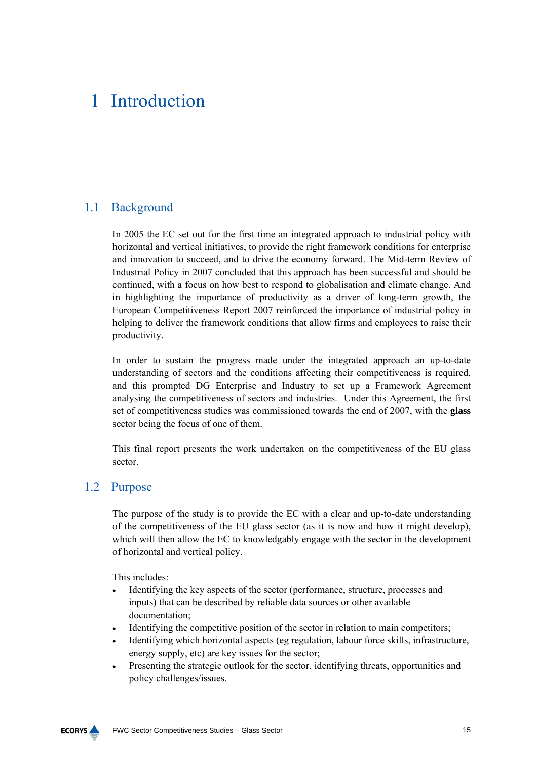## 1 Introduction

## 1.1 Background

In 2005 the EC set out for the first time an integrated approach to industrial policy with horizontal and vertical initiatives, to provide the right framework conditions for enterprise and innovation to succeed, and to drive the economy forward. The Mid-term Review of Industrial Policy in 2007 concluded that this approach has been successful and should be continued, with a focus on how best to respond to globalisation and climate change. And in highlighting the importance of productivity as a driver of long-term growth, the European Competitiveness Report 2007 reinforced the importance of industrial policy in helping to deliver the framework conditions that allow firms and employees to raise their productivity.

In order to sustain the progress made under the integrated approach an up-to-date understanding of sectors and the conditions affecting their competitiveness is required, and this prompted DG Enterprise and Industry to set up a Framework Agreement analysing the competitiveness of sectors and industries. Under this Agreement, the first set of competitiveness studies was commissioned towards the end of 2007, with the **glass** sector being the focus of one of them.

This final report presents the work undertaken on the competitiveness of the EU glass sector.

## 1.2 Purpose

The purpose of the study is to provide the EC with a clear and up-to-date understanding of the competitiveness of the EU glass sector (as it is now and how it might develop), which will then allow the EC to knowledgably engage with the sector in the development of horizontal and vertical policy.

This includes:

- Identifying the key aspects of the sector (performance, structure, processes and inputs) that can be described by reliable data sources or other available documentation;
- Identifying the competitive position of the sector in relation to main competitors:
- Identifying which horizontal aspects (eg regulation, labour force skills, infrastructure, energy supply, etc) are key issues for the sector;
- Presenting the strategic outlook for the sector, identifying threats, opportunities and policy challenges/issues.

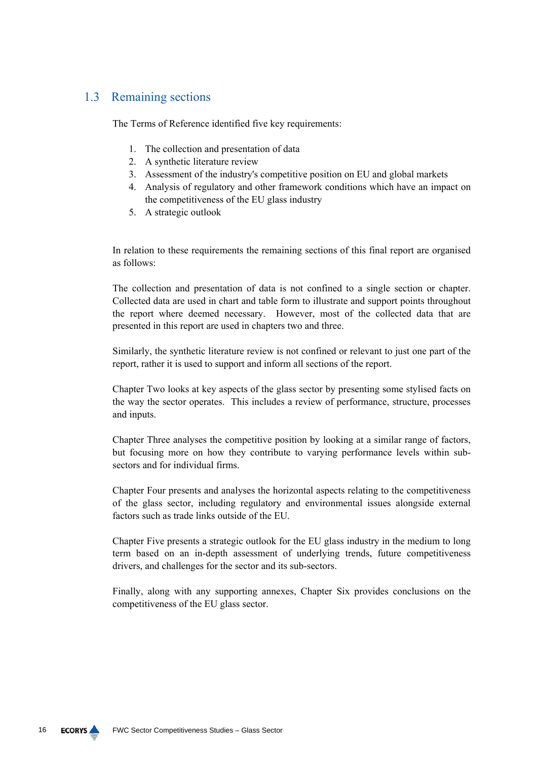## 1.3 Remaining sections

The Terms of Reference identified five key requirements:

- 1. The collection and presentation of data
- 2. A synthetic literature review
- 3. Assessment of the industry's competitive position on EU and global markets
- 4. Analysis of regulatory and other framework conditions which have an impact on the competitiveness of the EU glass industry
- 5. A strategic outlook

In relation to these requirements the remaining sections of this final report are organised as follows:

The collection and presentation of data is not confined to a single section or chapter. Collected data are used in chart and table form to illustrate and support points throughout the report where deemed necessary. However, most of the collected data that are presented in this report are used in chapters two and three.

Similarly, the synthetic literature review is not confined or relevant to just one part of the report, rather it is used to support and inform all sections of the report.

Chapter Two looks at key aspects of the glass sector by presenting some stylised facts on the way the sector operates. This includes a review of performance, structure, processes and inputs.

Chapter Three analyses the competitive position by looking at a similar range of factors, but focusing more on how they contribute to varying performance levels within subsectors and for individual firms.

Chapter Four presents and analyses the horizontal aspects relating to the competitiveness of the glass sector, including regulatory and environmental issues alongside external factors such as trade links outside of the EU.

Chapter Five presents a strategic outlook for the EU glass industry in the medium to long term based on an in-depth assessment of underlying trends, future competitiveness drivers, and challenges for the sector and its sub-sectors.

Finally, along with any supporting annexes, Chapter Six provides conclusions on the competitiveness of the EU glass sector.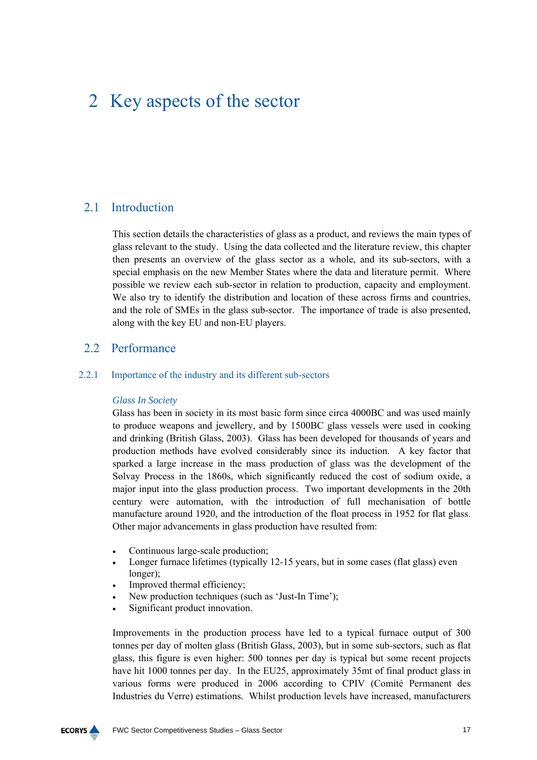## 2 Key aspects of the sector

## 2.1 Introduction

This section details the characteristics of glass as a product, and reviews the main types of glass relevant to the study. Using the data collected and the literature review, this chapter then presents an overview of the glass sector as a whole, and its sub-sectors, with a special emphasis on the new Member States where the data and literature permit. Where possible we review each sub-sector in relation to production, capacity and employment. We also try to identify the distribution and location of these across firms and countries, and the role of SMEs in the glass sub-sector. The importance of trade is also presented, along with the key EU and non-EU players.

## 2.2 Performance

## 2.2.1 Importance of the industry and its different sub-sectors

## *Glass In Society*

Glass has been in society in its most basic form since circa 4000BC and was used mainly to produce weapons and jewellery, and by 1500BC glass vessels were used in cooking and drinking (British Glass, 2003). Glass has been developed for thousands of years and production methods have evolved considerably since its induction. A key factor that sparked a large increase in the mass production of glass was the development of the Solvay Process in the 1860s, which significantly reduced the cost of sodium oxide, a major input into the glass production process. Two important developments in the 20th century were automation, with the introduction of full mechanisation of bottle manufacture around 1920, and the introduction of the float process in 1952 for flat glass. Other major advancements in glass production have resulted from:

- Continuous large-scale production;
- Longer furnace lifetimes (typically 12-15 years, but in some cases (flat glass) even longer);
- Improved thermal efficiency;
- New production techniques (such as 'Just-In Time');
- Significant product innovation.

Improvements in the production process have led to a typical furnace output of 300 tonnes per day of molten glass (British Glass, 2003), but in some sub-sectors, such as flat glass, this figure is even higher: 500 tonnes per day is typical but some recent projects have hit 1000 tonnes per day. In the EU25, approximately 35mt of final product glass in various forms were produced in 2006 according to CPIV (Comité Permanent des Industries du Verre) estimations. Whilst production levels have increased, manufacturers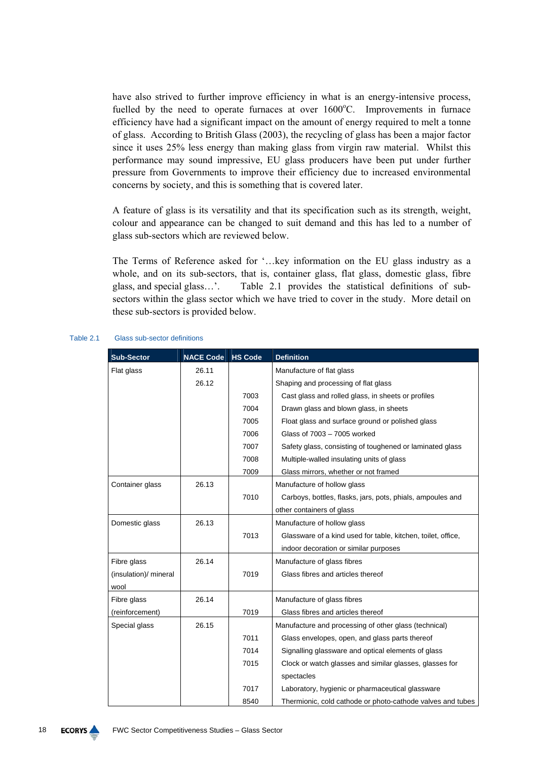have also strived to further improve efficiency in what is an energy-intensive process, fuelled by the need to operate furnaces at over 1600°C. Improvements in furnace efficiency have had a significant impact on the amount of energy required to melt a tonne of glass. According to British Glass (2003), the recycling of glass has been a major factor since it uses 25% less energy than making glass from virgin raw material. Whilst this performance may sound impressive, EU glass producers have been put under further pressure from Governments to improve their efficiency due to increased environmental concerns by society, and this is something that is covered later.

A feature of glass is its versatility and that its specification such as its strength, weight, colour and appearance can be changed to suit demand and this has led to a number of glass sub-sectors which are reviewed below.

The Terms of Reference asked for '…key information on the EU glass industry as a whole, and on its sub-sectors, that is, container glass, flat glass, domestic glass, fibre glass, and special glass…'. Table 2.1 provides the statistical definitions of subsectors within the glass sector which we have tried to cover in the study. More detail on these sub-sectors is provided below.

| <b>Sub-Sector</b>       | <b>NACE Code</b> | <b>HS Code</b> | <b>Definition</b>                                            |
|-------------------------|------------------|----------------|--------------------------------------------------------------|
| Flat glass              | 26.11            |                | Manufacture of flat glass                                    |
|                         | 26.12            |                | Shaping and processing of flat glass                         |
|                         |                  | 7003           | Cast glass and rolled glass, in sheets or profiles           |
|                         |                  | 7004           | Drawn glass and blown glass, in sheets                       |
|                         |                  | 7005           | Float glass and surface ground or polished glass             |
|                         |                  | 7006           | Glass of 7003 - 7005 worked                                  |
|                         |                  | 7007           | Safety glass, consisting of toughened or laminated glass     |
|                         |                  | 7008           | Multiple-walled insulating units of glass                    |
|                         |                  | 7009           | Glass mirrors, whether or not framed                         |
| Container glass         | 26.13            |                | Manufacture of hollow glass                                  |
|                         |                  | 7010           | Carboys, bottles, flasks, jars, pots, phials, ampoules and   |
|                         |                  |                | other containers of glass                                    |
| 26.13<br>Domestic glass |                  |                | Manufacture of hollow glass                                  |
|                         |                  | 7013           | Glassware of a kind used for table, kitchen, toilet, office, |
|                         |                  |                | indoor decoration or similar purposes                        |
| Fibre glass             | 26.14            |                | Manufacture of glass fibres                                  |
| (insulation)/ mineral   |                  | 7019           | Glass fibres and articles thereof                            |
| wool                    |                  |                |                                                              |
| Fibre glass             | 26.14            |                | Manufacture of glass fibres                                  |
| (reinforcement)         |                  | 7019           | Glass fibres and articles thereof                            |
| Special glass           | 26.15            |                | Manufacture and processing of other glass (technical)        |
|                         |                  | 7011           | Glass envelopes, open, and glass parts thereof               |
|                         |                  | 7014           | Signalling glassware and optical elements of glass           |
|                         |                  | 7015           | Clock or watch glasses and similar glasses, glasses for      |
|                         |                  |                | spectacles                                                   |
|                         |                  | 7017           | Laboratory, hygienic or pharmaceutical glassware             |
|                         |                  | 8540           | Thermionic, cold cathode or photo-cathode valves and tubes   |

#### Table 2.1 Glass sub-sector definitions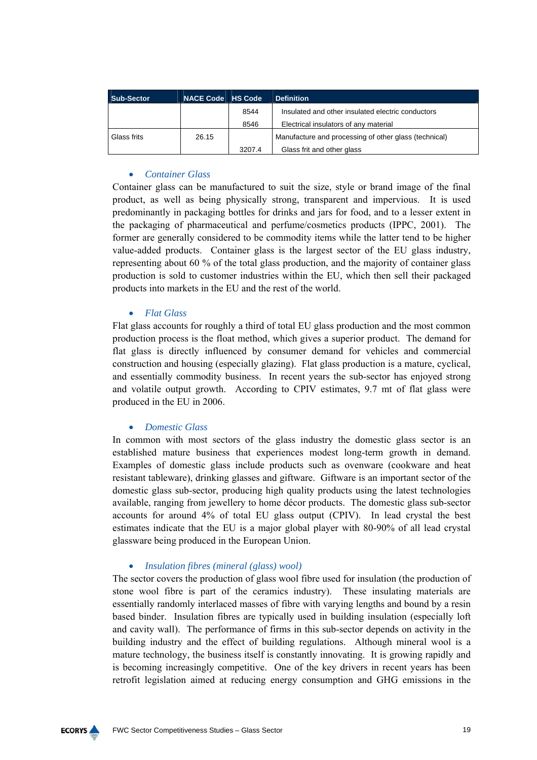| <b>Sub-Sector</b> | NACE Code HS Code |        | <b>Definition</b>                                     |
|-------------------|-------------------|--------|-------------------------------------------------------|
|                   |                   | 8544   | Insulated and other insulated electric conductors     |
|                   |                   | 8546   | Electrical insulators of any material                 |
| Glass frits       | 26.15             |        | Manufacture and processing of other glass (technical) |
|                   |                   | 3207.4 | Glass frit and other glass                            |

## • *Container Glass*

Container glass can be manufactured to suit the size, style or brand image of the final product, as well as being physically strong, transparent and impervious. It is used predominantly in packaging bottles for drinks and jars for food, and to a lesser extent in the packaging of pharmaceutical and perfume/cosmetics products (IPPC, 2001). The former are generally considered to be commodity items while the latter tend to be higher value-added products. Container glass is the largest sector of the EU glass industry, representing about 60 % of the total glass production, and the majority of container glass production is sold to customer industries within the EU, which then sell their packaged products into markets in the EU and the rest of the world.

## • *Flat Glass*

Flat glass accounts for roughly a third of total EU glass production and the most common production process is the float method, which gives a superior product. The demand for flat glass is directly influenced by consumer demand for vehicles and commercial construction and housing (especially glazing). Flat glass production is a mature, cyclical, and essentially commodity business. In recent years the sub-sector has enjoyed strong and volatile output growth. According to CPIV estimates, 9.7 mt of flat glass were produced in the EU in 2006.

## • *Domestic Glass*

In common with most sectors of the glass industry the domestic glass sector is an established mature business that experiences modest long-term growth in demand. Examples of domestic glass include products such as ovenware (cookware and heat resistant tableware), drinking glasses and giftware. Giftware is an important sector of the domestic glass sub-sector, producing high quality products using the latest technologies available, ranging from jewellery to home décor products. The domestic glass sub-sector accounts for around 4% of total EU glass output (CPIV). In lead crystal the best estimates indicate that the EU is a major global player with 80-90% of all lead crystal glassware being produced in the European Union.

## • *Insulation fibres (mineral (glass) wool)*

The sector covers the production of glass wool fibre used for insulation (the production of stone wool fibre is part of the ceramics industry). These insulating materials are essentially randomly interlaced masses of fibre with varying lengths and bound by a resin based binder. Insulation fibres are typically used in building insulation (especially loft and cavity wall). The performance of firms in this sub-sector depends on activity in the building industry and the effect of building regulations. Although mineral wool is a mature technology, the business itself is constantly innovating. It is growing rapidly and is becoming increasingly competitive. One of the key drivers in recent years has been retrofit legislation aimed at reducing energy consumption and GHG emissions in the

**ECORYS**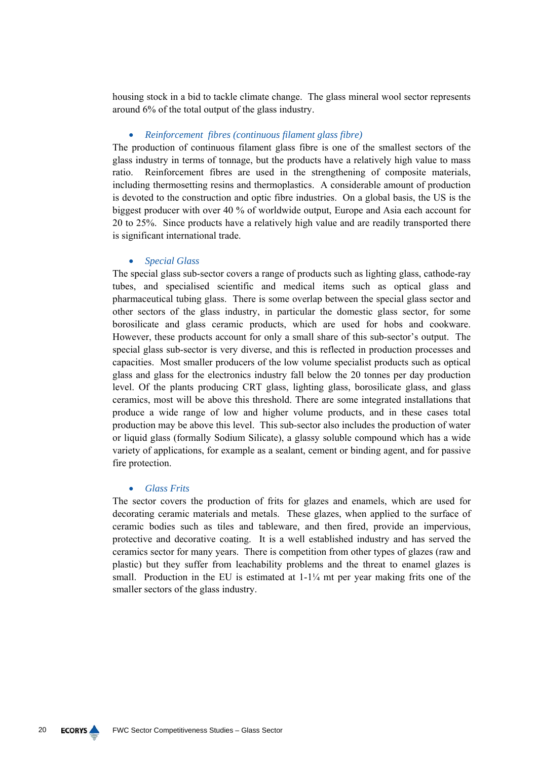housing stock in a bid to tackle climate change. The glass mineral wool sector represents around 6% of the total output of the glass industry.

## • *Reinforcement fibres (continuous filament glass fibre)*

The production of continuous filament glass fibre is one of the smallest sectors of the glass industry in terms of tonnage, but the products have a relatively high value to mass ratio. Reinforcement fibres are used in the strengthening of composite materials, including thermosetting resins and thermoplastics. A considerable amount of production is devoted to the construction and optic fibre industries. On a global basis, the US is the biggest producer with over 40 % of worldwide output, Europe and Asia each account for 20 to 25%. Since products have a relatively high value and are readily transported there is significant international trade.

## • *Special Glass*

The special glass sub-sector covers a range of products such as lighting glass, cathode-ray tubes, and specialised scientific and medical items such as optical glass and pharmaceutical tubing glass. There is some overlap between the special glass sector and other sectors of the glass industry, in particular the domestic glass sector, for some borosilicate and glass ceramic products, which are used for hobs and cookware. However, these products account for only a small share of this sub-sector's output. The special glass sub-sector is very diverse, and this is reflected in production processes and capacities. Most smaller producers of the low volume specialist products such as optical glass and glass for the electronics industry fall below the 20 tonnes per day production level. Of the plants producing CRT glass, lighting glass, borosilicate glass, and glass ceramics, most will be above this threshold. There are some integrated installations that produce a wide range of low and higher volume products, and in these cases total production may be above this level. This sub-sector also includes the production of water or liquid glass (formally Sodium Silicate), a glassy soluble compound which has a wide variety of applications, for example as a sealant, cement or binding agent, and for passive fire protection.

### • *Glass Frits*

The sector covers the production of frits for glazes and enamels, which are used for decorating ceramic materials and metals. These glazes, when applied to the surface of ceramic bodies such as tiles and tableware, and then fired, provide an impervious, protective and decorative coating. It is a well established industry and has served the ceramics sector for many years. There is competition from other types of glazes (raw and plastic) but they suffer from leachability problems and the threat to enamel glazes is small. Production in the EU is estimated at  $1-1\frac{1}{4}$  mt per year making frits one of the smaller sectors of the glass industry.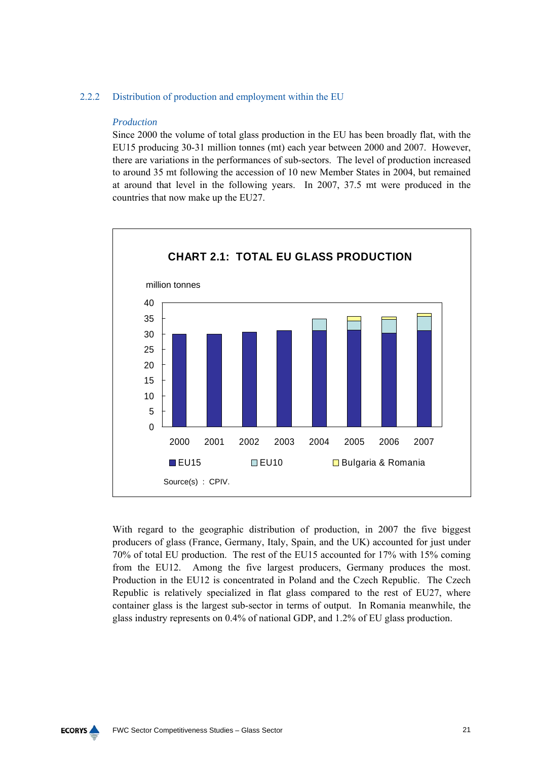## 2.2.2 Distribution of production and employment within the EU

## *Production*

Since 2000 the volume of total glass production in the EU has been broadly flat, with the EU15 producing 30-31 million tonnes (mt) each year between 2000 and 2007. However, there are variations in the performances of sub-sectors. The level of production increased to around 35 mt following the accession of 10 new Member States in 2004, but remained at around that level in the following years. In 2007, 37.5 mt were produced in the countries that now make up the EU27.



With regard to the geographic distribution of production, in 2007 the five biggest producers of glass (France, Germany, Italy, Spain, and the UK) accounted for just under 70% of total EU production. The rest of the EU15 accounted for 17% with 15% coming from the EU12. Among the five largest producers, Germany produces the most. Production in the EU12 is concentrated in Poland and the Czech Republic. The Czech Republic is relatively specialized in flat glass compared to the rest of EU27, where container glass is the largest sub-sector in terms of output. In Romania meanwhile, the glass industry represents on 0.4% of national GDP, and 1.2% of EU glass production.

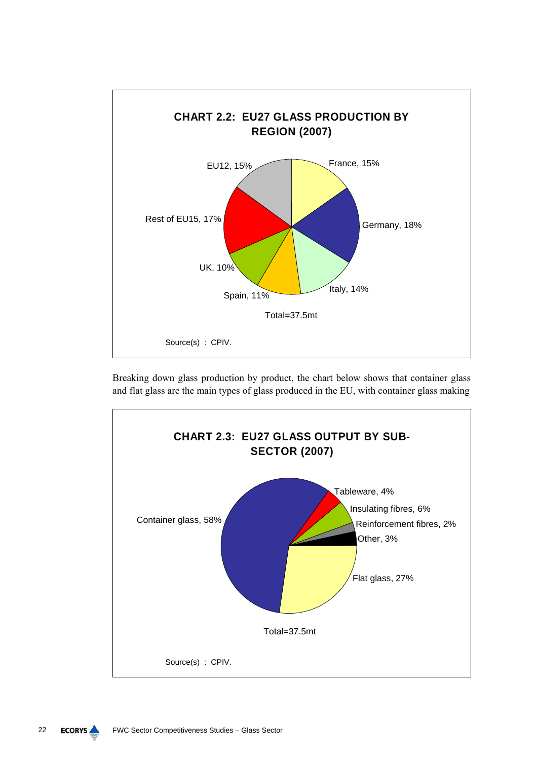

Breaking down glass production by product, the chart below shows that container glass and flat glass are the main types of glass produced in the EU, with container glass making

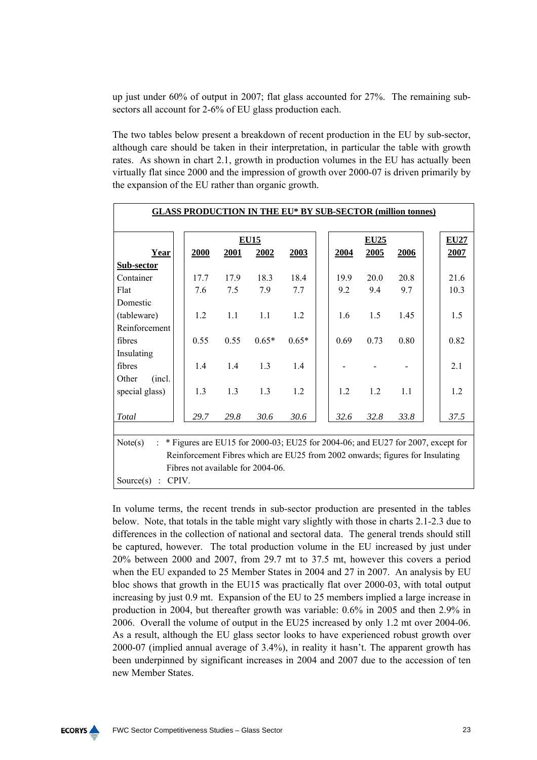up just under 60% of output in 2007; flat glass accounted for 27%. The remaining subsectors all account for 2-6% of EU glass production each.

The two tables below present a breakdown of recent production in the EU by sub-sector, although care should be taken in their interpretation, in particular the table with growth rates. As shown in chart 2.1, growth in production volumes in the EU has actually been virtually flat since 2000 and the impression of growth over 2000-07 is driven primarily by the expansion of the EU rather than organic growth.

| <b>GLASS PRODUCTION IN THE EU* BY SUB-SECTOR (million tonnes)</b>                                                |                                   |             |             |         |  |             |             |      |  |             |
|------------------------------------------------------------------------------------------------------------------|-----------------------------------|-------------|-------------|---------|--|-------------|-------------|------|--|-------------|
|                                                                                                                  |                                   |             |             |         |  |             |             |      |  |             |
|                                                                                                                  |                                   |             | <b>EU15</b> |         |  |             | <b>EU25</b> |      |  | <b>EU27</b> |
| <u>Year</u>                                                                                                      | 2000                              | <b>2001</b> | 2002        | 2003    |  | <u>2004</u> | 2005        | 2006 |  | <b>2007</b> |
| Sub-sector                                                                                                       |                                   |             |             |         |  |             |             |      |  |             |
| Container                                                                                                        | 17.7                              | 17.9        | 18.3        | 18.4    |  | 19.9        | 20.0        | 20.8 |  | 21.6        |
| Flat                                                                                                             | 7.6                               | 7.5         | 7.9         | 7.7     |  | 9.2         | 9.4         | 9.7  |  | 10.3        |
| Domestic                                                                                                         |                                   |             |             |         |  |             |             |      |  |             |
| (tableware)                                                                                                      | 1.2                               | 1.1         | 1.1         | 1.2     |  | 1.6         | 1.5         | 1.45 |  | 1.5         |
| Reinforcement                                                                                                    |                                   |             |             |         |  |             |             |      |  |             |
| fibres                                                                                                           | 0.55                              | 0.55        | $0.65*$     | $0.65*$ |  | 0.69        | 0.73        | 0.80 |  | 0.82        |
| Insulating                                                                                                       |                                   |             |             |         |  |             |             |      |  |             |
| fibres                                                                                                           | 1.4                               | 1.4         | 1.3         | 1.4     |  |             |             |      |  | 2.1         |
| Other<br>(incl.)                                                                                                 |                                   |             |             |         |  |             |             |      |  |             |
| special glass)                                                                                                   | 1.3                               | 1.3         | 1.3         | 1.2     |  | 1.2         | 1.2         | 1.1  |  | 1.2         |
|                                                                                                                  |                                   |             |             |         |  |             |             |      |  |             |
| Total                                                                                                            | 29.7                              | 29.8        | 30.6        | 30.6    |  | 32.6        | 32.8        | 33.8 |  | 37.5        |
|                                                                                                                  |                                   |             |             |         |  |             |             |      |  |             |
| Note(s)<br>* Figures are EU15 for 2000-03; EU25 for 2004-06; and EU27 for 2007, except for<br>$\dot{\mathbb{Z}}$ |                                   |             |             |         |  |             |             |      |  |             |
| Reinforcement Fibres which are EU25 from 2002 onwards; figures for Insulating                                    |                                   |             |             |         |  |             |             |      |  |             |
|                                                                                                                  | Fibres not available for 2004-06. |             |             |         |  |             |             |      |  |             |
| CPIV.<br>Source(s)                                                                                               |                                   |             |             |         |  |             |             |      |  |             |

In volume terms, the recent trends in sub-sector production are presented in the tables below. Note, that totals in the table might vary slightly with those in charts 2.1-2.3 due to differences in the collection of national and sectoral data. The general trends should still be captured, however. The total production volume in the EU increased by just under 20% between 2000 and 2007, from 29.7 mt to 37.5 mt, however this covers a period when the EU expanded to 25 Member States in 2004 and 27 in 2007. An analysis by EU bloc shows that growth in the EU15 was practically flat over 2000-03, with total output increasing by just 0.9 mt. Expansion of the EU to 25 members implied a large increase in production in 2004, but thereafter growth was variable: 0.6% in 2005 and then 2.9% in 2006. Overall the volume of output in the EU25 increased by only 1.2 mt over 2004-06. As a result, although the EU glass sector looks to have experienced robust growth over 2000-07 (implied annual average of 3.4%), in reality it hasn't. The apparent growth has been underpinned by significant increases in 2004 and 2007 due to the accession of ten new Member States.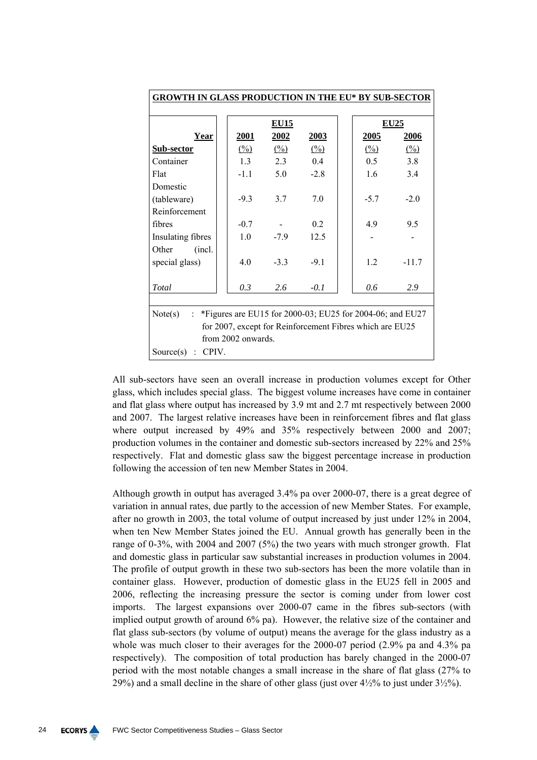| <b>GROWTH IN GLASS PRODUCTION IN THE EU* BY SUB-SECTOR</b>           |                     |                     |                     |  |                     |                     |  |  |
|----------------------------------------------------------------------|---------------------|---------------------|---------------------|--|---------------------|---------------------|--|--|
|                                                                      |                     | <b>EU15</b>         |                     |  |                     | <u>EU25</u>         |  |  |
| <u>Year</u>                                                          | <b>2001</b>         | 2002                | 2003                |  | <u>2005</u>         | <u>2006</u>         |  |  |
| Sub-sector                                                           | $\frac{(\%)}{(\%)}$ | $\frac{(\%)}{(\%)}$ | $\frac{(\%)}{(\%)}$ |  | $\frac{(\%)}{(\%)}$ | $\frac{(\%)}{(\%)}$ |  |  |
| Container                                                            | 13                  | 2.3                 | 0.4                 |  | 0.5                 | 3.8                 |  |  |
| Flat                                                                 | $-1.1$              | 5.0                 | $-2.8$              |  | 1.6                 | 3.4                 |  |  |
| Domestic                                                             |                     |                     |                     |  |                     |                     |  |  |
| (tableware)                                                          | $-9.3$              | 3.7                 | 7.0                 |  | $-5.7$              | $-2.0$              |  |  |
| Reinforcement                                                        |                     |                     |                     |  |                     |                     |  |  |
| fibres                                                               | $-0.7$              |                     | 0.2                 |  | 4.9                 | 95                  |  |  |
| Insulating fibres                                                    | 1.0                 | $-7.9$              | 12.5                |  |                     |                     |  |  |
| Other<br>(incl.                                                      |                     |                     |                     |  |                     |                     |  |  |
| special glass)                                                       | 4.0                 | $-3.3$              | $-91$               |  | 12                  | $-11.7$             |  |  |
|                                                                      |                     |                     |                     |  |                     |                     |  |  |
| Total                                                                | 0.3                 | 2.6                 | $-0.1$              |  | 0.6                 | 2.9                 |  |  |
|                                                                      |                     |                     |                     |  |                     |                     |  |  |
| *Figures are EU15 for 2000-03; EU25 for 2004-06; and EU27<br>Note(s) |                     |                     |                     |  |                     |                     |  |  |
| for 2007, except for Reinforcement Fibres which are EU25             |                     |                     |                     |  |                     |                     |  |  |
| from 2002 onwards.                                                   |                     |                     |                     |  |                     |                     |  |  |
| Source $(s)$ : CPIV.                                                 |                     |                     |                     |  |                     |                     |  |  |

All sub-sectors have seen an overall increase in production volumes except for Other glass, which includes special glass. The biggest volume increases have come in container and flat glass where output has increased by 3.9 mt and 2.7 mt respectively between 2000 and 2007. The largest relative increases have been in reinforcement fibres and flat glass where output increased by 49% and 35% respectively between 2000 and 2007; production volumes in the container and domestic sub-sectors increased by 22% and 25% respectively. Flat and domestic glass saw the biggest percentage increase in production following the accession of ten new Member States in 2004.

Although growth in output has averaged 3.4% pa over 2000-07, there is a great degree of variation in annual rates, due partly to the accession of new Member States. For example, after no growth in 2003, the total volume of output increased by just under 12% in 2004, when ten New Member States joined the EU. Annual growth has generally been in the range of 0-3%, with 2004 and 2007 (5%) the two years with much stronger growth. Flat and domestic glass in particular saw substantial increases in production volumes in 2004. The profile of output growth in these two sub-sectors has been the more volatile than in container glass. However, production of domestic glass in the EU25 fell in 2005 and 2006, reflecting the increasing pressure the sector is coming under from lower cost imports. The largest expansions over 2000-07 came in the fibres sub-sectors (with implied output growth of around 6% pa). However, the relative size of the container and flat glass sub-sectors (by volume of output) means the average for the glass industry as a whole was much closer to their averages for the 2000-07 period (2.9% pa and 4.3% pa respectively). The composition of total production has barely changed in the 2000-07 period with the most notable changes a small increase in the share of flat glass (27% to 29%) and a small decline in the share of other glass (just over  $4\frac{1}{2}\%$  to just under  $3\frac{1}{2}\%$ ).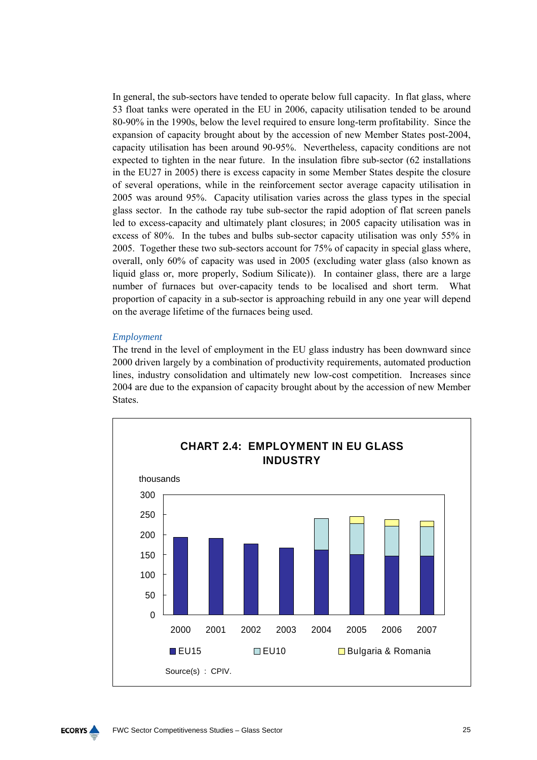In general, the sub-sectors have tended to operate below full capacity. In flat glass, where 53 float tanks were operated in the EU in 2006, capacity utilisation tended to be around 80-90% in the 1990s, below the level required to ensure long-term profitability. Since the expansion of capacity brought about by the accession of new Member States post-2004, capacity utilisation has been around 90-95%. Nevertheless, capacity conditions are not expected to tighten in the near future. In the insulation fibre sub-sector (62 installations in the EU27 in 2005) there is excess capacity in some Member States despite the closure of several operations, while in the reinforcement sector average capacity utilisation in 2005 was around 95%. Capacity utilisation varies across the glass types in the special glass sector. In the cathode ray tube sub-sector the rapid adoption of flat screen panels led to excess-capacity and ultimately plant closures; in 2005 capacity utilisation was in excess of 80%. In the tubes and bulbs sub-sector capacity utilisation was only 55% in 2005. Together these two sub-sectors account for 75% of capacity in special glass where, overall, only 60% of capacity was used in 2005 (excluding water glass (also known as liquid glass or, more properly, Sodium Silicate)). In container glass, there are a large number of furnaces but over-capacity tends to be localised and short term. What proportion of capacity in a sub-sector is approaching rebuild in any one year will depend on the average lifetime of the furnaces being used.

### *Employment*

The trend in the level of employment in the EU glass industry has been downward since 2000 driven largely by a combination of productivity requirements, automated production lines, industry consolidation and ultimately new low-cost competition. Increases since 2004 are due to the expansion of capacity brought about by the accession of new Member States.



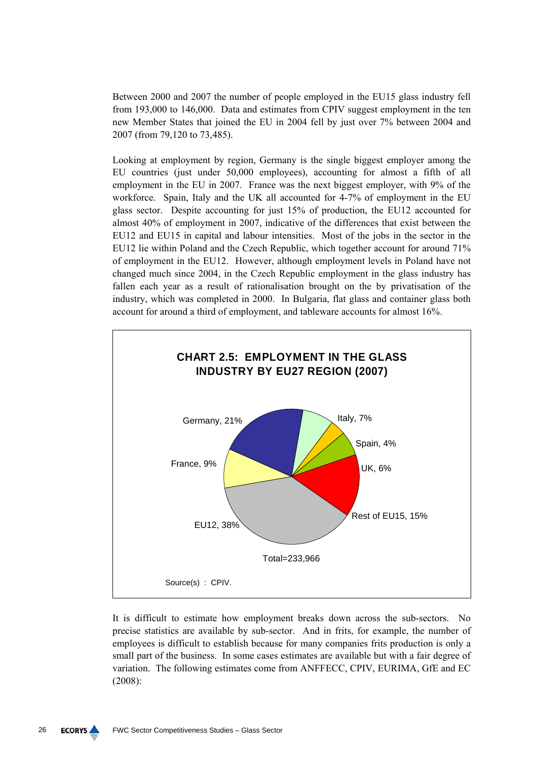Between 2000 and 2007 the number of people employed in the EU15 glass industry fell from 193,000 to 146,000. Data and estimates from CPIV suggest employment in the ten new Member States that joined the EU in 2004 fell by just over 7% between 2004 and 2007 (from 79,120 to 73,485).

Looking at employment by region, Germany is the single biggest employer among the EU countries (just under 50,000 employees), accounting for almost a fifth of all employment in the EU in 2007. France was the next biggest employer, with 9% of the workforce. Spain, Italy and the UK all accounted for 4-7% of employment in the EU glass sector. Despite accounting for just 15% of production, the EU12 accounted for almost 40% of employment in 2007, indicative of the differences that exist between the EU12 and EU15 in capital and labour intensities. Most of the jobs in the sector in the EU12 lie within Poland and the Czech Republic, which together account for around 71% of employment in the EU12. However, although employment levels in Poland have not changed much since 2004, in the Czech Republic employment in the glass industry has fallen each year as a result of rationalisation brought on the by privatisation of the industry, which was completed in 2000. In Bulgaria, flat glass and container glass both account for around a third of employment, and tableware accounts for almost 16%.



It is difficult to estimate how employment breaks down across the sub-sectors. No precise statistics are available by sub-sector. And in frits, for example, the number of employees is difficult to establish because for many companies frits production is only a small part of the business. In some cases estimates are available but with a fair degree of variation. The following estimates come from ANFFECC, CPIV, EURIMA, GfE and EC (2008):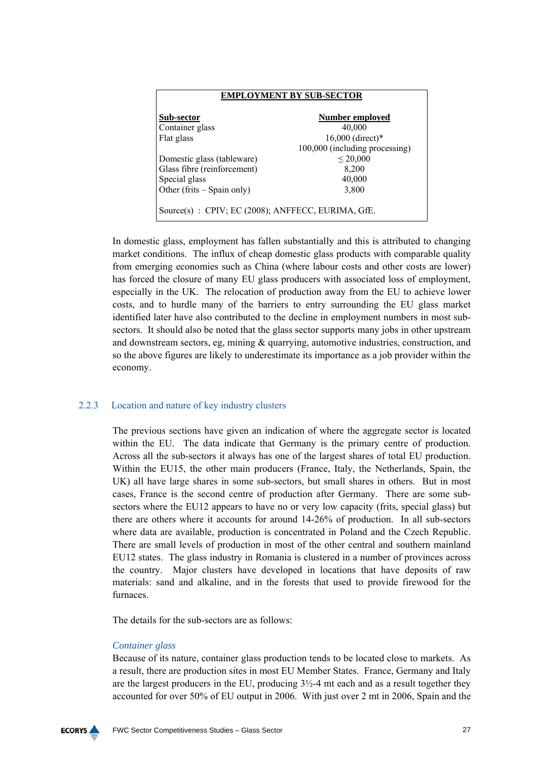| EMPLOYMENT BY SUB-SECTOR                           |                                |  |  |  |  |
|----------------------------------------------------|--------------------------------|--|--|--|--|
| Sub-sector                                         | Number emploved                |  |  |  |  |
| Container glass                                    | 40,000                         |  |  |  |  |
| Flat glass                                         | 16,000 (direct)*               |  |  |  |  |
|                                                    | 100,000 (including processing) |  |  |  |  |
| Domestic glass (tableware)                         | $\leq 20,000$                  |  |  |  |  |
| Glass fibre (reinforcement)                        | 8,200                          |  |  |  |  |
| Special glass                                      | 40,000                         |  |  |  |  |
| Other (frits – Spain only)                         | 3,800                          |  |  |  |  |
| Source(s) : CPIV; EC (2008); ANFFECC, EURIMA, GfE. |                                |  |  |  |  |

In domestic glass, employment has fallen substantially and this is attributed to changing market conditions. The influx of cheap domestic glass products with comparable quality from emerging economies such as China (where labour costs and other costs are lower) has forced the closure of many EU glass producers with associated loss of employment, especially in the UK. The relocation of production away from the EU to achieve lower costs, and to hurdle many of the barriers to entry surrounding the EU glass market identified later have also contributed to the decline in employment numbers in most subsectors. It should also be noted that the glass sector supports many jobs in other upstream and downstream sectors, eg, mining  $\&$  quarrying, automotive industries, construction, and so the above figures are likely to underestimate its importance as a job provider within the economy.

## 2.2.3 Location and nature of key industry clusters

The previous sections have given an indication of where the aggregate sector is located within the EU. The data indicate that Germany is the primary centre of production. Across all the sub-sectors it always has one of the largest shares of total EU production. Within the EU15, the other main producers (France, Italy, the Netherlands, Spain, the UK) all have large shares in some sub-sectors, but small shares in others. But in most cases, France is the second centre of production after Germany. There are some subsectors where the EU12 appears to have no or very low capacity (frits, special glass) but there are others where it accounts for around 14-26% of production. In all sub-sectors where data are available, production is concentrated in Poland and the Czech Republic. There are small levels of production in most of the other central and southern mainland EU12 states. The glass industry in Romania is clustered in a number of provinces across the country. Major clusters have developed in locations that have deposits of raw materials: sand and alkaline, and in the forests that used to provide firewood for the furnaces.

The details for the sub-sectors are as follows:

## *Container glass*

Because of its nature, container glass production tends to be located close to markets. As a result, there are production sites in most EU Member States. France, Germany and Italy are the largest producers in the EU, producing  $3\frac{1}{2}$ -4 mt each and as a result together they accounted for over 50% of EU output in 2006. With just over 2 mt in 2006, Spain and the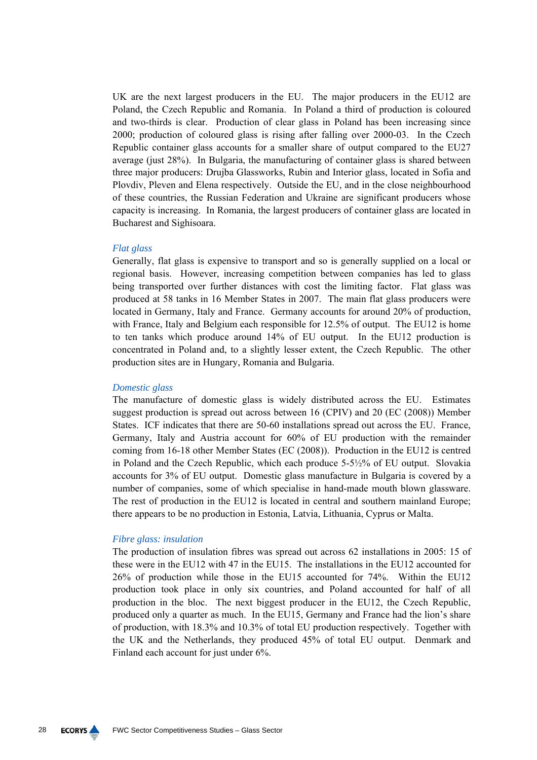UK are the next largest producers in the EU. The major producers in the EU12 are Poland, the Czech Republic and Romania. In Poland a third of production is coloured and two-thirds is clear. Production of clear glass in Poland has been increasing since 2000; production of coloured glass is rising after falling over 2000-03. In the Czech Republic container glass accounts for a smaller share of output compared to the EU27 average (just 28%). In Bulgaria, the manufacturing of container glass is shared between three major producers: Drujba Glassworks, Rubin and Interior glass, located in Sofia and Plovdiv, Pleven and Elena respectively. Outside the EU, and in the close neighbourhood of these countries, the Russian Federation and Ukraine are significant producers whose capacity is increasing. In Romania, the largest producers of container glass are located in Bucharest and Sighisoara.

### *Flat glass*

Generally, flat glass is expensive to transport and so is generally supplied on a local or regional basis. However, increasing competition between companies has led to glass being transported over further distances with cost the limiting factor. Flat glass was produced at 58 tanks in 16 Member States in 2007. The main flat glass producers were located in Germany, Italy and France. Germany accounts for around 20% of production, with France, Italy and Belgium each responsible for 12.5% of output. The EU12 is home to ten tanks which produce around 14% of EU output. In the EU12 production is concentrated in Poland and, to a slightly lesser extent, the Czech Republic. The other production sites are in Hungary, Romania and Bulgaria.

### *Domestic glass*

The manufacture of domestic glass is widely distributed across the EU. Estimates suggest production is spread out across between 16 (CPIV) and 20 (EC (2008)) Member States. ICF indicates that there are 50-60 installations spread out across the EU. France, Germany, Italy and Austria account for 60% of EU production with the remainder coming from 16-18 other Member States (EC (2008)). Production in the EU12 is centred in Poland and the Czech Republic, which each produce 5-5½% of EU output. Slovakia accounts for 3% of EU output. Domestic glass manufacture in Bulgaria is covered by a number of companies, some of which specialise in hand-made mouth blown glassware. The rest of production in the EU12 is located in central and southern mainland Europe; there appears to be no production in Estonia, Latvia, Lithuania, Cyprus or Malta.

#### *Fibre glass: insulation*

The production of insulation fibres was spread out across 62 installations in 2005: 15 of these were in the EU12 with 47 in the EU15. The installations in the EU12 accounted for 26% of production while those in the EU15 accounted for 74%. Within the EU12 production took place in only six countries, and Poland accounted for half of all production in the bloc. The next biggest producer in the EU12, the Czech Republic, produced only a quarter as much. In the EU15, Germany and France had the lion's share of production, with 18.3% and 10.3% of total EU production respectively. Together with the UK and the Netherlands, they produced 45% of total EU output. Denmark and Finland each account for just under 6%.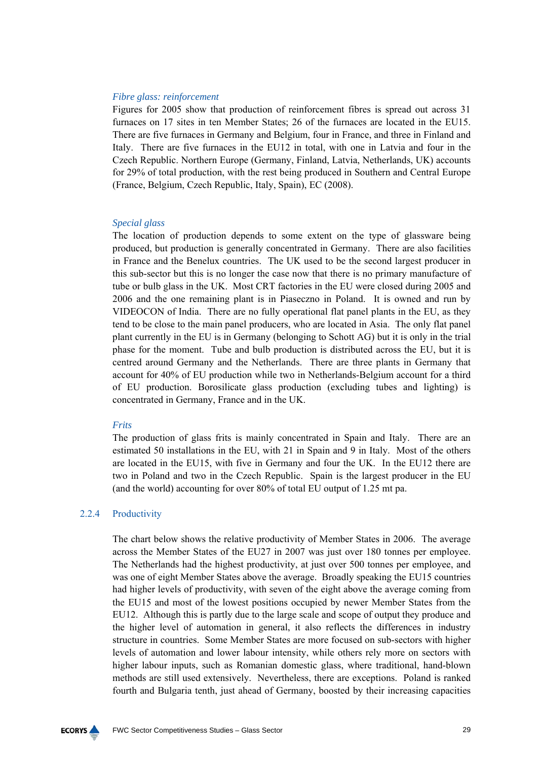## *Fibre glass: reinforcement*

Figures for 2005 show that production of reinforcement fibres is spread out across 31 furnaces on 17 sites in ten Member States; 26 of the furnaces are located in the EU15. There are five furnaces in Germany and Belgium, four in France, and three in Finland and Italy. There are five furnaces in the EU12 in total, with one in Latvia and four in the Czech Republic. Northern Europe (Germany, Finland, Latvia, Netherlands, UK) accounts for 29% of total production, with the rest being produced in Southern and Central Europe (France, Belgium, Czech Republic, Italy, Spain), EC (2008).

#### *Special glass*

The location of production depends to some extent on the type of glassware being produced, but production is generally concentrated in Germany. There are also facilities in France and the Benelux countries. The UK used to be the second largest producer in this sub-sector but this is no longer the case now that there is no primary manufacture of tube or bulb glass in the UK. Most CRT factories in the EU were closed during 2005 and 2006 and the one remaining plant is in Piaseczno in Poland. It is owned and run by VIDEOCON of India. There are no fully operational flat panel plants in the EU, as they tend to be close to the main panel producers, who are located in Asia. The only flat panel plant currently in the EU is in Germany (belonging to Schott AG) but it is only in the trial phase for the moment. Tube and bulb production is distributed across the EU, but it is centred around Germany and the Netherlands. There are three plants in Germany that account for 40% of EU production while two in Netherlands-Belgium account for a third of EU production. Borosilicate glass production (excluding tubes and lighting) is concentrated in Germany, France and in the UK.

#### *Frits*

The production of glass frits is mainly concentrated in Spain and Italy. There are an estimated 50 installations in the EU, with 21 in Spain and 9 in Italy. Most of the others are located in the EU15, with five in Germany and four the UK. In the EU12 there are two in Poland and two in the Czech Republic. Spain is the largest producer in the EU (and the world) accounting for over 80% of total EU output of 1.25 mt pa.

## 2.2.4 Productivity

The chart below shows the relative productivity of Member States in 2006. The average across the Member States of the EU27 in 2007 was just over 180 tonnes per employee. The Netherlands had the highest productivity, at just over 500 tonnes per employee, and was one of eight Member States above the average. Broadly speaking the EU15 countries had higher levels of productivity, with seven of the eight above the average coming from the EU15 and most of the lowest positions occupied by newer Member States from the EU12. Although this is partly due to the large scale and scope of output they produce and the higher level of automation in general, it also reflects the differences in industry structure in countries. Some Member States are more focused on sub-sectors with higher levels of automation and lower labour intensity, while others rely more on sectors with higher labour inputs, such as Romanian domestic glass, where traditional, hand-blown methods are still used extensively. Nevertheless, there are exceptions. Poland is ranked fourth and Bulgaria tenth, just ahead of Germany, boosted by their increasing capacities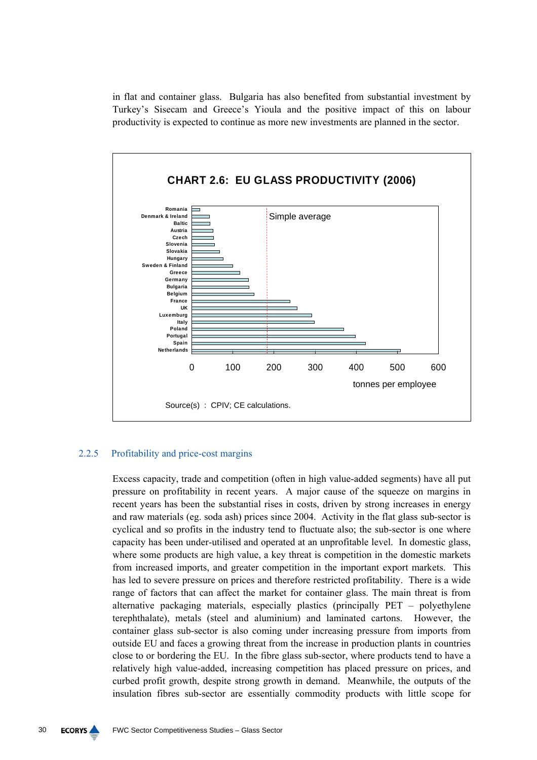in flat and container glass. Bulgaria has also benefited from substantial investment by Turkey's Sisecam and Greece's Yioula and the positive impact of this on labour productivity is expected to continue as more new investments are planned in the sector.



## 2.2.5 Profitability and price-cost margins

Excess capacity, trade and competition (often in high value-added segments) have all put pressure on profitability in recent years. A major cause of the squeeze on margins in recent years has been the substantial rises in costs, driven by strong increases in energy and raw materials (eg. soda ash) prices since 2004. Activity in the flat glass sub-sector is cyclical and so profits in the industry tend to fluctuate also; the sub-sector is one where capacity has been under-utilised and operated at an unprofitable level. In domestic glass, where some products are high value, a key threat is competition in the domestic markets from increased imports, and greater competition in the important export markets. This has led to severe pressure on prices and therefore restricted profitability. There is a wide range of factors that can affect the market for container glass. The main threat is from alternative packaging materials, especially plastics (principally PET – polyethylene terephthalate), metals (steel and aluminium) and laminated cartons. However, the container glass sub-sector is also coming under increasing pressure from imports from outside EU and faces a growing threat from the increase in production plants in countries close to or bordering the EU. In the fibre glass sub-sector, where products tend to have a relatively high value-added, increasing competition has placed pressure on prices, and curbed profit growth, despite strong growth in demand. Meanwhile, the outputs of the insulation fibres sub-sector are essentially commodity products with little scope for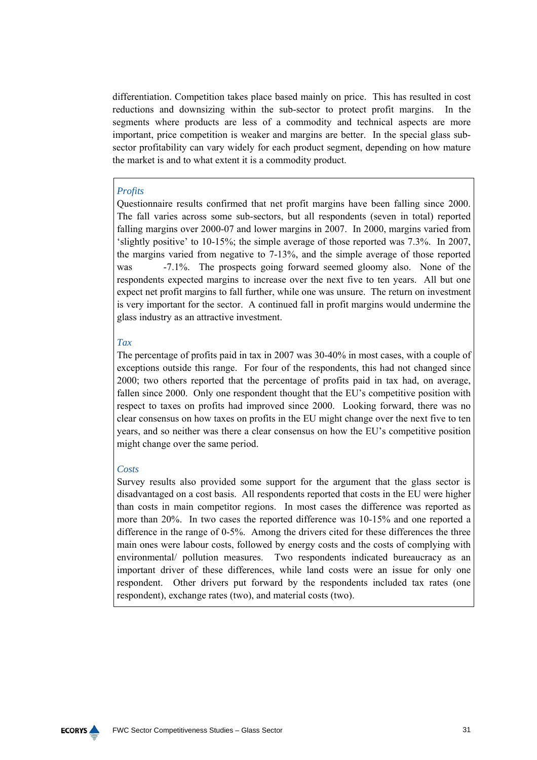differentiation. Competition takes place based mainly on price. This has resulted in cost reductions and downsizing within the sub-sector to protect profit margins. In the segments where products are less of a commodity and technical aspects are more important, price competition is weaker and margins are better. In the special glass subsector profitability can vary widely for each product segment, depending on how mature the market is and to what extent it is a commodity product.

## *Profits*

Questionnaire results confirmed that net profit margins have been falling since 2000. The fall varies across some sub-sectors, but all respondents (seven in total) reported falling margins over 2000-07 and lower margins in 2007. In 2000, margins varied from 'slightly positive' to 10-15%; the simple average of those reported was 7.3%. In 2007, the margins varied from negative to 7-13%, and the simple average of those reported was -7.1%. The prospects going forward seemed gloomy also. None of the respondents expected margins to increase over the next five to ten years. All but one expect net profit margins to fall further, while one was unsure. The return on investment is very important for the sector. A continued fall in profit margins would undermine the glass industry as an attractive investment.

## *Tax*

The percentage of profits paid in tax in 2007 was 30-40% in most cases, with a couple of exceptions outside this range. For four of the respondents, this had not changed since 2000; two others reported that the percentage of profits paid in tax had, on average, fallen since 2000. Only one respondent thought that the EU's competitive position with respect to taxes on profits had improved since 2000. Looking forward, there was no clear consensus on how taxes on profits in the EU might change over the next five to ten years, and so neither was there a clear consensus on how the EU's competitive position might change over the same period.

## *Costs*

Survey results also provided some support for the argument that the glass sector is disadvantaged on a cost basis. All respondents reported that costs in the EU were higher than costs in main competitor regions. In most cases the difference was reported as more than 20%. In two cases the reported difference was 10-15% and one reported a difference in the range of 0-5%. Among the drivers cited for these differences the three main ones were labour costs, followed by energy costs and the costs of complying with environmental/ pollution measures. Two respondents indicated bureaucracy as an important driver of these differences, while land costs were an issue for only one respondent. Other drivers put forward by the respondents included tax rates (one respondent), exchange rates (two), and material costs (two).

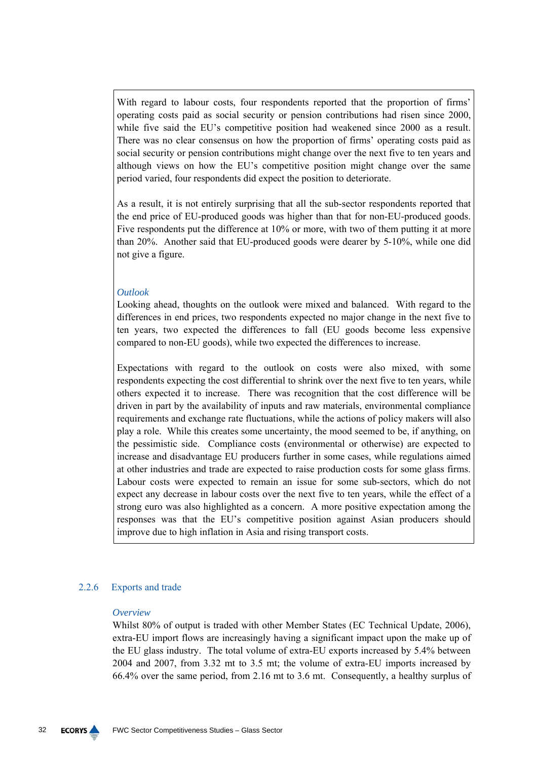With regard to labour costs, four respondents reported that the proportion of firms' operating costs paid as social security or pension contributions had risen since 2000, while five said the EU's competitive position had weakened since 2000 as a result. There was no clear consensus on how the proportion of firms' operating costs paid as social security or pension contributions might change over the next five to ten years and although views on how the EU's competitive position might change over the same period varied, four respondents did expect the position to deteriorate.

As a result, it is not entirely surprising that all the sub-sector respondents reported that the end price of EU-produced goods was higher than that for non-EU-produced goods. Five respondents put the difference at 10% or more, with two of them putting it at more than 20%. Another said that EU-produced goods were dearer by 5-10%, while one did not give a figure.

## *Outlook*

Looking ahead, thoughts on the outlook were mixed and balanced. With regard to the differences in end prices, two respondents expected no major change in the next five to ten years, two expected the differences to fall (EU goods become less expensive compared to non-EU goods), while two expected the differences to increase.

Expectations with regard to the outlook on costs were also mixed, with some respondents expecting the cost differential to shrink over the next five to ten years, while others expected it to increase. There was recognition that the cost difference will be driven in part by the availability of inputs and raw materials, environmental compliance requirements and exchange rate fluctuations, while the actions of policy makers will also play a role. While this creates some uncertainty, the mood seemed to be, if anything, on the pessimistic side. Compliance costs (environmental or otherwise) are expected to increase and disadvantage EU producers further in some cases, while regulations aimed at other industries and trade are expected to raise production costs for some glass firms. Labour costs were expected to remain an issue for some sub-sectors, which do not expect any decrease in labour costs over the next five to ten years, while the effect of a strong euro was also highlighted as a concern. A more positive expectation among the responses was that the EU's competitive position against Asian producers should improve due to high inflation in Asia and rising transport costs.

## 2.2.6 Exports and trade

#### *Overview*

Whilst 80% of output is traded with other Member States (EC Technical Update, 2006), extra-EU import flows are increasingly having a significant impact upon the make up of the EU glass industry. The total volume of extra-EU exports increased by 5.4% between 2004 and 2007, from 3.32 mt to 3.5 mt; the volume of extra-EU imports increased by 66.4% over the same period, from 2.16 mt to 3.6 mt. Consequently, a healthy surplus of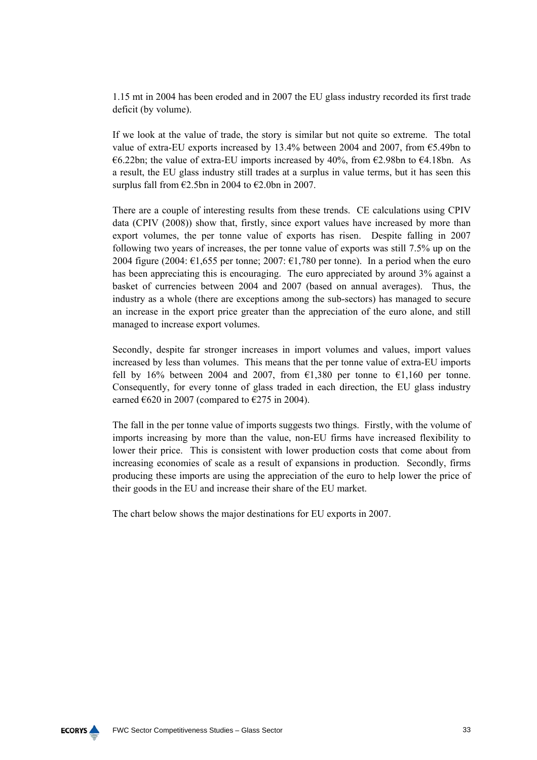1.15 mt in 2004 has been eroded and in 2007 the EU glass industry recorded its first trade deficit (by volume).

If we look at the value of trade, the story is similar but not quite so extreme. The total value of extra-EU exports increased by 13.4% between 2004 and 2007, from  $\epsilon$ 5.49bn to €6.22bn; the value of extra-EU imports increased by 40%, from  $€2.98$ bn to  $€4.18$ bn. As a result, the EU glass industry still trades at a surplus in value terms, but it has seen this surplus fall from  $\epsilon$ 2.5bn in 2004 to  $\epsilon$ 2.0bn in 2007.

There are a couple of interesting results from these trends. CE calculations using CPIV data (CPIV (2008)) show that, firstly, since export values have increased by more than export volumes, the per tonne value of exports has risen. Despite falling in 2007 following two years of increases, the per tonne value of exports was still 7.5% up on the 2004 figure (2004:  $\epsilon$ 1,655 per tonne; 2007:  $\epsilon$ 1,780 per tonne). In a period when the euro has been appreciating this is encouraging. The euro appreciated by around 3% against a basket of currencies between 2004 and 2007 (based on annual averages). Thus, the industry as a whole (there are exceptions among the sub-sectors) has managed to secure an increase in the export price greater than the appreciation of the euro alone, and still managed to increase export volumes.

Secondly, despite far stronger increases in import volumes and values, import values increased by less than volumes. This means that the per tonne value of extra-EU imports fell by 16% between 2004 and 2007, from  $\epsilon$ 1,380 per tonne to  $\epsilon$ 1,160 per tonne. Consequently, for every tonne of glass traded in each direction, the EU glass industry earned  $\epsilon$ 620 in 2007 (compared to  $\epsilon$ 275 in 2004).

The fall in the per tonne value of imports suggests two things. Firstly, with the volume of imports increasing by more than the value, non-EU firms have increased flexibility to lower their price. This is consistent with lower production costs that come about from increasing economies of scale as a result of expansions in production. Secondly, firms producing these imports are using the appreciation of the euro to help lower the price of their goods in the EU and increase their share of the EU market.

The chart below shows the major destinations for EU exports in 2007.

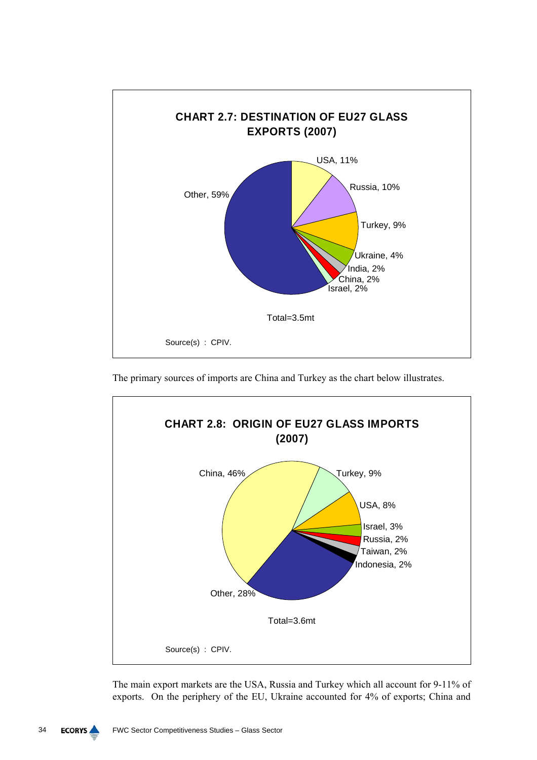

The primary sources of imports are China and Turkey as the chart below illustrates.



The main export markets are the USA, Russia and Turkey which all account for 9-11% of exports. On the periphery of the EU, Ukraine accounted for 4% of exports; China and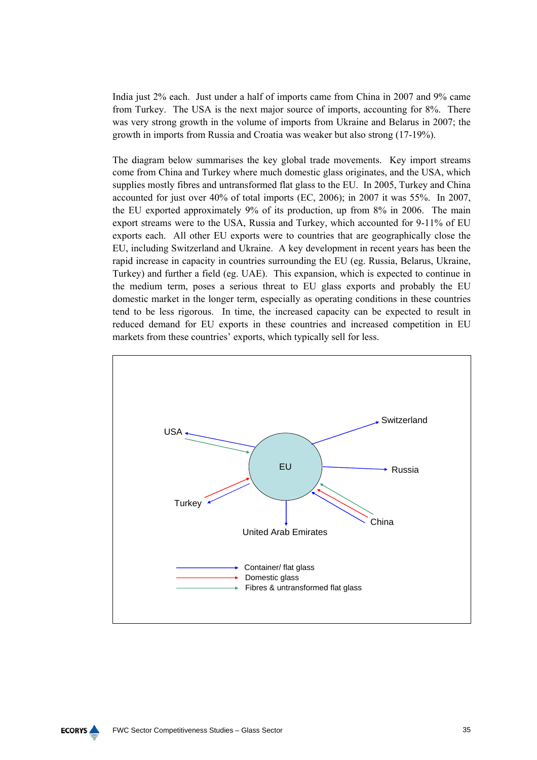India just 2% each. Just under a half of imports came from China in 2007 and 9% came from Turkey. The USA is the next major source of imports, accounting for 8%. There was very strong growth in the volume of imports from Ukraine and Belarus in 2007; the growth in imports from Russia and Croatia was weaker but also strong (17-19%).

The diagram below summarises the key global trade movements. Key import streams come from China and Turkey where much domestic glass originates, and the USA, which supplies mostly fibres and untransformed flat glass to the EU. In 2005, Turkey and China accounted for just over 40% of total imports (EC, 2006); in 2007 it was 55%. In 2007, the EU exported approximately 9% of its production, up from 8% in 2006. The main export streams were to the USA, Russia and Turkey, which accounted for 9-11% of EU exports each. All other EU exports were to countries that are geographically close the EU, including Switzerland and Ukraine. A key development in recent years has been the rapid increase in capacity in countries surrounding the EU (eg. Russia, Belarus, Ukraine, Turkey) and further a field (eg. UAE). This expansion, which is expected to continue in the medium term, poses a serious threat to EU glass exports and probably the EU domestic market in the longer term, especially as operating conditions in these countries tend to be less rigorous. In time, the increased capacity can be expected to result in reduced demand for EU exports in these countries and increased competition in EU markets from these countries' exports, which typically sell for less.

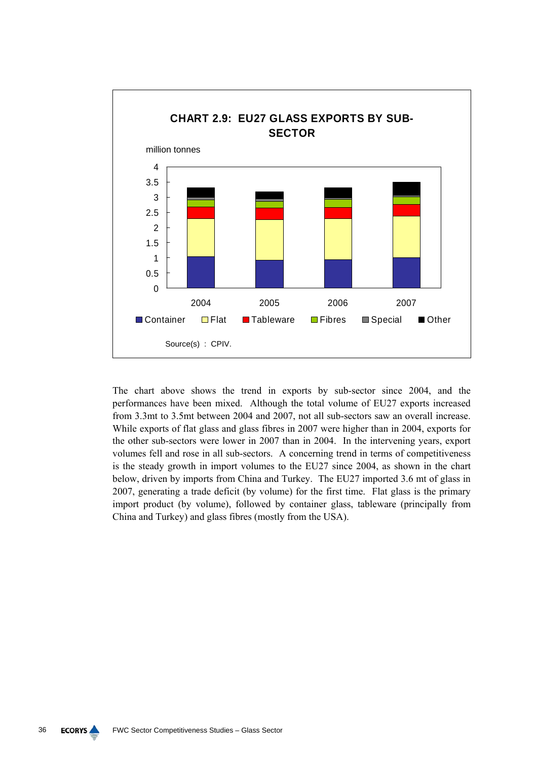

The chart above shows the trend in exports by sub-sector since 2004, and the performances have been mixed. Although the total volume of EU27 exports increased from 3.3mt to 3.5mt between 2004 and 2007, not all sub-sectors saw an overall increase. While exports of flat glass and glass fibres in 2007 were higher than in 2004, exports for the other sub-sectors were lower in 2007 than in 2004. In the intervening years, export volumes fell and rose in all sub-sectors. A concerning trend in terms of competitiveness is the steady growth in import volumes to the EU27 since 2004, as shown in the chart below, driven by imports from China and Turkey. The EU27 imported 3.6 mt of glass in 2007, generating a trade deficit (by volume) for the first time. Flat glass is the primary import product (by volume), followed by container glass, tableware (principally from China and Turkey) and glass fibres (mostly from the USA).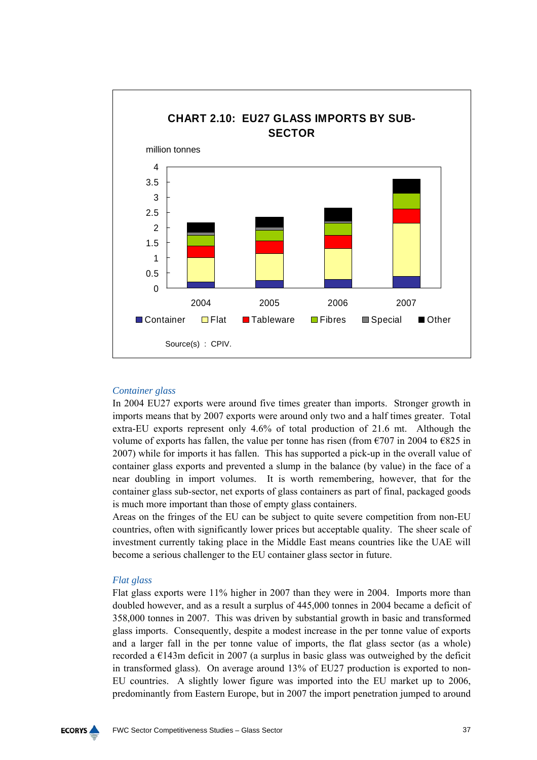

# *Container glass*

In 2004 EU27 exports were around five times greater than imports. Stronger growth in imports means that by 2007 exports were around only two and a half times greater. Total extra-EU exports represent only 4.6% of total production of 21.6 mt. Although the volume of exports has fallen, the value per tonne has risen (from  $\epsilon$ 707 in 2004 to  $\epsilon$ 825 in 2007) while for imports it has fallen. This has supported a pick-up in the overall value of container glass exports and prevented a slump in the balance (by value) in the face of a near doubling in import volumes. It is worth remembering, however, that for the container glass sub-sector, net exports of glass containers as part of final, packaged goods is much more important than those of empty glass containers.

Areas on the fringes of the EU can be subject to quite severe competition from non-EU countries, often with significantly lower prices but acceptable quality. The sheer scale of investment currently taking place in the Middle East means countries like the UAE will become a serious challenger to the EU container glass sector in future.

### *Flat glass*

Flat glass exports were 11% higher in 2007 than they were in 2004. Imports more than doubled however, and as a result a surplus of 445,000 tonnes in 2004 became a deficit of 358,000 tonnes in 2007. This was driven by substantial growth in basic and transformed glass imports. Consequently, despite a modest increase in the per tonne value of exports and a larger fall in the per tonne value of imports, the flat glass sector (as a whole) recorded a  $\epsilon$ 143m deficit in 2007 (a surplus in basic glass was outweighed by the deficit in transformed glass). On average around 13% of EU27 production is exported to non-EU countries. A slightly lower figure was imported into the EU market up to 2006, predominantly from Eastern Europe, but in 2007 the import penetration jumped to around

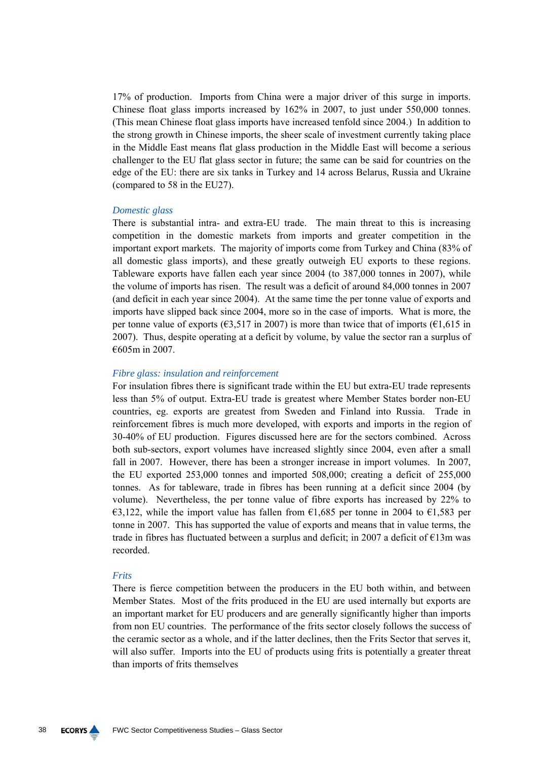17% of production. Imports from China were a major driver of this surge in imports. Chinese float glass imports increased by 162% in 2007, to just under 550,000 tonnes. (This mean Chinese float glass imports have increased tenfold since 2004.) In addition to the strong growth in Chinese imports, the sheer scale of investment currently taking place in the Middle East means flat glass production in the Middle East will become a serious challenger to the EU flat glass sector in future; the same can be said for countries on the edge of the EU: there are six tanks in Turkey and 14 across Belarus, Russia and Ukraine (compared to 58 in the EU27).

#### *Domestic glass*

There is substantial intra- and extra-EU trade. The main threat to this is increasing competition in the domestic markets from imports and greater competition in the important export markets. The majority of imports come from Turkey and China (83% of all domestic glass imports), and these greatly outweigh EU exports to these regions. Tableware exports have fallen each year since 2004 (to 387,000 tonnes in 2007), while the volume of imports has risen. The result was a deficit of around 84,000 tonnes in 2007 (and deficit in each year since 2004). At the same time the per tonne value of exports and imports have slipped back since 2004, more so in the case of imports. What is more, the per tonne value of exports ( $\epsilon$ 3,517 in 2007) is more than twice that of imports ( $\epsilon$ 1,615 in 2007). Thus, despite operating at a deficit by volume, by value the sector ran a surplus of €605m in 2007.

### *Fibre glass: insulation and reinforcement*

For insulation fibres there is significant trade within the EU but extra-EU trade represents less than 5% of output. Extra-EU trade is greatest where Member States border non-EU countries, eg. exports are greatest from Sweden and Finland into Russia. Trade in reinforcement fibres is much more developed, with exports and imports in the region of 30-40% of EU production. Figures discussed here are for the sectors combined. Across both sub-sectors, export volumes have increased slightly since 2004, even after a small fall in 2007. However, there has been a stronger increase in import volumes. In 2007, the EU exported 253,000 tonnes and imported 508,000; creating a deficit of 255,000 tonnes. As for tableware, trade in fibres has been running at a deficit since 2004 (by volume). Nevertheless, the per tonne value of fibre exports has increased by 22% to €3,122, while the import value has fallen from €1,685 per tonne in 2004 to €1,583 per tonne in 2007. This has supported the value of exports and means that in value terms, the trade in fibres has fluctuated between a surplus and deficit; in 2007 a deficit of  $E13m$  was recorded.

#### *Frits*

There is fierce competition between the producers in the EU both within, and between Member States. Most of the frits produced in the EU are used internally but exports are an important market for EU producers and are generally significantly higher than imports from non EU countries. The performance of the frits sector closely follows the success of the ceramic sector as a whole, and if the latter declines, then the Frits Sector that serves it, will also suffer. Imports into the EU of products using frits is potentially a greater threat than imports of frits themselves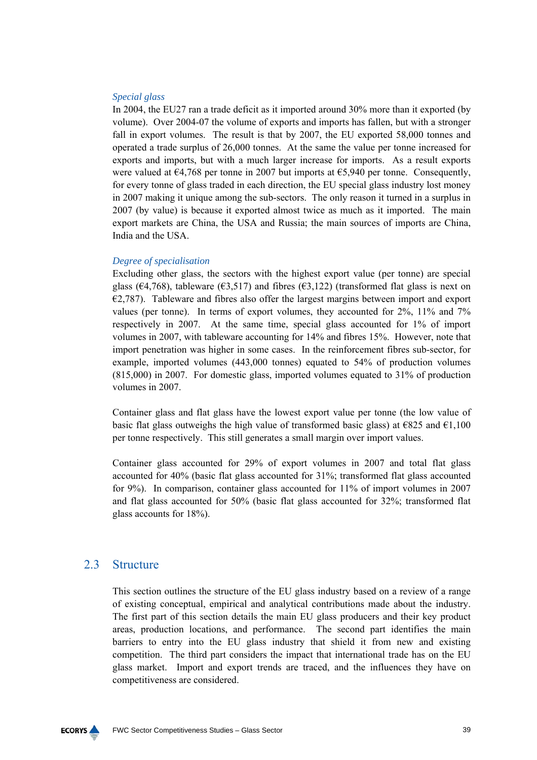### *Special glass*

In 2004, the EU27 ran a trade deficit as it imported around 30% more than it exported (by volume). Over 2004-07 the volume of exports and imports has fallen, but with a stronger fall in export volumes. The result is that by 2007, the EU exported 58,000 tonnes and operated a trade surplus of 26,000 tonnes. At the same the value per tonne increased for exports and imports, but with a much larger increase for imports. As a result exports were valued at €4,768 per tonne in 2007 but imports at €5,940 per tonne. Consequently, for every tonne of glass traded in each direction, the EU special glass industry lost money in 2007 making it unique among the sub-sectors. The only reason it turned in a surplus in 2007 (by value) is because it exported almost twice as much as it imported. The main export markets are China, the USA and Russia; the main sources of imports are China, India and the USA.

### *Degree of specialisation*

Excluding other glass, the sectors with the highest export value (per tonne) are special glass ( $\epsilon$ 4,768), tableware ( $\epsilon$ 3,517) and fibres ( $\epsilon$ 3,122) (transformed flat glass is next on  $E$ <sub>2</sub>,787). Tableware and fibres also offer the largest margins between import and export values (per tonne). In terms of export volumes, they accounted for 2%, 11% and 7% respectively in 2007. At the same time, special glass accounted for 1% of import volumes in 2007, with tableware accounting for 14% and fibres 15%. However, note that import penetration was higher in some cases. In the reinforcement fibres sub-sector, for example, imported volumes (443,000 tonnes) equated to 54% of production volumes (815,000) in 2007. For domestic glass, imported volumes equated to 31% of production volumes in 2007.

Container glass and flat glass have the lowest export value per tonne (the low value of basic flat glass outweighs the high value of transformed basic glass) at  $\epsilon$ 825 and  $\epsilon$ 1,100 per tonne respectively. This still generates a small margin over import values.

Container glass accounted for 29% of export volumes in 2007 and total flat glass accounted for 40% (basic flat glass accounted for 31%; transformed flat glass accounted for 9%). In comparison, container glass accounted for 11% of import volumes in 2007 and flat glass accounted for 50% (basic flat glass accounted for 32%; transformed flat glass accounts for 18%).

# 2.3 Structure

This section outlines the structure of the EU glass industry based on a review of a range of existing conceptual, empirical and analytical contributions made about the industry. The first part of this section details the main EU glass producers and their key product areas, production locations, and performance. The second part identifies the main barriers to entry into the EU glass industry that shield it from new and existing competition. The third part considers the impact that international trade has on the EU glass market. Import and export trends are traced, and the influences they have on competitiveness are considered.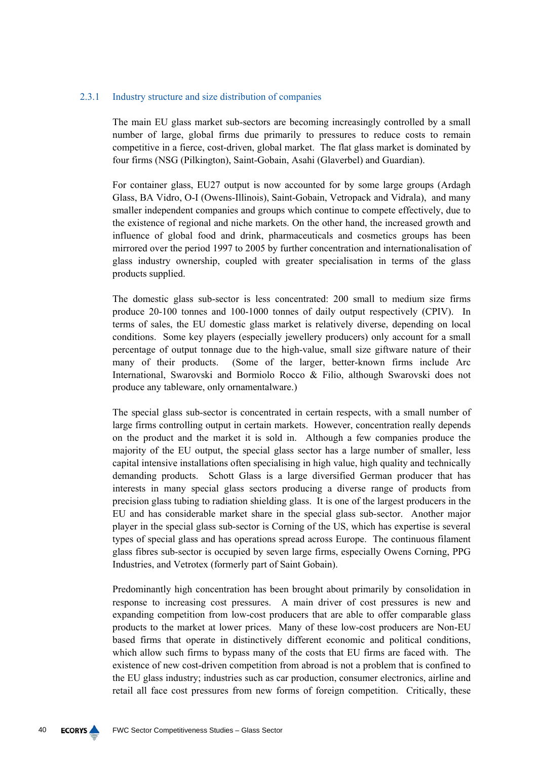### 2.3.1 Industry structure and size distribution of companies

The main EU glass market sub-sectors are becoming increasingly controlled by a small number of large, global firms due primarily to pressures to reduce costs to remain competitive in a fierce, cost-driven, global market. The flat glass market is dominated by four firms (NSG (Pilkington), Saint-Gobain, Asahi (Glaverbel) and Guardian).

For container glass, EU27 output is now accounted for by some large groups (Ardagh Glass, BA Vidro, O-I (Owens-Illinois), Saint-Gobain, Vetropack and Vidrala), and many smaller independent companies and groups which continue to compete effectively, due to the existence of regional and niche markets. On the other hand, the increased growth and influence of global food and drink, pharmaceuticals and cosmetics groups has been mirrored over the period 1997 to 2005 by further concentration and internationalisation of glass industry ownership, coupled with greater specialisation in terms of the glass products supplied.

The domestic glass sub-sector is less concentrated: 200 small to medium size firms produce 20-100 tonnes and 100-1000 tonnes of daily output respectively (CPIV). In terms of sales, the EU domestic glass market is relatively diverse, depending on local conditions. Some key players (especially jewellery producers) only account for a small percentage of output tonnage due to the high-value, small size giftware nature of their many of their products. (Some of the larger, better-known firms include Arc International, Swarovski and Bormiolo Rocco & Filio, although Swarovski does not produce any tableware, only ornamentalware.)

The special glass sub-sector is concentrated in certain respects, with a small number of large firms controlling output in certain markets. However, concentration really depends on the product and the market it is sold in. Although a few companies produce the majority of the EU output, the special glass sector has a large number of smaller, less capital intensive installations often specialising in high value, high quality and technically demanding products. Schott Glass is a large diversified German producer that has interests in many special glass sectors producing a diverse range of products from precision glass tubing to radiation shielding glass. It is one of the largest producers in the EU and has considerable market share in the special glass sub-sector. Another major player in the special glass sub-sector is Corning of the US, which has expertise is several types of special glass and has operations spread across Europe. The continuous filament glass fibres sub-sector is occupied by seven large firms, especially Owens Corning, PPG Industries, and Vetrotex (formerly part of Saint Gobain).

Predominantly high concentration has been brought about primarily by consolidation in response to increasing cost pressures. A main driver of cost pressures is new and expanding competition from low-cost producers that are able to offer comparable glass products to the market at lower prices. Many of these low-cost producers are Non-EU based firms that operate in distinctively different economic and political conditions, which allow such firms to bypass many of the costs that EU firms are faced with. The existence of new cost-driven competition from abroad is not a problem that is confined to the EU glass industry; industries such as car production, consumer electronics, airline and retail all face cost pressures from new forms of foreign competition. Critically, these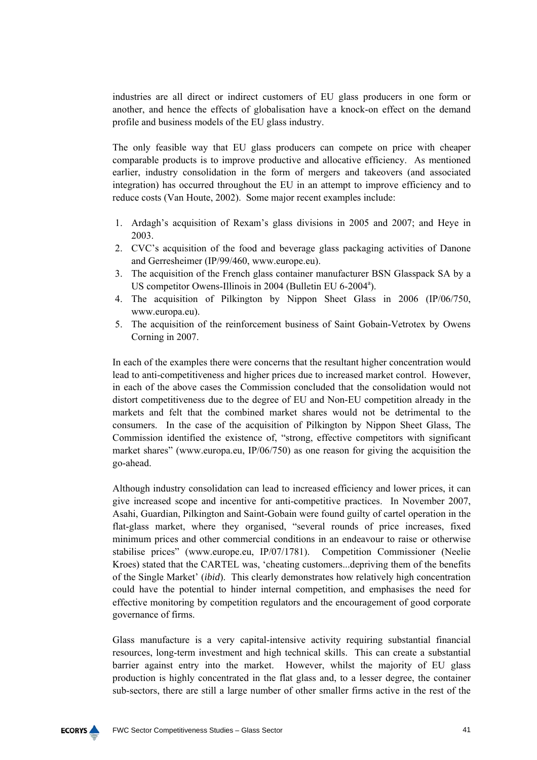industries are all direct or indirect customers of EU glass producers in one form or another, and hence the effects of globalisation have a knock-on effect on the demand profile and business models of the EU glass industry.

The only feasible way that EU glass producers can compete on price with cheaper comparable products is to improve productive and allocative efficiency. As mentioned earlier, industry consolidation in the form of mergers and takeovers (and associated integration) has occurred throughout the EU in an attempt to improve efficiency and to reduce costs (Van Houte, 2002). Some major recent examples include:

- 1. Ardagh's acquisition of Rexam's glass divisions in 2005 and 2007; and Heye in 2003.
- 2. CVC's acquisition of the food and beverage glass packaging activities of Danone and Gerresheimer (IP/99/460, www.europe.eu).
- 3. The acquisition of the French glass container manufacturer BSN Glasspack SA by a US competitor Owens-Illinois in 2004 (Bulletin EU 6-2004<sup>a</sup>).
- 4. The acquisition of Pilkington by Nippon Sheet Glass in 2006 (IP/06/750, www.europa.eu).
- 5. The acquisition of the reinforcement business of Saint Gobain-Vetrotex by Owens Corning in 2007.

In each of the examples there were concerns that the resultant higher concentration would lead to anti-competitiveness and higher prices due to increased market control. However, in each of the above cases the Commission concluded that the consolidation would not distort competitiveness due to the degree of EU and Non-EU competition already in the markets and felt that the combined market shares would not be detrimental to the consumers. In the case of the acquisition of Pilkington by Nippon Sheet Glass, The Commission identified the existence of, "strong, effective competitors with significant market shares" (www.europa.eu, IP/06/750) as one reason for giving the acquisition the go-ahead.

Although industry consolidation can lead to increased efficiency and lower prices, it can give increased scope and incentive for anti-competitive practices. In November 2007, Asahi, Guardian, Pilkington and Saint-Gobain were found guilty of cartel operation in the flat-glass market, where they organised, "several rounds of price increases, fixed minimum prices and other commercial conditions in an endeavour to raise or otherwise stabilise prices" (www.europe.eu, IP/07/1781). Competition Commissioner (Neelie Kroes) stated that the CARTEL was, 'cheating customers...depriving them of the benefits of the Single Market' (*ibid*). This clearly demonstrates how relatively high concentration could have the potential to hinder internal competition, and emphasises the need for effective monitoring by competition regulators and the encouragement of good corporate governance of firms.

Glass manufacture is a very capital-intensive activity requiring substantial financial resources, long-term investment and high technical skills. This can create a substantial barrier against entry into the market. However, whilst the majority of EU glass production is highly concentrated in the flat glass and, to a lesser degree, the container sub-sectors, there are still a large number of other smaller firms active in the rest of the

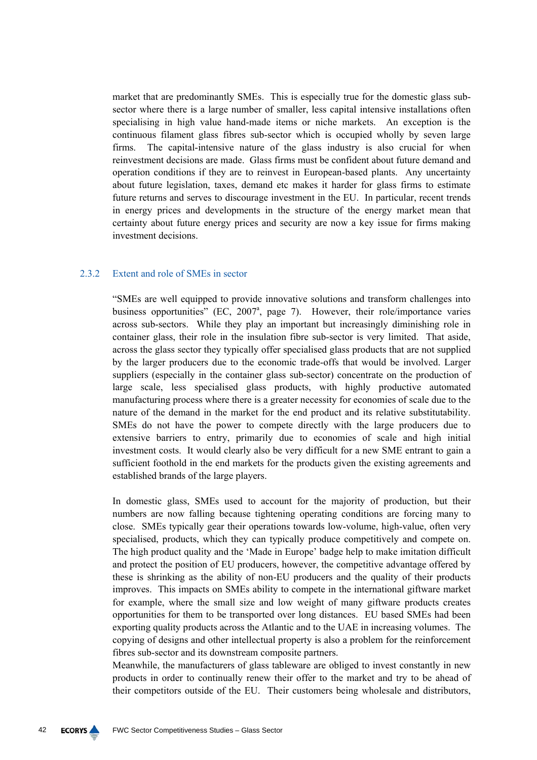market that are predominantly SMEs. This is especially true for the domestic glass subsector where there is a large number of smaller, less capital intensive installations often specialising in high value hand-made items or niche markets. An exception is the continuous filament glass fibres sub-sector which is occupied wholly by seven large firms. The capital-intensive nature of the glass industry is also crucial for when reinvestment decisions are made. Glass firms must be confident about future demand and operation conditions if they are to reinvest in European-based plants. Any uncertainty about future legislation, taxes, demand etc makes it harder for glass firms to estimate future returns and serves to discourage investment in the EU. In particular, recent trends in energy prices and developments in the structure of the energy market mean that certainty about future energy prices and security are now a key issue for firms making investment decisions.

### 2.3.2 Extent and role of SMEs in sector

"SMEs are well equipped to provide innovative solutions and transform challenges into business opportunities" (EC, 2007<sup>a</sup>, page 7). However, their role/importance varies across sub-sectors. While they play an important but increasingly diminishing role in container glass, their role in the insulation fibre sub-sector is very limited. That aside, across the glass sector they typically offer specialised glass products that are not supplied by the larger producers due to the economic trade-offs that would be involved. Larger suppliers (especially in the container glass sub-sector) concentrate on the production of large scale, less specialised glass products, with highly productive automated manufacturing process where there is a greater necessity for economies of scale due to the nature of the demand in the market for the end product and its relative substitutability. SMEs do not have the power to compete directly with the large producers due to extensive barriers to entry, primarily due to economies of scale and high initial investment costs. It would clearly also be very difficult for a new SME entrant to gain a sufficient foothold in the end markets for the products given the existing agreements and established brands of the large players.

In domestic glass, SMEs used to account for the majority of production, but their numbers are now falling because tightening operating conditions are forcing many to close. SMEs typically gear their operations towards low-volume, high-value, often very specialised, products, which they can typically produce competitively and compete on. The high product quality and the 'Made in Europe' badge help to make imitation difficult and protect the position of EU producers, however, the competitive advantage offered by these is shrinking as the ability of non-EU producers and the quality of their products improves. This impacts on SMEs ability to compete in the international giftware market for example, where the small size and low weight of many giftware products creates opportunities for them to be transported over long distances. EU based SMEs had been exporting quality products across the Atlantic and to the UAE in increasing volumes. The copying of designs and other intellectual property is also a problem for the reinforcement fibres sub-sector and its downstream composite partners.

Meanwhile, the manufacturers of glass tableware are obliged to invest constantly in new products in order to continually renew their offer to the market and try to be ahead of their competitors outside of the EU. Their customers being wholesale and distributors,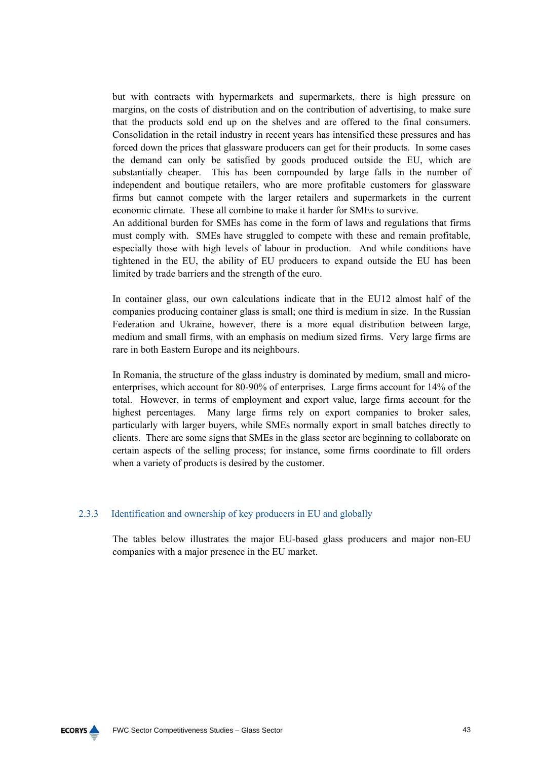but with contracts with hypermarkets and supermarkets, there is high pressure on margins, on the costs of distribution and on the contribution of advertising, to make sure that the products sold end up on the shelves and are offered to the final consumers. Consolidation in the retail industry in recent years has intensified these pressures and has forced down the prices that glassware producers can get for their products. In some cases the demand can only be satisfied by goods produced outside the EU, which are substantially cheaper. This has been compounded by large falls in the number of independent and boutique retailers, who are more profitable customers for glassware firms but cannot compete with the larger retailers and supermarkets in the current economic climate. These all combine to make it harder for SMEs to survive.

An additional burden for SMEs has come in the form of laws and regulations that firms must comply with. SMEs have struggled to compete with these and remain profitable, especially those with high levels of labour in production. And while conditions have tightened in the EU, the ability of EU producers to expand outside the EU has been limited by trade barriers and the strength of the euro.

In container glass, our own calculations indicate that in the EU12 almost half of the companies producing container glass is small; one third is medium in size. In the Russian Federation and Ukraine, however, there is a more equal distribution between large, medium and small firms, with an emphasis on medium sized firms. Very large firms are rare in both Eastern Europe and its neighbours.

In Romania, the structure of the glass industry is dominated by medium, small and microenterprises, which account for 80-90% of enterprises. Large firms account for 14% of the total. However, in terms of employment and export value, large firms account for the highest percentages. Many large firms rely on export companies to broker sales, particularly with larger buyers, while SMEs normally export in small batches directly to clients. There are some signs that SMEs in the glass sector are beginning to collaborate on certain aspects of the selling process; for instance, some firms coordinate to fill orders when a variety of products is desired by the customer.

# 2.3.3 Identification and ownership of key producers in EU and globally

The tables below illustrates the major EU-based glass producers and major non-EU companies with a major presence in the EU market.

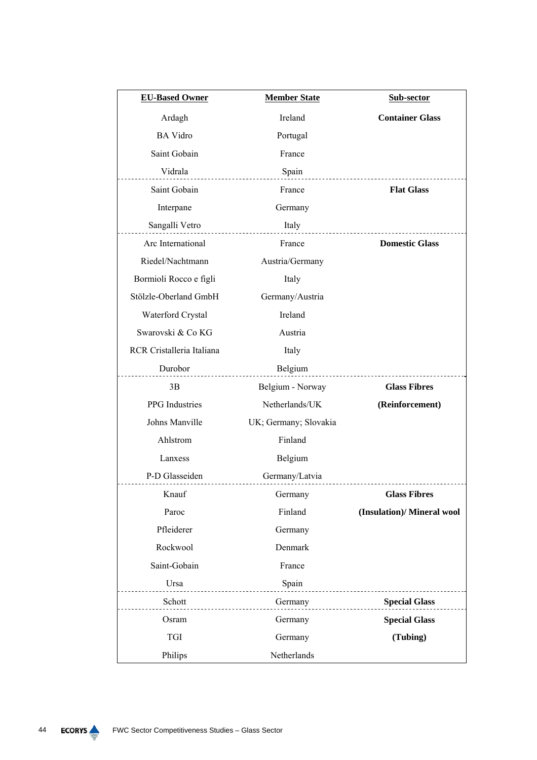| <b>EU-Based Owner</b>               | <b>Member State</b>   | Sub-sector                 |
|-------------------------------------|-----------------------|----------------------------|
| Ardagh                              | Ireland               | <b>Container Glass</b>     |
| <b>BA</b> Vidro                     | Portugal              |                            |
| Saint Gobain                        | France                |                            |
| Vidrala<br>.                        | Spain                 |                            |
| Saint Gobain                        | France                | <b>Flat Glass</b>          |
| Interpane                           | Germany               |                            |
| Sangalli Vetro                      | Italy<br><u></u>      |                            |
| Arc International                   | France                | <b>Domestic Glass</b>      |
| Riedel/Nachtmann                    | Austria/Germany       |                            |
| Bormioli Rocco e figli              | Italy                 |                            |
| Stölzle-Oberland GmbH               | Germany/Austria       |                            |
| Waterford Crystal                   | Ireland               |                            |
| Swarovski & Co KG                   | Austria               |                            |
| RCR Cristalleria Italiana           | Italy                 |                            |
| Durobor<br>.                        | Belgium               |                            |
| 3B                                  | Belgium - Norway      | <b>Glass Fibres</b>        |
| PPG Industries                      | Netherlands/UK        | (Reinforcement)            |
| Johns Manville                      | UK; Germany; Slovakia |                            |
| Ahlstrom                            | Finland               |                            |
| Lanxess                             | Belgium               |                            |
| P-D Glasseiden<br>----------------- | Germany/Latvia        |                            |
| Knauf                               | Germany Glass Fibres  |                            |
| Paroc                               | Finland               | (Insulation)/ Mineral wool |
| Pfleiderer                          | Germany               |                            |
| Rockwool                            | Denmark               |                            |
| Saint-Gobain                        | France                |                            |
| Ursa<br>.                           | Spain                 |                            |
| Schott                              | Germany               | <b>Special Glass</b>       |
| Osram                               | Germany               | <b>Special Glass</b>       |
| <b>TGI</b>                          | Germany               | (Tubing)                   |
| Philips                             | Netherlands           |                            |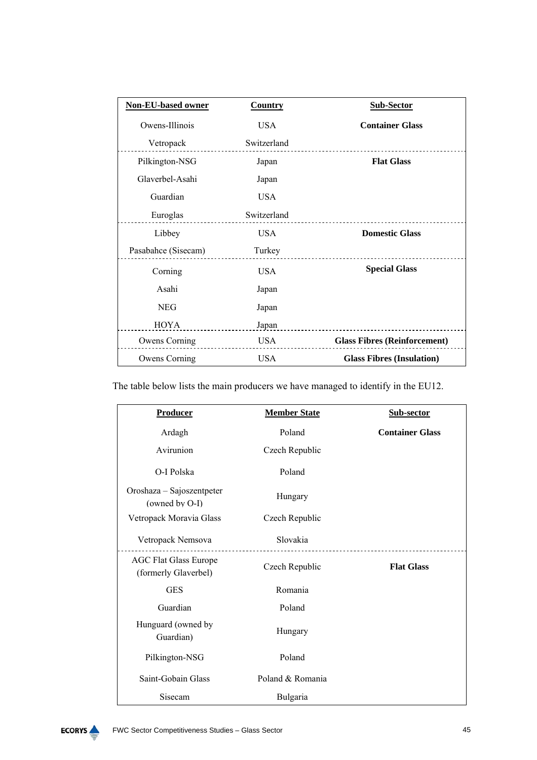| <b>Non-EU-based owner</b> | <b>Country</b> | <b>Sub-Sector</b>                   |
|---------------------------|----------------|-------------------------------------|
| Owens-Illinois            | <b>USA</b>     | <b>Container Glass</b>              |
| Vetropack                 | Switzerland    |                                     |
| Pilkington-NSG            | Japan          | <b>Flat Glass</b>                   |
| Glaverbel-Asahi           | Japan          |                                     |
| Guardian                  | <b>USA</b>     |                                     |
| Euroglas                  | Switzerland    |                                     |
| Libbey                    | <b>USA</b>     | <b>Domestic Glass</b>               |
| Pasabahce (Sisecam)       | Turkey         |                                     |
| Corning                   | <b>USA</b>     | <b>Special Glass</b>                |
| Asahi                     | Japan          |                                     |
| <b>NEG</b>                | Japan          |                                     |
| HOYA                      | Japan          |                                     |
| Owens Corning             | USA            | <b>Glass Fibres (Reinforcement)</b> |
| Owens Corning             | <b>USA</b>     | <b>Glass Fibres (Insulation)</b>    |

The table below lists the main producers we have managed to identify in the EU12.

| <b>Producer</b>                                      | <b>Member State</b> | Sub-sector             |
|------------------------------------------------------|---------------------|------------------------|
| Ardagh                                               | Poland              | <b>Container Glass</b> |
| Avirunion                                            | Czech Republic      |                        |
| O-I Polska                                           | Poland              |                        |
| Oroshaza - Sajoszentpeter<br>(owned by O-I)          | Hungary             |                        |
| Vetropack Moravia Glass                              | Czech Republic      |                        |
| Vetropack Nemsova                                    | Slovakia            |                        |
| <b>AGC Flat Glass Europe</b><br>(formerly Glaverbel) | Czech Republic      | <b>Flat Glass</b>      |
| <b>GES</b>                                           | Romania             |                        |
| Guardian                                             | Poland              |                        |
| Hunguard (owned by<br>Guardian)                      | Hungary             |                        |
| Pilkington-NSG                                       | Poland              |                        |
| Saint-Gobain Glass                                   | Poland & Romania    |                        |
| Sisecam                                              | Bulgaria            |                        |

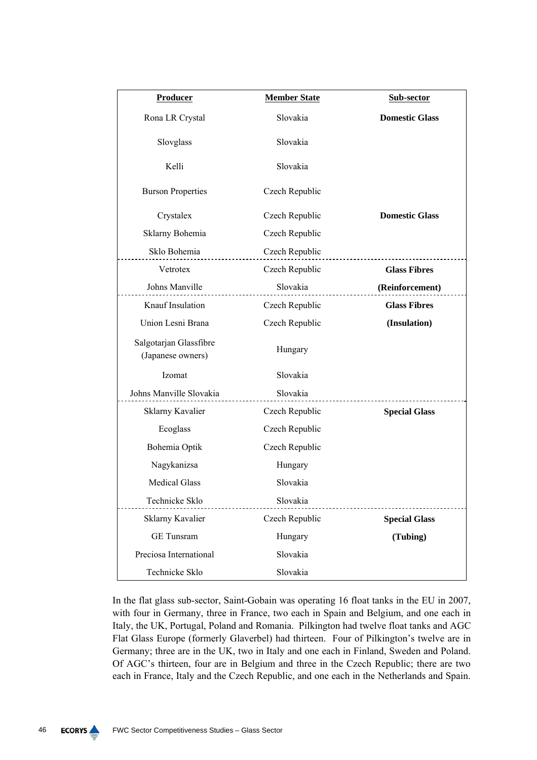| Producer                                    | <b>Member State</b> | Sub-sector            |
|---------------------------------------------|---------------------|-----------------------|
| Rona LR Crystal                             | Slovakia            | <b>Domestic Glass</b> |
| Slovglass                                   | Slovakia            |                       |
| Kelli                                       | Slovakia            |                       |
| <b>Burson Properties</b>                    | Czech Republic      |                       |
| Crystalex                                   | Czech Republic      | <b>Domestic Glass</b> |
| Sklarny Bohemia                             | Czech Republic      |                       |
| Sklo Bohemia                                | Czech Republic      |                       |
| Vetrotex                                    | Czech Republic      | <b>Glass Fibres</b>   |
| Johns Manville                              | Slovakia            | (Reinforcement)       |
| Knauf Insulation                            | Czech Republic      | <b>Glass Fibres</b>   |
| Union Lesni Brana                           | Czech Republic      | (Insulation)          |
| Salgotarjan Glassfibre<br>(Japanese owners) | Hungary             |                       |
| Izomat                                      | Slovakia            |                       |
| Johns Manville Slovakia                     | Slovakia            |                       |
| Sklarny Kavalier                            | Czech Republic      | <b>Special Glass</b>  |
| Ecoglass                                    | Czech Republic      |                       |
| Bohemia Optik                               | Czech Republic      |                       |
| Nagykanizsa                                 | Hungary             |                       |
| <b>Medical Glass</b>                        | Slovakia            |                       |
| Technicke Sklo                              | Slovakia            |                       |
| Sklarny Kavalier                            | Czech Republic      | <b>Special Glass</b>  |
| <b>GE</b> Tunsram                           | Hungary             | (Tubing)              |
| Preciosa International                      | Slovakia            |                       |
| Technicke Sklo                              | Slovakia            |                       |

In the flat glass sub-sector, Saint-Gobain was operating 16 float tanks in the EU in 2007, with four in Germany, three in France, two each in Spain and Belgium, and one each in Italy, the UK, Portugal, Poland and Romania. Pilkington had twelve float tanks and AGC Flat Glass Europe (formerly Glaverbel) had thirteen. Four of Pilkington's twelve are in Germany; three are in the UK, two in Italy and one each in Finland, Sweden and Poland. Of AGC's thirteen, four are in Belgium and three in the Czech Republic; there are two each in France, Italy and the Czech Republic, and one each in the Netherlands and Spain.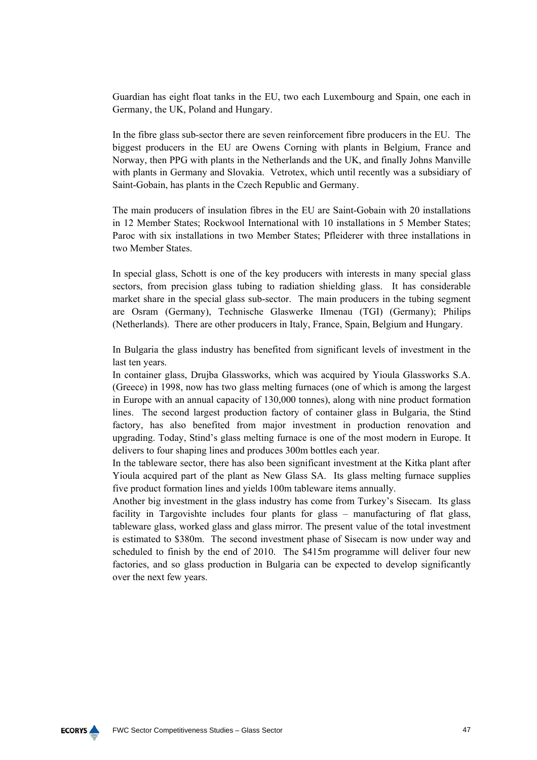Guardian has eight float tanks in the EU, two each Luxembourg and Spain, one each in Germany, the UK, Poland and Hungary.

In the fibre glass sub-sector there are seven reinforcement fibre producers in the EU. The biggest producers in the EU are Owens Corning with plants in Belgium, France and Norway, then PPG with plants in the Netherlands and the UK, and finally Johns Manville with plants in Germany and Slovakia. Vetrotex, which until recently was a subsidiary of Saint-Gobain, has plants in the Czech Republic and Germany.

The main producers of insulation fibres in the EU are Saint-Gobain with 20 installations in 12 Member States; Rockwool International with 10 installations in 5 Member States; Paroc with six installations in two Member States; Pfleiderer with three installations in two Member States.

In special glass, Schott is one of the key producers with interests in many special glass sectors, from precision glass tubing to radiation shielding glass. It has considerable market share in the special glass sub-sector. The main producers in the tubing segment are Osram (Germany), Technische Glaswerke Ilmenau (TGI) (Germany); Philips (Netherlands). There are other producers in Italy, France, Spain, Belgium and Hungary.

In Bulgaria the glass industry has benefited from significant levels of investment in the last ten years.

In container glass, Drujba Glassworks, which was acquired by Yioula Glassworks S.A. (Greece) in 1998, now has two glass melting furnaces (one of which is among the largest in Europe with an annual capacity of 130,000 tonnes), along with nine product formation lines. The second largest production factory of container glass in Bulgaria, the Stind factory, has also benefited from major investment in production renovation and upgrading. Today, Stind's glass melting furnace is one of the most modern in Europe. It delivers to four shaping lines and produces 300m bottles each year.

In the tableware sector, there has also been significant investment at the Kitka plant after Yioula acquired part of the plant as New Glass SA. Its glass melting furnace supplies five product formation lines and yields 100m tableware items annually.

Another big investment in the glass industry has come from Turkey's Sisecam. Its glass facility in Targovishte includes four plants for glass – manufacturing of flat glass, tableware glass, worked glass and glass mirror. The present value of the total investment is estimated to \$380m. The second investment phase of Sisecam is now under way and scheduled to finish by the end of 2010. The \$415m programme will deliver four new factories, and so glass production in Bulgaria can be expected to develop significantly over the next few years.

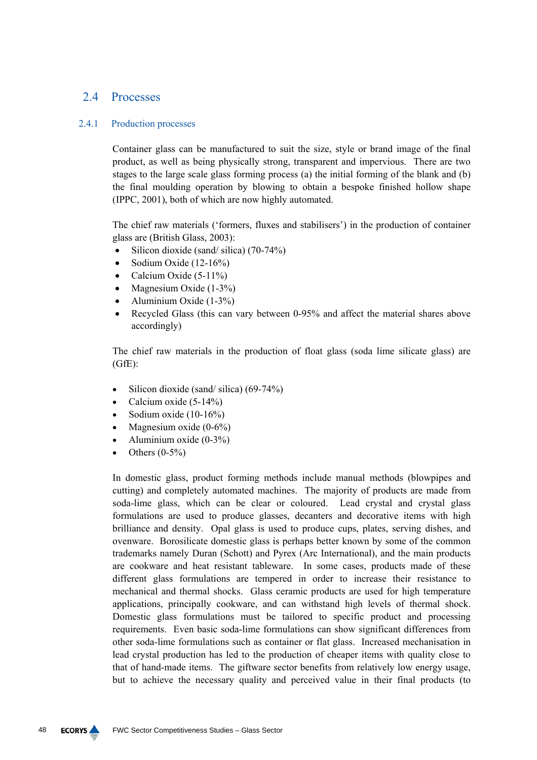# 2.4 Processes

# 2.4.1 Production processes

Container glass can be manufactured to suit the size, style or brand image of the final product, as well as being physically strong, transparent and impervious. There are two stages to the large scale glass forming process (a) the initial forming of the blank and (b) the final moulding operation by blowing to obtain a bespoke finished hollow shape (IPPC, 2001), both of which are now highly automated.

The chief raw materials ('formers, fluxes and stabilisers') in the production of container glass are (British Glass, 2003):

- Silicon dioxide (sand/ silica) (70-74%)
- Sodium Oxide (12-16%)
- Calcium Oxide  $(5-11\%)$
- Magnesium Oxide (1-3%)
- Aluminium Oxide  $(1-3\%)$
- Recycled Glass (this can vary between 0-95% and affect the material shares above accordingly)

The chief raw materials in the production of float glass (soda lime silicate glass) are (GfE):

- Silicon dioxide (sand/ silica) (69-74%)
- Calcium oxide  $(5-14\%)$
- Sodium oxide (10-16%)
- Magnesium oxide  $(0-6\%)$
- Aluminium oxide (0-3%)
- Others  $(0-5\%)$

In domestic glass, product forming methods include manual methods (blowpipes and cutting) and completely automated machines. The majority of products are made from soda-lime glass, which can be clear or coloured. Lead crystal and crystal glass formulations are used to produce glasses, decanters and decorative items with high brilliance and density. Opal glass is used to produce cups, plates, serving dishes, and ovenware. Borosilicate domestic glass is perhaps better known by some of the common trademarks namely Duran (Schott) and Pyrex (Arc International), and the main products are cookware and heat resistant tableware. In some cases, products made of these different glass formulations are tempered in order to increase their resistance to mechanical and thermal shocks. Glass ceramic products are used for high temperature applications, principally cookware, and can withstand high levels of thermal shock. Domestic glass formulations must be tailored to specific product and processing requirements. Even basic soda-lime formulations can show significant differences from other soda-lime formulations such as container or flat glass. Increased mechanisation in lead crystal production has led to the production of cheaper items with quality close to that of hand-made items. The giftware sector benefits from relatively low energy usage, but to achieve the necessary quality and perceived value in their final products (to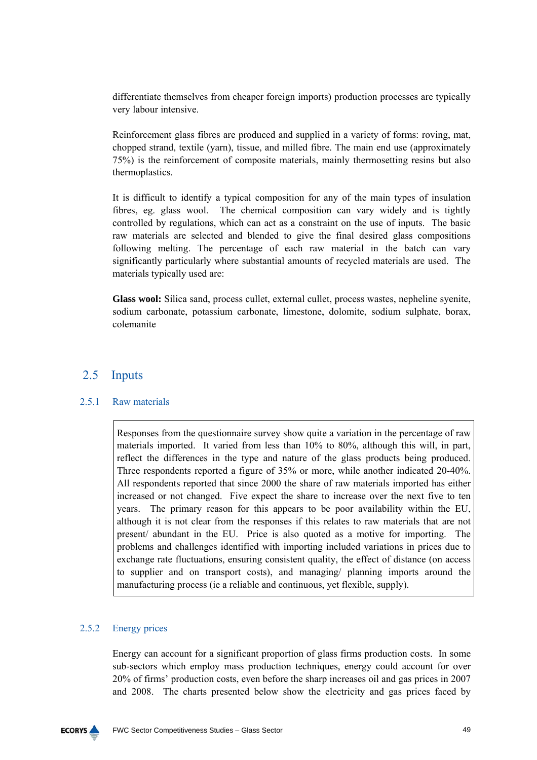differentiate themselves from cheaper foreign imports) production processes are typically very labour intensive.

Reinforcement glass fibres are produced and supplied in a variety of forms: roving, mat, chopped strand, textile (yarn), tissue, and milled fibre. The main end use (approximately 75%) is the reinforcement of composite materials, mainly thermosetting resins but also thermoplastics.

It is difficult to identify a typical composition for any of the main types of insulation fibres, eg. glass wool. The chemical composition can vary widely and is tightly controlled by regulations, which can act as a constraint on the use of inputs. The basic raw materials are selected and blended to give the final desired glass compositions following melting. The percentage of each raw material in the batch can vary significantly particularly where substantial amounts of recycled materials are used. The materials typically used are:

**Glass wool:** Silica sand, process cullet, external cullet, process wastes, nepheline syenite, sodium carbonate, potassium carbonate, limestone, dolomite, sodium sulphate, borax, colemanite

# 2.5 Inputs

# 2.5.1 Raw materials

Responses from the questionnaire survey show quite a variation in the percentage of raw materials imported. It varied from less than 10% to 80%, although this will, in part, reflect the differences in the type and nature of the glass products being produced. Three respondents reported a figure of 35% or more, while another indicated 20-40%. All respondents reported that since 2000 the share of raw materials imported has either increased or not changed. Five expect the share to increase over the next five to ten years. The primary reason for this appears to be poor availability within the EU, although it is not clear from the responses if this relates to raw materials that are not present/ abundant in the EU. Price is also quoted as a motive for importing. The problems and challenges identified with importing included variations in prices due to exchange rate fluctuations, ensuring consistent quality, the effect of distance (on access to supplier and on transport costs), and managing/ planning imports around the manufacturing process (ie a reliable and continuous, yet flexible, supply).

# 2.5.2 Energy prices

Energy can account for a significant proportion of glass firms production costs. In some sub-sectors which employ mass production techniques, energy could account for over 20% of firms' production costs, even before the sharp increases oil and gas prices in 2007 and 2008. The charts presented below show the electricity and gas prices faced by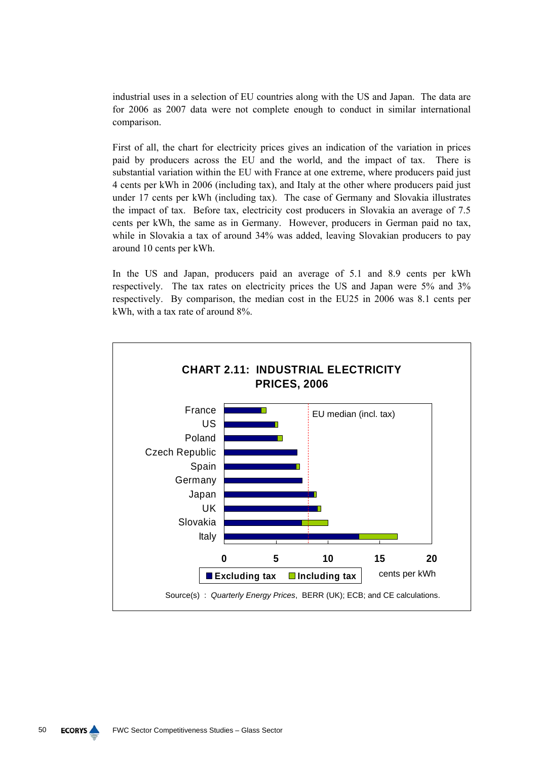industrial uses in a selection of EU countries along with the US and Japan. The data are for 2006 as 2007 data were not complete enough to conduct in similar international comparison.

First of all, the chart for electricity prices gives an indication of the variation in prices paid by producers across the EU and the world, and the impact of tax. There is substantial variation within the EU with France at one extreme, where producers paid just 4 cents per kWh in 2006 (including tax), and Italy at the other where producers paid just under 17 cents per kWh (including tax). The case of Germany and Slovakia illustrates the impact of tax. Before tax, electricity cost producers in Slovakia an average of 7.5 cents per kWh, the same as in Germany. However, producers in German paid no tax, while in Slovakia a tax of around 34% was added, leaving Slovakian producers to pay around 10 cents per kWh.

In the US and Japan, producers paid an average of 5.1 and 8.9 cents per kWh respectively. The tax rates on electricity prices the US and Japan were 5% and 3% respectively. By comparison, the median cost in the EU25 in 2006 was 8.1 cents per kWh, with a tax rate of around 8%.

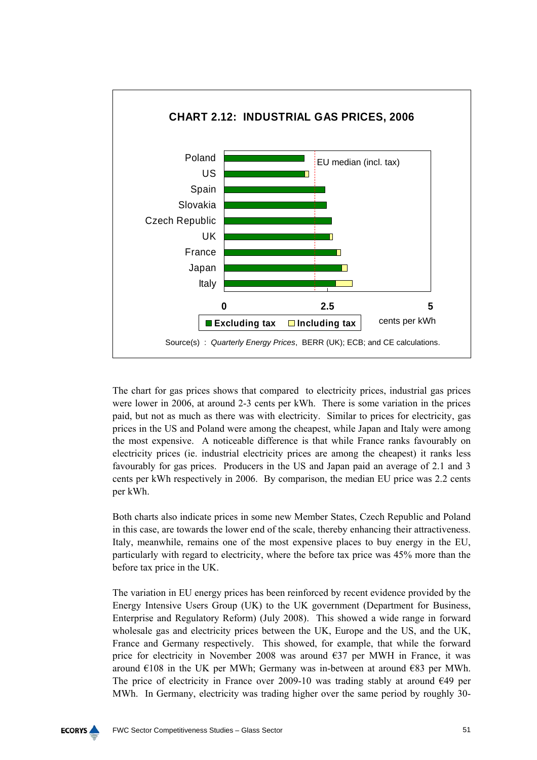

The chart for gas prices shows that compared to electricity prices, industrial gas prices were lower in 2006, at around 2-3 cents per kWh. There is some variation in the prices paid, but not as much as there was with electricity. Similar to prices for electricity, gas prices in the US and Poland were among the cheapest, while Japan and Italy were among the most expensive. A noticeable difference is that while France ranks favourably on electricity prices (ie. industrial electricity prices are among the cheapest) it ranks less favourably for gas prices. Producers in the US and Japan paid an average of 2.1 and 3 cents per kWh respectively in 2006. By comparison, the median EU price was 2.2 cents per kWh.

Both charts also indicate prices in some new Member States, Czech Republic and Poland in this case, are towards the lower end of the scale, thereby enhancing their attractiveness. Italy, meanwhile, remains one of the most expensive places to buy energy in the EU, particularly with regard to electricity, where the before tax price was 45% more than the before tax price in the UK.

The variation in EU energy prices has been reinforced by recent evidence provided by the Energy Intensive Users Group (UK) to the UK government (Department for Business, Enterprise and Regulatory Reform) (July 2008). This showed a wide range in forward wholesale gas and electricity prices between the UK, Europe and the US, and the UK, France and Germany respectively. This showed, for example, that while the forward price for electricity in November 2008 was around €37 per MWH in France, it was around  $\epsilon$ 108 in the UK per MWh; Germany was in-between at around  $\epsilon$ 83 per MWh. The price of electricity in France over 2009-10 was trading stably at around  $\epsilon$ 49 per MWh. In Germany, electricity was trading higher over the same period by roughly 30-

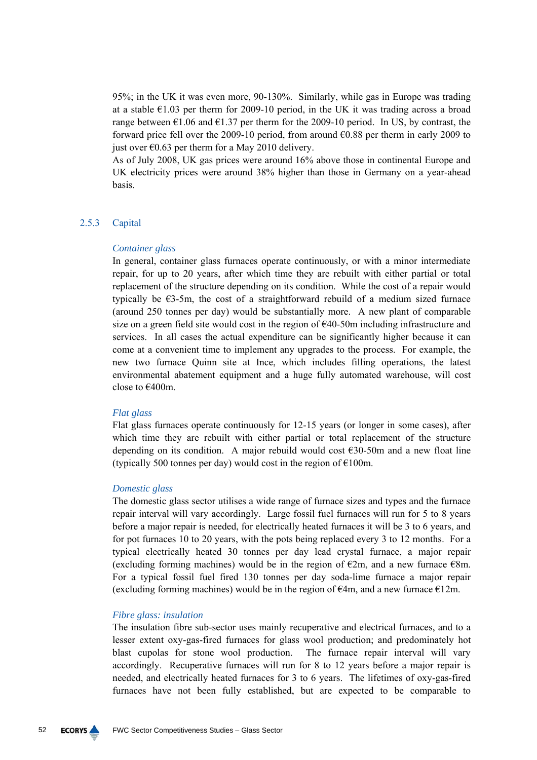95%; in the UK it was even more, 90-130%. Similarly, while gas in Europe was trading at a stable  $\epsilon$ 1.03 per therm for 2009-10 period, in the UK it was trading across a broad range between  $\epsilon$ 1.06 and  $\epsilon$ 1.37 per therm for the 2009-10 period. In US, by contrast, the forward price fell over the 2009-10 period, from around  $\epsilon$ 0.88 per therm in early 2009 to just over  $\epsilon$ 0.63 per therm for a May 2010 delivery.

As of July 2008, UK gas prices were around 16% above those in continental Europe and UK electricity prices were around 38% higher than those in Germany on a year-ahead basis.

### 2.5.3 Capital

### *Container glass*

In general, container glass furnaces operate continuously, or with a minor intermediate repair, for up to 20 years, after which time they are rebuilt with either partial or total replacement of the structure depending on its condition. While the cost of a repair would typically be €3-5m, the cost of a straightforward rebuild of a medium sized furnace (around 250 tonnes per day) would be substantially more. A new plant of comparable size on a green field site would cost in the region of  $\epsilon$ 40-50m including infrastructure and services. In all cases the actual expenditure can be significantly higher because it can come at a convenient time to implement any upgrades to the process. For example, the new two furnace Quinn site at Ince, which includes filling operations, the latest environmental abatement equipment and a huge fully automated warehouse, will cost close to €400m.

### *Flat glass*

Flat glass furnaces operate continuously for 12-15 years (or longer in some cases), after which time they are rebuilt with either partial or total replacement of the structure depending on its condition. A major rebuild would cost  $\epsilon$ 30-50m and a new float line (typically 500 tonnes per day) would cost in the region of  $E100m$ .

### *Domestic glass*

The domestic glass sector utilises a wide range of furnace sizes and types and the furnace repair interval will vary accordingly. Large fossil fuel furnaces will run for 5 to 8 years before a major repair is needed, for electrically heated furnaces it will be 3 to 6 years, and for pot furnaces 10 to 20 years, with the pots being replaced every 3 to 12 months. For a typical electrically heated 30 tonnes per day lead crystal furnace, a major repair (excluding forming machines) would be in the region of  $\epsilon$ 2m, and a new furnace  $\epsilon$ 8m. For a typical fossil fuel fired 130 tonnes per day soda-lime furnace a major repair (excluding forming machines) would be in the region of  $\epsilon$ 4m, and a new furnace  $\epsilon$ 12m.

### *Fibre glass: insulation*

The insulation fibre sub-sector uses mainly recuperative and electrical furnaces, and to a lesser extent oxy-gas-fired furnaces for glass wool production; and predominately hot blast cupolas for stone wool production. The furnace repair interval will vary accordingly. Recuperative furnaces will run for 8 to 12 years before a major repair is needed, and electrically heated furnaces for 3 to 6 years. The lifetimes of oxy-gas-fired furnaces have not been fully established, but are expected to be comparable to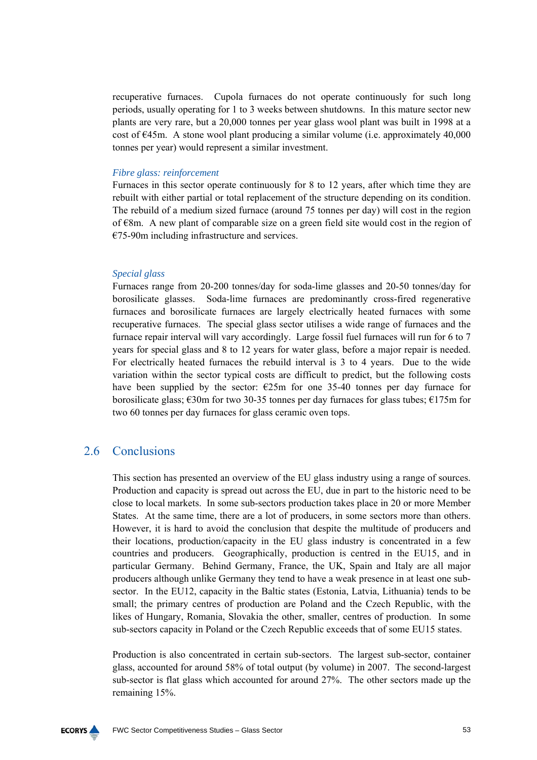recuperative furnaces. Cupola furnaces do not operate continuously for such long periods, usually operating for 1 to 3 weeks between shutdowns. In this mature sector new plants are very rare, but a 20,000 tonnes per year glass wool plant was built in 1998 at a cost of  $\epsilon$ 45m. A stone wool plant producing a similar volume (i.e. approximately 40,000 tonnes per year) would represent a similar investment.

### *Fibre glass: reinforcement*

Furnaces in this sector operate continuously for 8 to 12 years, after which time they are rebuilt with either partial or total replacement of the structure depending on its condition. The rebuild of a medium sized furnace (around 75 tonnes per day) will cost in the region of  $\epsilon$ 8m. A new plant of comparable size on a green field site would cost in the region of €75-90m including infrastructure and services.

### *Special glass*

Furnaces range from 20-200 tonnes/day for soda-lime glasses and 20-50 tonnes/day for borosilicate glasses. Soda-lime furnaces are predominantly cross-fired regenerative furnaces and borosilicate furnaces are largely electrically heated furnaces with some recuperative furnaces. The special glass sector utilises a wide range of furnaces and the furnace repair interval will vary accordingly. Large fossil fuel furnaces will run for 6 to 7 years for special glass and 8 to 12 years for water glass, before a major repair is needed. For electrically heated furnaces the rebuild interval is 3 to 4 years. Due to the wide variation within the sector typical costs are difficult to predict, but the following costs have been supplied by the sector:  $\epsilon$ 25m for one 35-40 tonnes per day furnace for borosilicate glass;  $\epsilon$ 30m for two 30-35 tonnes per day furnaces for glass tubes;  $\epsilon$ 175m for two 60 tonnes per day furnaces for glass ceramic oven tops.

# 2.6 Сonclusions

This section has presented an overview of the EU glass industry using a range of sources. Production and capacity is spread out across the EU, due in part to the historic need to be close to local markets. In some sub-sectors production takes place in 20 or more Member States. At the same time, there are a lot of producers, in some sectors more than others. However, it is hard to avoid the conclusion that despite the multitude of producers and their locations, production/capacity in the EU glass industry is concentrated in a few countries and producers. Geographically, production is centred in the EU15, and in particular Germany. Behind Germany, France, the UK, Spain and Italy are all major producers although unlike Germany they tend to have a weak presence in at least one subsector. In the EU12, capacity in the Baltic states (Estonia, Latvia, Lithuania) tends to be small; the primary centres of production are Poland and the Czech Republic, with the likes of Hungary, Romania, Slovakia the other, smaller, centres of production. In some sub-sectors capacity in Poland or the Czech Republic exceeds that of some EU15 states.

Production is also concentrated in certain sub-sectors. The largest sub-sector, container glass, accounted for around 58% of total output (by volume) in 2007. The second-largest sub-sector is flat glass which accounted for around 27%. The other sectors made up the remaining 15%.

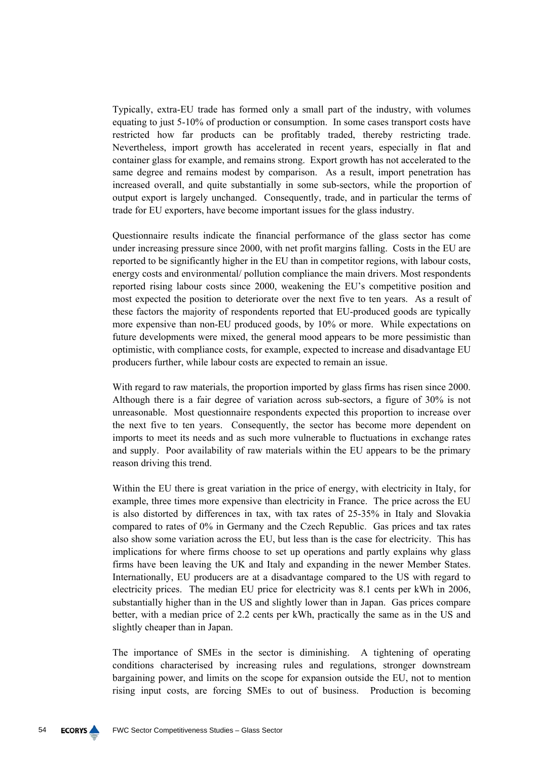Typically, extra-EU trade has formed only a small part of the industry, with volumes equating to just 5-10% of production or consumption. In some cases transport costs have restricted how far products can be profitably traded, thereby restricting trade. Nevertheless, import growth has accelerated in recent years, especially in flat and container glass for example, and remains strong. Export growth has not accelerated to the same degree and remains modest by comparison. As a result, import penetration has increased overall, and quite substantially in some sub-sectors, while the proportion of output export is largely unchanged. Consequently, trade, and in particular the terms of trade for EU exporters, have become important issues for the glass industry.

Questionnaire results indicate the financial performance of the glass sector has come under increasing pressure since 2000, with net profit margins falling. Costs in the EU are reported to be significantly higher in the EU than in competitor regions, with labour costs, energy costs and environmental/ pollution compliance the main drivers. Most respondents reported rising labour costs since 2000, weakening the EU's competitive position and most expected the position to deteriorate over the next five to ten years. As a result of these factors the majority of respondents reported that EU-produced goods are typically more expensive than non-EU produced goods, by 10% or more. While expectations on future developments were mixed, the general mood appears to be more pessimistic than optimistic, with compliance costs, for example, expected to increase and disadvantage EU producers further, while labour costs are expected to remain an issue.

With regard to raw materials, the proportion imported by glass firms has risen since 2000. Although there is a fair degree of variation across sub-sectors, a figure of 30% is not unreasonable. Most questionnaire respondents expected this proportion to increase over the next five to ten years. Consequently, the sector has become more dependent on imports to meet its needs and as such more vulnerable to fluctuations in exchange rates and supply. Poor availability of raw materials within the EU appears to be the primary reason driving this trend.

Within the EU there is great variation in the price of energy, with electricity in Italy, for example, three times more expensive than electricity in France. The price across the EU is also distorted by differences in tax, with tax rates of 25-35% in Italy and Slovakia compared to rates of 0% in Germany and the Czech Republic. Gas prices and tax rates also show some variation across the EU, but less than is the case for electricity. This has implications for where firms choose to set up operations and partly explains why glass firms have been leaving the UK and Italy and expanding in the newer Member States. Internationally, EU producers are at a disadvantage compared to the US with regard to electricity prices. The median EU price for electricity was 8.1 cents per kWh in 2006, substantially higher than in the US and slightly lower than in Japan. Gas prices compare better, with a median price of 2.2 cents per kWh, practically the same as in the US and slightly cheaper than in Japan.

The importance of SMEs in the sector is diminishing. A tightening of operating conditions characterised by increasing rules and regulations, stronger downstream bargaining power, and limits on the scope for expansion outside the EU, not to mention rising input costs, are forcing SMEs to out of business. Production is becoming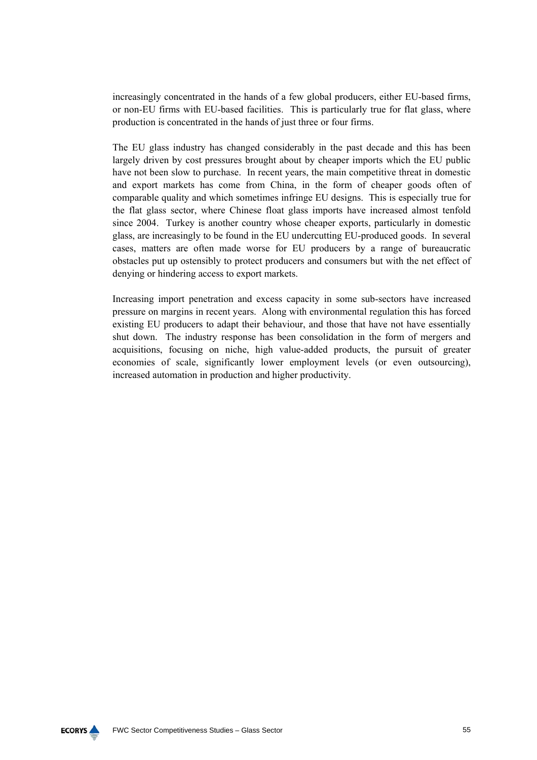increasingly concentrated in the hands of a few global producers, either EU-based firms, or non-EU firms with EU-based facilities. This is particularly true for flat glass, where production is concentrated in the hands of just three or four firms.

The EU glass industry has changed considerably in the past decade and this has been largely driven by cost pressures brought about by cheaper imports which the EU public have not been slow to purchase. In recent years, the main competitive threat in domestic and export markets has come from China, in the form of cheaper goods often of comparable quality and which sometimes infringe EU designs. This is especially true for the flat glass sector, where Chinese float glass imports have increased almost tenfold since 2004. Turkey is another country whose cheaper exports, particularly in domestic glass, are increasingly to be found in the EU undercutting EU-produced goods. In several cases, matters are often made worse for EU producers by a range of bureaucratic obstacles put up ostensibly to protect producers and consumers but with the net effect of denying or hindering access to export markets.

Increasing import penetration and excess capacity in some sub-sectors have increased pressure on margins in recent years. Along with environmental regulation this has forced existing EU producers to adapt their behaviour, and those that have not have essentially shut down. The industry response has been consolidation in the form of mergers and acquisitions, focusing on niche, high value-added products, the pursuit of greater economies of scale, significantly lower employment levels (or even outsourcing), increased automation in production and higher productivity.

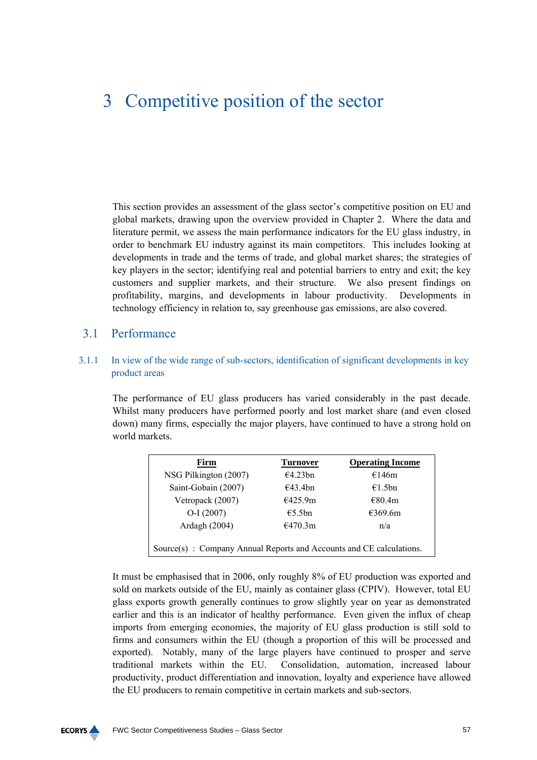# 3 Competitive position of the sector

This section provides an assessment of the glass sector's competitive position on EU and global markets, drawing upon the overview provided in Chapter 2. Where the data and literature permit, we assess the main performance indicators for the EU glass industry, in order to benchmark EU industry against its main competitors. This includes looking at developments in trade and the terms of trade, and global market shares; the strategies of key players in the sector; identifying real and potential barriers to entry and exit; the key customers and supplier markets, and their structure. We also present findings on profitability, margins, and developments in labour productivity. Developments in technology efficiency in relation to, say greenhouse gas emissions, are also covered.

# 3.1 Performance

# 3.1.1 In view of the wide range of sub-sectors, identification of significant developments in key product areas

The performance of EU glass producers has varied considerably in the past decade. Whilst many producers have performed poorly and lost market share (and even closed down) many firms, especially the major players, have continued to have a strong hold on world markets.

| Firm                                                                | <b>Turnover</b> | <b>Operating Income</b> |  |  |
|---------------------------------------------------------------------|-----------------|-------------------------|--|--|
| NSG Pilkington (2007)                                               | €4.23bn         | €146m                   |  |  |
| Saint-Gobain (2007)                                                 | €43.4bn         | €1.5bn                  |  |  |
| Vetropack (2007)                                                    | €425.9m         | €80.4m                  |  |  |
| $O-I (2007)$                                                        | €5.5bn          | €369.6m                 |  |  |
| Ardagh (2004)                                                       | €470.3m         | n/a                     |  |  |
| Source(s): Company Annual Reports and Accounts and CE calculations. |                 |                         |  |  |

It must be emphasised that in 2006, only roughly 8% of EU production was exported and sold on markets outside of the EU, mainly as container glass (CPIV). However, total EU glass exports growth generally continues to grow slightly year on year as demonstrated earlier and this is an indicator of healthy performance. Even given the influx of cheap imports from emerging economies, the majority of EU glass production is still sold to firms and consumers within the EU (though a proportion of this will be processed and exported). Notably, many of the large players have continued to prosper and serve traditional markets within the EU. Consolidation, automation, increased labour productivity, product differentiation and innovation, loyalty and experience have allowed the EU producers to remain competitive in certain markets and sub-sectors.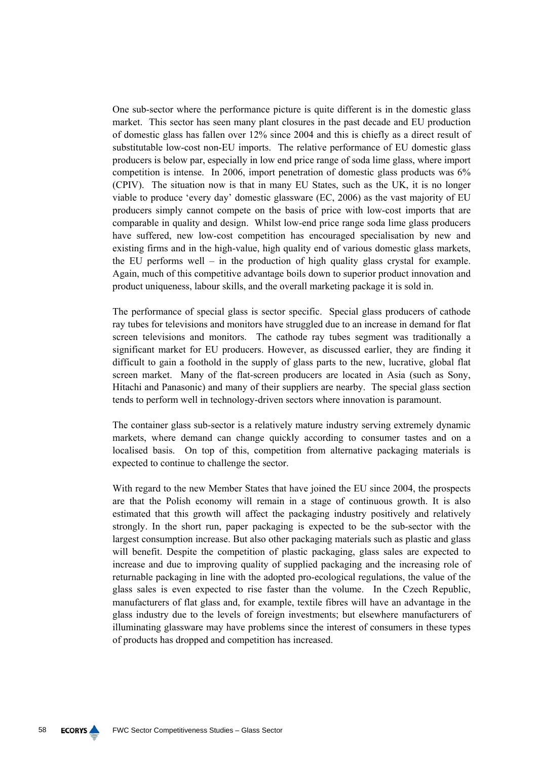One sub-sector where the performance picture is quite different is in the domestic glass market. This sector has seen many plant closures in the past decade and EU production of domestic glass has fallen over 12% since 2004 and this is chiefly as a direct result of substitutable low-cost non-EU imports. The relative performance of EU domestic glass producers is below par, especially in low end price range of soda lime glass, where import competition is intense. In 2006, import penetration of domestic glass products was 6% (CPIV). The situation now is that in many EU States, such as the UK, it is no longer viable to produce 'every day' domestic glassware (EC, 2006) as the vast majority of EU producers simply cannot compete on the basis of price with low-cost imports that are comparable in quality and design. Whilst low-end price range soda lime glass producers have suffered, new low-cost competition has encouraged specialisation by new and existing firms and in the high-value, high quality end of various domestic glass markets, the EU performs well – in the production of high quality glass crystal for example. Again, much of this competitive advantage boils down to superior product innovation and product uniqueness, labour skills, and the overall marketing package it is sold in.

The performance of special glass is sector specific. Special glass producers of cathode ray tubes for televisions and monitors have struggled due to an increase in demand for flat screen televisions and monitors. The cathode ray tubes segment was traditionally a significant market for EU producers. However, as discussed earlier, they are finding it difficult to gain a foothold in the supply of glass parts to the new, lucrative, global flat screen market. Many of the flat-screen producers are located in Asia (such as Sony, Hitachi and Panasonic) and many of their suppliers are nearby. The special glass section tends to perform well in technology-driven sectors where innovation is paramount.

The container glass sub-sector is a relatively mature industry serving extremely dynamic markets, where demand can change quickly according to consumer tastes and on a localised basis. On top of this, competition from alternative packaging materials is expected to continue to challenge the sector.

With regard to the new Member States that have joined the EU since 2004, the prospects are that the Polish economy will remain in a stage of continuous growth. It is also estimated that this growth will affect the packaging industry positively and relatively strongly. In the short run, paper packaging is expected to be the sub-sector with the largest consumption increase. But also other packaging materials such as plastic and glass will benefit. Despite the competition of plastic packaging, glass sales are expected to increase and due to improving quality of supplied packaging and the increasing role of returnable packaging in line with the adopted pro-ecological regulations, the value of the glass sales is even expected to rise faster than the volume. In the Czech Republic, manufacturers of flat glass and, for example, textile fibres will have an advantage in the glass industry due to the levels of foreign investments; but elsewhere manufacturers of illuminating glassware may have problems since the interest of consumers in these types of products has dropped and competition has increased.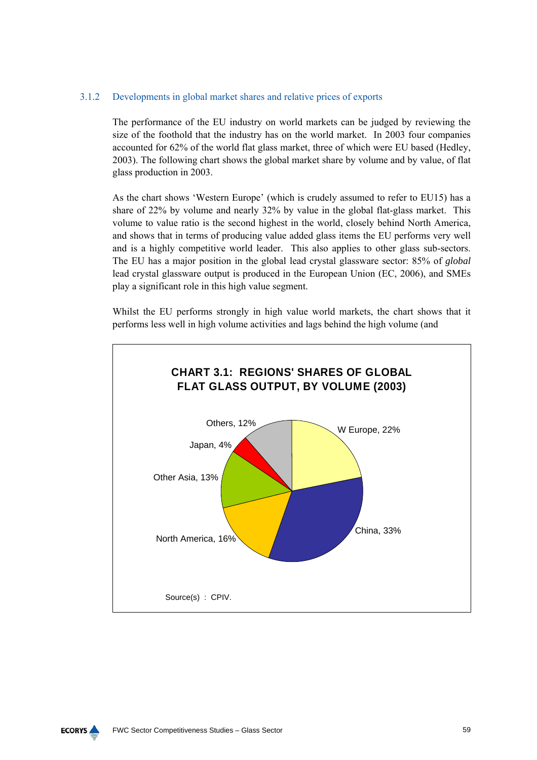# 3.1.2 Developments in global market shares and relative prices of exports

The performance of the EU industry on world markets can be judged by reviewing the size of the foothold that the industry has on the world market. In 2003 four companies accounted for 62% of the world flat glass market, three of which were EU based (Hedley, 2003). The following chart shows the global market share by volume and by value, of flat glass production in 2003.

As the chart shows 'Western Europe' (which is crudely assumed to refer to EU15) has a share of 22% by volume and nearly 32% by value in the global flat-glass market. This volume to value ratio is the second highest in the world, closely behind North America, and shows that in terms of producing value added glass items the EU performs very well and is a highly competitive world leader. This also applies to other glass sub-sectors. The EU has a major position in the global lead crystal glassware sector: 85% of *global* lead crystal glassware output is produced in the European Union (EC, 2006), and SMEs play a significant role in this high value segment.

Whilst the EU performs strongly in high value world markets, the chart shows that it performs less well in high volume activities and lags behind the high volume (and



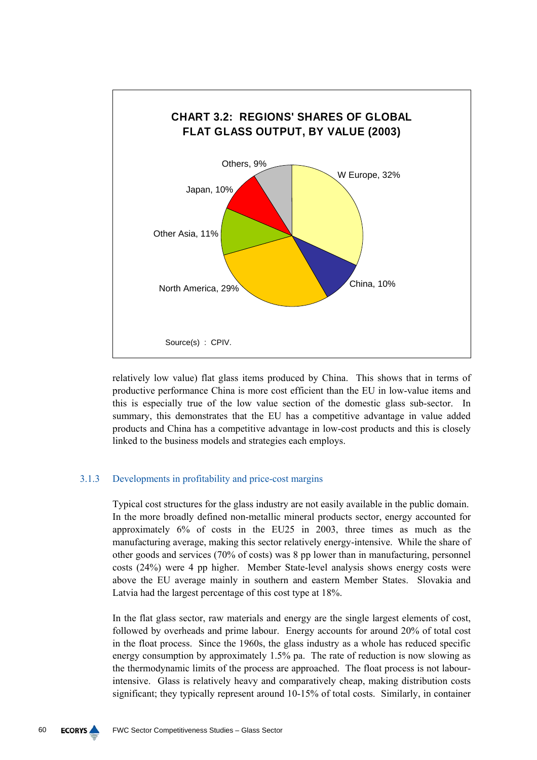

relatively low value) flat glass items produced by China. This shows that in terms of productive performance China is more cost efficient than the EU in low-value items and this is especially true of the low value section of the domestic glass sub-sector. In summary, this demonstrates that the EU has a competitive advantage in value added products and China has a competitive advantage in low-cost products and this is closely linked to the business models and strategies each employs.

# 3.1.3 Developments in profitability and price-cost margins

Typical cost structures for the glass industry are not easily available in the public domain. In the more broadly defined non-metallic mineral products sector, energy accounted for approximately 6% of costs in the EU25 in 2003, three times as much as the manufacturing average, making this sector relatively energy-intensive. While the share of other goods and services (70% of costs) was 8 pp lower than in manufacturing, personnel costs (24%) were 4 pp higher. Member State-level analysis shows energy costs were above the EU average mainly in southern and eastern Member States. Slovakia and Latvia had the largest percentage of this cost type at 18%.

In the flat glass sector, raw materials and energy are the single largest elements of cost, followed by overheads and prime labour. Energy accounts for around 20% of total cost in the float process. Since the 1960s, the glass industry as a whole has reduced specific energy consumption by approximately 1.5% pa. The rate of reduction is now slowing as the thermodynamic limits of the process are approached. The float process is not labourintensive. Glass is relatively heavy and comparatively cheap, making distribution costs significant; they typically represent around 10-15% of total costs. Similarly, in container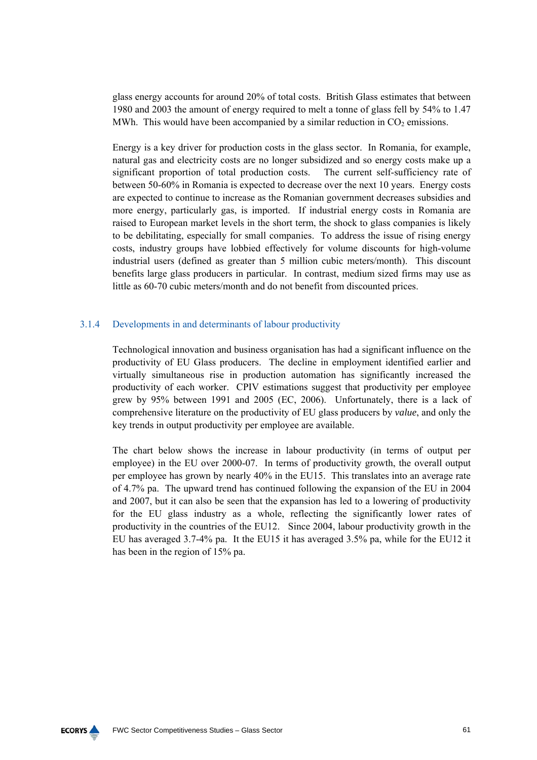glass energy accounts for around 20% of total costs. British Glass estimates that between 1980 and 2003 the amount of energy required to melt a tonne of glass fell by 54% to 1.47 MWh. This would have been accompanied by a similar reduction in  $CO<sub>2</sub>$  emissions.

Energy is a key driver for production costs in the glass sector. In Romania, for example, natural gas and electricity costs are no longer subsidized and so energy costs make up a significant proportion of total production costs. The current self-sufficiency rate of between 50-60% in Romania is expected to decrease over the next 10 years. Energy costs are expected to continue to increase as the Romanian government decreases subsidies and more energy, particularly gas, is imported. If industrial energy costs in Romania are raised to European market levels in the short term, the shock to glass companies is likely to be debilitating, especially for small companies. To address the issue of rising energy costs, industry groups have lobbied effectively for volume discounts for high-volume industrial users (defined as greater than 5 million cubic meters/month). This discount benefits large glass producers in particular. In contrast, medium sized firms may use as little as 60-70 cubic meters/month and do not benefit from discounted prices.

# 3.1.4 Developments in and determinants of labour productivity

Technological innovation and business organisation has had a significant influence on the productivity of EU Glass producers. The decline in employment identified earlier and virtually simultaneous rise in production automation has significantly increased the productivity of each worker. CPIV estimations suggest that productivity per employee grew by 95% between 1991 and 2005 (EC, 2006). Unfortunately, there is a lack of comprehensive literature on the productivity of EU glass producers by *value*, and only the key trends in output productivity per employee are available.

The chart below shows the increase in labour productivity (in terms of output per employee) in the EU over 2000-07. In terms of productivity growth, the overall output per employee has grown by nearly 40% in the EU15. This translates into an average rate of 4.7% pa. The upward trend has continued following the expansion of the EU in 2004 and 2007, but it can also be seen that the expansion has led to a lowering of productivity for the EU glass industry as a whole, reflecting the significantly lower rates of productivity in the countries of the EU12. Since 2004, labour productivity growth in the EU has averaged 3.7-4% pa. It the EU15 it has averaged 3.5% pa, while for the EU12 it has been in the region of 15% pa.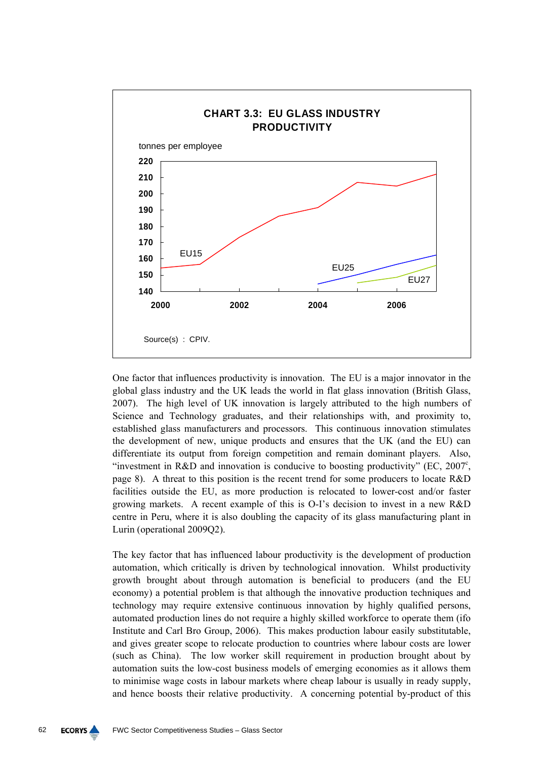

One factor that influences productivity is innovation. The EU is a major innovator in the global glass industry and the UK leads the world in flat glass innovation (British Glass, 2007). The high level of UK innovation is largely attributed to the high numbers of Science and Technology graduates, and their relationships with, and proximity to, established glass manufacturers and processors. This continuous innovation stimulates the development of new, unique products and ensures that the UK (and the EU) can differentiate its output from foreign competition and remain dominant players. Also, "investment in R&D and innovation is conducive to boosting productivity" (EC,  $2007^{\circ}$ , page 8). A threat to this position is the recent trend for some producers to locate R&D facilities outside the EU, as more production is relocated to lower-cost and/or faster growing markets. A recent example of this is O-I's decision to invest in a new R&D centre in Peru, where it is also doubling the capacity of its glass manufacturing plant in Lurin (operational 2009Q2).

The key factor that has influenced labour productivity is the development of production automation, which critically is driven by technological innovation. Whilst productivity growth brought about through automation is beneficial to producers (and the EU economy) a potential problem is that although the innovative production techniques and technology may require extensive continuous innovation by highly qualified persons, automated production lines do not require a highly skilled workforce to operate them (ifo Institute and Carl Bro Group, 2006). This makes production labour easily substitutable, and gives greater scope to relocate production to countries where labour costs are lower (such as China). The low worker skill requirement in production brought about by automation suits the low-cost business models of emerging economies as it allows them to minimise wage costs in labour markets where cheap labour is usually in ready supply, and hence boosts their relative productivity. A concerning potential by-product of this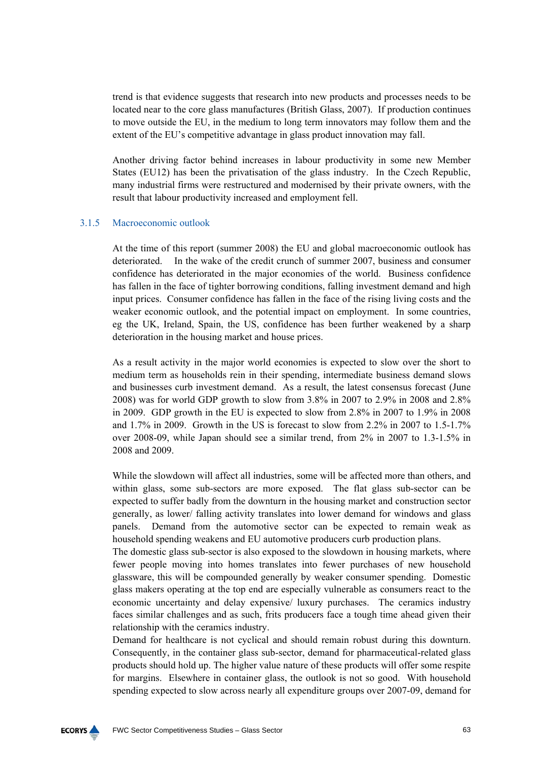trend is that evidence suggests that research into new products and processes needs to be located near to the core glass manufactures (British Glass, 2007). If production continues to move outside the EU, in the medium to long term innovators may follow them and the extent of the EU's competitive advantage in glass product innovation may fall.

Another driving factor behind increases in labour productivity in some new Member States (EU12) has been the privatisation of the glass industry. In the Czech Republic, many industrial firms were restructured and modernised by their private owners, with the result that labour productivity increased and employment fell.

### 3.1.5 Macroeconomic outlook

At the time of this report (summer 2008) the EU and global macroeconomic outlook has deteriorated. In the wake of the credit crunch of summer 2007, business and consumer confidence has deteriorated in the major economies of the world. Business confidence has fallen in the face of tighter borrowing conditions, falling investment demand and high input prices. Consumer confidence has fallen in the face of the rising living costs and the weaker economic outlook, and the potential impact on employment. In some countries, eg the UK, Ireland, Spain, the US, confidence has been further weakened by a sharp deterioration in the housing market and house prices.

As a result activity in the major world economies is expected to slow over the short to medium term as households rein in their spending, intermediate business demand slows and businesses curb investment demand. As a result, the latest consensus forecast (June 2008) was for world GDP growth to slow from 3.8% in 2007 to 2.9% in 2008 and 2.8% in 2009. GDP growth in the EU is expected to slow from 2.8% in 2007 to 1.9% in 2008 and 1.7% in 2009. Growth in the US is forecast to slow from 2.2% in 2007 to 1.5-1.7% over 2008-09, while Japan should see a similar trend, from 2% in 2007 to 1.3-1.5% in 2008 and 2009.

While the slowdown will affect all industries, some will be affected more than others, and within glass, some sub-sectors are more exposed. The flat glass sub-sector can be expected to suffer badly from the downturn in the housing market and construction sector generally, as lower/ falling activity translates into lower demand for windows and glass panels. Demand from the automotive sector can be expected to remain weak as household spending weakens and EU automotive producers curb production plans.

The domestic glass sub-sector is also exposed to the slowdown in housing markets, where fewer people moving into homes translates into fewer purchases of new household glassware, this will be compounded generally by weaker consumer spending. Domestic glass makers operating at the top end are especially vulnerable as consumers react to the economic uncertainty and delay expensive/ luxury purchases. The ceramics industry faces similar challenges and as such, frits producers face a tough time ahead given their relationship with the ceramics industry.

Demand for healthcare is not cyclical and should remain robust during this downturn. Consequently, in the container glass sub-sector, demand for pharmaceutical-related glass products should hold up. The higher value nature of these products will offer some respite for margins. Elsewhere in container glass, the outlook is not so good. With household spending expected to slow across nearly all expenditure groups over 2007-09, demand for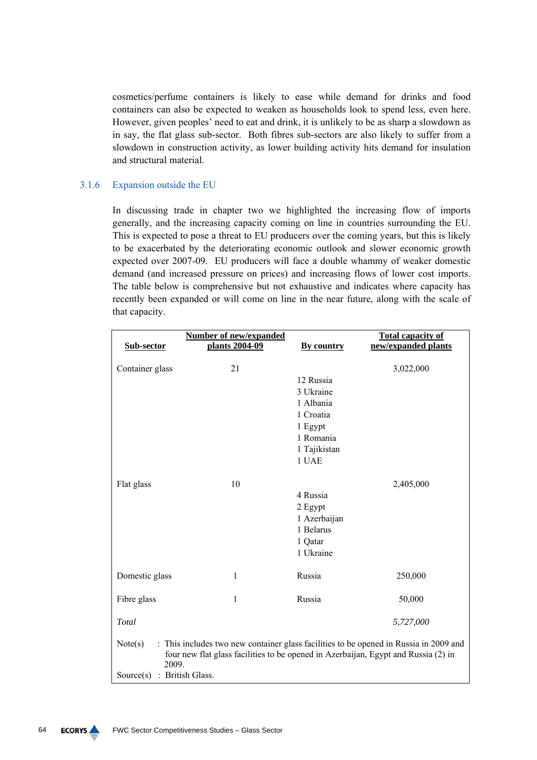cosmetics/perfume containers is likely to ease while demand for drinks and food containers can also be expected to weaken as households look to spend less, even here. However, given peoples' need to eat and drink, it is unlikely to be as sharp a slowdown as in say, the flat glass sub-sector. Both fibres sub-sectors are also likely to suffer from a slowdown in construction activity, as lower building activity hits demand for insulation and structural material.

# 3.1.6 Expansion outside the EU

In discussing trade in chapter two we highlighted the increasing flow of imports generally, and the increasing capacity coming on line in countries surrounding the EU. This is expected to pose a threat to EU producers over the coming years, but this is likely to be exacerbated by the deteriorating economic outlook and slower economic growth expected over 2007-09. EU producers will face a double whammy of weaker domestic demand (and increased pressure on prices) and increasing flows of lower cost imports. The table below is comprehensive but not exhaustive and indicates where capacity has recently been expanded or will come on line in the near future, along with the scale of that capacity.

| Sub-sector                                                                                                                                                                                                                    | <b>Number of new/expanded</b><br>plants 2004-09 | By country                                                                                        | <b>Total capacity of</b><br>new/expanded plants |  |
|-------------------------------------------------------------------------------------------------------------------------------------------------------------------------------------------------------------------------------|-------------------------------------------------|---------------------------------------------------------------------------------------------------|-------------------------------------------------|--|
| Container glass                                                                                                                                                                                                               | 21                                              | 12 Russia<br>3 Ukraine<br>1 Albania<br>1 Croatia<br>1 Egypt<br>1 Romania<br>1 Tajikistan<br>1 UAE | 3,022,000                                       |  |
| Flat glass                                                                                                                                                                                                                    | 10                                              | 4 Russia<br>2 Egypt<br>1 Azerbaijan<br>1 Belarus<br>1 Qatar<br>1 Ukraine                          | 2,405,000                                       |  |
| Domestic glass                                                                                                                                                                                                                | $\mathbf{1}$                                    | Russia                                                                                            | 250,000                                         |  |
| Fibre glass                                                                                                                                                                                                                   | 1                                               | Russia                                                                                            | 50,000                                          |  |
| Total                                                                                                                                                                                                                         |                                                 |                                                                                                   | 5,727,000                                       |  |
| : This includes two new container glass facilities to be opened in Russia in 2009 and<br>Note(s)<br>four new flat glass facilities to be opened in Azerbaijan, Egypt and Russia (2) in<br>2009.<br>Source(s) : British Glass. |                                                 |                                                                                                   |                                                 |  |

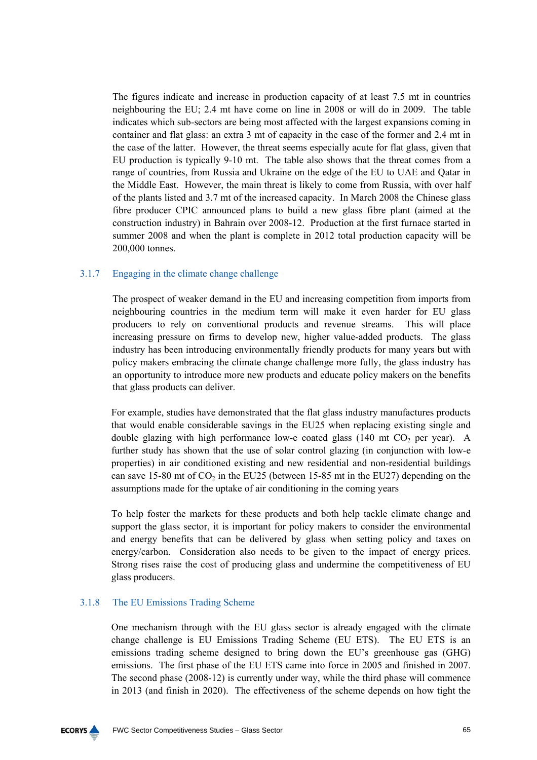The figures indicate and increase in production capacity of at least 7.5 mt in countries neighbouring the EU; 2.4 mt have come on line in 2008 or will do in 2009. The table indicates which sub-sectors are being most affected with the largest expansions coming in container and flat glass: an extra 3 mt of capacity in the case of the former and 2.4 mt in the case of the latter. However, the threat seems especially acute for flat glass, given that EU production is typically 9-10 mt. The table also shows that the threat comes from a range of countries, from Russia and Ukraine on the edge of the EU to UAE and Qatar in the Middle East. However, the main threat is likely to come from Russia, with over half of the plants listed and 3.7 mt of the increased capacity. In March 2008 the Chinese glass fibre producer CPIC announced plans to build a new glass fibre plant (aimed at the construction industry) in Bahrain over 2008-12. Production at the first furnace started in summer 2008 and when the plant is complete in 2012 total production capacity will be 200,000 tonnes.

# 3.1.7 Engaging in the climate change challenge

The prospect of weaker demand in the EU and increasing competition from imports from neighbouring countries in the medium term will make it even harder for EU glass producers to rely on conventional products and revenue streams. This will place increasing pressure on firms to develop new, higher value-added products. The glass industry has been introducing environmentally friendly products for many years but with policy makers embracing the climate change challenge more fully, the glass industry has an opportunity to introduce more new products and educate policy makers on the benefits that glass products can deliver.

For example, studies have demonstrated that the flat glass industry manufactures products that would enable considerable savings in the EU25 when replacing existing single and double glazing with high performance low-e coated glass  $(140 \text{ mt } CO<sub>2</sub> \text{ per year})$ . A further study has shown that the use of solar control glazing (in conjunction with low-e properties) in air conditioned existing and new residential and non-residential buildings can save 15-80 mt of  $CO<sub>2</sub>$  in the EU25 (between 15-85 mt in the EU27) depending on the assumptions made for the uptake of air conditioning in the coming years

To help foster the markets for these products and both help tackle climate change and support the glass sector, it is important for policy makers to consider the environmental and energy benefits that can be delivered by glass when setting policy and taxes on energy/carbon. Consideration also needs to be given to the impact of energy prices. Strong rises raise the cost of producing glass and undermine the competitiveness of EU glass producers.

### 3.1.8 The EU Emissions Trading Scheme

One mechanism through with the EU glass sector is already engaged with the climate change challenge is EU Emissions Trading Scheme (EU ETS). The EU ETS is an emissions trading scheme designed to bring down the EU's greenhouse gas (GHG) emissions. The first phase of the EU ETS came into force in 2005 and finished in 2007. The second phase (2008-12) is currently under way, while the third phase will commence in 2013 (and finish in 2020). The effectiveness of the scheme depends on how tight the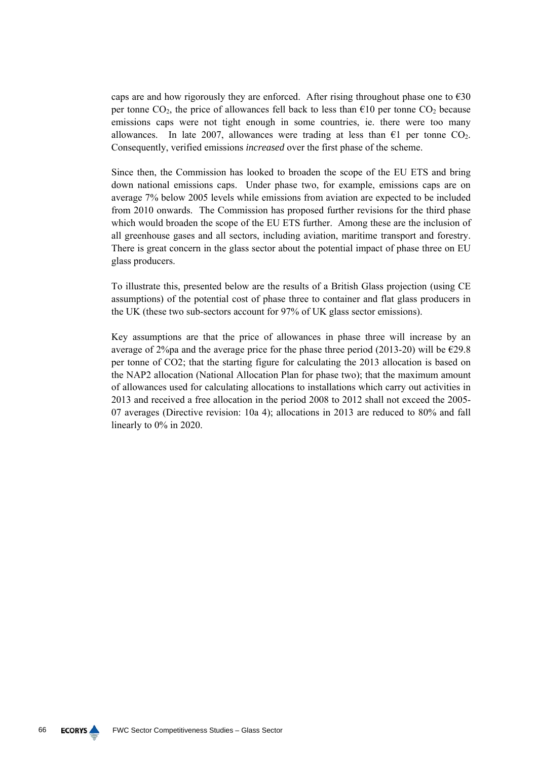caps are and how rigorously they are enforced. After rising throughout phase one to  $\epsilon$ 30 per tonne  $CO_2$ , the price of allowances fell back to less than  $\epsilon 10$  per tonne  $CO_2$  because emissions caps were not tight enough in some countries, ie. there were too many allowances. In late 2007, allowances were trading at less than  $\epsilon$ 1 per tonne CO<sub>2</sub>. Consequently, verified emissions *increased* over the first phase of the scheme.

Since then, the Commission has looked to broaden the scope of the EU ETS and bring down national emissions caps. Under phase two, for example, emissions caps are on average 7% below 2005 levels while emissions from aviation are expected to be included from 2010 onwards. The Commission has proposed further revisions for the third phase which would broaden the scope of the EU ETS further. Among these are the inclusion of all greenhouse gases and all sectors, including aviation, maritime transport and forestry. There is great concern in the glass sector about the potential impact of phase three on EU glass producers.

To illustrate this, presented below are the results of a British Glass projection (using CE assumptions) of the potential cost of phase three to container and flat glass producers in the UK (these two sub-sectors account for 97% of UK glass sector emissions).

Key assumptions are that the price of allowances in phase three will increase by an average of 2%pa and the average price for the phase three period (2013-20) will be  $\epsilon$ 29.8 per tonne of CO2; that the starting figure for calculating the 2013 allocation is based on the NAP2 allocation (National Allocation Plan for phase two); that the maximum amount of allowances used for calculating allocations to installations which carry out activities in 2013 and received a free allocation in the period 2008 to 2012 shall not exceed the 2005- 07 averages (Directive revision: 10a 4); allocations in 2013 are reduced to 80% and fall linearly to 0% in 2020.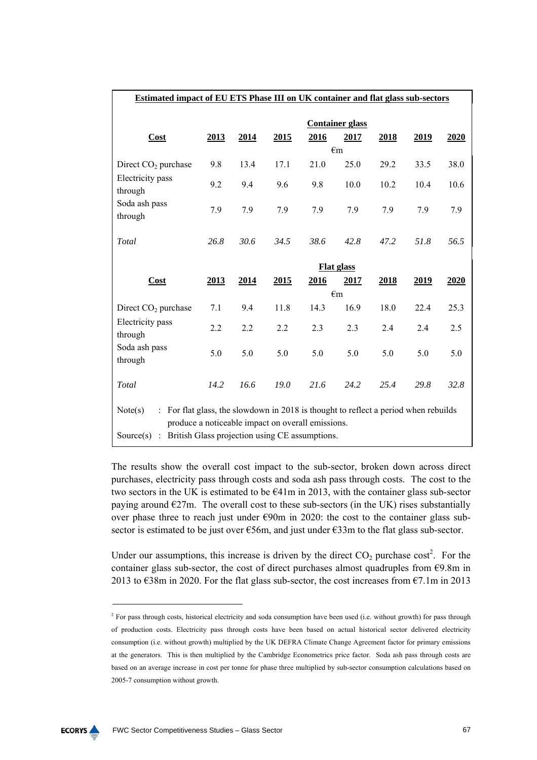| Estimated impact of EU ETS Phase III on UK container and flat glass sub-sectors                                                                     |      |      |      |      |                        |      |      |      |
|-----------------------------------------------------------------------------------------------------------------------------------------------------|------|------|------|------|------------------------|------|------|------|
|                                                                                                                                                     |      |      |      |      | <b>Container glass</b> |      |      |      |
| Cost                                                                                                                                                | 2013 | 2014 | 2015 | 2016 | 2017                   | 2018 | 2019 | 2020 |
|                                                                                                                                                     |      |      |      |      | $\epsilon$ m           |      |      |      |
| Direct $CO2$ purchase                                                                                                                               | 9.8  | 13.4 | 17.1 | 21.0 | 25.0                   | 29.2 | 33.5 | 38.0 |
| Electricity pass<br>through                                                                                                                         | 9.2  | 9.4  | 9.6  | 9.8  | 10.0                   | 10.2 | 10.4 | 10.6 |
| Soda ash pass<br>through                                                                                                                            | 7.9  | 7.9  | 7.9  | 7.9  | 7.9                    | 7.9  | 7.9  | 7.9  |
| Total                                                                                                                                               | 26.8 | 30.6 | 34.5 | 38.6 | 42.8                   | 47.2 | 51.8 | 56.5 |
|                                                                                                                                                     |      |      |      |      | <b>Flat glass</b>      |      |      |      |
| Cost                                                                                                                                                | 2013 | 2014 | 2015 | 2016 | 2017                   | 2018 | 2019 | 2020 |
|                                                                                                                                                     |      |      |      |      | $\epsilon$ m           |      |      |      |
| Direct $CO2$ purchase                                                                                                                               | 7.1  | 9.4  | 11.8 | 14.3 | 16.9                   | 18.0 | 22.4 | 25.3 |
| Electricity pass<br>through                                                                                                                         | 2.2  | 2.2  | 2.2  | 2.3  | 2.3                    | 2.4  | 2.4  | 2.5  |
| Soda ash pass<br>through                                                                                                                            | 5.0  | 5.0  | 5.0  | 5.0  | 5.0                    | 5.0  | 5.0  | 5.0  |
| Total                                                                                                                                               | 14.2 | 16.6 | 19.0 | 21.6 | 24.2                   | 25.4 | 29.8 | 32.8 |
| : For flat glass, the slowdown in 2018 is thought to reflect a period when rebuilds<br>Note(s)<br>produce a noticeable impact on overall emissions. |      |      |      |      |                        |      |      |      |
| British Glass projection using CE assumptions.<br>Source $(s)$ :                                                                                    |      |      |      |      |                        |      |      |      |

The results show the overall cost impact to the sub-sector, broken down across direct purchases, electricity pass through costs and soda ash pass through costs. The cost to the two sectors in the UK is estimated to be  $E41m$  in 2013, with the container glass sub-sector paying around  $\epsilon$ 27m. The overall cost to these sub-sectors (in the UK) rises substantially over phase three to reach just under €90m in 2020: the cost to the container glass subsector is estimated to be just over  $\epsilon$ 56m, and just under  $\epsilon$ 33m to the flat glass sub-sector.

Under our assumptions, this increase is driven by the direct  $CO<sub>2</sub>$  purchase cost<sup>2</sup>. For the container glass sub-sector, the cost of direct purchases almost quadruples from  $\epsilon$ 9.8m in 2013 to  $\epsilon$ 38m in 2020. For the flat glass sub-sector, the cost increases from  $\epsilon$ 7.1m in 2013



<sup>&</sup>lt;sup>2</sup> For pass through costs, historical electricity and soda consumption have been used (i.e. without growth) for pass through of production costs. Electricity pass through costs have been based on actual historical sector delivered electricity consumption (i.e. without growth) multiplied by the UK DEFRA Climate Change Agreement factor for primary emissions at the generators. This is then multiplied by the Cambridge Econometrics price factor. Soda ash pass through costs are based on an average increase in cost per tonne for phase three multiplied by sub-sector consumption calculations based on 2005-7 consumption without growth.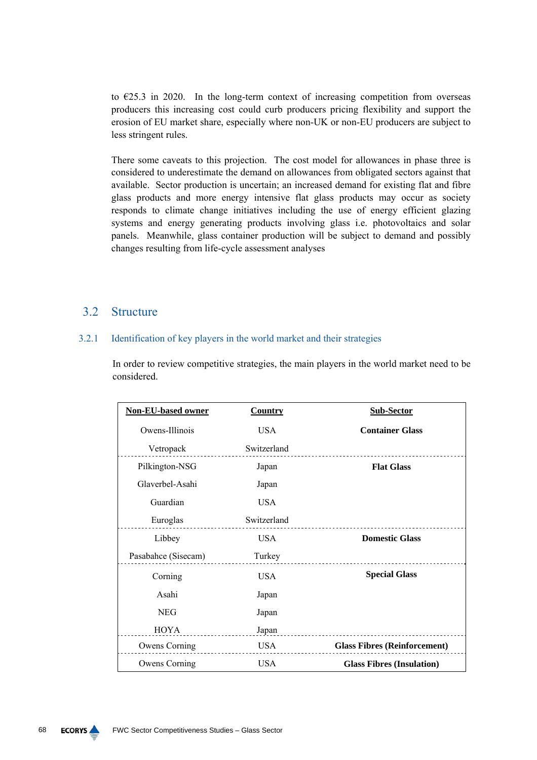to  $\epsilon$ 25.3 in 2020. In the long-term context of increasing competition from overseas producers this increasing cost could curb producers pricing flexibility and support the erosion of EU market share, especially where non-UK or non-EU producers are subject to less stringent rules.

There some caveats to this projection. The cost model for allowances in phase three is considered to underestimate the demand on allowances from obligated sectors against that available. Sector production is uncertain; an increased demand for existing flat and fibre glass products and more energy intensive flat glass products may occur as society responds to climate change initiatives including the use of energy efficient glazing systems and energy generating products involving glass i.e. photovoltaics and solar panels. Meanwhile, glass container production will be subject to demand and possibly changes resulting from life-cycle assessment analyses

# 3.2 Structure

### 3.2.1 Identification of key players in the world market and their strategies

In order to review competitive strategies, the main players in the world market need to be considered.

| <b>Non-EU-based owner</b> | <b>Country</b> | <b>Sub-Sector</b>                   |
|---------------------------|----------------|-------------------------------------|
| Owens-Illinois            | <b>USA</b>     | <b>Container Glass</b>              |
| Vetropack                 | Switzerland    |                                     |
| Pilkington-NSG            | Japan          | <b>Flat Glass</b>                   |
| Glaverbel-Asahi           | Japan          |                                     |
| Guardian                  | <b>USA</b>     |                                     |
| Euroglas                  | Switzerland    |                                     |
| Libbey                    | <b>USA</b>     | <b>Domestic Glass</b>               |
| Pasabahce (Sisecam)       | Turkey         |                                     |
| Corning                   | <b>USA</b>     | <b>Special Glass</b>                |
| Asahi                     | Japan          |                                     |
| <b>NEG</b>                | Japan          |                                     |
| <b>HOYA</b>               | Japan          |                                     |
| Owens Corning             | <b>USA</b>     | <b>Glass Fibres (Reinforcement)</b> |
| Owens Corning             | <b>USA</b>     | <b>Glass Fibres (Insulation)</b>    |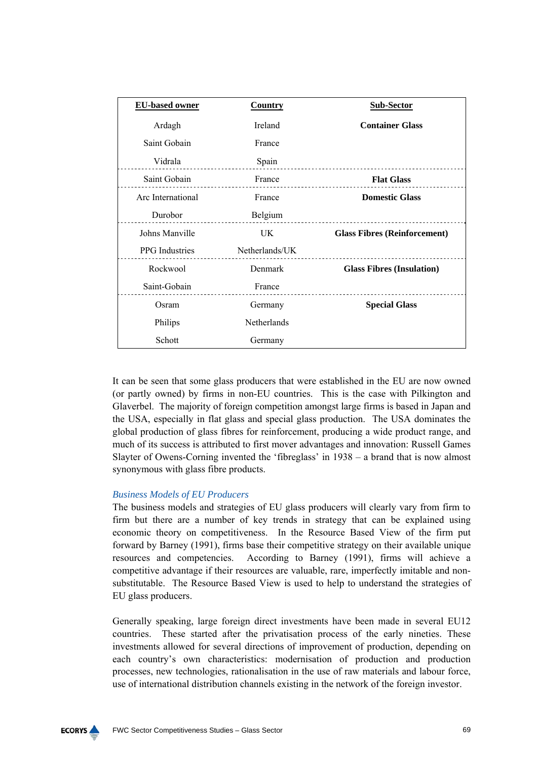| <b>EU-based owner</b> | <b>Country</b> | <b>Sub-Sector</b>                   |
|-----------------------|----------------|-------------------------------------|
| Ardagh                | Ireland        | <b>Container Glass</b>              |
| Saint Gobain          | France         |                                     |
| Vidrala               | Spain          |                                     |
| Saint Gobain          | France         | <b>Flat Glass</b>                   |
| Arc International     | France         | <b>Domestic Glass</b>               |
| Durobor               | Belgium        |                                     |
| Johns Manville        | UK.            | <b>Glass Fibres (Reinforcement)</b> |
| <b>PPG</b> Industries | Netherlands/UK |                                     |
| Rockwool              | Denmark        | <b>Glass Fibres (Insulation)</b>    |
| Saint-Gobain          | France         |                                     |
| Osram                 | Germany        | <b>Special Glass</b>                |
| Philips               | Netherlands    |                                     |
| Schott                | Germany        |                                     |

It can be seen that some glass producers that were established in the EU are now owned (or partly owned) by firms in non-EU countries. This is the case with Pilkington and Glaverbel. The majority of foreign competition amongst large firms is based in Japan and the USA, especially in flat glass and special glass production. The USA dominates the global production of glass fibres for reinforcement, producing a wide product range, and much of its success is attributed to first mover advantages and innovation: Russell Games Slayter of Owens-Corning invented the 'fibreglass' in 1938 – a brand that is now almost synonymous with glass fibre products.

# *Business Models of EU Producers*

The business models and strategies of EU glass producers will clearly vary from firm to firm but there are a number of key trends in strategy that can be explained using economic theory on competitiveness. In the Resource Based View of the firm put forward by Barney (1991), firms base their competitive strategy on their available unique resources and competencies. According to Barney (1991), firms will achieve a competitive advantage if their resources are valuable, rare, imperfectly imitable and nonsubstitutable. The Resource Based View is used to help to understand the strategies of EU glass producers.

Generally speaking, large foreign direct investments have been made in several EU12 countries. These started after the privatisation process of the early nineties. These investments allowed for several directions of improvement of production, depending on each country's own characteristics: modernisation of production and production processes, new technologies, rationalisation in the use of raw materials and labour force, use of international distribution channels existing in the network of the foreign investor.

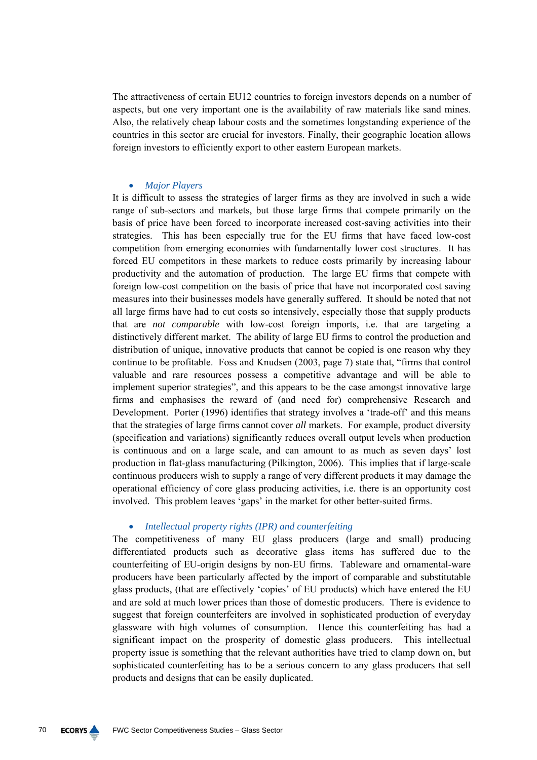The attractiveness of certain EU12 countries to foreign investors depends on a number of aspects, but one very important one is the availability of raw materials like sand mines. Also, the relatively cheap labour costs and the sometimes longstanding experience of the countries in this sector are crucial for investors. Finally, their geographic location allows foreign investors to efficiently export to other eastern European markets.

### • *Major Players*

It is difficult to assess the strategies of larger firms as they are involved in such a wide range of sub-sectors and markets, but those large firms that compete primarily on the basis of price have been forced to incorporate increased cost-saving activities into their strategies. This has been especially true for the EU firms that have faced low-cost competition from emerging economies with fundamentally lower cost structures. It has forced EU competitors in these markets to reduce costs primarily by increasing labour productivity and the automation of production. The large EU firms that compete with foreign low-cost competition on the basis of price that have not incorporated cost saving measures into their businesses models have generally suffered. It should be noted that not all large firms have had to cut costs so intensively, especially those that supply products that are *not comparable* with low-cost foreign imports, i.e. that are targeting a distinctively different market. The ability of large EU firms to control the production and distribution of unique, innovative products that cannot be copied is one reason why they continue to be profitable. Foss and Knudsen (2003, page 7) state that, "firms that control valuable and rare resources possess a competitive advantage and will be able to implement superior strategies", and this appears to be the case amongst innovative large firms and emphasises the reward of (and need for) comprehensive Research and Development. Porter (1996) identifies that strategy involves a 'trade-off' and this means that the strategies of large firms cannot cover *all* markets. For example, product diversity (specification and variations) significantly reduces overall output levels when production is continuous and on a large scale, and can amount to as much as seven days' lost production in flat-glass manufacturing (Pilkington, 2006). This implies that if large-scale continuous producers wish to supply a range of very different products it may damage the operational efficiency of core glass producing activities, i.e. there is an opportunity cost involved. This problem leaves 'gaps' in the market for other better-suited firms.

#### • *Intellectual property rights (IPR) and counterfeiting*

The competitiveness of many EU glass producers (large and small) producing differentiated products such as decorative glass items has suffered due to the counterfeiting of EU-origin designs by non-EU firms. Tableware and ornamental-ware producers have been particularly affected by the import of comparable and substitutable glass products, (that are effectively 'copies' of EU products) which have entered the EU and are sold at much lower prices than those of domestic producers. There is evidence to suggest that foreign counterfeiters are involved in sophisticated production of everyday glassware with high volumes of consumption. Hence this counterfeiting has had a significant impact on the prosperity of domestic glass producers. This intellectual property issue is something that the relevant authorities have tried to clamp down on, but sophisticated counterfeiting has to be a serious concern to any glass producers that sell products and designs that can be easily duplicated.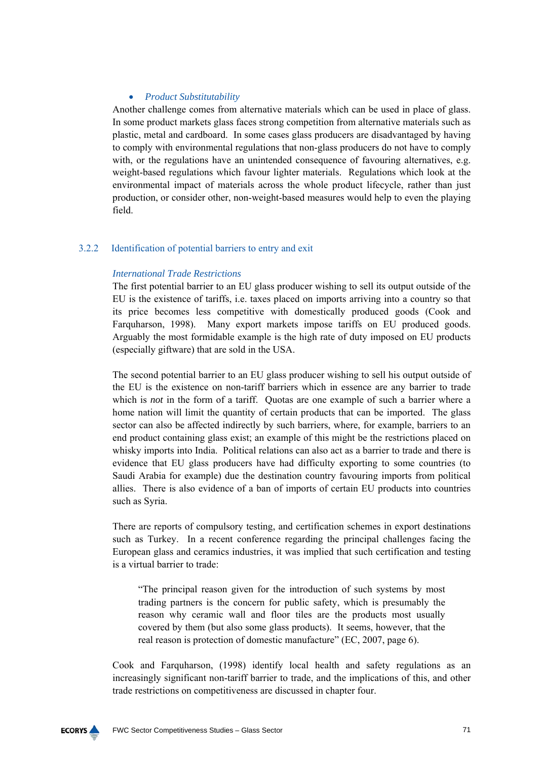# • *Product Substitutability*

Another challenge comes from alternative materials which can be used in place of glass. In some product markets glass faces strong competition from alternative materials such as plastic, metal and cardboard. In some cases glass producers are disadvantaged by having to comply with environmental regulations that non-glass producers do not have to comply with, or the regulations have an unintended consequence of favouring alternatives, e.g. weight-based regulations which favour lighter materials. Regulations which look at the environmental impact of materials across the whole product lifecycle, rather than just production, or consider other, non-weight-based measures would help to even the playing field.

# 3.2.2 Identification of potential barriers to entry and exit

# *International Trade Restrictions*

The first potential barrier to an EU glass producer wishing to sell its output outside of the EU is the existence of tariffs, i.e. taxes placed on imports arriving into a country so that its price becomes less competitive with domestically produced goods (Cook and Farquharson, 1998). Many export markets impose tariffs on EU produced goods. Arguably the most formidable example is the high rate of duty imposed on EU products (especially giftware) that are sold in the USA.

The second potential barrier to an EU glass producer wishing to sell his output outside of the EU is the existence on non-tariff barriers which in essence are any barrier to trade which is *not* in the form of a tariff. Quotas are one example of such a barrier where a home nation will limit the quantity of certain products that can be imported. The glass sector can also be affected indirectly by such barriers, where, for example, barriers to an end product containing glass exist; an example of this might be the restrictions placed on whisky imports into India. Political relations can also act as a barrier to trade and there is evidence that EU glass producers have had difficulty exporting to some countries (to Saudi Arabia for example) due the destination country favouring imports from political allies. There is also evidence of a ban of imports of certain EU products into countries such as Syria.

There are reports of compulsory testing, and certification schemes in export destinations such as Turkey. In a recent conference regarding the principal challenges facing the European glass and ceramics industries, it was implied that such certification and testing is a virtual barrier to trade:

"The principal reason given for the introduction of such systems by most trading partners is the concern for public safety, which is presumably the reason why ceramic wall and floor tiles are the products most usually covered by them (but also some glass products). It seems, however, that the real reason is protection of domestic manufacture" (EC, 2007, page 6).

Cook and Farquharson, (1998) identify local health and safety regulations as an increasingly significant non-tariff barrier to trade, and the implications of this, and other trade restrictions on competitiveness are discussed in chapter four.

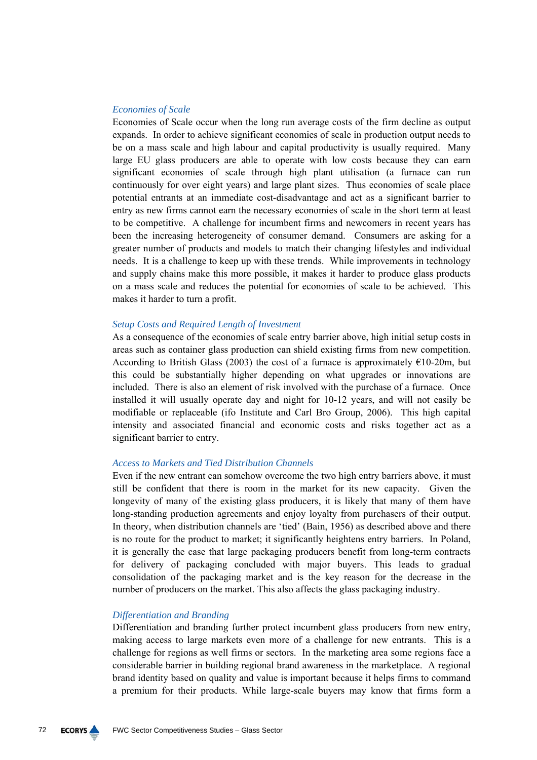### *Economies of Scale*

Economies of Scale occur when the long run average costs of the firm decline as output expands. In order to achieve significant economies of scale in production output needs to be on a mass scale and high labour and capital productivity is usually required. Many large EU glass producers are able to operate with low costs because they can earn significant economies of scale through high plant utilisation (a furnace can run continuously for over eight years) and large plant sizes. Thus economies of scale place potential entrants at an immediate cost-disadvantage and act as a significant barrier to entry as new firms cannot earn the necessary economies of scale in the short term at least to be competitive. A challenge for incumbent firms and newcomers in recent years has been the increasing heterogeneity of consumer demand. Consumers are asking for a greater number of products and models to match their changing lifestyles and individual needs. It is a challenge to keep up with these trends. While improvements in technology and supply chains make this more possible, it makes it harder to produce glass products on a mass scale and reduces the potential for economies of scale to be achieved. This makes it harder to turn a profit.

### *Setup Costs and Required Length of Investment*

As a consequence of the economies of scale entry barrier above, high initial setup costs in areas such as container glass production can shield existing firms from new competition. According to British Glass (2003) the cost of a furnace is approximately  $\epsilon$ 10-20m, but this could be substantially higher depending on what upgrades or innovations are included. There is also an element of risk involved with the purchase of a furnace. Once installed it will usually operate day and night for 10-12 years, and will not easily be modifiable or replaceable (ifo Institute and Carl Bro Group, 2006). This high capital intensity and associated financial and economic costs and risks together act as a significant barrier to entry.

### *Access to Markets and Tied Distribution Channels*

Even if the new entrant can somehow overcome the two high entry barriers above, it must still be confident that there is room in the market for its new capacity. Given the longevity of many of the existing glass producers, it is likely that many of them have long-standing production agreements and enjoy loyalty from purchasers of their output. In theory, when distribution channels are 'tied' (Bain, 1956) as described above and there is no route for the product to market; it significantly heightens entry barriers. In Poland, it is generally the case that large packaging producers benefit from long-term contracts for delivery of packaging concluded with major buyers. This leads to gradual consolidation of the packaging market and is the key reason for the decrease in the number of producers on the market. This also affects the glass packaging industry.

### *Differentiation and Branding*

Differentiation and branding further protect incumbent glass producers from new entry, making access to large markets even more of a challenge for new entrants. This is a challenge for regions as well firms or sectors. In the marketing area some regions face a considerable barrier in building regional brand awareness in the marketplace. A regional brand identity based on quality and value is important because it helps firms to command a premium for their products. While large-scale buyers may know that firms form a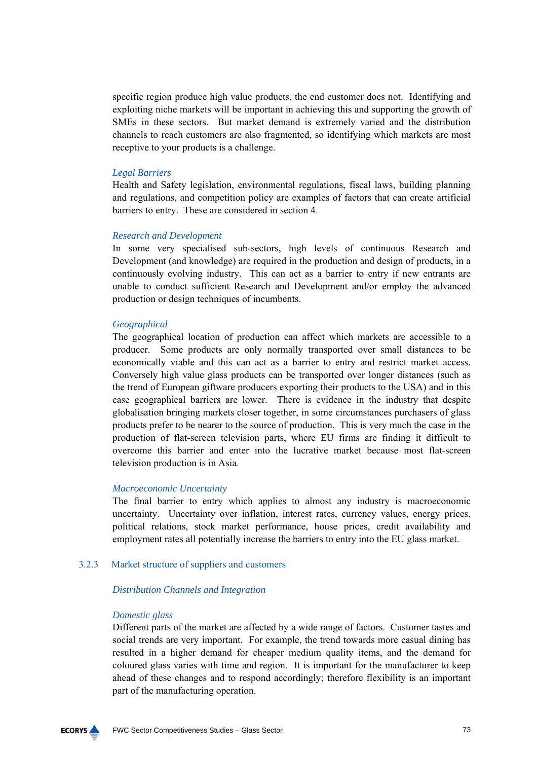specific region produce high value products, the end customer does not. Identifying and exploiting niche markets will be important in achieving this and supporting the growth of SMEs in these sectors. But market demand is extremely varied and the distribution channels to reach customers are also fragmented, so identifying which markets are most receptive to your products is a challenge.

# *Legal Barriers*

Health and Safety legislation, environmental regulations, fiscal laws, building planning and regulations, and competition policy are examples of factors that can create artificial barriers to entry. These are considered in section 4.

# *Research and Development*

In some very specialised sub-sectors, high levels of continuous Research and Development (and knowledge) are required in the production and design of products, in a continuously evolving industry. This can act as a barrier to entry if new entrants are unable to conduct sufficient Research and Development and/or employ the advanced production or design techniques of incumbents.

## *Geographical*

The geographical location of production can affect which markets are accessible to a producer. Some products are only normally transported over small distances to be economically viable and this can act as a barrier to entry and restrict market access. Conversely high value glass products can be transported over longer distances (such as the trend of European giftware producers exporting their products to the USA) and in this case geographical barriers are lower. There is evidence in the industry that despite globalisation bringing markets closer together, in some circumstances purchasers of glass products prefer to be nearer to the source of production. This is very much the case in the production of flat-screen television parts, where EU firms are finding it difficult to overcome this barrier and enter into the lucrative market because most flat-screen television production is in Asia.

#### *Macroeconomic Uncertainty*

The final barrier to entry which applies to almost any industry is macroeconomic uncertainty. Uncertainty over inflation, interest rates, currency values, energy prices, political relations, stock market performance, house prices, credit availability and employment rates all potentially increase the barriers to entry into the EU glass market.

# 3.2.3 Market structure of suppliers and customers

# *Distribution Channels and Integration*

#### *Domestic glass*

Different parts of the market are affected by a wide range of factors. Customer tastes and social trends are very important. For example, the trend towards more casual dining has resulted in a higher demand for cheaper medium quality items, and the demand for coloured glass varies with time and region. It is important for the manufacturer to keep ahead of these changes and to respond accordingly; therefore flexibility is an important part of the manufacturing operation.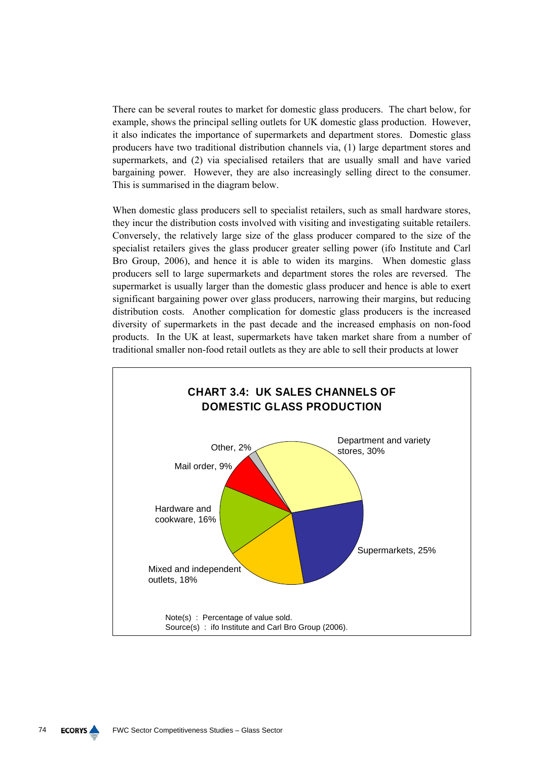There can be several routes to market for domestic glass producers. The chart below, for example, shows the principal selling outlets for UK domestic glass production. However, it also indicates the importance of supermarkets and department stores. Domestic glass producers have two traditional distribution channels via, (1) large department stores and supermarkets, and (2) via specialised retailers that are usually small and have varied bargaining power. However, they are also increasingly selling direct to the consumer. This is summarised in the diagram below.

When domestic glass producers sell to specialist retailers, such as small hardware stores, they incur the distribution costs involved with visiting and investigating suitable retailers. Conversely, the relatively large size of the glass producer compared to the size of the specialist retailers gives the glass producer greater selling power (ifo Institute and Carl Bro Group, 2006), and hence it is able to widen its margins. When domestic glass producers sell to large supermarkets and department stores the roles are reversed. The supermarket is usually larger than the domestic glass producer and hence is able to exert significant bargaining power over glass producers, narrowing their margins, but reducing distribution costs. Another complication for domestic glass producers is the increased diversity of supermarkets in the past decade and the increased emphasis on non-food products. In the UK at least, supermarkets have taken market share from a number of traditional smaller non-food retail outlets as they are able to sell their products at lower

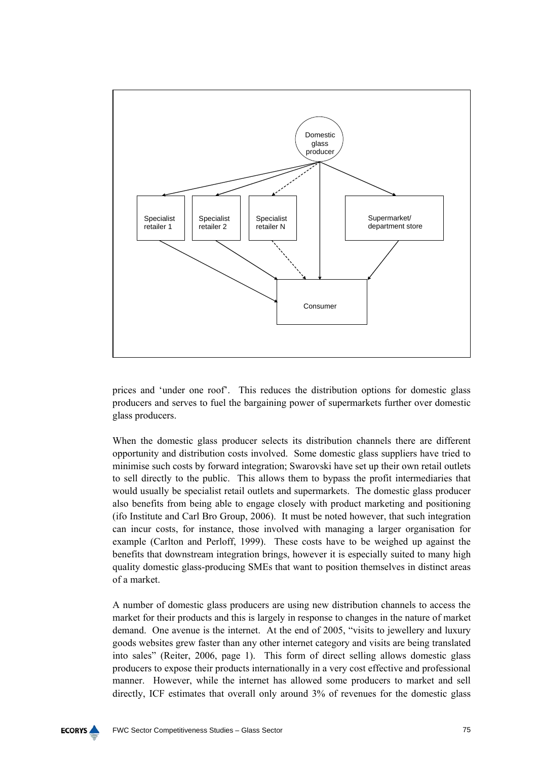

prices and 'under one roof'. This reduces the distribution options for domestic glass producers and serves to fuel the bargaining power of supermarkets further over domestic glass producers.

When the domestic glass producer selects its distribution channels there are different opportunity and distribution costs involved. Some domestic glass suppliers have tried to minimise such costs by forward integration; Swarovski have set up their own retail outlets to sell directly to the public. This allows them to bypass the profit intermediaries that would usually be specialist retail outlets and supermarkets. The domestic glass producer also benefits from being able to engage closely with product marketing and positioning (ifo Institute and Carl Bro Group, 2006). It must be noted however, that such integration can incur costs, for instance, those involved with managing a larger organisation for example (Carlton and Perloff, 1999). These costs have to be weighed up against the benefits that downstream integration brings, however it is especially suited to many high quality domestic glass-producing SMEs that want to position themselves in distinct areas of a market.

A number of domestic glass producers are using new distribution channels to access the market for their products and this is largely in response to changes in the nature of market demand. One avenue is the internet. At the end of 2005, "visits to jewellery and luxury goods websites grew faster than any other internet category and visits are being translated into sales" (Reiter, 2006, page 1). This form of direct selling allows domestic glass producers to expose their products internationally in a very cost effective and professional manner. However, while the internet has allowed some producers to market and sell directly, ICF estimates that overall only around 3% of revenues for the domestic glass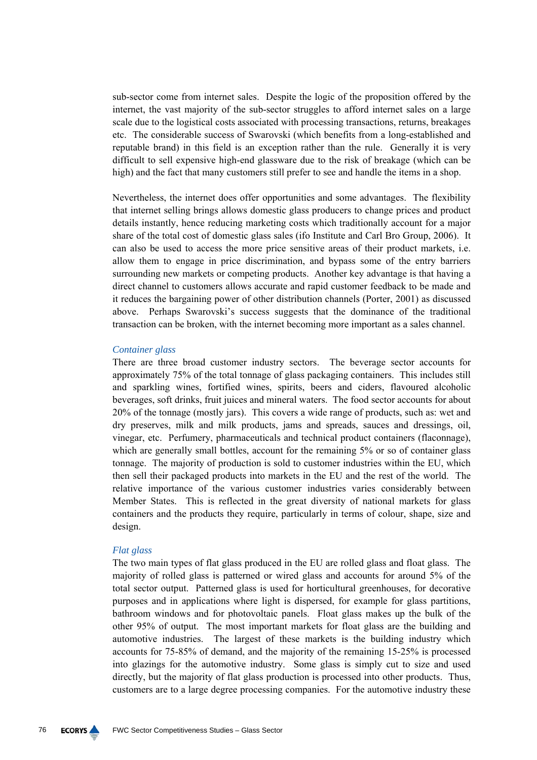sub-sector come from internet sales. Despite the logic of the proposition offered by the internet, the vast majority of the sub-sector struggles to afford internet sales on a large scale due to the logistical costs associated with processing transactions, returns, breakages etc. The considerable success of Swarovski (which benefits from a long-established and reputable brand) in this field is an exception rather than the rule. Generally it is very difficult to sell expensive high-end glassware due to the risk of breakage (which can be high) and the fact that many customers still prefer to see and handle the items in a shop.

Nevertheless, the internet does offer opportunities and some advantages. The flexibility that internet selling brings allows domestic glass producers to change prices and product details instantly, hence reducing marketing costs which traditionally account for a major share of the total cost of domestic glass sales (ifo Institute and Carl Bro Group, 2006). It can also be used to access the more price sensitive areas of their product markets, i.e. allow them to engage in price discrimination, and bypass some of the entry barriers surrounding new markets or competing products. Another key advantage is that having a direct channel to customers allows accurate and rapid customer feedback to be made and it reduces the bargaining power of other distribution channels (Porter, 2001) as discussed above. Perhaps Swarovski's success suggests that the dominance of the traditional transaction can be broken, with the internet becoming more important as a sales channel.

#### *Container glass*

There are three broad customer industry sectors. The beverage sector accounts for approximately 75% of the total tonnage of glass packaging containers. This includes still and sparkling wines, fortified wines, spirits, beers and ciders, flavoured alcoholic beverages, soft drinks, fruit juices and mineral waters. The food sector accounts for about 20% of the tonnage (mostly jars). This covers a wide range of products, such as: wet and dry preserves, milk and milk products, jams and spreads, sauces and dressings, oil, vinegar, etc. Perfumery, pharmaceuticals and technical product containers (flaconnage), which are generally small bottles, account for the remaining 5% or so of container glass tonnage. The majority of production is sold to customer industries within the EU, which then sell their packaged products into markets in the EU and the rest of the world. The relative importance of the various customer industries varies considerably between Member States. This is reflected in the great diversity of national markets for glass containers and the products they require, particularly in terms of colour, shape, size and design.

#### *Flat glass*

The two main types of flat glass produced in the EU are rolled glass and float glass. The majority of rolled glass is patterned or wired glass and accounts for around 5% of the total sector output. Patterned glass is used for horticultural greenhouses, for decorative purposes and in applications where light is dispersed, for example for glass partitions, bathroom windows and for photovoltaic panels. Float glass makes up the bulk of the other 95% of output. The most important markets for float glass are the building and automotive industries. The largest of these markets is the building industry which accounts for 75-85% of demand, and the majority of the remaining 15-25% is processed into glazings for the automotive industry. Some glass is simply cut to size and used directly, but the majority of flat glass production is processed into other products. Thus, customers are to a large degree processing companies. For the automotive industry these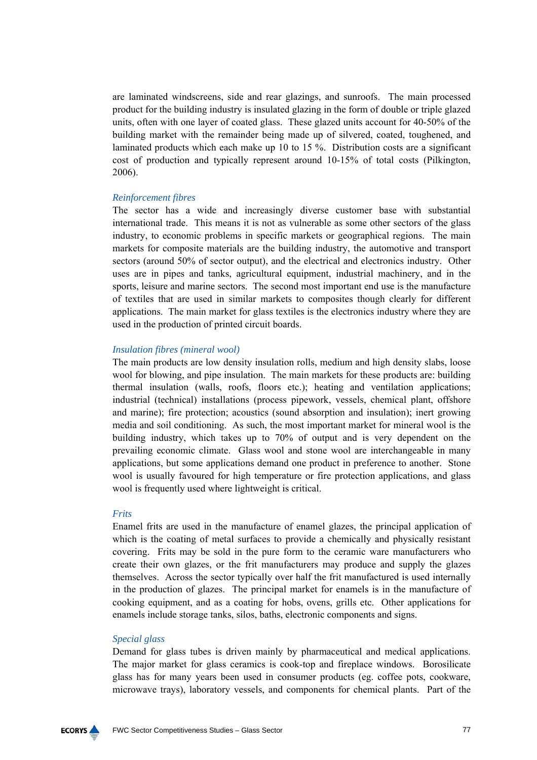are laminated windscreens, side and rear glazings, and sunroofs. The main processed product for the building industry is insulated glazing in the form of double or triple glazed units, often with one layer of coated glass. These glazed units account for 40-50% of the building market with the remainder being made up of silvered, coated, toughened, and laminated products which each make up 10 to 15 %. Distribution costs are a significant cost of production and typically represent around 10-15% of total costs (Pilkington, 2006).

#### *Reinforcement fibres*

The sector has a wide and increasingly diverse customer base with substantial international trade. This means it is not as vulnerable as some other sectors of the glass industry, to economic problems in specific markets or geographical regions. The main markets for composite materials are the building industry, the automotive and transport sectors (around 50% of sector output), and the electrical and electronics industry. Other uses are in pipes and tanks, agricultural equipment, industrial machinery, and in the sports, leisure and marine sectors. The second most important end use is the manufacture of textiles that are used in similar markets to composites though clearly for different applications. The main market for glass textiles is the electronics industry where they are used in the production of printed circuit boards.

#### *Insulation fibres (mineral wool)*

The main products are low density insulation rolls, medium and high density slabs, loose wool for blowing, and pipe insulation. The main markets for these products are: building thermal insulation (walls, roofs, floors etc.); heating and ventilation applications; industrial (technical) installations (process pipework, vessels, chemical plant, offshore and marine); fire protection; acoustics (sound absorption and insulation); inert growing media and soil conditioning. As such, the most important market for mineral wool is the building industry, which takes up to 70% of output and is very dependent on the prevailing economic climate. Glass wool and stone wool are interchangeable in many applications, but some applications demand one product in preference to another. Stone wool is usually favoured for high temperature or fire protection applications, and glass wool is frequently used where lightweight is critical.

#### *Frits*

Enamel frits are used in the manufacture of enamel glazes, the principal application of which is the coating of metal surfaces to provide a chemically and physically resistant covering. Frits may be sold in the pure form to the ceramic ware manufacturers who create their own glazes, or the frit manufacturers may produce and supply the glazes themselves. Across the sector typically over half the frit manufactured is used internally in the production of glazes. The principal market for enamels is in the manufacture of cooking equipment, and as a coating for hobs, ovens, grills etc. Other applications for enamels include storage tanks, silos, baths, electronic components and signs.

# *Special glass*

Demand for glass tubes is driven mainly by pharmaceutical and medical applications. The major market for glass ceramics is cook-top and fireplace windows. Borosilicate glass has for many years been used in consumer products (eg. coffee pots, cookware, microwave trays), laboratory vessels, and components for chemical plants. Part of the

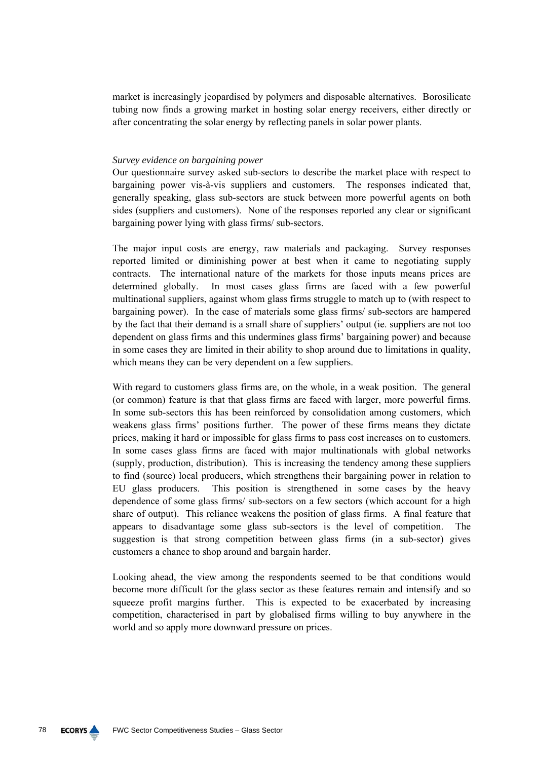market is increasingly jeopardised by polymers and disposable alternatives. Borosilicate tubing now finds a growing market in hosting solar energy receivers, either directly or after concentrating the solar energy by reflecting panels in solar power plants.

# *Survey evidence on bargaining power*

Our questionnaire survey asked sub-sectors to describe the market place with respect to bargaining power vis-à-vis suppliers and customers. The responses indicated that, generally speaking, glass sub-sectors are stuck between more powerful agents on both sides (suppliers and customers). None of the responses reported any clear or significant bargaining power lying with glass firms/ sub-sectors.

The major input costs are energy, raw materials and packaging. Survey responses reported limited or diminishing power at best when it came to negotiating supply contracts. The international nature of the markets for those inputs means prices are determined globally. In most cases glass firms are faced with a few powerful multinational suppliers, against whom glass firms struggle to match up to (with respect to bargaining power). In the case of materials some glass firms/ sub-sectors are hampered by the fact that their demand is a small share of suppliers' output (ie. suppliers are not too dependent on glass firms and this undermines glass firms' bargaining power) and because in some cases they are limited in their ability to shop around due to limitations in quality, which means they can be very dependent on a few suppliers.

With regard to customers glass firms are, on the whole, in a weak position. The general (or common) feature is that that glass firms are faced with larger, more powerful firms. In some sub-sectors this has been reinforced by consolidation among customers, which weakens glass firms' positions further. The power of these firms means they dictate prices, making it hard or impossible for glass firms to pass cost increases on to customers. In some cases glass firms are faced with major multinationals with global networks (supply, production, distribution). This is increasing the tendency among these suppliers to find (source) local producers, which strengthens their bargaining power in relation to EU glass producers. This position is strengthened in some cases by the heavy dependence of some glass firms/ sub-sectors on a few sectors (which account for a high share of output). This reliance weakens the position of glass firms. A final feature that appears to disadvantage some glass sub-sectors is the level of competition. The suggestion is that strong competition between glass firms (in a sub-sector) gives customers a chance to shop around and bargain harder.

Looking ahead, the view among the respondents seemed to be that conditions would become more difficult for the glass sector as these features remain and intensify and so squeeze profit margins further. This is expected to be exacerbated by increasing competition, characterised in part by globalised firms willing to buy anywhere in the world and so apply more downward pressure on prices.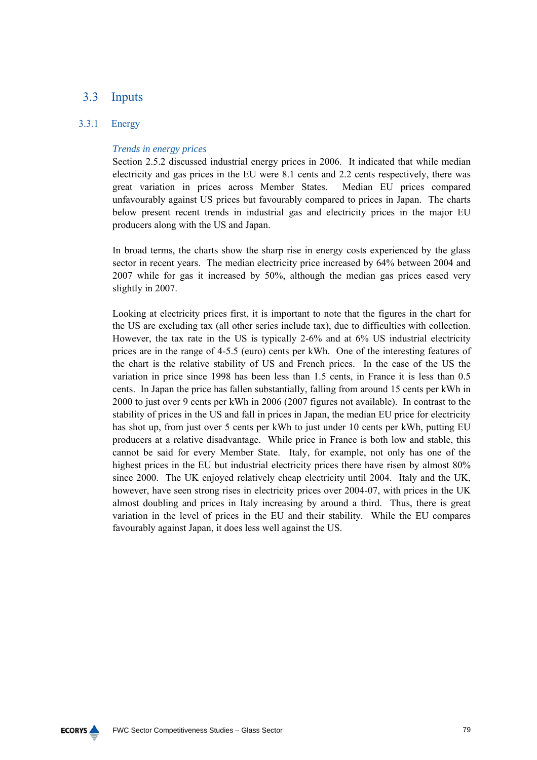# 3.3 Inputs

# 3.3.1 Energy

# *Trends in energy prices*

Section 2.5.2 discussed industrial energy prices in 2006. It indicated that while median electricity and gas prices in the EU were 8.1 cents and 2.2 cents respectively, there was great variation in prices across Member States. Median EU prices compared unfavourably against US prices but favourably compared to prices in Japan. The charts below present recent trends in industrial gas and electricity prices in the major EU producers along with the US and Japan.

In broad terms, the charts show the sharp rise in energy costs experienced by the glass sector in recent years. The median electricity price increased by 64% between 2004 and 2007 while for gas it increased by 50%, although the median gas prices eased very slightly in 2007.

Looking at electricity prices first, it is important to note that the figures in the chart for the US are excluding tax (all other series include tax), due to difficulties with collection. However, the tax rate in the US is typically 2-6% and at 6% US industrial electricity prices are in the range of 4-5.5 (euro) cents per kWh. One of the interesting features of the chart is the relative stability of US and French prices. In the case of the US the variation in price since 1998 has been less than 1.5 cents, in France it is less than 0.5 cents. In Japan the price has fallen substantially, falling from around 15 cents per kWh in 2000 to just over 9 cents per kWh in 2006 (2007 figures not available). In contrast to the stability of prices in the US and fall in prices in Japan, the median EU price for electricity has shot up, from just over 5 cents per kWh to just under 10 cents per kWh, putting EU producers at a relative disadvantage. While price in France is both low and stable, this cannot be said for every Member State. Italy, for example, not only has one of the highest prices in the EU but industrial electricity prices there have risen by almost 80% since 2000. The UK enjoyed relatively cheap electricity until 2004. Italy and the UK, however, have seen strong rises in electricity prices over 2004-07, with prices in the UK almost doubling and prices in Italy increasing by around a third. Thus, there is great variation in the level of prices in the EU and their stability. While the EU compares favourably against Japan, it does less well against the US.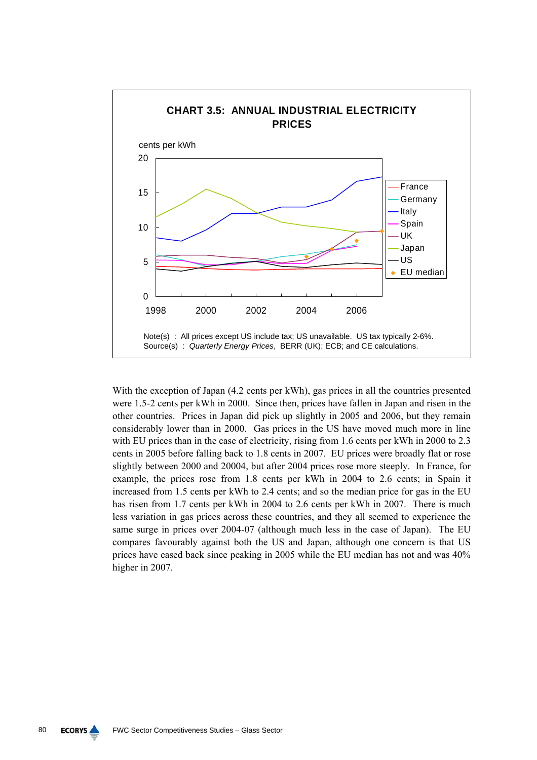

With the exception of Japan (4.2 cents per kWh), gas prices in all the countries presented were 1.5-2 cents per kWh in 2000. Since then, prices have fallen in Japan and risen in the other countries. Prices in Japan did pick up slightly in 2005 and 2006, but they remain considerably lower than in 2000. Gas prices in the US have moved much more in line with EU prices than in the case of electricity, rising from 1.6 cents per kWh in 2000 to 2.3 cents in 2005 before falling back to 1.8 cents in 2007. EU prices were broadly flat or rose slightly between 2000 and 20004, but after 2004 prices rose more steeply. In France, for example, the prices rose from 1.8 cents per kWh in 2004 to 2.6 cents; in Spain it increased from 1.5 cents per kWh to 2.4 cents; and so the median price for gas in the EU has risen from 1.7 cents per kWh in 2004 to 2.6 cents per kWh in 2007. There is much less variation in gas prices across these countries, and they all seemed to experience the same surge in prices over 2004-07 (although much less in the case of Japan). The EU compares favourably against both the US and Japan, although one concern is that US prices have eased back since peaking in 2005 while the EU median has not and was 40% higher in 2007.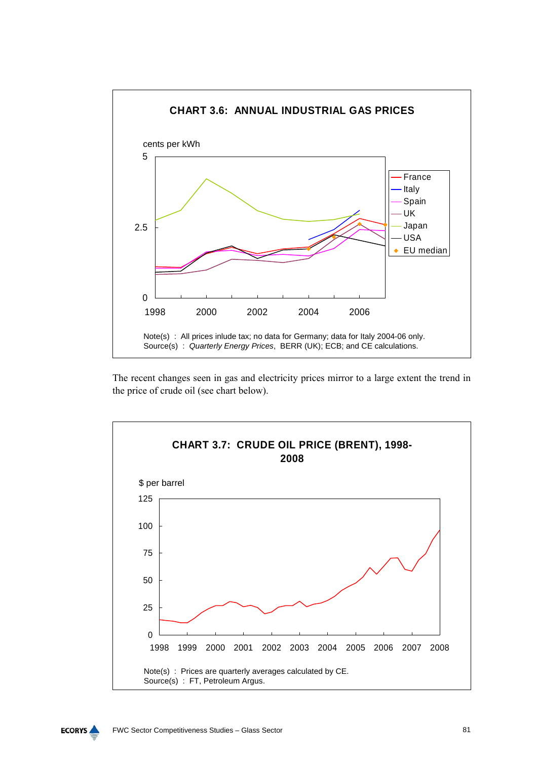![](_page_80_Figure_0.jpeg)

The recent changes seen in gas and electricity prices mirror to a large extent the trend in the price of crude oil (see chart below).

![](_page_80_Figure_2.jpeg)

![](_page_80_Figure_3.jpeg)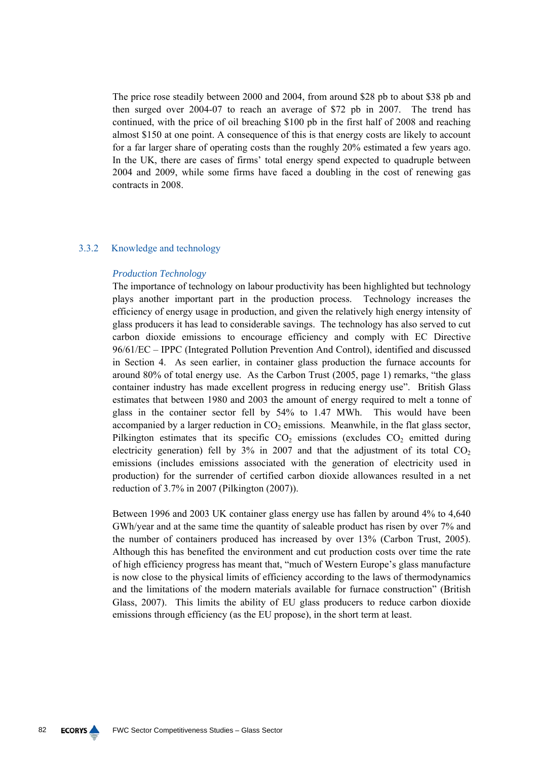The price rose steadily between 2000 and 2004, from around \$28 pb to about \$38 pb and then surged over 2004-07 to reach an average of \$72 pb in 2007. The trend has continued, with the price of oil breaching \$100 pb in the first half of 2008 and reaching almost \$150 at one point. A consequence of this is that energy costs are likely to account for a far larger share of operating costs than the roughly 20% estimated a few years ago. In the UK, there are cases of firms' total energy spend expected to quadruple between 2004 and 2009, while some firms have faced a doubling in the cost of renewing gas contracts in 2008.

## 3.3.2 Knowledge and technology

### *Production Technology*

The importance of technology on labour productivity has been highlighted but technology plays another important part in the production process. Technology increases the efficiency of energy usage in production, and given the relatively high energy intensity of glass producers it has lead to considerable savings. The technology has also served to cut carbon dioxide emissions to encourage efficiency and comply with EC Directive 96/61/EC – IPPC (Integrated Pollution Prevention And Control), identified and discussed in Section 4. As seen earlier, in container glass production the furnace accounts for around 80% of total energy use. As the Carbon Trust (2005, page 1) remarks, "the glass container industry has made excellent progress in reducing energy use". British Glass estimates that between 1980 and 2003 the amount of energy required to melt a tonne of glass in the container sector fell by 54% to 1.47 MWh. This would have been accompanied by a larger reduction in  $CO<sub>2</sub>$  emissions. Meanwhile, in the flat glass sector, Pilkington estimates that its specific  $CO<sub>2</sub>$  emissions (excludes  $CO<sub>2</sub>$  emitted during electricity generation) fell by  $3\%$  in 2007 and that the adjustment of its total  $CO<sub>2</sub>$ emissions (includes emissions associated with the generation of electricity used in production) for the surrender of certified carbon dioxide allowances resulted in a net reduction of 3.7% in 2007 (Pilkington (2007)).

Between 1996 and 2003 UK container glass energy use has fallen by around 4% to 4,640 GWh/year and at the same time the quantity of saleable product has risen by over 7% and the number of containers produced has increased by over 13% (Carbon Trust, 2005). Although this has benefited the environment and cut production costs over time the rate of high efficiency progress has meant that, "much of Western Europe's glass manufacture is now close to the physical limits of efficiency according to the laws of thermodynamics and the limitations of the modern materials available for furnace construction" (British Glass, 2007). This limits the ability of EU glass producers to reduce carbon dioxide emissions through efficiency (as the EU propose), in the short term at least.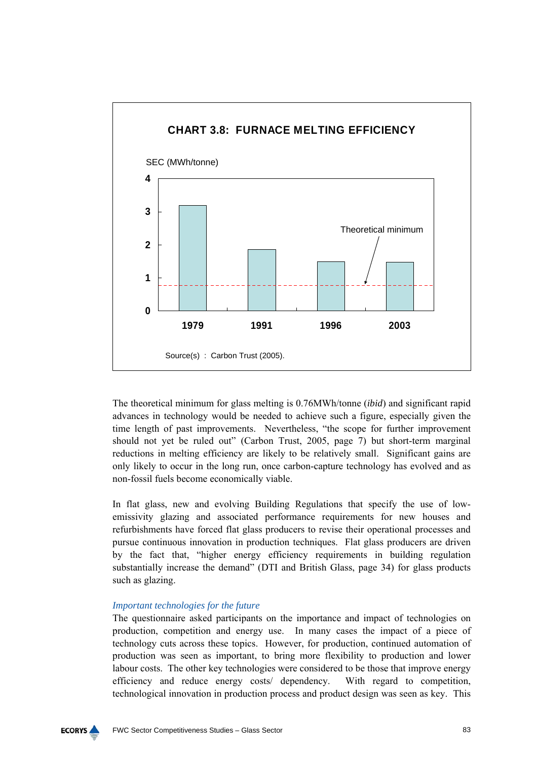![](_page_82_Figure_0.jpeg)

The theoretical minimum for glass melting is 0.76MWh/tonne (*ibid*) and significant rapid advances in technology would be needed to achieve such a figure, especially given the time length of past improvements. Nevertheless, "the scope for further improvement should not yet be ruled out" (Carbon Trust, 2005, page 7) but short-term marginal reductions in melting efficiency are likely to be relatively small. Significant gains are only likely to occur in the long run, once carbon-capture technology has evolved and as non-fossil fuels become economically viable.

In flat glass, new and evolving Building Regulations that specify the use of lowemissivity glazing and associated performance requirements for new houses and refurbishments have forced flat glass producers to revise their operational processes and pursue continuous innovation in production techniques. Flat glass producers are driven by the fact that, "higher energy efficiency requirements in building regulation substantially increase the demand" (DTI and British Glass, page 34) for glass products such as glazing.

# *Important technologies for the future*

The questionnaire asked participants on the importance and impact of technologies on production, competition and energy use. In many cases the impact of a piece of technology cuts across these topics. However, for production, continued automation of production was seen as important, to bring more flexibility to production and lower labour costs. The other key technologies were considered to be those that improve energy efficiency and reduce energy costs/ dependency. With regard to competition, technological innovation in production process and product design was seen as key. This

![](_page_82_Figure_5.jpeg)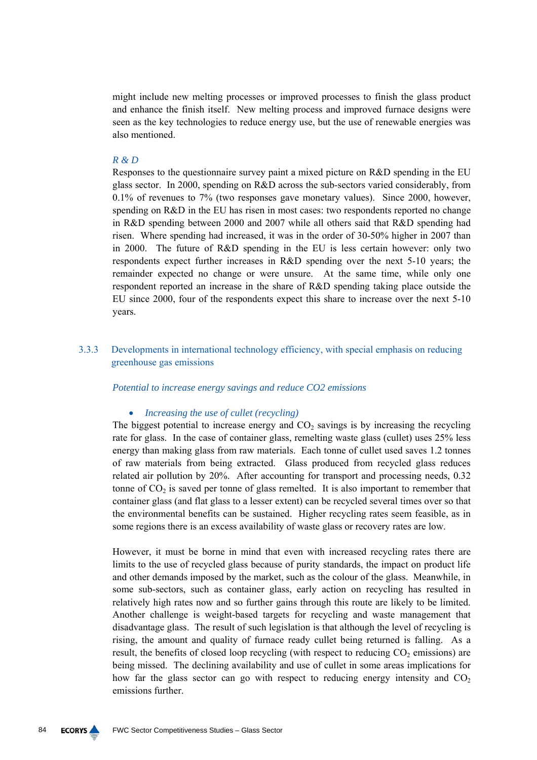might include new melting processes or improved processes to finish the glass product and enhance the finish itself. New melting process and improved furnace designs were seen as the key technologies to reduce energy use, but the use of renewable energies was also mentioned.

#### *R & D*

Responses to the questionnaire survey paint a mixed picture on R&D spending in the EU glass sector. In 2000, spending on R&D across the sub-sectors varied considerably, from 0.1% of revenues to 7% (two responses gave monetary values). Since 2000, however, spending on R&D in the EU has risen in most cases: two respondents reported no change in R&D spending between 2000 and 2007 while all others said that R&D spending had risen. Where spending had increased, it was in the order of 30-50% higher in 2007 than in 2000. The future of R&D spending in the EU is less certain however: only two respondents expect further increases in R&D spending over the next 5-10 years; the remainder expected no change or were unsure. At the same time, while only one respondent reported an increase in the share of R&D spending taking place outside the EU since 2000, four of the respondents expect this share to increase over the next 5-10 years.

3.3.3 Developments in international technology efficiency, with special emphasis on reducing greenhouse gas emissions

## *Potential to increase energy savings and reduce CO2 emissions*

#### • *Increasing the use of cullet (recycling)*

The biggest potential to increase energy and  $CO<sub>2</sub>$  savings is by increasing the recycling rate for glass. In the case of container glass, remelting waste glass (cullet) uses 25% less energy than making glass from raw materials. Each tonne of cullet used saves 1.2 tonnes of raw materials from being extracted. Glass produced from recycled glass reduces related air pollution by 20%. After accounting for transport and processing needs, 0.32 tonne of  $CO<sub>2</sub>$  is saved per tonne of glass remelted. It is also important to remember that container glass (and flat glass to a lesser extent) can be recycled several times over so that the environmental benefits can be sustained. Higher recycling rates seem feasible, as in some regions there is an excess availability of waste glass or recovery rates are low.

However, it must be borne in mind that even with increased recycling rates there are limits to the use of recycled glass because of purity standards, the impact on product life and other demands imposed by the market, such as the colour of the glass. Meanwhile, in some sub-sectors, such as container glass, early action on recycling has resulted in relatively high rates now and so further gains through this route are likely to be limited. Another challenge is weight-based targets for recycling and waste management that disadvantage glass. The result of such legislation is that although the level of recycling is rising, the amount and quality of furnace ready cullet being returned is falling. As a result, the benefits of closed loop recycling (with respect to reducing  $CO<sub>2</sub>$  emissions) are being missed. The declining availability and use of cullet in some areas implications for how far the glass sector can go with respect to reducing energy intensity and  $CO<sub>2</sub>$ emissions further.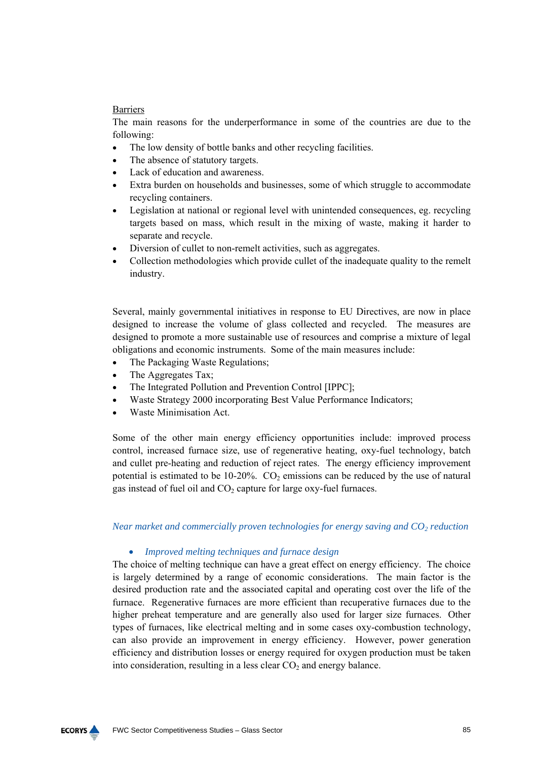# **Barriers**

The main reasons for the underperformance in some of the countries are due to the following:

- The low density of bottle banks and other recycling facilities.
- The absence of statutory targets.
- Lack of education and awareness.
- Extra burden on households and businesses, some of which struggle to accommodate recycling containers.
- Legislation at national or regional level with unintended consequences, eg. recycling targets based on mass, which result in the mixing of waste, making it harder to separate and recycle.
- Diversion of cullet to non-remelt activities, such as aggregates.
- Collection methodologies which provide cullet of the inadequate quality to the remelt industry.

Several, mainly governmental initiatives in response to EU Directives, are now in place designed to increase the volume of glass collected and recycled. The measures are designed to promote a more sustainable use of resources and comprise a mixture of legal obligations and economic instruments. Some of the main measures include:

- The Packaging Waste Regulations;
- The Aggregates Tax;
- The Integrated Pollution and Prevention Control [IPPC];
- Waste Strategy 2000 incorporating Best Value Performance Indicators;
- Waste Minimisation Act.

Some of the other main energy efficiency opportunities include: improved process control, increased furnace size, use of regenerative heating, oxy-fuel technology, batch and cullet pre-heating and reduction of reject rates. The energy efficiency improvement potential is estimated to be 10-20%.  $CO<sub>2</sub>$  emissions can be reduced by the use of natural gas instead of fuel oil and  $CO<sub>2</sub>$  capture for large oxy-fuel furnaces.

*Near market and commercially proven technologies for energy saving and*  $CO<sub>2</sub>$  *reduction* 

# • *Improved melting techniques and furnace design*

The choice of melting technique can have a great effect on energy efficiency. The choice is largely determined by a range of economic considerations. The main factor is the desired production rate and the associated capital and operating cost over the life of the furnace. Regenerative furnaces are more efficient than recuperative furnaces due to the higher preheat temperature and are generally also used for larger size furnaces. Other types of furnaces, like electrical melting and in some cases oxy-combustion technology, can also provide an improvement in energy efficiency. However, power generation efficiency and distribution losses or energy required for oxygen production must be taken into consideration, resulting in a less clear  $CO<sub>2</sub>$  and energy balance.

**ECORYS**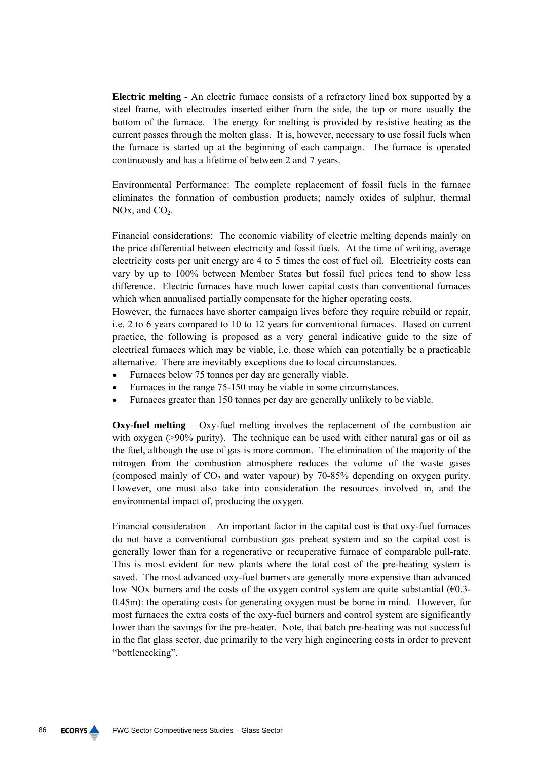**Electric melting** - An electric furnace consists of a refractory lined box supported by a steel frame, with electrodes inserted either from the side, the top or more usually the bottom of the furnace. The energy for melting is provided by resistive heating as the current passes through the molten glass. It is, however, necessary to use fossil fuels when the furnace is started up at the beginning of each campaign. The furnace is operated continuously and has a lifetime of between 2 and 7 years.

Environmental Performance: The complete replacement of fossil fuels in the furnace eliminates the formation of combustion products; namely oxides of sulphur, thermal NOx, and  $CO<sub>2</sub>$ .

Financial considerations: The economic viability of electric melting depends mainly on the price differential between electricity and fossil fuels. At the time of writing, average electricity costs per unit energy are 4 to 5 times the cost of fuel oil. Electricity costs can vary by up to 100% between Member States but fossil fuel prices tend to show less difference. Electric furnaces have much lower capital costs than conventional furnaces which when annualised partially compensate for the higher operating costs.

However, the furnaces have shorter campaign lives before they require rebuild or repair, i.e. 2 to 6 years compared to 10 to 12 years for conventional furnaces. Based on current practice, the following is proposed as a very general indicative guide to the size of electrical furnaces which may be viable, i.e. those which can potentially be a practicable alternative. There are inevitably exceptions due to local circumstances.

- Furnaces below 75 tonnes per day are generally viable.
- Furnaces in the range 75-150 may be viable in some circumstances.
- Furnaces greater than 150 tonnes per day are generally unlikely to be viable.

**Oxy-fuel melting** – Oxy-fuel melting involves the replacement of the combustion air with oxygen (>90% purity). The technique can be used with either natural gas or oil as the fuel, although the use of gas is more common. The elimination of the majority of the nitrogen from the combustion atmosphere reduces the volume of the waste gases (composed mainly of  $CO<sub>2</sub>$  and water vapour) by 70-85% depending on oxygen purity. However, one must also take into consideration the resources involved in, and the environmental impact of, producing the oxygen.

Financial consideration – An important factor in the capital cost is that oxy-fuel furnaces do not have a conventional combustion gas preheat system and so the capital cost is generally lower than for a regenerative or recuperative furnace of comparable pull-rate. This is most evident for new plants where the total cost of the pre-heating system is saved. The most advanced oxy-fuel burners are generally more expensive than advanced low NOx burners and the costs of the oxygen control system are quite substantial  $(60.3-$ 0.45m): the operating costs for generating oxygen must be borne in mind. However, for most furnaces the extra costs of the oxy-fuel burners and control system are significantly lower than the savings for the pre-heater. Note, that batch pre-heating was not successful in the flat glass sector, due primarily to the very high engineering costs in order to prevent "bottlenecking".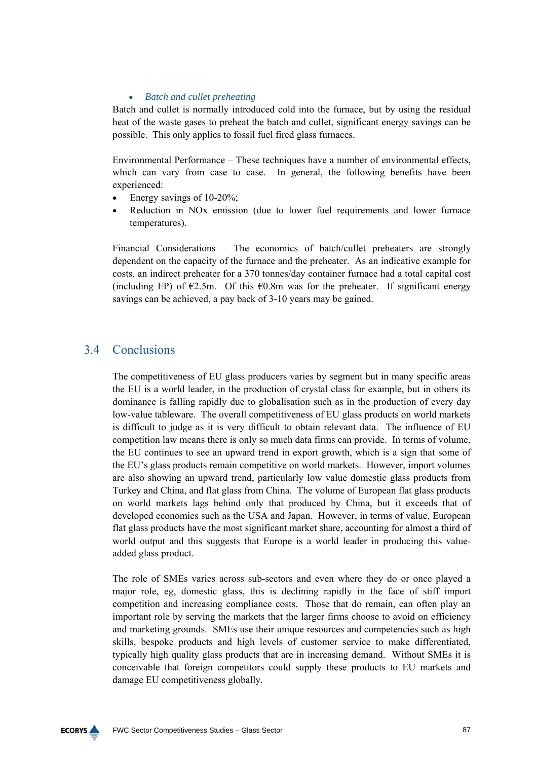# • *Batch and cullet preheating*

Batch and cullet is normally introduced cold into the furnace, but by using the residual heat of the waste gases to preheat the batch and cullet, significant energy savings can be possible. This only applies to fossil fuel fired glass furnaces.

Environmental Performance – These techniques have a number of environmental effects, which can vary from case to case. In general, the following benefits have been experienced:

- Energy savings of 10-20%;
- Reduction in NO<sub>x</sub> emission (due to lower fuel requirements and lower furnace temperatures).

Financial Considerations – The economics of batch/cullet preheaters are strongly dependent on the capacity of the furnace and the preheater. As an indicative example for costs, an indirect preheater for a 370 tonnes/day container furnace had a total capital cost (including EP) of  $E2.5m$ . Of this  $E0.8m$  was for the preheater. If significant energy savings can be achieved, a pay back of 3-10 years may be gained.

# 3.4 Conclusions

The competitiveness of EU glass producers varies by segment but in many specific areas the EU is a world leader, in the production of crystal class for example, but in others its dominance is falling rapidly due to globalisation such as in the production of every day low-value tableware. The overall competitiveness of EU glass products on world markets is difficult to judge as it is very difficult to obtain relevant data. The influence of EU competition law means there is only so much data firms can provide. In terms of volume, the EU continues to see an upward trend in export growth, which is a sign that some of the EU's glass products remain competitive on world markets. However, import volumes are also showing an upward trend, particularly low value domestic glass products from Turkey and China, and flat glass from China. The volume of European flat glass products on world markets lags behind only that produced by China, but it exceeds that of developed economies such as the USA and Japan. However, in terms of value, European flat glass products have the most significant market share, accounting for almost a third of world output and this suggests that Europe is a world leader in producing this valueadded glass product.

The role of SMEs varies across sub-sectors and even where they do or once played a major role, eg, domestic glass, this is declining rapidly in the face of stiff import competition and increasing compliance costs. Those that do remain, can often play an important role by serving the markets that the larger firms choose to avoid on efficiency and marketing grounds. SMEs use their unique resources and competencies such as high skills, bespoke products and high levels of customer service to make differentiated, typically high quality glass products that are in increasing demand. Without SMEs it is conceivable that foreign competitors could supply these products to EU markets and damage EU competitiveness globally.

![](_page_86_Figure_9.jpeg)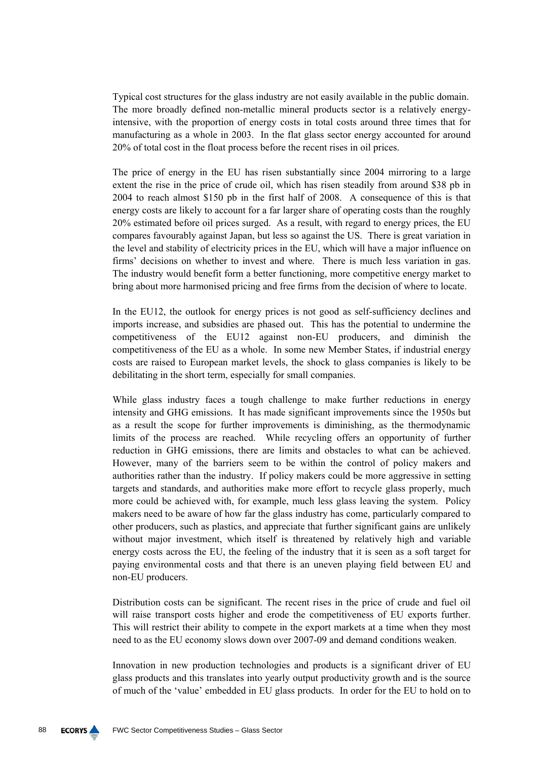Typical cost structures for the glass industry are not easily available in the public domain. The more broadly defined non-metallic mineral products sector is a relatively energyintensive, with the proportion of energy costs in total costs around three times that for manufacturing as a whole in 2003. In the flat glass sector energy accounted for around 20% of total cost in the float process before the recent rises in oil prices.

The price of energy in the EU has risen substantially since 2004 mirroring to a large extent the rise in the price of crude oil, which has risen steadily from around \$38 pb in 2004 to reach almost \$150 pb in the first half of 2008. A consequence of this is that energy costs are likely to account for a far larger share of operating costs than the roughly 20% estimated before oil prices surged. As a result, with regard to energy prices, the EU compares favourably against Japan, but less so against the US. There is great variation in the level and stability of electricity prices in the EU, which will have a major influence on firms' decisions on whether to invest and where. There is much less variation in gas. The industry would benefit form a better functioning, more competitive energy market to bring about more harmonised pricing and free firms from the decision of where to locate.

In the EU12, the outlook for energy prices is not good as self-sufficiency declines and imports increase, and subsidies are phased out. This has the potential to undermine the competitiveness of the EU12 against non-EU producers, and diminish the competitiveness of the EU as a whole. In some new Member States, if industrial energy costs are raised to European market levels, the shock to glass companies is likely to be debilitating in the short term, especially for small companies.

While glass industry faces a tough challenge to make further reductions in energy intensity and GHG emissions. It has made significant improvements since the 1950s but as a result the scope for further improvements is diminishing, as the thermodynamic limits of the process are reached. While recycling offers an opportunity of further reduction in GHG emissions, there are limits and obstacles to what can be achieved. However, many of the barriers seem to be within the control of policy makers and authorities rather than the industry. If policy makers could be more aggressive in setting targets and standards, and authorities make more effort to recycle glass properly, much more could be achieved with, for example, much less glass leaving the system. Policy makers need to be aware of how far the glass industry has come, particularly compared to other producers, such as plastics, and appreciate that further significant gains are unlikely without major investment, which itself is threatened by relatively high and variable energy costs across the EU, the feeling of the industry that it is seen as a soft target for paying environmental costs and that there is an uneven playing field between EU and non-EU producers.

Distribution costs can be significant. The recent rises in the price of crude and fuel oil will raise transport costs higher and erode the competitiveness of EU exports further. This will restrict their ability to compete in the export markets at a time when they most need to as the EU economy slows down over 2007-09 and demand conditions weaken.

Innovation in new production technologies and products is a significant driver of EU glass products and this translates into yearly output productivity growth and is the source of much of the 'value' embedded in EU glass products. In order for the EU to hold on to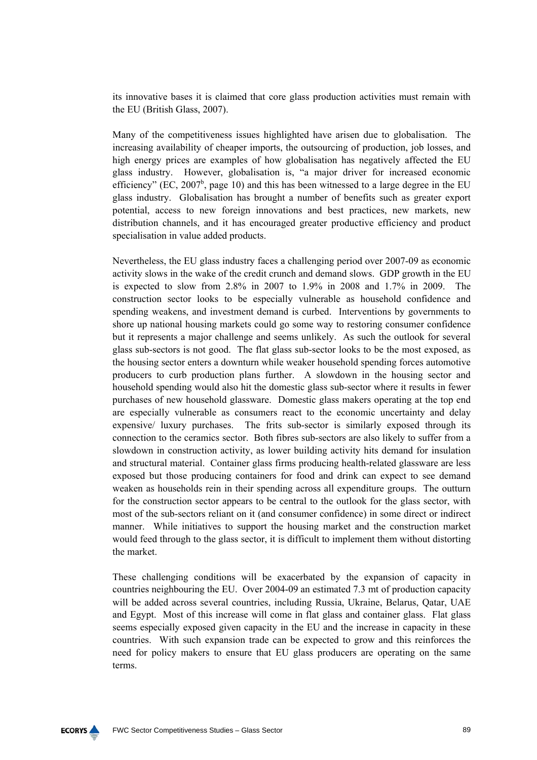its innovative bases it is claimed that core glass production activities must remain with the EU (British Glass, 2007).

Many of the competitiveness issues highlighted have arisen due to globalisation. The increasing availability of cheaper imports, the outsourcing of production, job losses, and high energy prices are examples of how globalisation has negatively affected the EU glass industry. However, globalisation is, "a major driver for increased economic efficiency" (EC,  $2007^b$ , page 10) and this has been witnessed to a large degree in the EU glass industry. Globalisation has brought a number of benefits such as greater export potential, access to new foreign innovations and best practices, new markets, new distribution channels, and it has encouraged greater productive efficiency and product specialisation in value added products.

Nevertheless, the EU glass industry faces a challenging period over 2007-09 as economic activity slows in the wake of the credit crunch and demand slows. GDP growth in the EU is expected to slow from 2.8% in 2007 to 1.9% in 2008 and 1.7% in 2009. The construction sector looks to be especially vulnerable as household confidence and spending weakens, and investment demand is curbed. Interventions by governments to shore up national housing markets could go some way to restoring consumer confidence but it represents a major challenge and seems unlikely. As such the outlook for several glass sub-sectors is not good. The flat glass sub-sector looks to be the most exposed, as the housing sector enters a downturn while weaker household spending forces automotive producers to curb production plans further. A slowdown in the housing sector and household spending would also hit the domestic glass sub-sector where it results in fewer purchases of new household glassware. Domestic glass makers operating at the top end are especially vulnerable as consumers react to the economic uncertainty and delay expensive/ luxury purchases. The frits sub-sector is similarly exposed through its connection to the ceramics sector. Both fibres sub-sectors are also likely to suffer from a slowdown in construction activity, as lower building activity hits demand for insulation and structural material. Container glass firms producing health-related glassware are less exposed but those producing containers for food and drink can expect to see demand weaken as households rein in their spending across all expenditure groups. The outturn for the construction sector appears to be central to the outlook for the glass sector, with most of the sub-sectors reliant on it (and consumer confidence) in some direct or indirect manner. While initiatives to support the housing market and the construction market would feed through to the glass sector, it is difficult to implement them without distorting the market.

These challenging conditions will be exacerbated by the expansion of capacity in countries neighbouring the EU. Over 2004-09 an estimated 7.3 mt of production capacity will be added across several countries, including Russia, Ukraine, Belarus, Qatar, UAE and Egypt. Most of this increase will come in flat glass and container glass. Flat glass seems especially exposed given capacity in the EU and the increase in capacity in these countries. With such expansion trade can be expected to grow and this reinforces the need for policy makers to ensure that EU glass producers are operating on the same terms.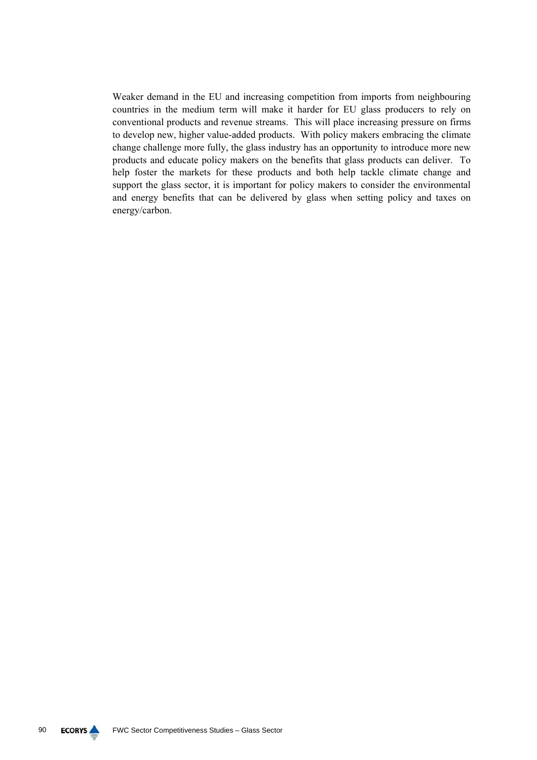Weaker demand in the EU and increasing competition from imports from neighbouring countries in the medium term will make it harder for EU glass producers to rely on conventional products and revenue streams. This will place increasing pressure on firms to develop new, higher value-added products. With policy makers embracing the climate change challenge more fully, the glass industry has an opportunity to introduce more new products and educate policy makers on the benefits that glass products can deliver. To help foster the markets for these products and both help tackle climate change and support the glass sector, it is important for policy makers to consider the environmental and energy benefits that can be delivered by glass when setting policy and taxes on energy/carbon.

![](_page_89_Picture_2.jpeg)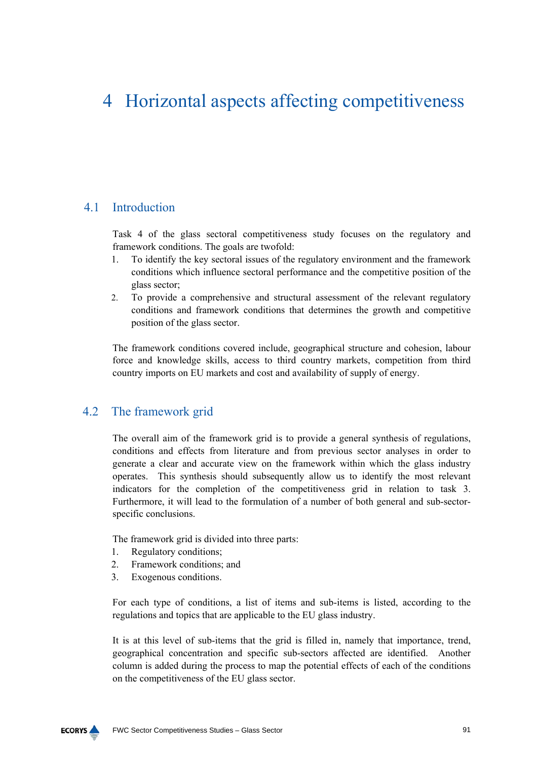# 4 Horizontal aspects affecting competitiveness

# 4.1 Introduction

Task 4 of the glass sectoral competitiveness study focuses on the regulatory and framework conditions. The goals are twofold:

- 1. To identify the key sectoral issues of the regulatory environment and the framework conditions which influence sectoral performance and the competitive position of the glass sector;
- 2. To provide a comprehensive and structural assessment of the relevant regulatory conditions and framework conditions that determines the growth and competitive position of the glass sector.

The framework conditions covered include, geographical structure and cohesion, labour force and knowledge skills, access to third country markets, competition from third country imports on EU markets and cost and availability of supply of energy.

# 4.2 The framework grid

The overall aim of the framework grid is to provide a general synthesis of regulations, conditions and effects from literature and from previous sector analyses in order to generate a clear and accurate view on the framework within which the glass industry operates. This synthesis should subsequently allow us to identify the most relevant indicators for the completion of the competitiveness grid in relation to task 3. Furthermore, it will lead to the formulation of a number of both general and sub-sectorspecific conclusions.

The framework grid is divided into three parts:

- 1. Regulatory conditions;
- 2. Framework conditions; and
- 3. Exogenous conditions.

For each type of conditions, a list of items and sub-items is listed, according to the regulations and topics that are applicable to the EU glass industry.

It is at this level of sub-items that the grid is filled in, namely that importance, trend, geographical concentration and specific sub-sectors affected are identified. Another column is added during the process to map the potential effects of each of the conditions on the competitiveness of the EU glass sector.

![](_page_90_Figure_14.jpeg)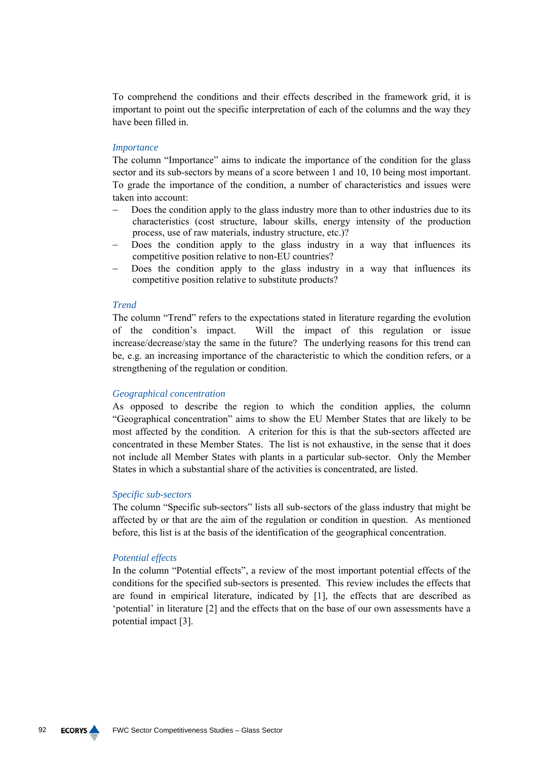To comprehend the conditions and their effects described in the framework grid, it is important to point out the specific interpretation of each of the columns and the way they have been filled in.

#### *Importance*

The column "Importance" aims to indicate the importance of the condition for the glass sector and its sub-sectors by means of a score between 1 and 10, 10 being most important. To grade the importance of the condition, a number of characteristics and issues were taken into account:

- − Does the condition apply to the glass industry more than to other industries due to its characteristics (cost structure, labour skills, energy intensity of the production process, use of raw materials, industry structure, etc.)?
- Does the condition apply to the glass industry in a way that influences its competitive position relative to non-EU countries?
- Does the condition apply to the glass industry in a way that influences its competitive position relative to substitute products?

#### *Trend*

The column "Trend" refers to the expectations stated in literature regarding the evolution of the condition's impact. Will the impact of this regulation or issue increase/decrease/stay the same in the future? The underlying reasons for this trend can be, e.g. an increasing importance of the characteristic to which the condition refers, or a strengthening of the regulation or condition.

# *Geographical concentration*

As opposed to describe the region to which the condition applies, the column "Geographical concentration" aims to show the EU Member States that are likely to be most affected by the condition. A criterion for this is that the sub-sectors affected are concentrated in these Member States. The list is not exhaustive, in the sense that it does not include all Member States with plants in a particular sub-sector. Only the Member States in which a substantial share of the activities is concentrated, are listed.

## *Specific sub-sectors*

The column "Specific sub-sectors" lists all sub-sectors of the glass industry that might be affected by or that are the aim of the regulation or condition in question. As mentioned before, this list is at the basis of the identification of the geographical concentration.

## *Potential effects*

In the column "Potential effects", a review of the most important potential effects of the conditions for the specified sub-sectors is presented. This review includes the effects that are found in empirical literature, indicated by [1], the effects that are described as 'potential' in literature [2] and the effects that on the base of our own assessments have a potential impact [3].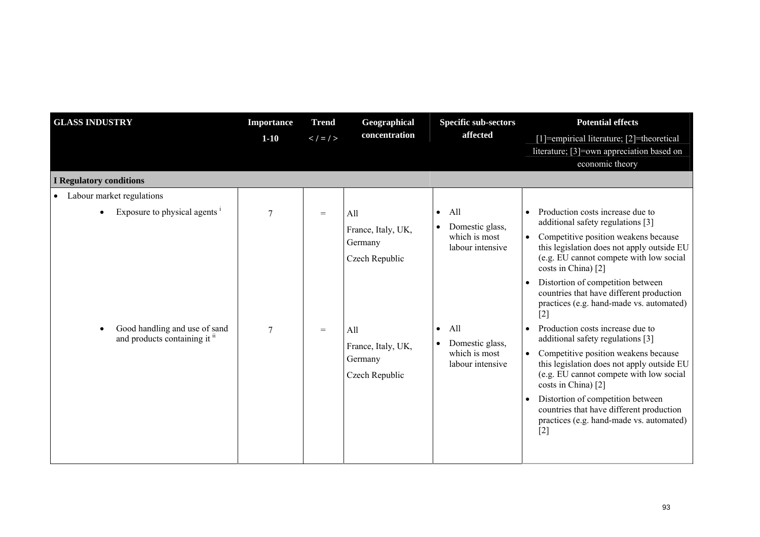| <b>GLASS INDUSTRY</b>                                                                                                                     | <b>Importance</b><br>$1-10$ | <b>Trend</b><br>$\lt$ / $\lt$ / $>$ | Geographical<br>concentration                                                                                    | <b>Specific sub-sectors</b><br>affected                                                                                                                           | <b>Potential effects</b><br>[1]=empirical literature; [2]=theoretical<br>literature; [3]=own appreciation based on<br>economic theory                                                                                                                                                                                                                                                                                                                                                                                                                                                                                                                                                                                                                       |
|-------------------------------------------------------------------------------------------------------------------------------------------|-----------------------------|-------------------------------------|------------------------------------------------------------------------------------------------------------------|-------------------------------------------------------------------------------------------------------------------------------------------------------------------|-------------------------------------------------------------------------------------------------------------------------------------------------------------------------------------------------------------------------------------------------------------------------------------------------------------------------------------------------------------------------------------------------------------------------------------------------------------------------------------------------------------------------------------------------------------------------------------------------------------------------------------------------------------------------------------------------------------------------------------------------------------|
| <b>I Regulatory conditions</b>                                                                                                            |                             |                                     |                                                                                                                  |                                                                                                                                                                   |                                                                                                                                                                                                                                                                                                                                                                                                                                                                                                                                                                                                                                                                                                                                                             |
| • Labour market regulations<br>Exposure to physical agents $\frac{1}{1}$<br>Good handling and use of sand<br>and products containing it " | 7<br>$\tau$                 | $=$<br>$=$                          | All<br>France, Italy, UK,<br>Germany<br>Czech Republic<br>All<br>France, Italy, UK,<br>Germany<br>Czech Republic | All<br>$\bullet$<br>Domestic glass,<br>$\bullet$<br>which is most<br>labour intensive<br>All<br>$\bullet$<br>Domestic glass,<br>which is most<br>labour intensive | Production costs increase due to<br>$\bullet$<br>additional safety regulations [3]<br>Competitive position weakens because<br>this legislation does not apply outside EU<br>(e.g. EU cannot compete with low social<br>costs in China) [2]<br>Distortion of competition between<br>countries that have different production<br>practices (e.g. hand-made vs. automated)<br>$[2]$<br>Production costs increase due to<br>$\bullet$<br>additional safety regulations [3]<br>Competitive position weakens because<br>this legislation does not apply outside EU<br>(e.g. EU cannot compete with low social<br>costs in China) [2]<br>Distortion of competition between<br>countries that have different production<br>practices (e.g. hand-made vs. automated) |
|                                                                                                                                           |                             |                                     |                                                                                                                  |                                                                                                                                                                   | $[2]$                                                                                                                                                                                                                                                                                                                                                                                                                                                                                                                                                                                                                                                                                                                                                       |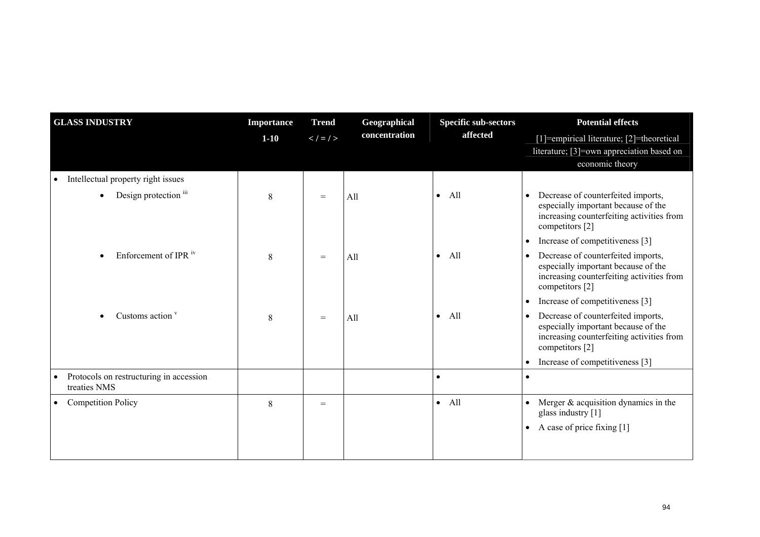| <b>GLASS INDUSTRY</b>                                   | <b>Importance</b> | <b>Trend</b>  | Geographical  | <b>Specific sub-sectors</b> | <b>Potential effects</b>                                                                                                                  |
|---------------------------------------------------------|-------------------|---------------|---------------|-----------------------------|-------------------------------------------------------------------------------------------------------------------------------------------|
|                                                         | $1-10$            | $\lt$ / = / > | concentration | affected                    | [1]=empirical literature; [2]=theoretical                                                                                                 |
|                                                         |                   |               |               |                             | literature; [3]=own appreciation based on                                                                                                 |
|                                                         |                   |               |               |                             | economic theory                                                                                                                           |
| Intellectual property right issues                      |                   |               |               |                             |                                                                                                                                           |
| Design protection iii                                   | 8                 | $=$           | All           | All<br>$\bullet$            | Decrease of counterfeited imports,<br>especially important because of the<br>increasing counterfeiting activities from<br>competitors [2] |
|                                                         |                   |               |               |                             | Increase of competitiveness [3]<br>$\bullet$                                                                                              |
| Enforcement of IPR iv                                   | 8                 | $=$           | All           | All<br>$\bullet$            | Decrease of counterfeited imports,<br>especially important because of the<br>increasing counterfeiting activities from<br>competitors [2] |
|                                                         |                   |               |               |                             | Increase of competitiveness [3]<br>$\bullet$                                                                                              |
| Customs action '                                        | 8                 | $=$           | All           | All<br>$\bullet$            | Decrease of counterfeited imports,<br>especially important because of the<br>increasing counterfeiting activities from<br>competitors [2] |
|                                                         |                   |               |               |                             | Increase of competitiveness [3]                                                                                                           |
| Protocols on restructuring in accession<br>treaties NMS |                   |               |               | $\bullet$                   |                                                                                                                                           |
| <b>Competition Policy</b><br>$\bullet$                  | 8                 | $=$           |               | All<br>$\bullet$            | Merger $\&$ acquisition dynamics in the<br>glass industry [1]                                                                             |
|                                                         |                   |               |               |                             | A case of price fixing [1]<br>$\bullet$                                                                                                   |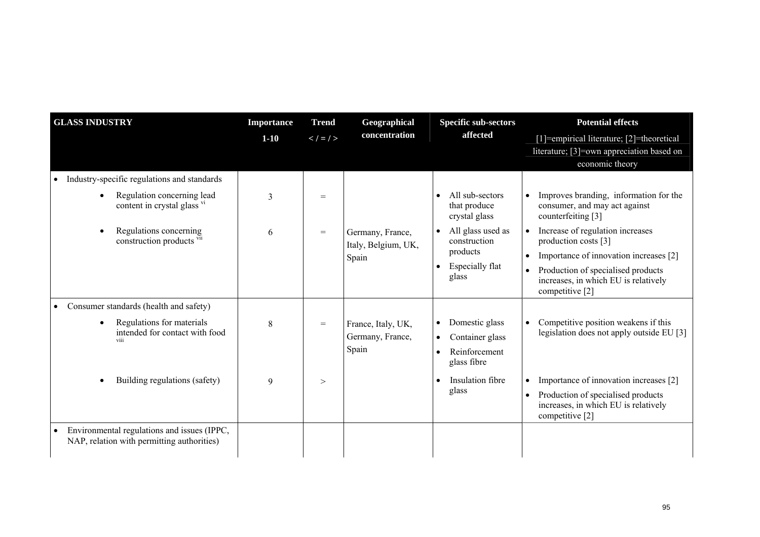| <b>GLASS INDUSTRY</b>                                                                                                                                                       | <b>Importance</b><br>$1 - 10$ | <b>Trend</b><br>$\lt$ / $\lt$ / $>$ | Geographical<br>concentration                    | <b>Specific sub-sectors</b><br>affected                                                                                              | <b>Potential effects</b><br>[1]=empirical literature; [2]=theoretical                                                                                                                                                                                                                                       |
|-----------------------------------------------------------------------------------------------------------------------------------------------------------------------------|-------------------------------|-------------------------------------|--------------------------------------------------|--------------------------------------------------------------------------------------------------------------------------------------|-------------------------------------------------------------------------------------------------------------------------------------------------------------------------------------------------------------------------------------------------------------------------------------------------------------|
|                                                                                                                                                                             |                               |                                     |                                                  |                                                                                                                                      | literature; [3]=own appreciation based on<br>economic theory                                                                                                                                                                                                                                                |
| Industry-specific regulations and standards<br>$\bullet$<br>Regulation concerning lead<br>content in crystal glass vi<br>Regulations concerning<br>construction products vi | 3<br>6                        | $=$<br>$=$                          | Germany, France,<br>Italy, Belgium, UK,<br>Spain | All sub-sectors<br>that produce<br>crystal glass<br>All glass used as<br>construction<br>products<br><b>Especially flat</b><br>glass | Improves branding, information for the<br>consumer, and may act against<br>counterfeiting [3]<br>Increase of regulation increases<br>production costs [3]<br>Importance of innovation increases [2]<br>$\bullet$<br>Production of specialised products<br>$\bullet$<br>increases, in which EU is relatively |
| Consumer standards (health and safety)<br>$\bullet$<br>Regulations for materials<br>intended for contact with food<br>viii                                                  | 8                             | $=$                                 | France, Italy, UK,<br>Germany, France,<br>Spain  | Domestic glass<br>$\bullet$<br>Container glass<br>$\bullet$<br>Reinforcement<br>glass fibre                                          | competitive [2]<br>Competitive position weakens if this<br>legislation does not apply outside EU [3]                                                                                                                                                                                                        |
| Building regulations (safety)                                                                                                                                               | 9                             | >                                   |                                                  | Insulation fibre<br>glass                                                                                                            | Importance of innovation increases [2]<br>$\bullet$<br>Production of specialised products<br>$\bullet$<br>increases, in which EU is relatively<br>competitive [2]                                                                                                                                           |
| Environmental regulations and issues (IPPC,<br>$\bullet$<br>NAP, relation with permitting authorities)                                                                      |                               |                                     |                                                  |                                                                                                                                      |                                                                                                                                                                                                                                                                                                             |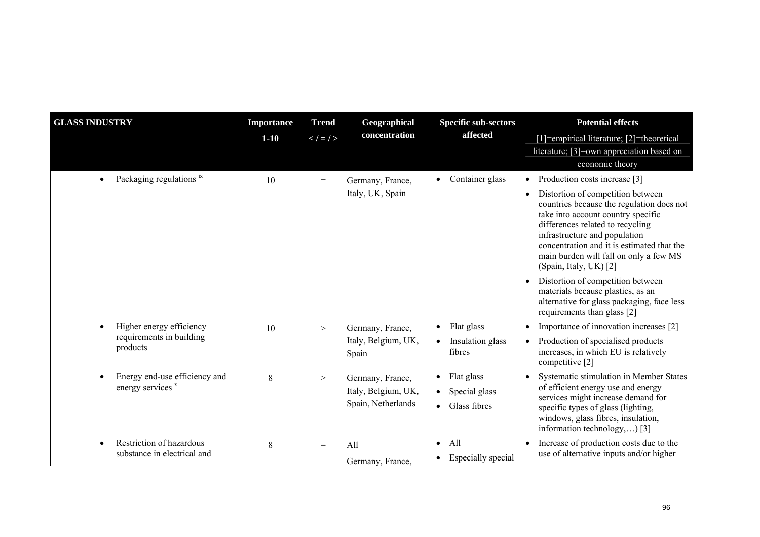| <b>GLASS INDUSTRY</b>                                   | <b>Importance</b> | <b>Trend</b><br>Geographical |                                                               | <b>Specific sub-sectors</b>                                           | <b>Potential effects</b>                                                                                                                                                                                                                                                                                    |
|---------------------------------------------------------|-------------------|------------------------------|---------------------------------------------------------------|-----------------------------------------------------------------------|-------------------------------------------------------------------------------------------------------------------------------------------------------------------------------------------------------------------------------------------------------------------------------------------------------------|
|                                                         | $1 - 10$          | $\lt$ / $=$ / $>$            | concentration                                                 | affected                                                              | [1]=empirical literature; [2]=theoretical                                                                                                                                                                                                                                                                   |
|                                                         |                   |                              |                                                               |                                                                       | literature; [3]=own appreciation based on<br>economic theory                                                                                                                                                                                                                                                |
| Packaging regulations ix                                | 10                | $=$                          | Germany, France,                                              | Container glass                                                       | Production costs increase [3]<br>$\bullet$                                                                                                                                                                                                                                                                  |
|                                                         |                   |                              | Italy, UK, Spain                                              |                                                                       | Distortion of competition between<br>countries because the regulation does not<br>take into account country specific<br>differences related to recycling<br>infrastructure and population<br>concentration and it is estimated that the<br>main burden will fall on only a few MS<br>(Spain, Italy, UK) [2] |
|                                                         |                   |                              |                                                               |                                                                       | Distortion of competition between<br>$\bullet$<br>materials because plastics, as an<br>alternative for glass packaging, face less<br>requirements than glass [2]                                                                                                                                            |
| Higher energy efficiency                                | 10                | $\geq$                       | Germany, France,                                              | Flat glass                                                            | Importance of innovation increases [2]<br>$\bullet$                                                                                                                                                                                                                                                         |
| requirements in building<br>products                    |                   |                              | Italy, Belgium, UK,<br>Spain                                  | Insulation glass<br>fibres                                            | Production of specialised products<br>$\bullet$<br>increases, in which EU is relatively<br>competitive [2]                                                                                                                                                                                                  |
| Energy end-use efficiency and<br>energy services x      | 8                 | $\,>$                        | Germany, France,<br>Italy, Belgium, UK,<br>Spain, Netherlands | Flat glass<br>Special glass<br>$\bullet$<br>Glass fibres<br>$\bullet$ | Systematic stimulation in Member States<br>of efficient energy use and energy<br>services might increase demand for<br>specific types of glass (lighting,<br>windows, glass fibres, insulation,<br>information technology,) [3]                                                                             |
| Restriction of hazardous<br>substance in electrical and | 8                 | $=$                          | All<br>Germany, France,                                       | All<br>$\bullet$<br>Especially special                                | Increase of production costs due to the<br>use of alternative inputs and/or higher                                                                                                                                                                                                                          |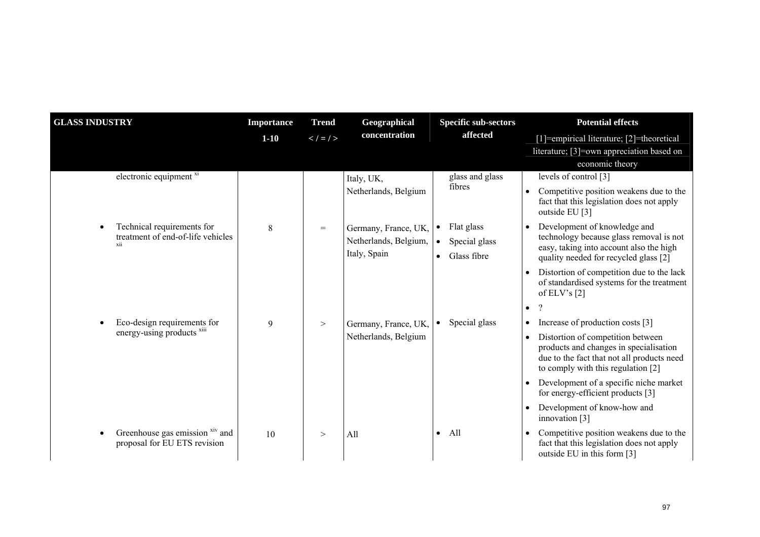| <b>GLASS INDUSTRY</b>                                           | <b>Importance</b> | <b>Trend</b>  | Geographical                          | <b>Specific sub-sectors</b>                            | <b>Potential effects</b>                                                                                                                                                     |
|-----------------------------------------------------------------|-------------------|---------------|---------------------------------------|--------------------------------------------------------|------------------------------------------------------------------------------------------------------------------------------------------------------------------------------|
|                                                                 | $1 - 10$          | $\lt$ / = / > | concentration                         | affected                                               | [1]=empirical literature; [2]=theoretical                                                                                                                                    |
|                                                                 |                   |               |                                       |                                                        | literature; [3]=own appreciation based on                                                                                                                                    |
|                                                                 |                   |               |                                       |                                                        | economic theory                                                                                                                                                              |
| electronic equipment <sup>xi</sup>                              |                   |               | Italy, UK,                            | glass and glass                                        | levels of control [3]                                                                                                                                                        |
|                                                                 |                   |               | Netherlands, Belgium                  | fibres                                                 | Competitive position weakens due to the<br>fact that this legislation does not apply<br>outside EU [3]                                                                       |
| Technical requirements for                                      | 8                 | $=$           | Germany, France, UK,                  | Flat glass<br>$\bullet$                                | Development of knowledge and                                                                                                                                                 |
| treatment of end-of-life vehicles<br>xii                        |                   |               | Netherlands, Belgium,<br>Italy, Spain | Special glass<br>$\bullet$<br>Glass fibre<br>$\bullet$ | technology because glass removal is not<br>easy, taking into account also the high<br>quality needed for recycled glass [2]                                                  |
|                                                                 |                   |               |                                       |                                                        | Distortion of competition due to the lack<br>$\bullet$<br>of standardised systems for the treatment<br>of ELV's $[2]$                                                        |
|                                                                 |                   |               |                                       |                                                        | $\gamma$<br>$\bullet$                                                                                                                                                        |
| Eco-design requirements for                                     | 9                 | $\rm{~>}$     | Germany, France, UK,                  | Special glass<br>$\bullet$                             | Increase of production costs [3]<br>$\bullet$                                                                                                                                |
| energy-using products xiii                                      |                   |               | Netherlands, Belgium                  |                                                        | Distortion of competition between<br>$\bullet$<br>products and changes in specialisation<br>due to the fact that not all products need<br>to comply with this regulation [2] |
|                                                                 |                   |               |                                       |                                                        | Development of a specific niche market<br>for energy-efficient products [3]                                                                                                  |
|                                                                 |                   |               |                                       |                                                        | Development of know-how and<br>innovation $[3]$                                                                                                                              |
| Greenhouse gas emission xiv and<br>proposal for EU ETS revision | 10                | $\rm{>}$      | All                                   | All<br>$\bullet$                                       | Competitive position weakens due to the<br>fact that this legislation does not apply<br>outside EU in this form [3]                                                          |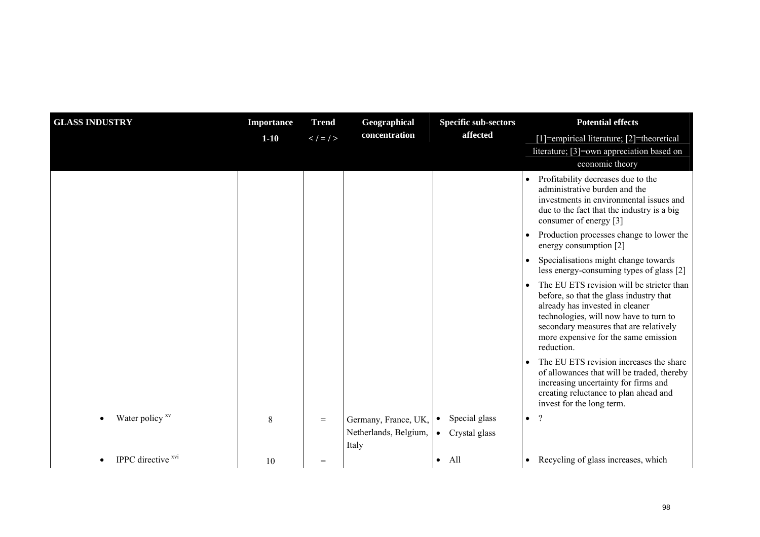| <b>GLASS INDUSTRY</b>                | <b>Importance</b> | <b>Trend</b>  | Geographical                                           | <b>Specific sub-sectors</b>                              | <b>Potential effects</b>                                                                                                                                                                                                                                                       |
|--------------------------------------|-------------------|---------------|--------------------------------------------------------|----------------------------------------------------------|--------------------------------------------------------------------------------------------------------------------------------------------------------------------------------------------------------------------------------------------------------------------------------|
|                                      | $1-10$            | $\lt$ / = / > | concentration                                          | affected                                                 | [1]=empirical literature; [2]=theoretical                                                                                                                                                                                                                                      |
|                                      |                   |               |                                                        |                                                          | literature; [3]=own appreciation based on<br>economic theory                                                                                                                                                                                                                   |
|                                      |                   |               |                                                        |                                                          | Profitability decreases due to the<br>$\bullet$<br>administrative burden and the<br>investments in environmental issues and<br>due to the fact that the industry is a big<br>consumer of energy [3]                                                                            |
|                                      |                   |               |                                                        |                                                          | Production processes change to lower the<br>energy consumption [2]                                                                                                                                                                                                             |
|                                      |                   |               |                                                        |                                                          | Specialisations might change towards<br>less energy-consuming types of glass [2]                                                                                                                                                                                               |
|                                      |                   |               |                                                        |                                                          | The EU ETS revision will be stricter than<br>$\bullet$<br>before, so that the glass industry that<br>already has invested in cleaner<br>technologies, will now have to turn to<br>secondary measures that are relatively<br>more expensive for the same emission<br>reduction. |
|                                      |                   |               |                                                        |                                                          | The EU ETS revision increases the share<br>$\bullet$<br>of allowances that will be traded, thereby<br>increasing uncertainty for firms and<br>creating reluctance to plan ahead and<br>invest for the long term.                                                               |
| Water policy xv                      | 8                 | $=$           | Germany, France, UK,<br>Netherlands, Belgium,<br>Italy | Special glass<br>$\bullet$<br>Crystal glass<br>$\bullet$ | $\gamma$<br>$\bullet$                                                                                                                                                                                                                                                          |
| <b>IPPC</b> directive <sup>xvi</sup> | 10                | $=$           |                                                        | All                                                      | Recycling of glass increases, which<br>$\bullet$                                                                                                                                                                                                                               |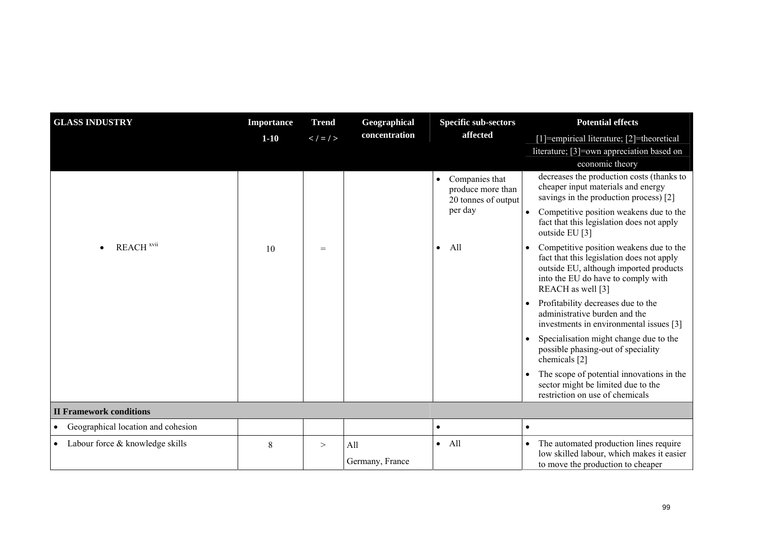| <b>GLASS INDUSTRY</b>              | <b>Importance</b> | <b>Trend</b>  | Geographical    | <b>Specific sub-sectors</b>                                             | <b>Potential effects</b>                                                                                                                                                                  |
|------------------------------------|-------------------|---------------|-----------------|-------------------------------------------------------------------------|-------------------------------------------------------------------------------------------------------------------------------------------------------------------------------------------|
|                                    | $1 - 10$          | $\lt$ / = / > | concentration   | affected                                                                | [1]=empirical literature; [2]=theoretical                                                                                                                                                 |
|                                    |                   |               |                 |                                                                         | literature; [3]=own appreciation based on<br>economic theory                                                                                                                              |
|                                    |                   |               |                 | Companies that<br>$\bullet$<br>produce more than<br>20 tonnes of output | decreases the production costs (thanks to<br>cheaper input materials and energy<br>savings in the production process) [2]                                                                 |
|                                    |                   |               |                 | per day                                                                 | Competitive position weakens due to the<br>fact that this legislation does not apply<br>outside EU [3]                                                                                    |
| REACH <sup>xvii</sup>              | 10                | $=$           |                 | All<br>$\bullet$                                                        | Competitive position weakens due to the<br>fact that this legislation does not apply<br>outside EU, although imported products<br>into the EU do have to comply with<br>REACH as well [3] |
|                                    |                   |               |                 |                                                                         | Profitability decreases due to the<br>$\bullet$<br>administrative burden and the<br>investments in environmental issues [3]                                                               |
|                                    |                   |               |                 |                                                                         | Specialisation might change due to the<br>possible phasing-out of speciality<br>chemicals [2]                                                                                             |
|                                    |                   |               |                 |                                                                         | The scope of potential innovations in the<br>sector might be limited due to the<br>restriction on use of chemicals                                                                        |
| <b>II Framework conditions</b>     |                   |               |                 |                                                                         |                                                                                                                                                                                           |
| Geographical location and cohesion |                   |               |                 | $\bullet$                                                               | $\bullet$                                                                                                                                                                                 |
| Labour force & knowledge skills    | 8                 | >             | All             | All<br>$\bullet$                                                        | The automated production lines require<br>$\bullet$<br>low skilled labour, which makes it easier                                                                                          |
|                                    |                   |               | Germany, France |                                                                         | to move the production to cheaper                                                                                                                                                         |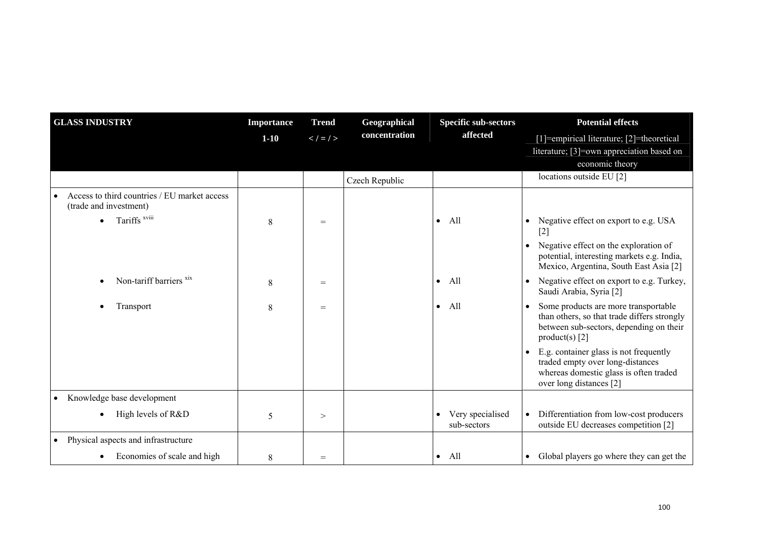| <b>GLASS INDUSTRY</b>                                                  | <b>Importance</b> | <b>Trend</b>        | Geographical   | <b>Specific sub-sectors</b>                  | <b>Potential effects</b>                                                                                                                           |
|------------------------------------------------------------------------|-------------------|---------------------|----------------|----------------------------------------------|----------------------------------------------------------------------------------------------------------------------------------------------------|
|                                                                        | $1-10$            | $\lt$ / $\lt$ / $>$ | concentration  | affected                                     | [1]=empirical literature; [2]=theoretical                                                                                                          |
|                                                                        |                   |                     |                |                                              | literature; [3]=own appreciation based on                                                                                                          |
|                                                                        |                   |                     |                |                                              | economic theory                                                                                                                                    |
|                                                                        |                   |                     | Czech Republic |                                              | locations outside EU [2]                                                                                                                           |
| Access to third countries / EU market access<br>(trade and investment) |                   |                     |                |                                              |                                                                                                                                                    |
| Tariffs <sup>xviii</sup>                                               | 8                 | $=$                 |                | All<br>$\bullet$                             | Negative effect on export to e.g. USA<br>$[2]$                                                                                                     |
|                                                                        |                   |                     |                |                                              | Negative effect on the exploration of<br>potential, interesting markets e.g. India,<br>Mexico, Argentina, South East Asia [2]                      |
| Non-tariff barriers <sup>xix</sup>                                     | 8                 | $=$                 |                | - All<br>$\bullet$                           | Negative effect on export to e.g. Turkey,<br>Saudi Arabia, Syria [2]                                                                               |
| Transport                                                              | 8                 | $=$                 |                | All<br>$\bullet$                             | Some products are more transportable<br>than others, so that trade differs strongly<br>between sub-sectors, depending on their<br>product(s) $[2]$ |
|                                                                        |                   |                     |                |                                              | E.g. container glass is not frequently<br>traded empty over long-distances<br>whereas domestic glass is often traded<br>over long distances [2]    |
| Knowledge base development<br>$\bullet$                                |                   |                     |                |                                              |                                                                                                                                                    |
| High levels of R&D                                                     | 5                 | >                   |                | Very specialised<br>$\bullet$<br>sub-sectors | Differentiation from low-cost producers<br>outside EU decreases competition [2]                                                                    |
| Physical aspects and infrastructure<br>$\bullet$                       |                   |                     |                |                                              |                                                                                                                                                    |
| Economies of scale and high                                            | 8                 | $=$                 |                | $\bullet$ All                                | • Global players go where they can get the                                                                                                         |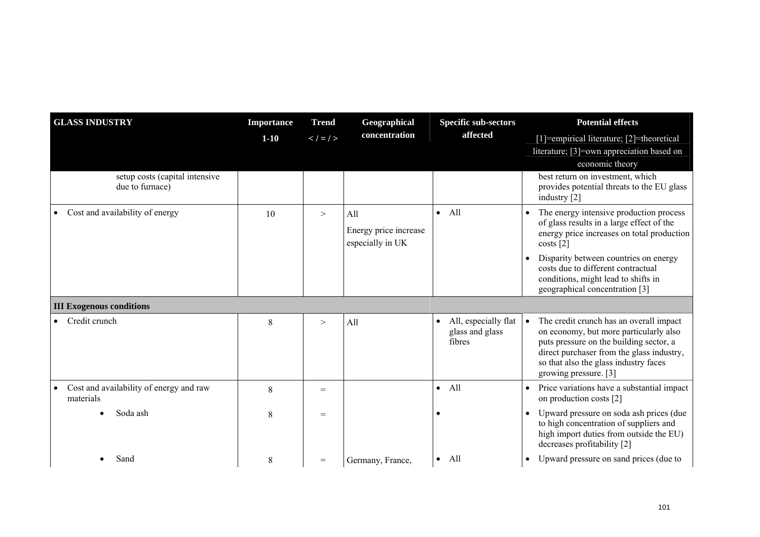| <b>GLASS INDUSTRY</b>                                | <b>Importance</b> | <b>Trend</b>        | Geographical                                     | <b>Specific sub-sectors</b>                            | <b>Potential effects</b>                                                                                                                                                                                                                    |
|------------------------------------------------------|-------------------|---------------------|--------------------------------------------------|--------------------------------------------------------|---------------------------------------------------------------------------------------------------------------------------------------------------------------------------------------------------------------------------------------------|
|                                                      | $1 - 10$          | $\lt$ / $\lt$ / $>$ | concentration                                    | affected                                               | [1]=empirical literature; [2]=theoretical                                                                                                                                                                                                   |
|                                                      |                   |                     |                                                  |                                                        | literature; [3]=own appreciation based on                                                                                                                                                                                                   |
|                                                      |                   |                     |                                                  |                                                        | economic theory                                                                                                                                                                                                                             |
| setup costs (capital intensive<br>due to furnace)    |                   |                     |                                                  |                                                        | best return on investment, which<br>provides potential threats to the EU glass<br>industry [2]                                                                                                                                              |
| Cost and availability of energy                      | 10                | $\geq$              | All<br>Energy price increase<br>especially in UK | All<br>$\bullet$                                       | The energy intensive production process<br>of glass results in a large effect of the<br>energy price increases on total production<br>costs [2]                                                                                             |
|                                                      |                   |                     |                                                  |                                                        | Disparity between countries on energy<br>costs due to different contractual<br>conditions, might lead to shifts in<br>geographical concentration [3]                                                                                        |
| <b>III Exogenous conditions</b>                      |                   |                     |                                                  |                                                        |                                                                                                                                                                                                                                             |
| Credit crunch                                        | 8                 | $\geq$              | All                                              | All, especially flat<br>٠<br>glass and glass<br>fibres | The credit crunch has an overall impact<br>on economy, but more particularly also<br>puts pressure on the building sector, a<br>direct purchaser from the glass industry,<br>so that also the glass industry faces<br>growing pressure. [3] |
| Cost and availability of energy and raw<br>materials | 8                 | $=$                 |                                                  | All<br>$\bullet$                                       | Price variations have a substantial impact<br>$\bullet$<br>on production costs [2]                                                                                                                                                          |
| Soda ash                                             | 8                 | $=$                 |                                                  |                                                        | Upward pressure on soda ash prices (due<br>to high concentration of suppliers and<br>high import duties from outside the EU)<br>decreases profitability [2]                                                                                 |
| Sand                                                 | 8                 | $=$                 | Germany, France,                                 | All<br>$\bullet$                                       | Upward pressure on sand prices (due to<br>$\bullet$                                                                                                                                                                                         |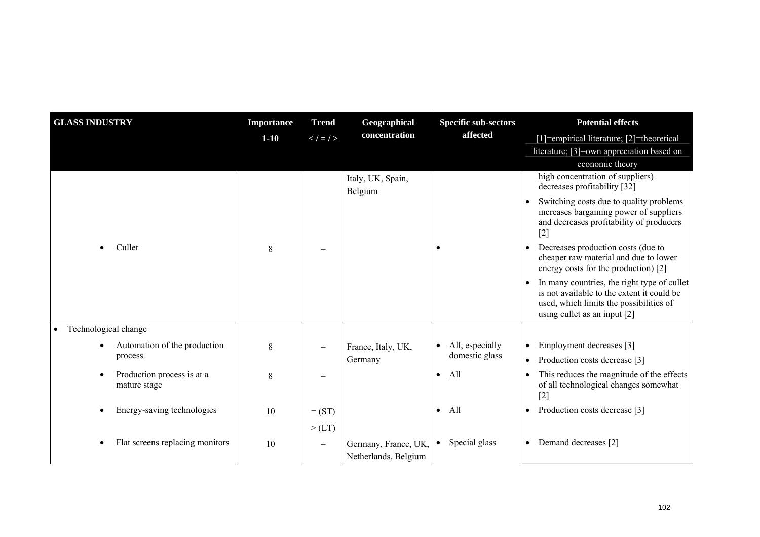| <b>GLASS INDUSTRY</b>                      | <b>Importance</b> | <b>Trend</b>  | Geographical                                 | <b>Specific sub-sectors</b>  | <b>Potential effects</b>                                                                                                                                                            |
|--------------------------------------------|-------------------|---------------|----------------------------------------------|------------------------------|-------------------------------------------------------------------------------------------------------------------------------------------------------------------------------------|
|                                            | $1-10$            | $\lt$ / = / > | concentration                                | affected                     | [1]=empirical literature; [2]=theoretical                                                                                                                                           |
|                                            |                   |               |                                              |                              | literature; [3]=own appreciation based on                                                                                                                                           |
|                                            |                   |               |                                              |                              | economic theory                                                                                                                                                                     |
|                                            |                   |               | Italy, UK, Spain,<br>Belgium                 |                              | high concentration of suppliers)<br>decreases profitability [32]                                                                                                                    |
|                                            |                   |               |                                              |                              | Switching costs due to quality problems<br>increases bargaining power of suppliers<br>and decreases profitability of producers<br>$[2]$                                             |
| Cullet                                     | 8                 | $=$           |                                              |                              | Decreases production costs (due to<br>cheaper raw material and due to lower<br>energy costs for the production) [2]                                                                 |
|                                            |                   |               |                                              |                              | In many countries, the right type of cullet<br>$\bullet$<br>is not available to the extent it could be<br>used, which limits the possibilities of<br>using cullet as an input $[2]$ |
| Technological change<br>$\bullet$          |                   |               |                                              |                              |                                                                                                                                                                                     |
| Automation of the production               | 8                 | $=$           | France, Italy, UK,                           | All, especially<br>$\bullet$ | Employment decreases [3]<br>$\bullet$                                                                                                                                               |
| process                                    |                   |               | Germany                                      | domestic glass               | Production costs decrease [3]<br>$\bullet$                                                                                                                                          |
| Production process is at a<br>mature stage | 8                 | $=$           |                                              | All<br>$\bullet$             | This reduces the magnitude of the effects<br>of all technological changes somewhat<br>$[2]$                                                                                         |
| Energy-saving technologies                 | 10                | $=$ (ST)      |                                              | All<br>$\bullet$             | Production costs decrease [3]<br>$\bullet$                                                                                                                                          |
|                                            |                   | >(LT)         |                                              |                              |                                                                                                                                                                                     |
| Flat screens replacing monitors            | 10                | $=$           | Germany, France, UK,<br>Netherlands, Belgium | Special glass<br>$\bullet$   | Demand decreases [2]<br>$\bullet$                                                                                                                                                   |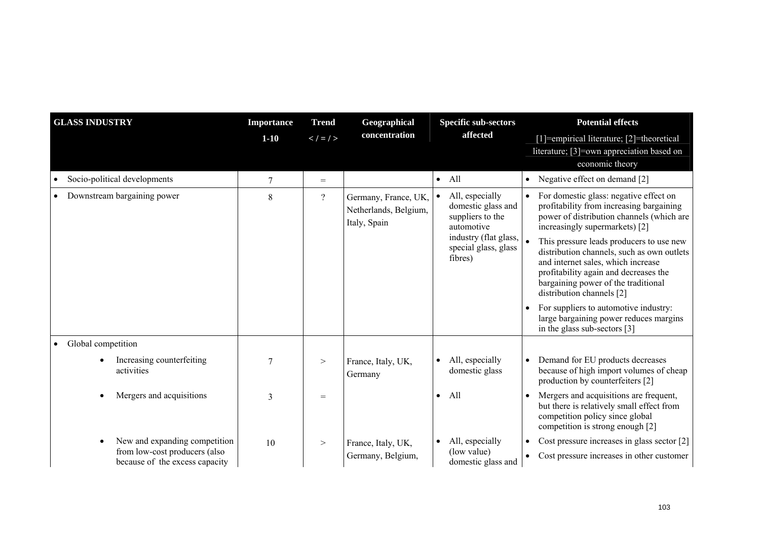| <b>GLASS INDUSTRY</b>                                           | <b>Importance</b> | <b>Trend</b>   | Geographical                                                  | <b>Specific sub-sectors</b>                                                                                                                      | <b>Potential effects</b>                                                                                                                                                                                                                                                                                                                                                                                                                                                                          |
|-----------------------------------------------------------------|-------------------|----------------|---------------------------------------------------------------|--------------------------------------------------------------------------------------------------------------------------------------------------|---------------------------------------------------------------------------------------------------------------------------------------------------------------------------------------------------------------------------------------------------------------------------------------------------------------------------------------------------------------------------------------------------------------------------------------------------------------------------------------------------|
|                                                                 | $1 - 10$          | $\lt$ / = / >  | concentration                                                 | affected                                                                                                                                         | [1]=empirical literature; [2]=theoretical                                                                                                                                                                                                                                                                                                                                                                                                                                                         |
|                                                                 |                   |                |                                                               |                                                                                                                                                  | literature; [3]=own appreciation based on<br>economic theory                                                                                                                                                                                                                                                                                                                                                                                                                                      |
| Socio-political developments<br>$\bullet$                       | $\overline{7}$    | $=$            |                                                               | $\bullet$ All                                                                                                                                    | Negative effect on demand [2]<br>$\bullet$                                                                                                                                                                                                                                                                                                                                                                                                                                                        |
| Downstream bargaining power                                     | 8                 | $\overline{?}$ | Germany, France, UK,<br>Netherlands, Belgium,<br>Italy, Spain | All, especially<br>$\bullet$<br>domestic glass and<br>suppliers to the<br>automotive<br>industry (flat glass,<br>special glass, glass<br>fibres) | For domestic glass: negative effect on<br>profitability from increasing bargaining<br>power of distribution channels (which are<br>increasingly supermarkets) [2]<br>This pressure leads producers to use new<br>distribution channels, such as own outlets<br>and internet sales, which increase<br>profitability again and decreases the<br>bargaining power of the traditional<br>distribution channels [2]<br>For suppliers to automotive industry:<br>large bargaining power reduces margins |
|                                                                 |                   |                |                                                               |                                                                                                                                                  | in the glass sub-sectors [3]                                                                                                                                                                                                                                                                                                                                                                                                                                                                      |
| Global competition<br>$\bullet$                                 |                   |                |                                                               |                                                                                                                                                  |                                                                                                                                                                                                                                                                                                                                                                                                                                                                                                   |
| Increasing counterfeiting<br>activities                         | $\overline{7}$    | $\geq$         | France, Italy, UK,<br>Germany                                 | All, especially<br>$\bullet$<br>domestic glass                                                                                                   | Demand for EU products decreases<br>because of high import volumes of cheap<br>production by counterfeiters [2]                                                                                                                                                                                                                                                                                                                                                                                   |
| Mergers and acquisitions                                        | 3                 | $=$            |                                                               | All<br>$\bullet$                                                                                                                                 | Mergers and acquisitions are frequent,<br>but there is relatively small effect from<br>competition policy since global<br>competition is strong enough [2]                                                                                                                                                                                                                                                                                                                                        |
| New and expanding competition                                   | 10                | $\geq$         | France, Italy, UK,                                            | All, especially                                                                                                                                  | Cost pressure increases in glass sector [2]                                                                                                                                                                                                                                                                                                                                                                                                                                                       |
| from low-cost producers (also<br>because of the excess capacity |                   |                | Germany, Belgium,                                             | (low value)<br>domestic glass and                                                                                                                | Cost pressure increases in other customer                                                                                                                                                                                                                                                                                                                                                                                                                                                         |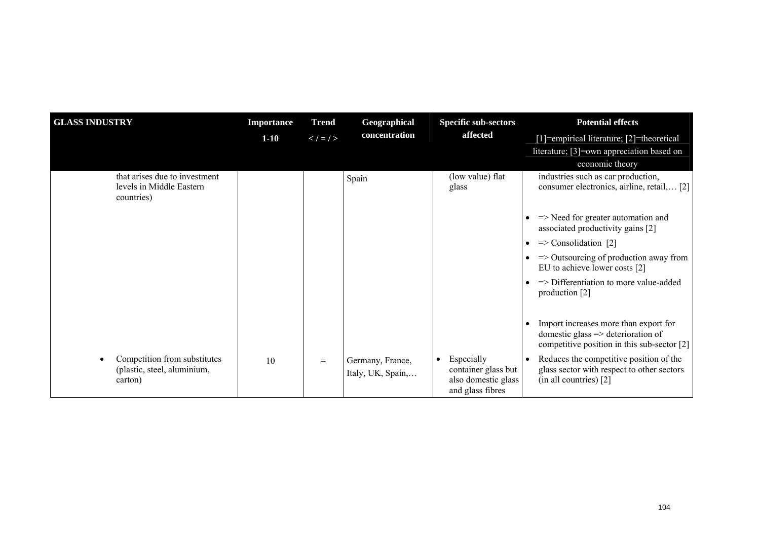| <b>GLASS INDUSTRY</b>                                                   | <b>Importance</b> | <b>Trend</b>        | Geographical                          | <b>Specific sub-sectors</b>                                                  | <b>Potential effects</b>                                                                                                              |
|-------------------------------------------------------------------------|-------------------|---------------------|---------------------------------------|------------------------------------------------------------------------------|---------------------------------------------------------------------------------------------------------------------------------------|
|                                                                         | $1 - 10$          | $\lt$ / $\lt$ / $>$ | concentration                         | affected                                                                     | [1]=empirical literature; [2]=theoretical                                                                                             |
|                                                                         |                   |                     |                                       |                                                                              | literature; [3]=own appreciation based on                                                                                             |
|                                                                         |                   |                     |                                       |                                                                              | economic theory                                                                                                                       |
| that arises due to investment<br>levels in Middle Eastern<br>countries) |                   |                     | Spain                                 | (low value) flat<br>glass                                                    | industries such as car production,<br>consumer electronics, airline, retail, [2]                                                      |
|                                                                         |                   |                     |                                       |                                                                              | $\Rightarrow$ Need for greater automation and<br>associated productivity gains [2]                                                    |
|                                                                         |                   |                     |                                       |                                                                              | $\Rightarrow$ Consolidation [2]<br>$\bullet$                                                                                          |
|                                                                         |                   |                     |                                       |                                                                              | $\Rightarrow$ Outsourcing of production away from<br>EU to achieve lower costs [2]                                                    |
|                                                                         |                   |                     |                                       |                                                                              | $\Rightarrow$ Differentiation to more value-added<br>production [2]                                                                   |
|                                                                         |                   |                     |                                       |                                                                              | Import increases more than export for<br>domestic glass $\Rightarrow$ deterioration of<br>competitive position in this sub-sector [2] |
| Competition from substitutes<br>(plastic, steel, aluminium,<br>carton)  | 10                | $=$                 | Germany, France,<br>Italy, UK, Spain, | Especially<br>container glass but<br>also domestic glass<br>and glass fibres | Reduces the competitive position of the<br>$\bullet$<br>glass sector with respect to other sectors<br>(in all countries) [2]          |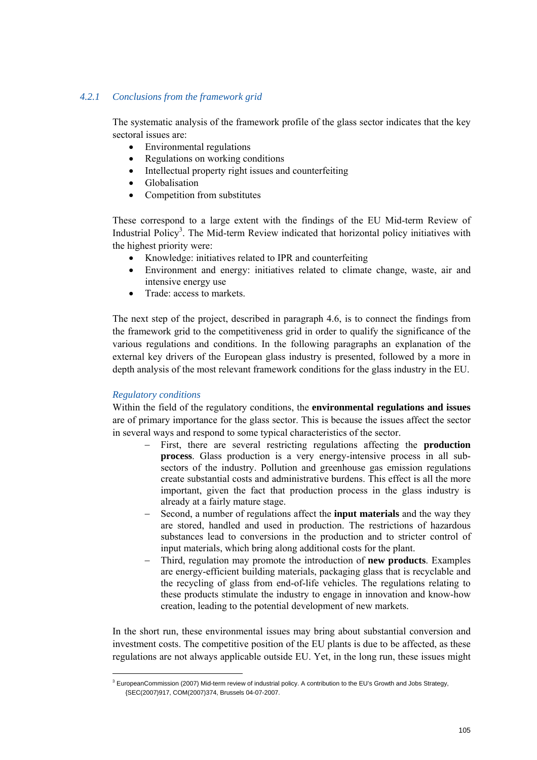# *4.2.1 Conclusions from the framework grid*

The systematic analysis of the framework profile of the glass sector indicates that the key sectoral issues are:

- Environmental regulations
- Regulations on working conditions
- Intellectual property right issues and counterfeiting
- Globalisation
- Competition from substitutes

These correspond to a large extent with the findings of the EU Mid-term Review of Industrial Policy<sup>3</sup>. The Mid-term Review indicated that horizontal policy initiatives with the highest priority were:

- Knowledge: initiatives related to IPR and counterfeiting
- Environment and energy: initiatives related to climate change, waste, air and intensive energy use
- Trade: access to markets.

The next step of the project, described in paragraph 4.6, is to connect the findings from the framework grid to the competitiveness grid in order to qualify the significance of the various regulations and conditions. In the following paragraphs an explanation of the external key drivers of the European glass industry is presented, followed by a more in depth analysis of the most relevant framework conditions for the glass industry in the EU.

# *Regulatory conditions*

Within the field of the regulatory conditions, the **environmental regulations and issues** are of primary importance for the glass sector. This is because the issues affect the sector in several ways and respond to some typical characteristics of the sector.

- First, there are several restricting regulations affecting the **production process**. Glass production is a very energy-intensive process in all subsectors of the industry. Pollution and greenhouse gas emission regulations create substantial costs and administrative burdens. This effect is all the more important, given the fact that production process in the glass industry is already at a fairly mature stage.
- Second, a number of regulations affect the **input materials** and the way they are stored, handled and used in production. The restrictions of hazardous substances lead to conversions in the production and to stricter control of input materials, which bring along additional costs for the plant.
- − Third, regulation may promote the introduction of **new products**. Examples are energy-efficient building materials, packaging glass that is recyclable and the recycling of glass from end-of-life vehicles. The regulations relating to these products stimulate the industry to engage in innovation and know-how creation, leading to the potential development of new markets.

In the short run, these environmental issues may bring about substantial conversion and investment costs. The competitive position of the EU plants is due to be affected, as these regulations are not always applicable outside EU. Yet, in the long run, these issues might

<sup>&</sup>lt;sup>3</sup> EuropeanCommission (2007) Mid-term review of industrial policy. A contribution to the EU's Growth and Jobs Strategy, {SEC(2007)917, COM(2007)374, Brussels 04-07-2007.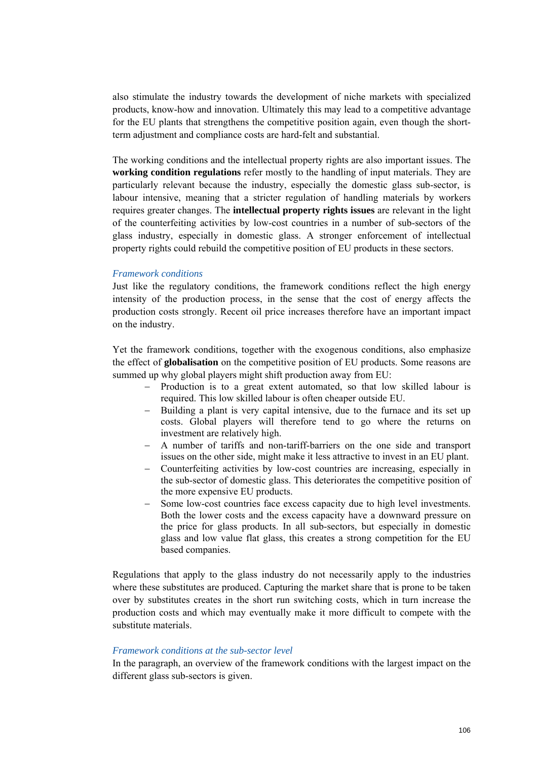also stimulate the industry towards the development of niche markets with specialized products, know-how and innovation. Ultimately this may lead to a competitive advantage for the EU plants that strengthens the competitive position again, even though the shortterm adjustment and compliance costs are hard-felt and substantial.

The working conditions and the intellectual property rights are also important issues. The **working condition regulations** refer mostly to the handling of input materials. They are particularly relevant because the industry, especially the domestic glass sub-sector, is labour intensive, meaning that a stricter regulation of handling materials by workers requires greater changes. The **intellectual property rights issues** are relevant in the light of the counterfeiting activities by low-cost countries in a number of sub-sectors of the glass industry, especially in domestic glass. A stronger enforcement of intellectual property rights could rebuild the competitive position of EU products in these sectors.

# *Framework conditions*

Just like the regulatory conditions, the framework conditions reflect the high energy intensity of the production process, in the sense that the cost of energy affects the production costs strongly. Recent oil price increases therefore have an important impact on the industry.

Yet the framework conditions, together with the exogenous conditions, also emphasize the effect of **globalisation** on the competitive position of EU products. Some reasons are summed up why global players might shift production away from EU:

- Production is to a great extent automated, so that low skilled labour is required. This low skilled labour is often cheaper outside EU.
- − Building a plant is very capital intensive, due to the furnace and its set up costs. Global players will therefore tend to go where the returns on investment are relatively high.
- A number of tariffs and non-tariff-barriers on the one side and transport issues on the other side, might make it less attractive to invest in an EU plant.
- − Counterfeiting activities by low-cost countries are increasing, especially in the sub-sector of domestic glass. This deteriorates the competitive position of the more expensive EU products.
- − Some low-cost countries face excess capacity due to high level investments. Both the lower costs and the excess capacity have a downward pressure on the price for glass products. In all sub-sectors, but especially in domestic glass and low value flat glass, this creates a strong competition for the EU based companies.

Regulations that apply to the glass industry do not necessarily apply to the industries where these substitutes are produced. Capturing the market share that is prone to be taken over by substitutes creates in the short run switching costs, which in turn increase the production costs and which may eventually make it more difficult to compete with the substitute materials.

# *Framework conditions at the sub-sector level*

In the paragraph, an overview of the framework conditions with the largest impact on the different glass sub-sectors is given.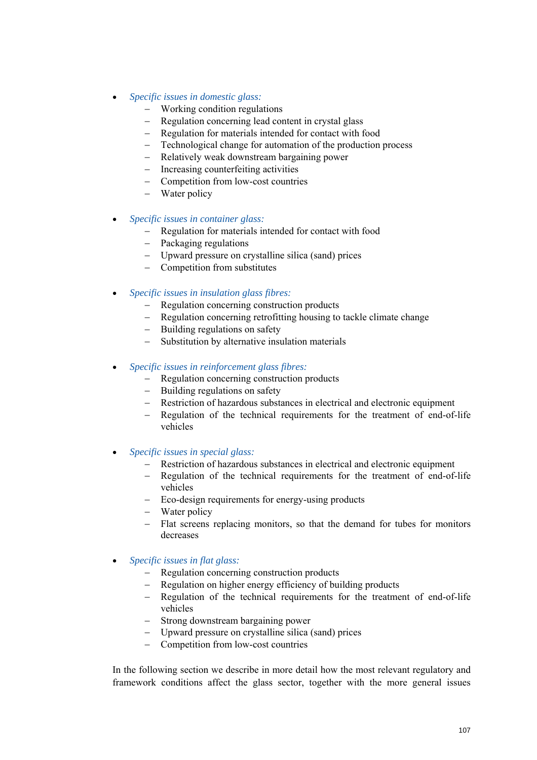- *Specific issues in domestic glass:* 
	- Working condition regulations
	- − Regulation concerning lead content in crystal glass
	- − Regulation for materials intended for contact with food
	- − Technological change for automation of the production process
	- − Relatively weak downstream bargaining power
	- − Increasing counterfeiting activities
	- − Competition from low-cost countries
	- − Water policy
- *Specific issues in container glass:* 
	- − Regulation for materials intended for contact with food
	- − Packaging regulations
	- − Upward pressure on crystalline silica (sand) prices
	- − Competition from substitutes
- *Specific issues in insulation glass fibres:* 
	- − Regulation concerning construction products
	- − Regulation concerning retrofitting housing to tackle climate change
	- − Building regulations on safety
	- − Substitution by alternative insulation materials
- *Specific issues in reinforcement glass fibres:* 
	- − Regulation concerning construction products
	- − Building regulations on safety
	- − Restriction of hazardous substances in electrical and electronic equipment
	- − Regulation of the technical requirements for the treatment of end-of-life vehicles
- *Specific issues in special glass:* 
	- − Restriction of hazardous substances in electrical and electronic equipment
	- − Regulation of the technical requirements for the treatment of end-of-life vehicles
	- − Eco-design requirements for energy-using products
	- − Water policy
	- − Flat screens replacing monitors, so that the demand for tubes for monitors decreases
- *Specific issues in flat glass:* 
	- − Regulation concerning construction products
	- − Regulation on higher energy efficiency of building products
	- − Regulation of the technical requirements for the treatment of end-of-life vehicles
	- − Strong downstream bargaining power
	- − Upward pressure on crystalline silica (sand) prices
	- − Competition from low-cost countries

In the following section we describe in more detail how the most relevant regulatory and framework conditions affect the glass sector, together with the more general issues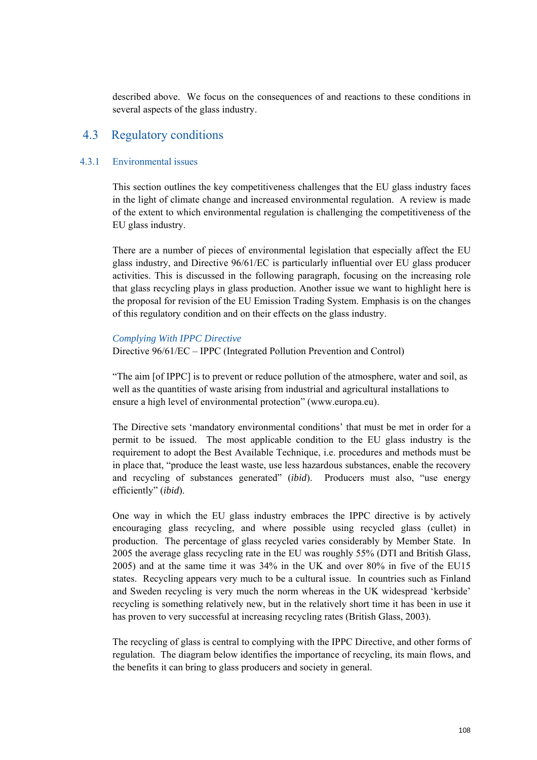described above. We focus on the consequences of and reactions to these conditions in several aspects of the glass industry.

# 4.3 Regulatory conditions

# 4.3.1 Environmental issues

This section outlines the key competitiveness challenges that the EU glass industry faces in the light of climate change and increased environmental regulation. A review is made of the extent to which environmental regulation is challenging the competitiveness of the EU glass industry.

There are a number of pieces of environmental legislation that especially affect the EU glass industry, and Directive 96/61/EC is particularly influential over EU glass producer activities. This is discussed in the following paragraph, focusing on the increasing role that glass recycling plays in glass production. Another issue we want to highlight here is the proposal for revision of the EU Emission Trading System. Emphasis is on the changes of this regulatory condition and on their effects on the glass industry.

#### *Complying With IPPC Directive*

Directive 96/61/EC – IPPC (Integrated Pollution Prevention and Control)

"The aim [of IPPC] is to prevent or reduce pollution of the atmosphere, water and soil, as well as the quantities of waste arising from industrial and agricultural installations to ensure a high level of environmental protection" (www.europa.eu).

The Directive sets 'mandatory environmental conditions' that must be met in order for a permit to be issued. The most applicable condition to the EU glass industry is the requirement to adopt the Best Available Technique, i.e. procedures and methods must be in place that, "produce the least waste, use less hazardous substances, enable the recovery and recycling of substances generated" (*ibid*). Producers must also, "use energy efficiently" (*ibid*).

One way in which the EU glass industry embraces the IPPC directive is by actively encouraging glass recycling, and where possible using recycled glass (cullet) in production. The percentage of glass recycled varies considerably by Member State. In 2005 the average glass recycling rate in the EU was roughly 55% (DTI and British Glass, 2005) and at the same time it was 34% in the UK and over 80% in five of the EU15 states. Recycling appears very much to be a cultural issue. In countries such as Finland and Sweden recycling is very much the norm whereas in the UK widespread 'kerbside' recycling is something relatively new, but in the relatively short time it has been in use it has proven to very successful at increasing recycling rates (British Glass, 2003).

The recycling of glass is central to complying with the IPPC Directive, and other forms of regulation. The diagram below identifies the importance of recycling, its main flows, and the benefits it can bring to glass producers and society in general.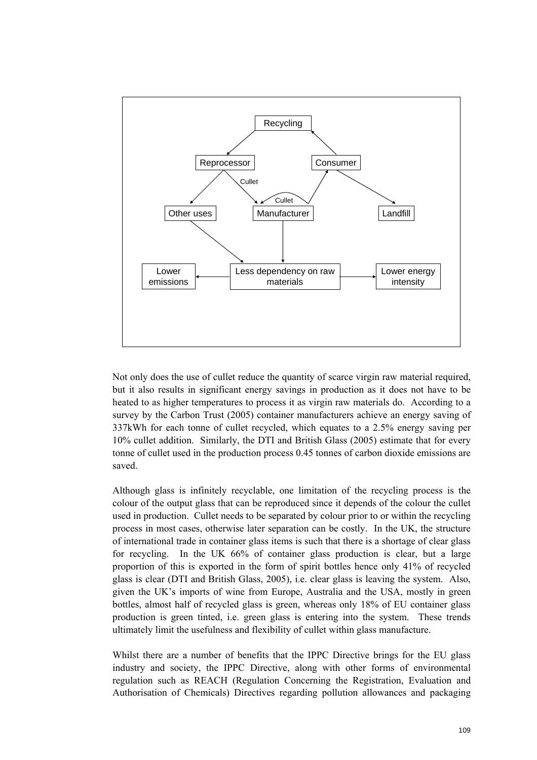

Not only does the use of cullet reduce the quantity of scarce virgin raw material required, but it also results in significant energy savings in production as it does not have to be heated to as higher temperatures to process it as virgin raw materials do. According to a survey by the Carbon Trust (2005) container manufacturers achieve an energy saving of 337kWh for each tonne of cullet recycled, which equates to a 2.5% energy saving per 10% cullet addition. Similarly, the DTI and British Glass (2005) estimate that for every tonne of cullet used in the production process 0.45 tonnes of carbon dioxide emissions are saved.

Although glass is infinitely recyclable, one limitation of the recycling process is the colour of the output glass that can be reproduced since it depends of the colour the cullet used in production. Cullet needs to be separated by colour prior to or within the recycling process in most cases, otherwise later separation can be costly. In the UK, the structure of international trade in container glass items is such that there is a shortage of clear glass for recycling. In the UK 66% of container glass production is clear, but a large proportion of this is exported in the form of spirit bottles hence only 41% of recycled glass is clear (DTI and British Glass, 2005), i.e. clear glass is leaving the system. Also, given the UK's imports of wine from Europe, Australia and the USA, mostly in green bottles, almost half of recycled glass is green, whereas only 18% of EU container glass production is green tinted, i.e. green glass is entering into the system. These trends ultimately limit the usefulness and flexibility of cullet within glass manufacture.

Whilst there are a number of benefits that the IPPC Directive brings for the EU glass industry and society, the IPPC Directive, along with other forms of environmental regulation such as REACH (Regulation Concerning the Registration, Evaluation and Authorisation of Chemicals) Directives regarding pollution allowances and packaging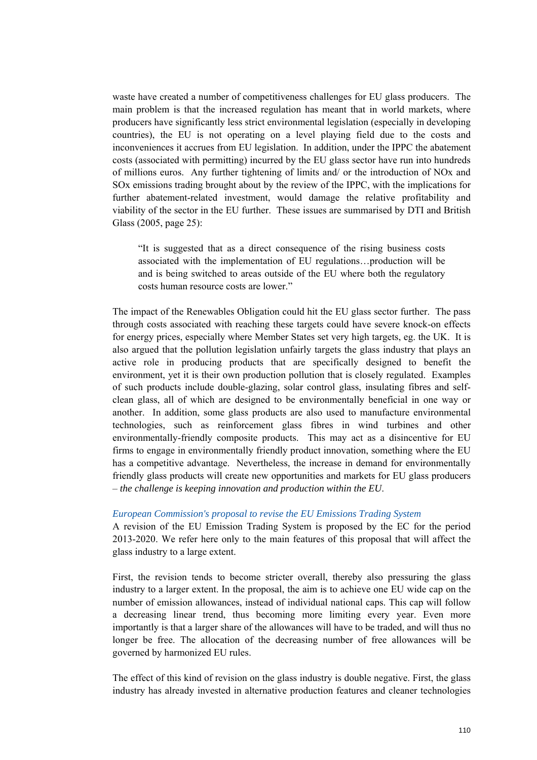waste have created a number of competitiveness challenges for EU glass producers. The main problem is that the increased regulation has meant that in world markets, where producers have significantly less strict environmental legislation (especially in developing countries), the EU is not operating on a level playing field due to the costs and inconveniences it accrues from EU legislation. In addition, under the IPPC the abatement costs (associated with permitting) incurred by the EU glass sector have run into hundreds of millions euros. Any further tightening of limits and/ or the introduction of NOx and SOx emissions trading brought about by the review of the IPPC, with the implications for further abatement-related investment, would damage the relative profitability and viability of the sector in the EU further. These issues are summarised by DTI and British Glass (2005, page 25):

"It is suggested that as a direct consequence of the rising business costs associated with the implementation of EU regulations…production will be and is being switched to areas outside of the EU where both the regulatory costs human resource costs are lower."

The impact of the Renewables Obligation could hit the EU glass sector further. The pass through costs associated with reaching these targets could have severe knock-on effects for energy prices, especially where Member States set very high targets, eg. the UK. It is also argued that the pollution legislation unfairly targets the glass industry that plays an active role in producing products that are specifically designed to benefit the environment, yet it is their own production pollution that is closely regulated. Examples of such products include double-glazing, solar control glass, insulating fibres and selfclean glass, all of which are designed to be environmentally beneficial in one way or another. In addition, some glass products are also used to manufacture environmental technologies, such as reinforcement glass fibres in wind turbines and other environmentally-friendly composite products. This may act as a disincentive for EU firms to engage in environmentally friendly product innovation, something where the EU has a competitive advantage. Nevertheless, the increase in demand for environmentally friendly glass products will create new opportunities and markets for EU glass producers – *the challenge is keeping innovation and production within the EU*.

#### *European Commission's proposal to revise the EU Emissions Trading System*

A revision of the EU Emission Trading System is proposed by the EC for the period 2013-2020. We refer here only to the main features of this proposal that will affect the glass industry to a large extent.

First, the revision tends to become stricter overall, thereby also pressuring the glass industry to a larger extent. In the proposal, the aim is to achieve one EU wide cap on the number of emission allowances, instead of individual national caps. This cap will follow a decreasing linear trend, thus becoming more limiting every year. Even more importantly is that a larger share of the allowances will have to be traded, and will thus no longer be free. The allocation of the decreasing number of free allowances will be governed by harmonized EU rules.

The effect of this kind of revision on the glass industry is double negative. First, the glass industry has already invested in alternative production features and cleaner technologies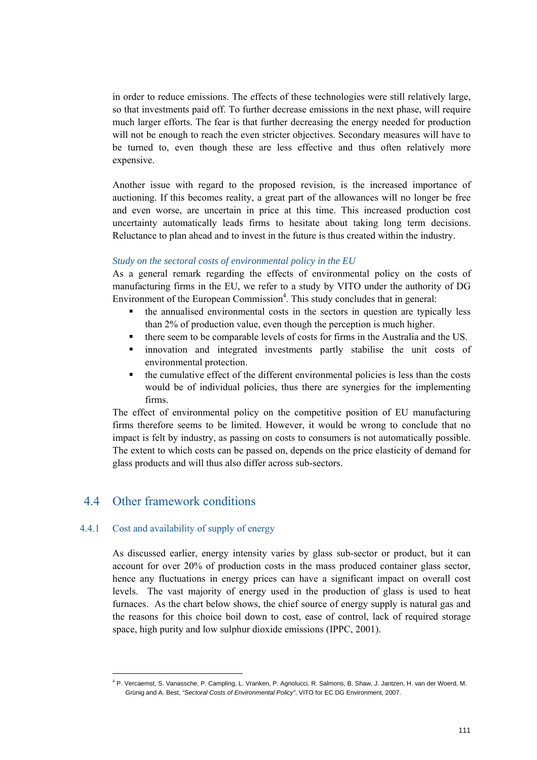in order to reduce emissions. The effects of these technologies were still relatively large, so that investments paid off. To further decrease emissions in the next phase, will require much larger efforts. The fear is that further decreasing the energy needed for production will not be enough to reach the even stricter objectives. Secondary measures will have to be turned to, even though these are less effective and thus often relatively more expensive.

Another issue with regard to the proposed revision, is the increased importance of auctioning. If this becomes reality, a great part of the allowances will no longer be free and even worse, are uncertain in price at this time. This increased production cost uncertainty automatically leads firms to hesitate about taking long term decisions. Reluctance to plan ahead and to invest in the future is thus created within the industry.

#### *Study on the sectoral costs of environmental policy in the EU*

As a general remark regarding the effects of environmental policy on the costs of manufacturing firms in the EU, we refer to a study by VITO under the authority of DG Environment of the European Commission<sup>4</sup>. This study concludes that in general:

- the annualised environmental costs in the sectors in question are typically less than 2% of production value, even though the perception is much higher.
- there seem to be comparable levels of costs for firms in the Australia and the US.
- innovation and integrated investments partly stabilise the unit costs of environmental protection.
- the cumulative effect of the different environmental policies is less than the costs would be of individual policies, thus there are synergies for the implementing firms.

The effect of environmental policy on the competitive position of EU manufacturing firms therefore seems to be limited. However, it would be wrong to conclude that no impact is felt by industry, as passing on costs to consumers is not automatically possible. The extent to which costs can be passed on, depends on the price elasticity of demand for glass products and will thus also differ across sub-sectors.

# 4.4 Other framework conditions

#### 4.4.1 Cost and availability of supply of energy

As discussed earlier, energy intensity varies by glass sub-sector or product, but it can account for over 20% of production costs in the mass produced container glass sector, hence any fluctuations in energy prices can have a significant impact on overall cost levels. The vast majority of energy used in the production of glass is used to heat furnaces. As the chart below shows, the chief source of energy supply is natural gas and the reasons for this choice boil down to cost, ease of control, lack of required storage space, high purity and low sulphur dioxide emissions (IPPC, 2001).

<sup>4</sup> P. Vercaemst, S. Vanassche, P. Campling, L. Vranken, P. Agnolucci, R. Salmons, B. Shaw, J. Jantzen, H. van der Woerd, M. Grünig and A. Best, *"Sectoral Costs of Environmental Policy"*, VITO for EC DG Environment, 2007.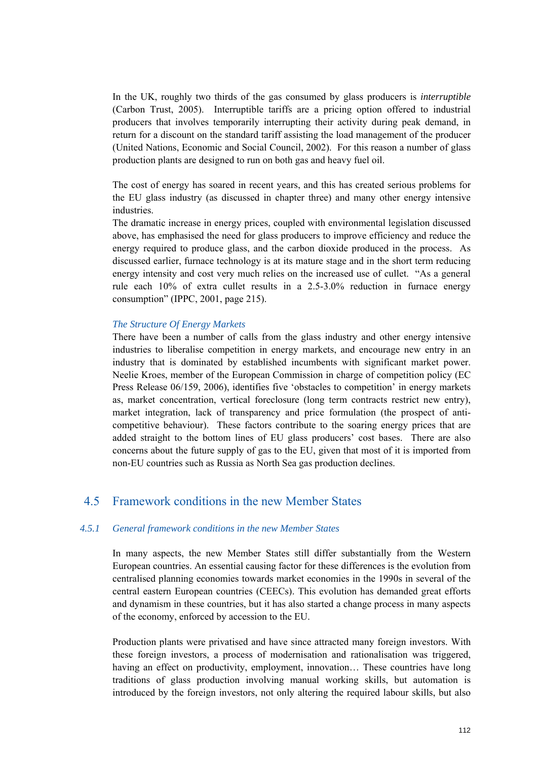In the UK, roughly two thirds of the gas consumed by glass producers is *interruptible* (Carbon Trust, 2005). Interruptible tariffs are a pricing option offered to industrial producers that involves temporarily interrupting their activity during peak demand, in return for a discount on the standard tariff assisting the load management of the producer (United Nations, Economic and Social Council, 2002). For this reason a number of glass production plants are designed to run on both gas and heavy fuel oil.

The cost of energy has soared in recent years, and this has created serious problems for the EU glass industry (as discussed in chapter three) and many other energy intensive industries.

The dramatic increase in energy prices, coupled with environmental legislation discussed above, has emphasised the need for glass producers to improve efficiency and reduce the energy required to produce glass, and the carbon dioxide produced in the process. As discussed earlier, furnace technology is at its mature stage and in the short term reducing energy intensity and cost very much relies on the increased use of cullet. "As a general rule each 10% of extra cullet results in a 2.5-3.0% reduction in furnace energy consumption" (IPPC, 2001, page 215).

#### *The Structure Of Energy Markets*

There have been a number of calls from the glass industry and other energy intensive industries to liberalise competition in energy markets, and encourage new entry in an industry that is dominated by established incumbents with significant market power. Neelie Kroes, member of the European Commission in charge of competition policy (EC Press Release 06/159, 2006), identifies five 'obstacles to competition' in energy markets as, market concentration, vertical foreclosure (long term contracts restrict new entry), market integration, lack of transparency and price formulation (the prospect of anticompetitive behaviour). These factors contribute to the soaring energy prices that are added straight to the bottom lines of EU glass producers' cost bases. There are also concerns about the future supply of gas to the EU, given that most of it is imported from non-EU countries such as Russia as North Sea gas production declines.

# 4.5 Framework conditions in the new Member States

#### *4.5.1 General framework conditions in the new Member States*

In many aspects, the new Member States still differ substantially from the Western European countries. An essential causing factor for these differences is the evolution from centralised planning economies towards market economies in the 1990s in several of the central eastern European countries (CEECs). This evolution has demanded great efforts and dynamism in these countries, but it has also started a change process in many aspects of the economy, enforced by accession to the EU.

Production plants were privatised and have since attracted many foreign investors. With these foreign investors, a process of modernisation and rationalisation was triggered, having an effect on productivity, employment, innovation... These countries have long traditions of glass production involving manual working skills, but automation is introduced by the foreign investors, not only altering the required labour skills, but also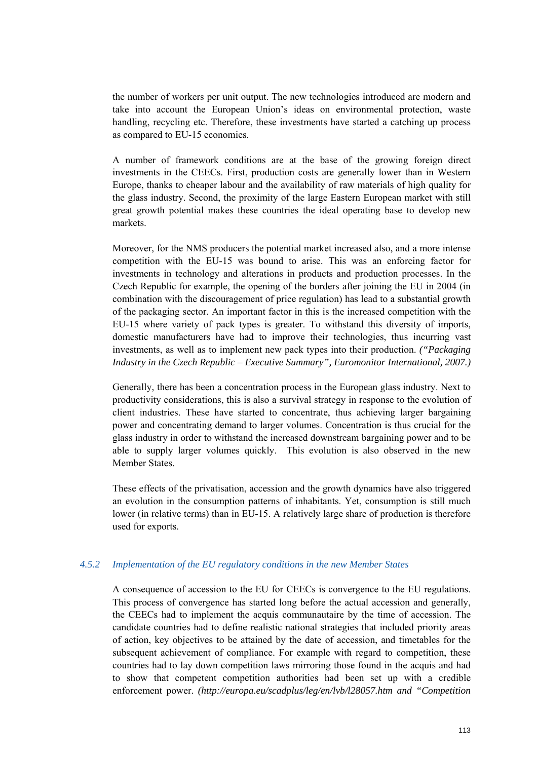the number of workers per unit output. The new technologies introduced are modern and take into account the European Union's ideas on environmental protection, waste handling, recycling etc. Therefore, these investments have started a catching up process as compared to EU-15 economies.

A number of framework conditions are at the base of the growing foreign direct investments in the CEECs. First, production costs are generally lower than in Western Europe, thanks to cheaper labour and the availability of raw materials of high quality for the glass industry. Second, the proximity of the large Eastern European market with still great growth potential makes these countries the ideal operating base to develop new markets.

Moreover, for the NMS producers the potential market increased also, and a more intense competition with the EU-15 was bound to arise. This was an enforcing factor for investments in technology and alterations in products and production processes. In the Czech Republic for example, the opening of the borders after joining the EU in 2004 (in combination with the discouragement of price regulation) has lead to a substantial growth of the packaging sector. An important factor in this is the increased competition with the EU-15 where variety of pack types is greater. To withstand this diversity of imports, domestic manufacturers have had to improve their technologies, thus incurring vast investments, as well as to implement new pack types into their production. *("Packaging Industry in the Czech Republic – Executive Summary", Euromonitor International, 2007.)*

Generally, there has been a concentration process in the European glass industry. Next to productivity considerations, this is also a survival strategy in response to the evolution of client industries. These have started to concentrate, thus achieving larger bargaining power and concentrating demand to larger volumes. Concentration is thus crucial for the glass industry in order to withstand the increased downstream bargaining power and to be able to supply larger volumes quickly. This evolution is also observed in the new Member States.

These effects of the privatisation, accession and the growth dynamics have also triggered an evolution in the consumption patterns of inhabitants. Yet, consumption is still much lower (in relative terms) than in EU-15. A relatively large share of production is therefore used for exports.

#### *4.5.2 Implementation of the EU regulatory conditions in the new Member States*

A consequence of accession to the EU for CEECs is convergence to the EU regulations. This process of convergence has started long before the actual accession and generally, the CEECs had to implement the acquis communautaire by the time of accession. The candidate countries had to define realistic national strategies that included priority areas of action, key objectives to be attained by the date of accession, and timetables for the subsequent achievement of compliance. For example with regard to competition, these countries had to lay down competition laws mirroring those found in the acquis and had to show that competent competition authorities had been set up with a credible enforcement power. *(http://europa.eu/scadplus/leg/en/lvb/l28057.htm and "Competition*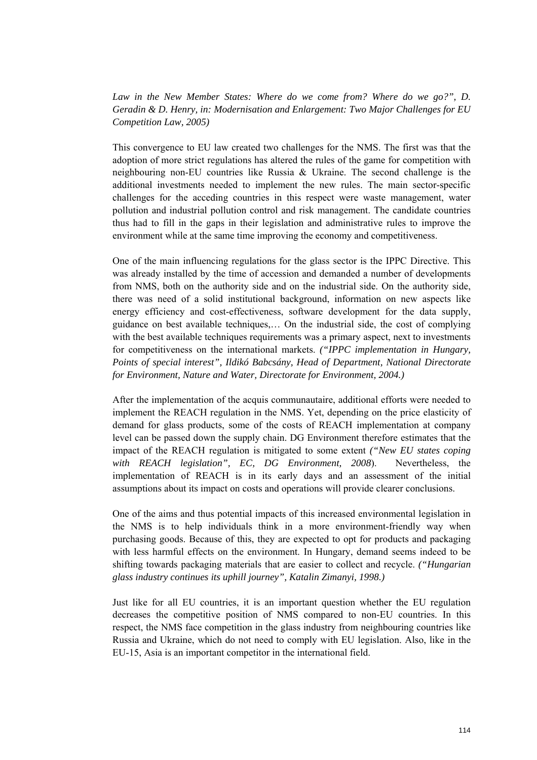Law in the New Member States: Where do we come from? Where do we go?", D. *Geradin & D. Henry, in: Modernisation and Enlargement: Two Major Challenges for EU Competition Law, 2005)* 

This convergence to EU law created two challenges for the NMS. The first was that the adoption of more strict regulations has altered the rules of the game for competition with neighbouring non-EU countries like Russia & Ukraine. The second challenge is the additional investments needed to implement the new rules. The main sector-specific challenges for the acceding countries in this respect were waste management, water pollution and industrial pollution control and risk management. The candidate countries thus had to fill in the gaps in their legislation and administrative rules to improve the environment while at the same time improving the economy and competitiveness.

One of the main influencing regulations for the glass sector is the IPPC Directive. This was already installed by the time of accession and demanded a number of developments from NMS, both on the authority side and on the industrial side. On the authority side, there was need of a solid institutional background, information on new aspects like energy efficiency and cost-effectiveness, software development for the data supply, guidance on best available techniques,… On the industrial side, the cost of complying with the best available techniques requirements was a primary aspect, next to investments for competitiveness on the international markets. *("IPPC implementation in Hungary, Points of special interest", Ildikó Babcsány, Head of Department, National Directorate for Environment, Nature and Water, Directorate for Environment, 2004.)*

After the implementation of the acquis communautaire, additional efforts were needed to implement the REACH regulation in the NMS. Yet, depending on the price elasticity of demand for glass products, some of the costs of REACH implementation at company level can be passed down the supply chain. DG Environment therefore estimates that the impact of the REACH regulation is mitigated to some extent *("New EU states coping with REACH legislation", EC, DG Environment, 2008*). Nevertheless, the implementation of REACH is in its early days and an assessment of the initial assumptions about its impact on costs and operations will provide clearer conclusions.

One of the aims and thus potential impacts of this increased environmental legislation in the NMS is to help individuals think in a more environment-friendly way when purchasing goods. Because of this, they are expected to opt for products and packaging with less harmful effects on the environment. In Hungary, demand seems indeed to be shifting towards packaging materials that are easier to collect and recycle. *("Hungarian glass industry continues its uphill journey", Katalin Zimanyi, 1998.)*

Just like for all EU countries, it is an important question whether the EU regulation decreases the competitive position of NMS compared to non-EU countries. In this respect, the NMS face competition in the glass industry from neighbouring countries like Russia and Ukraine, which do not need to comply with EU legislation. Also, like in the EU-15, Asia is an important competitor in the international field.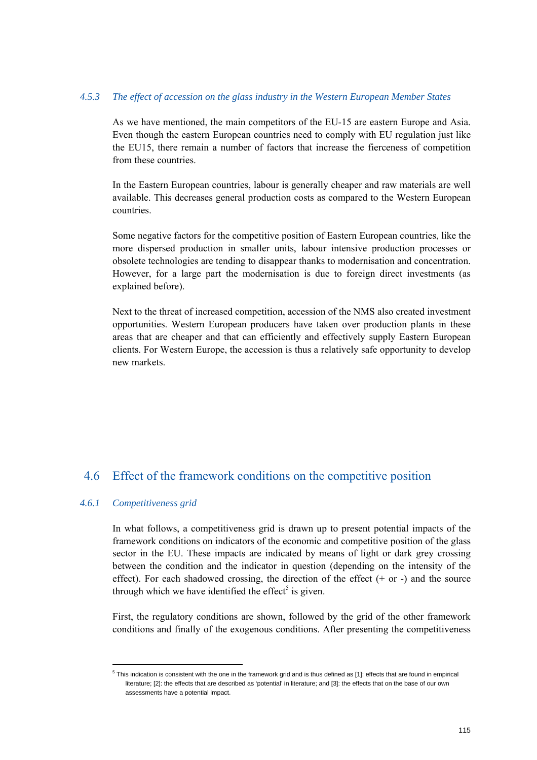#### *4.5.3 The effect of accession on the glass industry in the Western European Member States*

As we have mentioned, the main competitors of the EU-15 are eastern Europe and Asia. Even though the eastern European countries need to comply with EU regulation just like the EU15, there remain a number of factors that increase the fierceness of competition from these countries.

In the Eastern European countries, labour is generally cheaper and raw materials are well available. This decreases general production costs as compared to the Western European countries.

Some negative factors for the competitive position of Eastern European countries, like the more dispersed production in smaller units, labour intensive production processes or obsolete technologies are tending to disappear thanks to modernisation and concentration. However, for a large part the modernisation is due to foreign direct investments (as explained before).

Next to the threat of increased competition, accession of the NMS also created investment opportunities. Western European producers have taken over production plants in these areas that are cheaper and that can efficiently and effectively supply Eastern European clients. For Western Europe, the accession is thus a relatively safe opportunity to develop new markets.

# 4.6 Effect of the framework conditions on the competitive position

### *4.6.1 Competitiveness grid*

 $\overline{a}$ 

In what follows, a competitiveness grid is drawn up to present potential impacts of the framework conditions on indicators of the economic and competitive position of the glass sector in the EU. These impacts are indicated by means of light or dark grey crossing between the condition and the indicator in question (depending on the intensity of the effect). For each shadowed crossing, the direction of the effect  $(+)$  or  $-)$  and the source through which we have identified the effect<sup>5</sup> is given.

First, the regulatory conditions are shown, followed by the grid of the other framework conditions and finally of the exogenous conditions. After presenting the competitiveness

<sup>&</sup>lt;sup>5</sup> This indication is consistent with the one in the framework grid and is thus defined as [1]: effects that are found in empirical literature; [2]: the effects that are described as 'potential' in literature; and [3]: the effects that on the base of our own assessments have a potential impact.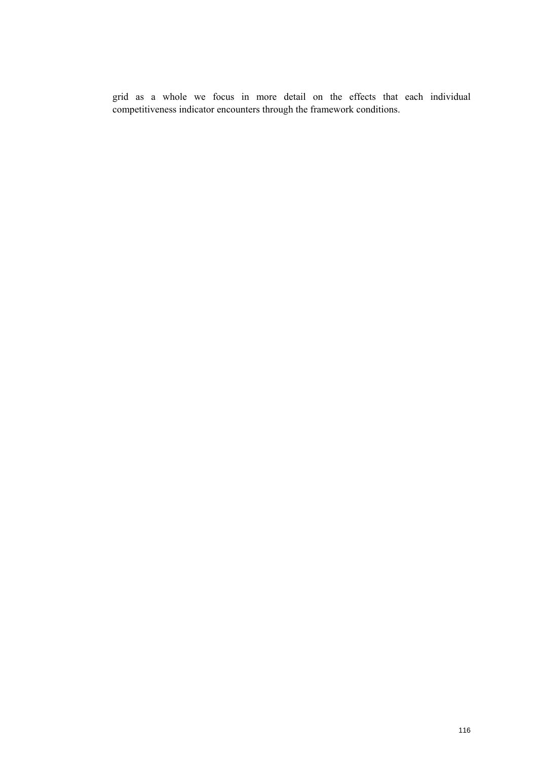grid as a whole we focus in more detail on the effects that each individual competitiveness indicator encounters through the framework conditions.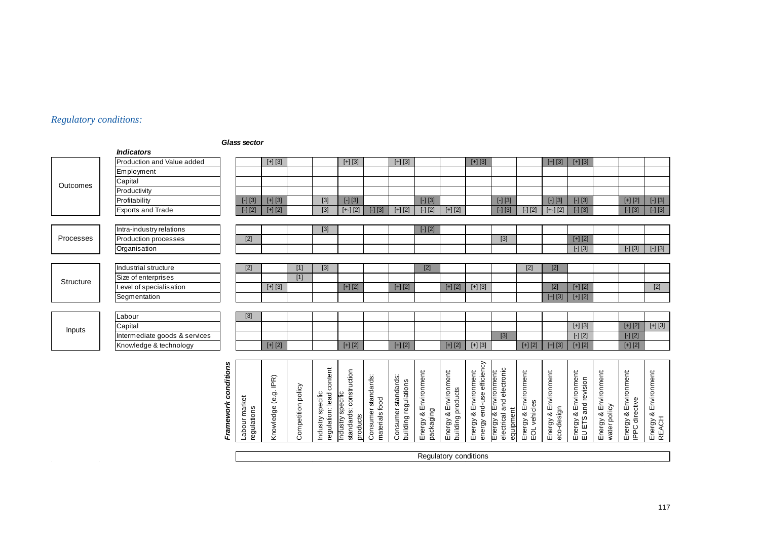# *Regulatory conditions:*

#### *Glass sector*

|           | <b>Indicators</b>             |                      |                              |                      |                    |                                               |                                                          |                                    |                                                                                                                                                                                                                                                                                                                                                                                                                                                                                                                                                                                                                                                                                                                                                                                                                                                                                                                                                                                                                                                          |                                                                                           |                                            |                                                    |                                                                 |                                       |                                     |                                              |                            |                                                |                                    |
|-----------|-------------------------------|----------------------|------------------------------|----------------------|--------------------|-----------------------------------------------|----------------------------------------------------------|------------------------------------|----------------------------------------------------------------------------------------------------------------------------------------------------------------------------------------------------------------------------------------------------------------------------------------------------------------------------------------------------------------------------------------------------------------------------------------------------------------------------------------------------------------------------------------------------------------------------------------------------------------------------------------------------------------------------------------------------------------------------------------------------------------------------------------------------------------------------------------------------------------------------------------------------------------------------------------------------------------------------------------------------------------------------------------------------------|-------------------------------------------------------------------------------------------|--------------------------------------------|----------------------------------------------------|-----------------------------------------------------------------|---------------------------------------|-------------------------------------|----------------------------------------------|----------------------------|------------------------------------------------|------------------------------------|
|           | Production and Value added    |                      |                              | $[+] [3]$            |                    |                                               | $[+] [3]$                                                |                                    | $[+] [3]$                                                                                                                                                                                                                                                                                                                                                                                                                                                                                                                                                                                                                                                                                                                                                                                                                                                                                                                                                                                                                                                |                                                                                           |                                            | $[+] [3]$                                          |                                                                 |                                       | $[+] [3]$                           | $[+] [3]$                                    |                            |                                                |                                    |
|           | Employment                    |                      |                              |                      |                    |                                               |                                                          |                                    |                                                                                                                                                                                                                                                                                                                                                                                                                                                                                                                                                                                                                                                                                                                                                                                                                                                                                                                                                                                                                                                          |                                                                                           |                                            |                                                    |                                                                 |                                       |                                     |                                              |                            |                                                |                                    |
| Outcomes  | Capital                       |                      |                              |                      |                    |                                               |                                                          |                                    |                                                                                                                                                                                                                                                                                                                                                                                                                                                                                                                                                                                                                                                                                                                                                                                                                                                                                                                                                                                                                                                          |                                                                                           |                                            |                                                    |                                                                 |                                       |                                     |                                              |                            |                                                |                                    |
|           | Productivity                  |                      |                              |                      |                    |                                               |                                                          |                                    |                                                                                                                                                                                                                                                                                                                                                                                                                                                                                                                                                                                                                                                                                                                                                                                                                                                                                                                                                                                                                                                          |                                                                                           |                                            |                                                    |                                                                 |                                       |                                     |                                              |                            |                                                |                                    |
|           | Profitability                 |                      | $[-] [3]$                    | $[+] [3]$            |                    | $[3]$                                         | $[-] [3]$                                                |                                    |                                                                                                                                                                                                                                                                                                                                                                                                                                                                                                                                                                                                                                                                                                                                                                                                                                                                                                                                                                                                                                                          | $[-] [3]$                                                                                 |                                            |                                                    | $[-] [3]$                                                       |                                       | $\left[ -\right] \left[ 3\right]$   | $[-] [3]$                                    |                            | $[+] [2]$                                      | $\left[\cdot\right]\left[3\right]$ |
|           | Exports and Trade             |                      | $\boxed{\cdot} \boxed{2}$    | $[+]$ [2]            |                    | $[3]$                                         | $[+]$ [2]                                                | $\left[\cdot\right]\left[3\right]$ | $[+] [2] % \begin{center} \includegraphics[width=0.3\textwidth]{images/TrDiM1-Architecture.png} \end{center} % \vspace*{-1em} \caption{The image shows the number of parameters of the parameter $\Sigma$ and the number of parameters of the parameter $\Sigma$. The first two different values of the parameter $\Sigma$. The first two different values of the parameter $\Sigma$. The first two different values of the parameter $\Sigma$. The first two different values of the parameter $\Sigma$. The first two different values of the parameter $\Sigma$. The first two different values of the parameter $\Sigma$. The first two different values of the parameter $\Sigma$. The first two different values of the parameter $\Sigma$. The first two different values of the parameter $\Sigma$. The first two different values of the parameter $\Sigma$. The first two different values of the parameter $\Sigma$. The first two different values of the parameter $\Sigma$. The first two different values of the parameter $\Sigma$. The$ | $\left[\cdot\right]\left[2\right]$                                                        | $[+] [2]$                                  |                                                    | $\left[\cdot\right]\left[3\right]$                              | $\left[\cdot\right]\left[2\right]$    | $\left[ +\right] \left[ 2\right]$   | $[-] [3]$                                    |                            | $\left[\cdot\right]\left[3\right]$             | $\boxed{\cdot} \boxed{3}$          |
|           |                               |                      |                              |                      |                    |                                               |                                                          |                                    |                                                                                                                                                                                                                                                                                                                                                                                                                                                                                                                                                                                                                                                                                                                                                                                                                                                                                                                                                                                                                                                          |                                                                                           |                                            |                                                    |                                                                 |                                       |                                     |                                              |                            |                                                |                                    |
|           | Intra-industry relations      |                      |                              |                      |                    | $[3]$                                         |                                                          |                                    |                                                                                                                                                                                                                                                                                                                                                                                                                                                                                                                                                                                                                                                                                                                                                                                                                                                                                                                                                                                                                                                          | $\left[\begin{array}{c} - \end{array}\right] \left[\begin{array}{c} 2 \end{array}\right]$ |                                            |                                                    |                                                                 |                                       |                                     |                                              |                            |                                                |                                    |
| Processes | Production processes          |                      | $[2]$                        |                      |                    |                                               |                                                          |                                    |                                                                                                                                                                                                                                                                                                                                                                                                                                                                                                                                                                                                                                                                                                                                                                                                                                                                                                                                                                                                                                                          |                                                                                           |                                            |                                                    | $[3]$                                                           |                                       |                                     | $[+] [2]$                                    |                            |                                                |                                    |
|           | Organisation                  |                      |                              |                      |                    |                                               |                                                          |                                    |                                                                                                                                                                                                                                                                                                                                                                                                                                                                                                                                                                                                                                                                                                                                                                                                                                                                                                                                                                                                                                                          |                                                                                           |                                            |                                                    |                                                                 |                                       |                                     | $[-] [3]$                                    |                            | $[-] [3]$                                      | $[-] [3]$                          |
|           |                               |                      |                              |                      |                    |                                               |                                                          |                                    |                                                                                                                                                                                                                                                                                                                                                                                                                                                                                                                                                                                                                                                                                                                                                                                                                                                                                                                                                                                                                                                          |                                                                                           |                                            |                                                    |                                                                 |                                       |                                     |                                              |                            |                                                |                                    |
|           | Industrial structure          |                      | $[2]$                        |                      | $[1]$              | $[3]$                                         |                                                          |                                    |                                                                                                                                                                                                                                                                                                                                                                                                                                                                                                                                                                                                                                                                                                                                                                                                                                                                                                                                                                                                                                                          | $[2]$                                                                                     |                                            |                                                    |                                                                 | $[2]$                                 | $[2]$                               |                                              |                            |                                                |                                    |
| Structure | Size of enterprises           |                      |                              |                      | $[1]$              |                                               |                                                          |                                    |                                                                                                                                                                                                                                                                                                                                                                                                                                                                                                                                                                                                                                                                                                                                                                                                                                                                                                                                                                                                                                                          |                                                                                           |                                            |                                                    |                                                                 |                                       |                                     |                                              |                            |                                                |                                    |
|           | Level of specialisation       |                      |                              | $[+] [3]$            |                    |                                               | $[+] [2]$                                                |                                    | $[+] [2]$                                                                                                                                                                                                                                                                                                                                                                                                                                                                                                                                                                                                                                                                                                                                                                                                                                                                                                                                                                                                                                                |                                                                                           | $[+]$ [2]                                  | $[+] [3]$                                          |                                                                 |                                       |                                     | $[+] [2]$                                    |                            |                                                | $[2]$                              |
|           | Segmentation                  |                      |                              |                      |                    |                                               |                                                          |                                    |                                                                                                                                                                                                                                                                                                                                                                                                                                                                                                                                                                                                                                                                                                                                                                                                                                                                                                                                                                                                                                                          |                                                                                           |                                            |                                                    |                                                                 |                                       | $[+] [3]$                           | $[+] [2]$                                    |                            |                                                |                                    |
|           |                               |                      |                              |                      |                    |                                               |                                                          |                                    |                                                                                                                                                                                                                                                                                                                                                                                                                                                                                                                                                                                                                                                                                                                                                                                                                                                                                                                                                                                                                                                          |                                                                                           |                                            |                                                    |                                                                 |                                       |                                     |                                              |                            |                                                |                                    |
|           | Labour                        |                      | $[3]$                        |                      |                    |                                               |                                                          |                                    |                                                                                                                                                                                                                                                                                                                                                                                                                                                                                                                                                                                                                                                                                                                                                                                                                                                                                                                                                                                                                                                          |                                                                                           |                                            |                                                    |                                                                 |                                       |                                     |                                              |                            |                                                |                                    |
| Inputs    | Capital                       |                      |                              |                      |                    |                                               |                                                          |                                    |                                                                                                                                                                                                                                                                                                                                                                                                                                                                                                                                                                                                                                                                                                                                                                                                                                                                                                                                                                                                                                                          |                                                                                           |                                            |                                                    |                                                                 |                                       |                                     | $[+] [3]$                                    |                            | $[+] [2]$                                      | $[+] [3]$                          |
|           | Intermediate goods & services |                      |                              |                      |                    |                                               |                                                          |                                    |                                                                                                                                                                                                                                                                                                                                                                                                                                                                                                                                                                                                                                                                                                                                                                                                                                                                                                                                                                                                                                                          |                                                                                           |                                            |                                                    | $[3]$                                                           |                                       |                                     | $\boxed{\cdot} \boxed{2}$                    |                            | $\left[\cdot\right]\left[2\right]$             |                                    |
|           | Knowledge & technology        |                      |                              | $[+] [2]$            |                    |                                               | $[+] [2]$                                                |                                    | $[+] [2]$                                                                                                                                                                                                                                                                                                                                                                                                                                                                                                                                                                                                                                                                                                                                                                                                                                                                                                                                                                                                                                                |                                                                                           | $[+] [2]$                                  | $[+] [3]$                                          |                                                                 | $[+] [2]$                             | $[+] [3]$                           | $[+] [2]$                                    |                            | $[+] [2]$                                      |                                    |
|           |                               |                      |                              |                      |                    |                                               |                                                          |                                    |                                                                                                                                                                                                                                                                                                                                                                                                                                                                                                                                                                                                                                                                                                                                                                                                                                                                                                                                                                                                                                                          |                                                                                           |                                            |                                                    |                                                                 |                                       |                                     |                                              |                            |                                                |                                    |
|           |                               |                      |                              |                      |                    |                                               |                                                          |                                    |                                                                                                                                                                                                                                                                                                                                                                                                                                                                                                                                                                                                                                                                                                                                                                                                                                                                                                                                                                                                                                                          |                                                                                           |                                            |                                                    |                                                                 |                                       |                                     |                                              |                            |                                                |                                    |
|           |                               |                      |                              |                      |                    |                                               |                                                          |                                    |                                                                                                                                                                                                                                                                                                                                                                                                                                                                                                                                                                                                                                                                                                                                                                                                                                                                                                                                                                                                                                                          |                                                                                           |                                            |                                                    |                                                                 |                                       |                                     |                                              |                            |                                                |                                    |
|           |                               |                      |                              |                      |                    |                                               |                                                          |                                    |                                                                                                                                                                                                                                                                                                                                                                                                                                                                                                                                                                                                                                                                                                                                                                                                                                                                                                                                                                                                                                                          |                                                                                           |                                            |                                                    |                                                                 |                                       |                                     |                                              |                            |                                                |                                    |
|           |                               |                      |                              |                      |                    |                                               |                                                          | standards:                         |                                                                                                                                                                                                                                                                                                                                                                                                                                                                                                                                                                                                                                                                                                                                                                                                                                                                                                                                                                                                                                                          |                                                                                           |                                            |                                                    |                                                                 |                                       |                                     |                                              | Environment:               |                                                |                                    |
|           |                               |                      |                              |                      |                    |                                               |                                                          |                                    |                                                                                                                                                                                                                                                                                                                                                                                                                                                                                                                                                                                                                                                                                                                                                                                                                                                                                                                                                                                                                                                          |                                                                                           |                                            |                                                    |                                                                 |                                       |                                     |                                              |                            |                                                |                                    |
|           |                               |                      |                              |                      |                    |                                               |                                                          |                                    |                                                                                                                                                                                                                                                                                                                                                                                                                                                                                                                                                                                                                                                                                                                                                                                                                                                                                                                                                                                                                                                          |                                                                                           |                                            |                                                    |                                                                 |                                       |                                     |                                              |                            |                                                |                                    |
|           |                               |                      |                              |                      |                    |                                               |                                                          |                                    |                                                                                                                                                                                                                                                                                                                                                                                                                                                                                                                                                                                                                                                                                                                                                                                                                                                                                                                                                                                                                                                          |                                                                                           |                                            |                                                    |                                                                 |                                       |                                     |                                              |                            |                                                |                                    |
|           |                               | Framework conditions | Labour market<br>regulations | Knowledge (e.g. IPR) | Competition policy | Industry specific<br>regulation: lead content | standards: construction<br>Industry specific<br>products | materials food<br>Consumer         | Consumer standards:<br>building regulations                                                                                                                                                                                                                                                                                                                                                                                                                                                                                                                                                                                                                                                                                                                                                                                                                                                                                                                                                                                                              | Energy & Environment:<br>packaging                                                        | Energy & Environment:<br>building products | energy end-use efficiency<br>Energy & Environment: | electrical and electronic<br>Energy & Environment:<br>equipment | Energy & Environment:<br>EOL vehicles | Energy & Environment:<br>eco-design | Energy & Environment:<br>EU ETS and revision | water policy<br>Energy & I | Energy & Environment:<br><b>IPPC</b> directive | Energy & Environment:<br>REACH     |
|           |                               |                      |                              |                      |                    |                                               |                                                          |                                    |                                                                                                                                                                                                                                                                                                                                                                                                                                                                                                                                                                                                                                                                                                                                                                                                                                                                                                                                                                                                                                                          |                                                                                           |                                            |                                                    |                                                                 |                                       |                                     |                                              |                            |                                                |                                    |

| או וכ |
|-------|
|       |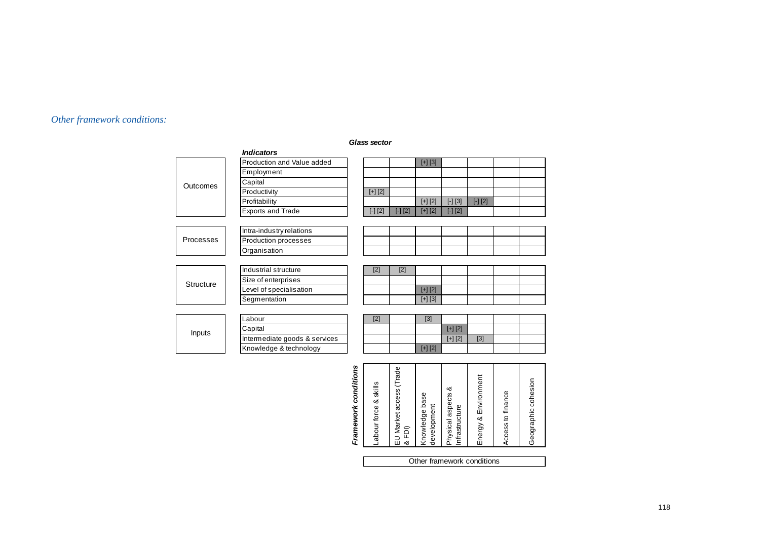# *Other framework conditions:*

|           | <i><b>Indicators</b></i>      |           |           |           |           |           |  |
|-----------|-------------------------------|-----------|-----------|-----------|-----------|-----------|--|
|           | Production and Value added    |           |           | $[+] [3]$ |           |           |  |
|           | Employment                    |           |           |           |           |           |  |
| Outcomes  | Capital                       |           |           |           |           |           |  |
|           | Productivity                  | $[+] [2]$ |           |           |           |           |  |
|           | Profitability                 |           |           | $[+] [2]$ | $[-] [3]$ | $[-] [2]$ |  |
|           | Exports and Trade             | $[-] [2]$ | $[-] [2]$ | $[+] [2]$ | $[-] [2]$ |           |  |
|           |                               |           |           |           |           |           |  |
| Processes | Intra-industry relations      |           |           |           |           |           |  |
|           | Production processes          |           |           |           |           |           |  |
|           | Organisation                  |           |           |           |           |           |  |
|           |                               |           |           |           |           |           |  |
|           | Industrial structure          | $[2]$     | $[2]$     |           |           |           |  |
| Structure | Size of enterprises           |           |           |           |           |           |  |
|           | Level of specialisation       |           |           | $[+] [2]$ |           |           |  |
|           | Segmentation                  |           |           | $[+] [3]$ |           |           |  |
|           |                               |           |           |           |           |           |  |
|           | Labour                        | $[2]$     |           | $[3]$     |           |           |  |
| Inputs    | Capital                       |           |           |           | $[+] [2]$ |           |  |
|           | Intermediate goods & services |           |           |           | $[+] [2]$ | $[3]$     |  |
|           | Knowledge & technology        |           |           | $[+] [2]$ |           |           |  |
|           |                               |           |           |           |           |           |  |

#### *Glass sector*

| Labour force & skills | EU Market access (Trade<br>&FDI | Knowledge base<br>development | ఱ<br>Physical aspects<br>Infrastructure | Energy & Environment | Access to finance | Geographic cohesion |  |  |  |
|-----------------------|---------------------------------|-------------------------------|-----------------------------------------|----------------------|-------------------|---------------------|--|--|--|
|                       |                                 |                               |                                         |                      |                   |                     |  |  |  |
|                       | Other framework conditions      |                               |                                         |                      |                   |                     |  |  |  |

# Framework conditions *Framework conditions*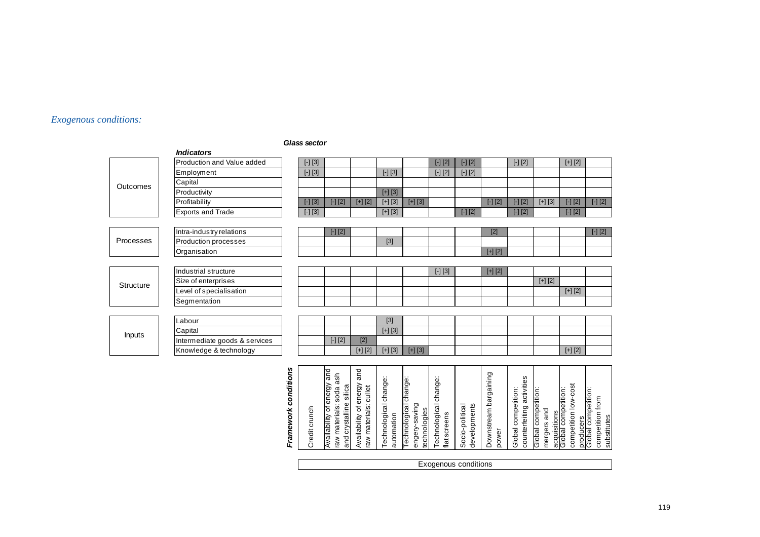#### *Exogenous conditions:*

#### *Glass sector*

|               | <b>Indicators</b>             |                      |                                       |                                                                                 |                                                     |                                                                                                                                                                                                               |                                                        |                                       |                                                 |                                   |                                                  |                                    |                                                             |                                                                     |
|---------------|-------------------------------|----------------------|---------------------------------------|---------------------------------------------------------------------------------|-----------------------------------------------------|---------------------------------------------------------------------------------------------------------------------------------------------------------------------------------------------------------------|--------------------------------------------------------|---------------------------------------|-------------------------------------------------|-----------------------------------|--------------------------------------------------|------------------------------------|-------------------------------------------------------------|---------------------------------------------------------------------|
|               | Production and Value added    |                      | $\left[ -\right] \left[ 3\right]$     |                                                                                 |                                                     |                                                                                                                                                                                                               |                                                        | $[-] [2]$                             | $[-] [2]$                                       |                                   | $[-] [2]$                                        |                                    | $[+] [2]$                                                   |                                                                     |
|               | Employment                    |                      | $\left[\text{-}\right]\left[3\right]$ |                                                                                 |                                                     | $\boxed{[-] [3]}$                                                                                                                                                                                             |                                                        | $[-] [2]$                             | $\boxed{\left[ \cdot \right] \left[ 2 \right]}$ |                                   |                                                  |                                    |                                                             |                                                                     |
| Outcomes      | Capital                       |                      |                                       |                                                                                 |                                                     |                                                                                                                                                                                                               |                                                        |                                       |                                                 |                                   |                                                  |                                    |                                                             |                                                                     |
|               | Productivity                  |                      |                                       |                                                                                 |                                                     | $[+] [3]$                                                                                                                                                                                                     |                                                        |                                       |                                                 |                                   |                                                  |                                    |                                                             |                                                                     |
|               | Profitability                 |                      | $[-] [3]$                             | $\left[ -\right] \left[ 2\right]$                                               | $[+] [2]$                                           | $[+] [3]$                                                                                                                                                                                                     | $[+] [3]$                                              |                                       |                                                 | $\left[ -\right] \left[ 2\right]$ | $[-] [2]$                                        | $[+] [3]$                          | $[-] [2]$                                                   | $\boxed{\cdot}$ [2]                                                 |
|               | <b>Exports and Trade</b>      |                      | $\boxed{\phantom{0}1}\,\boxed{3}$     |                                                                                 |                                                     | $[+] [3]$                                                                                                                                                                                                     |                                                        |                                       | $\boxed{\cdot} \boxed{2}$                       |                                   | $\boxed{\left[\cdot\right]\left[2\right]}$       |                                    | $\boxed{[\cdot][2]}$                                        |                                                                     |
|               |                               |                      |                                       |                                                                                 |                                                     |                                                                                                                                                                                                               |                                                        |                                       |                                                 |                                   |                                                  |                                    |                                                             |                                                                     |
|               | Intra-industry relations      |                      |                                       | $[-] [2]$                                                                       |                                                     |                                                                                                                                                                                                               |                                                        |                                       |                                                 | $[2]$                             |                                                  |                                    |                                                             | $[-] [2]$                                                           |
| Processes     | Production processes          |                      |                                       |                                                                                 |                                                     | $[3] % \begin{center} \includegraphics[width=\linewidth]{imagesSupplemental/Imh} \end{center} % \vspace{-1em} \caption{The image shows the number of parameters in the left and right.} \label{fig:limsub} %$ |                                                        |                                       |                                                 |                                   |                                                  |                                    |                                                             |                                                                     |
|               | Organisation                  |                      |                                       |                                                                                 |                                                     |                                                                                                                                                                                                               |                                                        |                                       |                                                 | $[+] [2]$                         |                                                  |                                    |                                                             |                                                                     |
|               |                               |                      |                                       |                                                                                 |                                                     |                                                                                                                                                                                                               |                                                        |                                       |                                                 |                                   |                                                  |                                    |                                                             |                                                                     |
|               | Industrial structure          |                      |                                       |                                                                                 |                                                     |                                                                                                                                                                                                               |                                                        | $[-] [3]$                             |                                                 | $[+] [2]$                         |                                                  |                                    |                                                             |                                                                     |
| Structure     | Size of enterprises           |                      |                                       |                                                                                 |                                                     |                                                                                                                                                                                                               |                                                        |                                       |                                                 |                                   |                                                  | $[+] [2]$                          |                                                             |                                                                     |
|               | evel of specialisation        |                      |                                       |                                                                                 |                                                     |                                                                                                                                                                                                               |                                                        |                                       |                                                 |                                   |                                                  |                                    | $[+] [2]$                                                   |                                                                     |
|               | Segmentation                  |                      |                                       |                                                                                 |                                                     |                                                                                                                                                                                                               |                                                        |                                       |                                                 |                                   |                                                  |                                    |                                                             |                                                                     |
|               |                               |                      |                                       |                                                                                 |                                                     |                                                                                                                                                                                                               |                                                        |                                       |                                                 |                                   |                                                  |                                    |                                                             |                                                                     |
|               | Labour                        |                      |                                       |                                                                                 |                                                     | $[3]$                                                                                                                                                                                                         |                                                        |                                       |                                                 |                                   |                                                  |                                    |                                                             |                                                                     |
|               | Capital                       |                      |                                       |                                                                                 |                                                     | $[+] [3]$                                                                                                                                                                                                     |                                                        |                                       |                                                 |                                   |                                                  |                                    |                                                             |                                                                     |
| <b>Inputs</b> | Intermediate goods & services |                      |                                       | $\left[ -\right] \left[ 2\right]$                                               | $[2]$                                               |                                                                                                                                                                                                               |                                                        |                                       |                                                 |                                   |                                                  |                                    |                                                             |                                                                     |
|               | Knowledge & technology        |                      |                                       |                                                                                 | $[+] [2]$                                           | $[+] [3]$                                                                                                                                                                                                     | $[+] [3]$                                              |                                       |                                                 |                                   |                                                  |                                    | $[+] [2]$                                                   |                                                                     |
|               |                               |                      |                                       |                                                                                 |                                                     |                                                                                                                                                                                                               |                                                        |                                       |                                                 |                                   |                                                  |                                    |                                                             |                                                                     |
|               |                               |                      |                                       |                                                                                 |                                                     |                                                                                                                                                                                                               |                                                        |                                       |                                                 |                                   |                                                  |                                    |                                                             |                                                                     |
|               |                               |                      |                                       |                                                                                 |                                                     |                                                                                                                                                                                                               |                                                        |                                       |                                                 |                                   |                                                  |                                    |                                                             |                                                                     |
|               |                               |                      |                                       |                                                                                 |                                                     |                                                                                                                                                                                                               |                                                        |                                       |                                                 |                                   |                                                  |                                    |                                                             |                                                                     |
|               |                               |                      |                                       |                                                                                 |                                                     |                                                                                                                                                                                                               |                                                        |                                       |                                                 |                                   |                                                  |                                    |                                                             |                                                                     |
|               |                               |                      |                                       |                                                                                 |                                                     |                                                                                                                                                                                                               |                                                        |                                       |                                                 |                                   |                                                  |                                    |                                                             |                                                                     |
|               |                               |                      |                                       |                                                                                 |                                                     |                                                                                                                                                                                                               |                                                        |                                       |                                                 |                                   |                                                  |                                    |                                                             |                                                                     |
|               |                               |                      |                                       |                                                                                 |                                                     |                                                                                                                                                                                                               |                                                        |                                       |                                                 |                                   |                                                  |                                    |                                                             |                                                                     |
|               |                               | Framework conditions | Credit crunch                         | Availability of energy and<br>raw materials: soda ash<br>and crystalline silica | Availability of energy and<br>raw materials: cullet | Technological change:<br>automation                                                                                                                                                                           | Technological change:<br>engery-saving<br>technologies | Technological change:<br>flat screens | developments<br>Socio-political                 | Downstream bargaining<br>power    | counterfeiting activities<br>Global competition: | Global competition:<br>mergers and | competition low-cost<br>acquisitions<br>Global competition: | producers<br>Global competition:<br>competition from<br>substitutes |
|               |                               |                      |                                       |                                                                                 |                                                     |                                                                                                                                                                                                               |                                                        |                                       |                                                 |                                   |                                                  |                                    |                                                             |                                                                     |

Exogenous conditions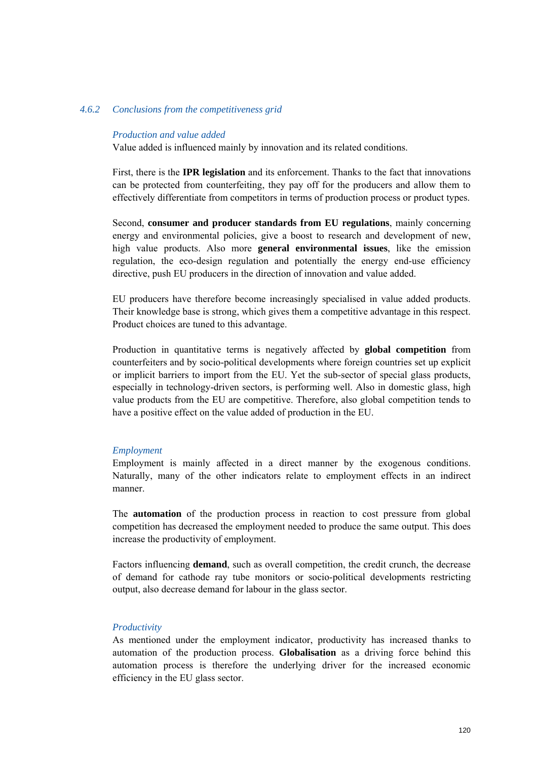#### *4.6.2 Conclusions from the competitiveness grid*

#### *Production and value added*

Value added is influenced mainly by innovation and its related conditions.

First, there is the **IPR legislation** and its enforcement. Thanks to the fact that innovations can be protected from counterfeiting, they pay off for the producers and allow them to effectively differentiate from competitors in terms of production process or product types.

Second, **consumer and producer standards from EU regulations**, mainly concerning energy and environmental policies, give a boost to research and development of new, high value products. Also more **general environmental issues**, like the emission regulation, the eco-design regulation and potentially the energy end-use efficiency directive, push EU producers in the direction of innovation and value added.

EU producers have therefore become increasingly specialised in value added products. Their knowledge base is strong, which gives them a competitive advantage in this respect. Product choices are tuned to this advantage.

Production in quantitative terms is negatively affected by **global competition** from counterfeiters and by socio-political developments where foreign countries set up explicit or implicit barriers to import from the EU. Yet the sub-sector of special glass products, especially in technology-driven sectors, is performing well. Also in domestic glass, high value products from the EU are competitive. Therefore, also global competition tends to have a positive effect on the value added of production in the EU.

#### *Employment*

Employment is mainly affected in a direct manner by the exogenous conditions. Naturally, many of the other indicators relate to employment effects in an indirect manner.

The **automation** of the production process in reaction to cost pressure from global competition has decreased the employment needed to produce the same output. This does increase the productivity of employment.

Factors influencing **demand**, such as overall competition, the credit crunch, the decrease of demand for cathode ray tube monitors or socio-political developments restricting output, also decrease demand for labour in the glass sector.

#### *Productivity*

As mentioned under the employment indicator, productivity has increased thanks to automation of the production process. **Globalisation** as a driving force behind this automation process is therefore the underlying driver for the increased economic efficiency in the EU glass sector.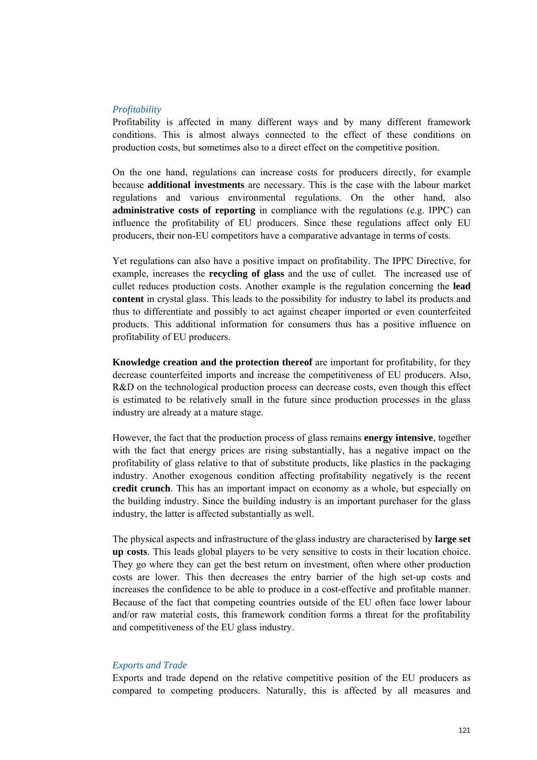#### *Profitability*

Profitability is affected in many different ways and by many different framework conditions. This is almost always connected to the effect of these conditions on production costs, but sometimes also to a direct effect on the competitive position.

On the one hand, regulations can increase costs for producers directly, for example because **additional investments** are necessary. This is the case with the labour market regulations and various environmental regulations. On the other hand, also **administrative costs of reporting** in compliance with the regulations (e.g. IPPC) can influence the profitability of EU producers. Since these regulations affect only EU producers, their non-EU competitors have a comparative advantage in terms of costs.

Yet regulations can also have a positive impact on profitability. The IPPC Directive, for example, increases the **recycling of glass** and the use of cullet. The increased use of cullet reduces production costs. Another example is the regulation concerning the **lead content** in crystal glass. This leads to the possibility for industry to label its products and thus to differentiate and possibly to act against cheaper imported or even counterfeited products. This additional information for consumers thus has a positive influence on profitability of EU producers.

**Knowledge creation and the protection thereof** are important for profitability, for they decrease counterfeited imports and increase the competitiveness of EU producers. Also, R&D on the technological production process can decrease costs, even though this effect is estimated to be relatively small in the future since production processes in the glass industry are already at a mature stage.

However, the fact that the production process of glass remains **energy intensive**, together with the fact that energy prices are rising substantially, has a negative impact on the profitability of glass relative to that of substitute products, like plastics in the packaging industry. Another exogenous condition affecting profitability negatively is the recent **credit crunch**. This has an important impact on economy as a whole, but especially on the building industry. Since the building industry is an important purchaser for the glass industry, the latter is affected substantially as well.

The physical aspects and infrastructure of the glass industry are characterised by **large set up costs**. This leads global players to be very sensitive to costs in their location choice. They go where they can get the best return on investment, often where other production costs are lower. This then decreases the entry barrier of the high set-up costs and increases the confidence to be able to produce in a cost-effective and profitable manner. Because of the fact that competing countries outside of the EU often face lower labour and/or raw material costs, this framework condition forms a threat for the profitability and competitiveness of the EU glass industry.

#### *Exports and Trade*

Exports and trade depend on the relative competitive position of the EU producers as compared to competing producers. Naturally, this is affected by all measures and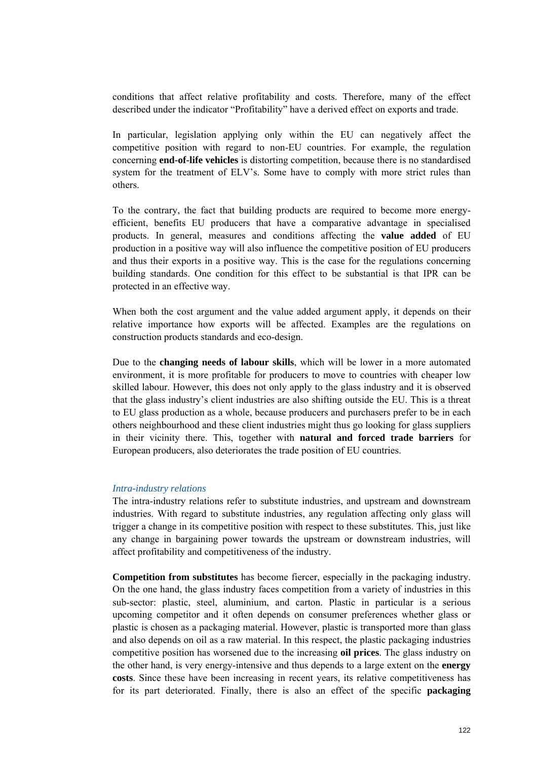conditions that affect relative profitability and costs. Therefore, many of the effect described under the indicator "Profitability" have a derived effect on exports and trade.

In particular, legislation applying only within the EU can negatively affect the competitive position with regard to non-EU countries. For example, the regulation concerning **end-of-life vehicles** is distorting competition, because there is no standardised system for the treatment of ELV's. Some have to comply with more strict rules than others.

To the contrary, the fact that building products are required to become more energyefficient, benefits EU producers that have a comparative advantage in specialised products. In general, measures and conditions affecting the **value added** of EU production in a positive way will also influence the competitive position of EU producers and thus their exports in a positive way. This is the case for the regulations concerning building standards. One condition for this effect to be substantial is that IPR can be protected in an effective way.

When both the cost argument and the value added argument apply, it depends on their relative importance how exports will be affected. Examples are the regulations on construction products standards and eco-design.

Due to the **changing needs of labour skills**, which will be lower in a more automated environment, it is more profitable for producers to move to countries with cheaper low skilled labour. However, this does not only apply to the glass industry and it is observed that the glass industry's client industries are also shifting outside the EU. This is a threat to EU glass production as a whole, because producers and purchasers prefer to be in each others neighbourhood and these client industries might thus go looking for glass suppliers in their vicinity there. This, together with **natural and forced trade barriers** for European producers, also deteriorates the trade position of EU countries.

#### *Intra-industry relations*

The intra-industry relations refer to substitute industries, and upstream and downstream industries. With regard to substitute industries, any regulation affecting only glass will trigger a change in its competitive position with respect to these substitutes. This, just like any change in bargaining power towards the upstream or downstream industries, will affect profitability and competitiveness of the industry.

**Competition from substitutes** has become fiercer, especially in the packaging industry. On the one hand, the glass industry faces competition from a variety of industries in this sub-sector: plastic, steel, aluminium, and carton. Plastic in particular is a serious upcoming competitor and it often depends on consumer preferences whether glass or plastic is chosen as a packaging material. However, plastic is transported more than glass and also depends on oil as a raw material. In this respect, the plastic packaging industries competitive position has worsened due to the increasing **oil prices**. The glass industry on the other hand, is very energy-intensive and thus depends to a large extent on the **energy costs**. Since these have been increasing in recent years, its relative competitiveness has for its part deteriorated. Finally, there is also an effect of the specific **packaging**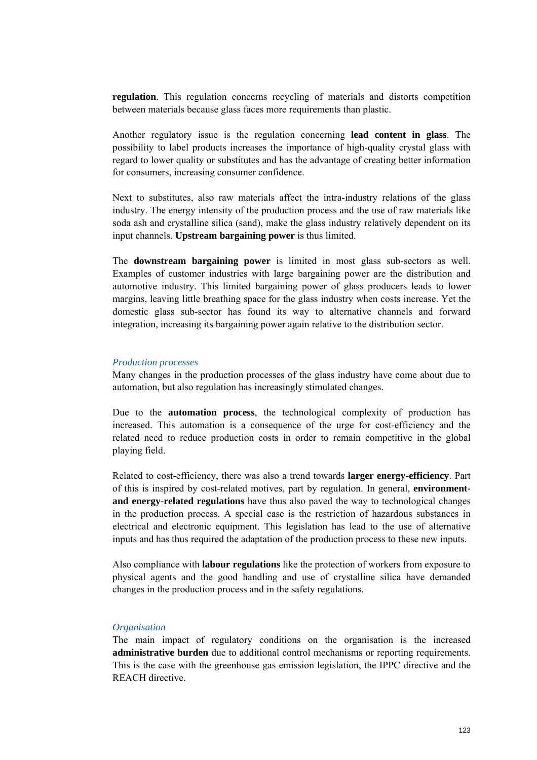**regulation**. This regulation concerns recycling of materials and distorts competition between materials because glass faces more requirements than plastic.

Another regulatory issue is the regulation concerning **lead content in glass**. The possibility to label products increases the importance of high-quality crystal glass with regard to lower quality or substitutes and has the advantage of creating better information for consumers, increasing consumer confidence.

Next to substitutes, also raw materials affect the intra-industry relations of the glass industry. The energy intensity of the production process and the use of raw materials like soda ash and crystalline silica (sand), make the glass industry relatively dependent on its input channels. **Upstream bargaining power** is thus limited.

The **downstream bargaining power** is limited in most glass sub-sectors as well. Examples of customer industries with large bargaining power are the distribution and automotive industry. This limited bargaining power of glass producers leads to lower margins, leaving little breathing space for the glass industry when costs increase. Yet the domestic glass sub-sector has found its way to alternative channels and forward integration, increasing its bargaining power again relative to the distribution sector.

#### *Production processes*

Many changes in the production processes of the glass industry have come about due to automation, but also regulation has increasingly stimulated changes.

Due to the **automation process**, the technological complexity of production has increased. This automation is a consequence of the urge for cost-efficiency and the related need to reduce production costs in order to remain competitive in the global playing field.

Related to cost-efficiency, there was also a trend towards **larger energy-efficiency**. Part of this is inspired by cost-related motives, part by regulation. In general, **environmentand energy-related regulations** have thus also paved the way to technological changes in the production process. A special case is the restriction of hazardous substances in electrical and electronic equipment. This legislation has lead to the use of alternative inputs and has thus required the adaptation of the production process to these new inputs.

Also compliance with **labour regulations** like the protection of workers from exposure to physical agents and the good handling and use of crystalline silica have demanded changes in the production process and in the safety regulations.

#### *Organisation*

The main impact of regulatory conditions on the organisation is the increased **administrative burden** due to additional control mechanisms or reporting requirements. This is the case with the greenhouse gas emission legislation, the IPPC directive and the REACH directive.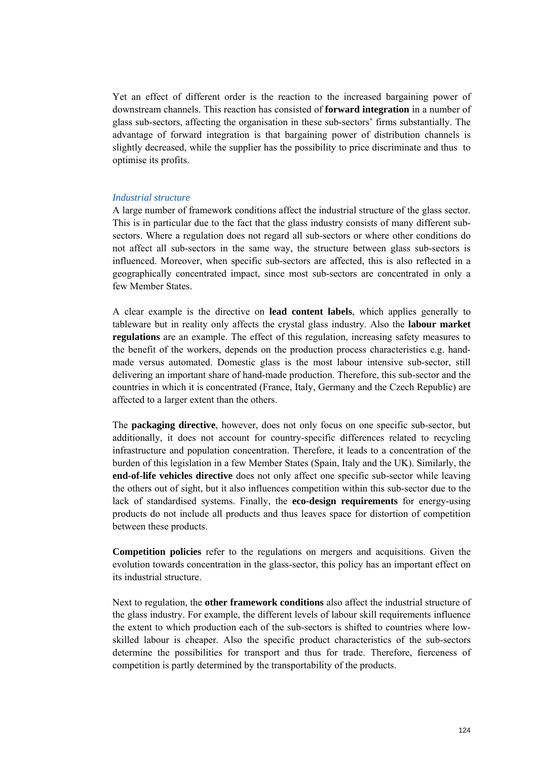Yet an effect of different order is the reaction to the increased bargaining power of downstream channels. This reaction has consisted of **forward integration** in a number of glass sub-sectors, affecting the organisation in these sub-sectors' firms substantially. The advantage of forward integration is that bargaining power of distribution channels is slightly decreased, while the supplier has the possibility to price discriminate and thus to optimise its profits.

#### *Industrial structure*

A large number of framework conditions affect the industrial structure of the glass sector. This is in particular due to the fact that the glass industry consists of many different subsectors. Where a regulation does not regard all sub-sectors or where other conditions do not affect all sub-sectors in the same way, the structure between glass sub-sectors is influenced. Moreover, when specific sub-sectors are affected, this is also reflected in a geographically concentrated impact, since most sub-sectors are concentrated in only a few Member States.

A clear example is the directive on **lead content labels**, which applies generally to tableware but in reality only affects the crystal glass industry. Also the **labour market regulations** are an example. The effect of this regulation, increasing safety measures to the benefit of the workers, depends on the production process characteristics e.g. handmade versus automated. Domestic glass is the most labour intensive sub-sector, still delivering an important share of hand-made production. Therefore, this sub-sector and the countries in which it is concentrated (France, Italy, Germany and the Czech Republic) are affected to a larger extent than the others.

The **packaging directive**, however, does not only focus on one specific sub-sector, but additionally, it does not account for country-specific differences related to recycling infrastructure and population concentration. Therefore, it leads to a concentration of the burden of this legislation in a few Member States (Spain, Italy and the UK). Similarly, the **end-of-life vehicles directive** does not only affect one specific sub-sector while leaving the others out of sight, but it also influences competition within this sub-sector due to the lack of standardised systems. Finally, the **eco-design requirements** for energy-using products do not include all products and thus leaves space for distortion of competition between these products.

**Competition policies** refer to the regulations on mergers and acquisitions. Given the evolution towards concentration in the glass-sector, this policy has an important effect on its industrial structure.

Next to regulation, the **other framework conditions** also affect the industrial structure of the glass industry. For example, the different levels of labour skill requirements influence the extent to which production each of the sub-sectors is shifted to countries where lowskilled labour is cheaper. Also the specific product characteristics of the sub-sectors determine the possibilities for transport and thus for trade. Therefore, fierceness of competition is partly determined by the transportability of the products.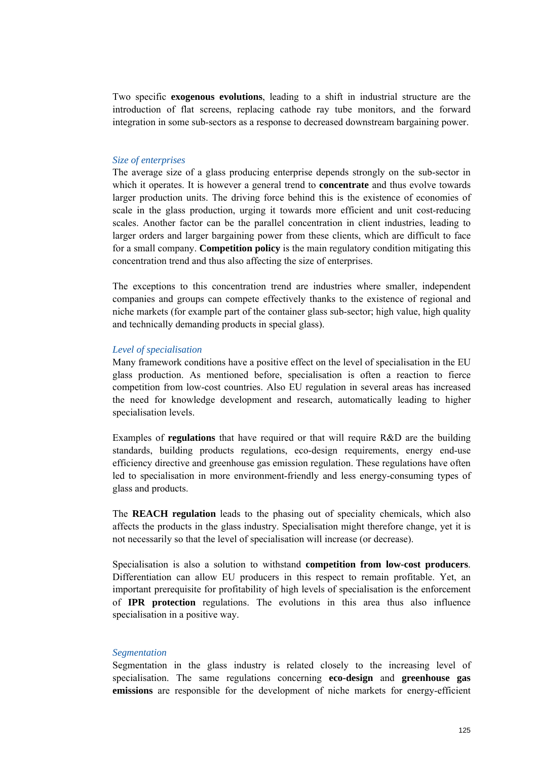Two specific **exogenous evolutions**, leading to a shift in industrial structure are the introduction of flat screens, replacing cathode ray tube monitors, and the forward integration in some sub-sectors as a response to decreased downstream bargaining power.

#### *Size of enterprises*

The average size of a glass producing enterprise depends strongly on the sub-sector in which it operates. It is however a general trend to **concentrate** and thus evolve towards larger production units. The driving force behind this is the existence of economies of scale in the glass production, urging it towards more efficient and unit cost-reducing scales. Another factor can be the parallel concentration in client industries, leading to larger orders and larger bargaining power from these clients, which are difficult to face for a small company. **Competition policy** is the main regulatory condition mitigating this concentration trend and thus also affecting the size of enterprises.

The exceptions to this concentration trend are industries where smaller, independent companies and groups can compete effectively thanks to the existence of regional and niche markets (for example part of the container glass sub-sector; high value, high quality and technically demanding products in special glass).

#### *Level of specialisation*

Many framework conditions have a positive effect on the level of specialisation in the EU glass production. As mentioned before, specialisation is often a reaction to fierce competition from low-cost countries. Also EU regulation in several areas has increased the need for knowledge development and research, automatically leading to higher specialisation levels.

Examples of **regulations** that have required or that will require R&D are the building standards, building products regulations, eco-design requirements, energy end-use efficiency directive and greenhouse gas emission regulation. These regulations have often led to specialisation in more environment-friendly and less energy-consuming types of glass and products.

The **REACH regulation** leads to the phasing out of speciality chemicals, which also affects the products in the glass industry. Specialisation might therefore change, yet it is not necessarily so that the level of specialisation will increase (or decrease).

Specialisation is also a solution to withstand **competition from low-cost producers**. Differentiation can allow EU producers in this respect to remain profitable. Yet, an important prerequisite for profitability of high levels of specialisation is the enforcement of **IPR protection** regulations. The evolutions in this area thus also influence specialisation in a positive way.

#### *Segmentation*

Segmentation in the glass industry is related closely to the increasing level of specialisation. The same regulations concerning **eco-design** and **greenhouse gas emissions** are responsible for the development of niche markets for energy-efficient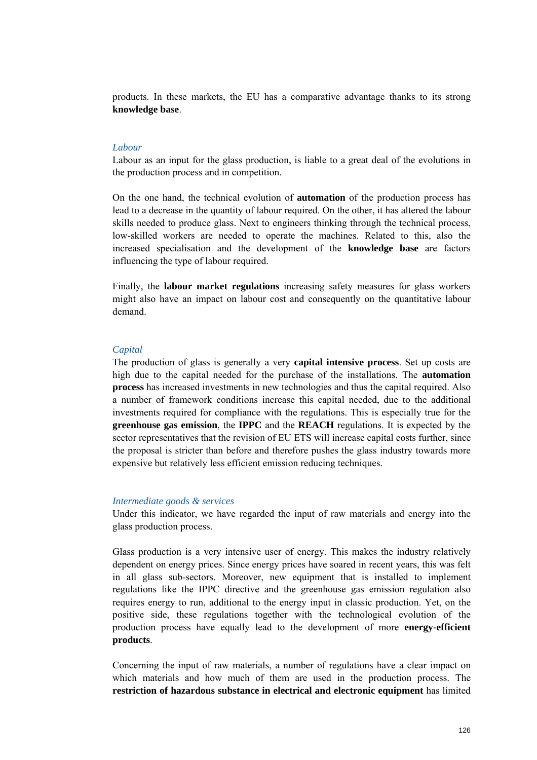products. In these markets, the EU has a comparative advantage thanks to its strong **knowledge base**.

#### *Labour*

Labour as an input for the glass production, is liable to a great deal of the evolutions in the production process and in competition.

On the one hand, the technical evolution of **automation** of the production process has lead to a decrease in the quantity of labour required. On the other, it has altered the labour skills needed to produce glass. Next to engineers thinking through the technical process, low-skilled workers are needed to operate the machines. Related to this, also the increased specialisation and the development of the **knowledge base** are factors influencing the type of labour required.

Finally, the **labour market regulations** increasing safety measures for glass workers might also have an impact on labour cost and consequently on the quantitative labour demand.

#### *Capital*

The production of glass is generally a very **capital intensive process**. Set up costs are high due to the capital needed for the purchase of the installations. The **automation process** has increased investments in new technologies and thus the capital required. Also a number of framework conditions increase this capital needed, due to the additional investments required for compliance with the regulations. This is especially true for the **greenhouse gas emission**, the **IPPC** and the **REACH** regulations. It is expected by the sector representatives that the revision of EU ETS will increase capital costs further, since the proposal is stricter than before and therefore pushes the glass industry towards more expensive but relatively less efficient emission reducing techniques.

#### *Intermediate goods & services*

Under this indicator, we have regarded the input of raw materials and energy into the glass production process.

Glass production is a very intensive user of energy. This makes the industry relatively dependent on energy prices. Since energy prices have soared in recent years, this was felt in all glass sub-sectors. Moreover, new equipment that is installed to implement regulations like the IPPC directive and the greenhouse gas emission regulation also requires energy to run, additional to the energy input in classic production. Yet, on the positive side, these regulations together with the technological evolution of the production process have equally lead to the development of more **energy-efficient products**.

Concerning the input of raw materials, a number of regulations have a clear impact on which materials and how much of them are used in the production process. The **restriction of hazardous substance in electrical and electronic equipment** has limited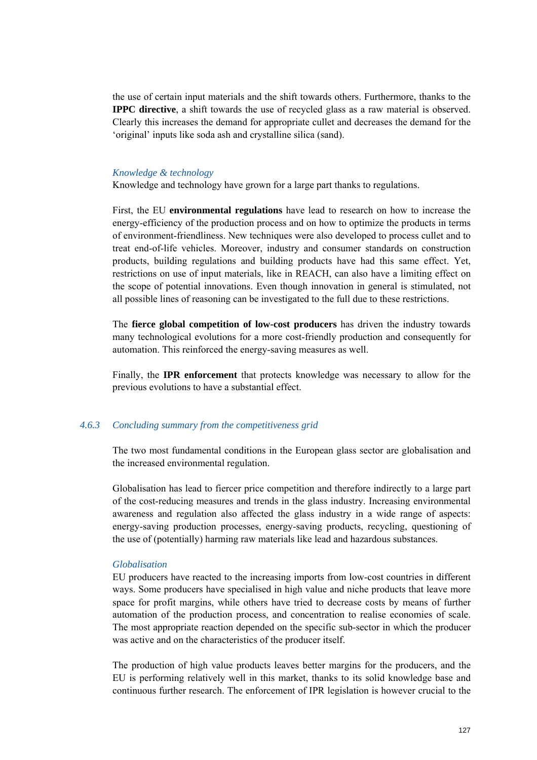the use of certain input materials and the shift towards others. Furthermore, thanks to the **IPPC directive**, a shift towards the use of recycled glass as a raw material is observed. Clearly this increases the demand for appropriate cullet and decreases the demand for the 'original' inputs like soda ash and crystalline silica (sand).

#### *Knowledge & technology*

Knowledge and technology have grown for a large part thanks to regulations.

First, the EU **environmental regulations** have lead to research on how to increase the energy-efficiency of the production process and on how to optimize the products in terms of environment-friendliness. New techniques were also developed to process cullet and to treat end-of-life vehicles. Moreover, industry and consumer standards on construction products, building regulations and building products have had this same effect. Yet, restrictions on use of input materials, like in REACH, can also have a limiting effect on the scope of potential innovations. Even though innovation in general is stimulated, not all possible lines of reasoning can be investigated to the full due to these restrictions.

The **fierce global competition of low-cost producers** has driven the industry towards many technological evolutions for a more cost-friendly production and consequently for automation. This reinforced the energy-saving measures as well.

Finally, the **IPR enforcement** that protects knowledge was necessary to allow for the previous evolutions to have a substantial effect.

#### *4.6.3 Concluding summary from the competitiveness grid*

The two most fundamental conditions in the European glass sector are globalisation and the increased environmental regulation.

Globalisation has lead to fiercer price competition and therefore indirectly to a large part of the cost-reducing measures and trends in the glass industry. Increasing environmental awareness and regulation also affected the glass industry in a wide range of aspects: energy-saving production processes, energy-saving products, recycling, questioning of the use of (potentially) harming raw materials like lead and hazardous substances.

#### *Globalisation*

EU producers have reacted to the increasing imports from low-cost countries in different ways. Some producers have specialised in high value and niche products that leave more space for profit margins, while others have tried to decrease costs by means of further automation of the production process, and concentration to realise economies of scale. The most appropriate reaction depended on the specific sub-sector in which the producer was active and on the characteristics of the producer itself.

The production of high value products leaves better margins for the producers, and the EU is performing relatively well in this market, thanks to its solid knowledge base and continuous further research. The enforcement of IPR legislation is however crucial to the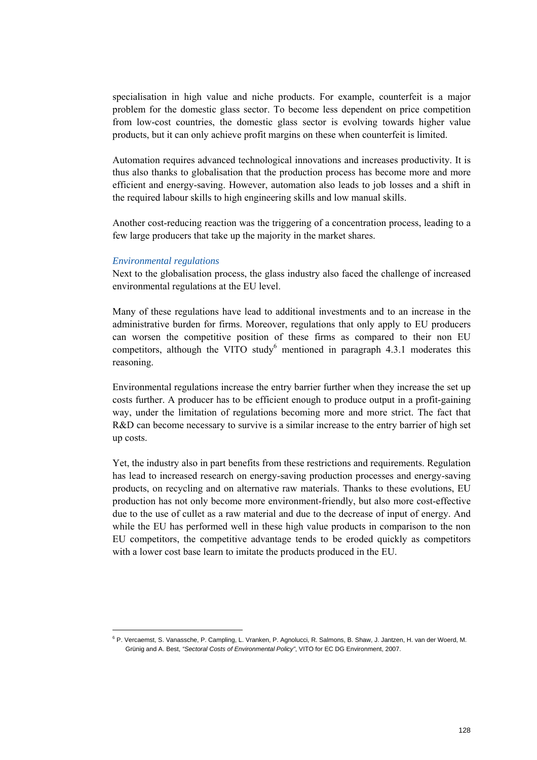specialisation in high value and niche products. For example, counterfeit is a major problem for the domestic glass sector. To become less dependent on price competition from low-cost countries, the domestic glass sector is evolving towards higher value products, but it can only achieve profit margins on these when counterfeit is limited.

Automation requires advanced technological innovations and increases productivity. It is thus also thanks to globalisation that the production process has become more and more efficient and energy-saving. However, automation also leads to job losses and a shift in the required labour skills to high engineering skills and low manual skills.

Another cost-reducing reaction was the triggering of a concentration process, leading to a few large producers that take up the majority in the market shares.

#### *Environmental regulations*

Next to the globalisation process, the glass industry also faced the challenge of increased environmental regulations at the EU level.

Many of these regulations have lead to additional investments and to an increase in the administrative burden for firms. Moreover, regulations that only apply to EU producers can worsen the competitive position of these firms as compared to their non EU competitors, although the VITO study<sup>6</sup> mentioned in paragraph  $4.3.1$  moderates this reasoning.

Environmental regulations increase the entry barrier further when they increase the set up costs further. A producer has to be efficient enough to produce output in a profit-gaining way, under the limitation of regulations becoming more and more strict. The fact that R&D can become necessary to survive is a similar increase to the entry barrier of high set up costs.

Yet, the industry also in part benefits from these restrictions and requirements. Regulation has lead to increased research on energy-saving production processes and energy-saving products, on recycling and on alternative raw materials. Thanks to these evolutions, EU production has not only become more environment-friendly, but also more cost-effective due to the use of cullet as a raw material and due to the decrease of input of energy. And while the EU has performed well in these high value products in comparison to the non EU competitors, the competitive advantage tends to be eroded quickly as competitors with a lower cost base learn to imitate the products produced in the EU.

<sup>&</sup>lt;sup>6</sup> P. Vercaemst, S. Vanassche, P. Campling, L. Vranken, P. Agnolucci, R. Salmons, B. Shaw, J. Jantzen, H. van der Woerd, M. Grünig and A. Best, *"Sectoral Costs of Environmental Policy"*, VITO for EC DG Environment, 2007.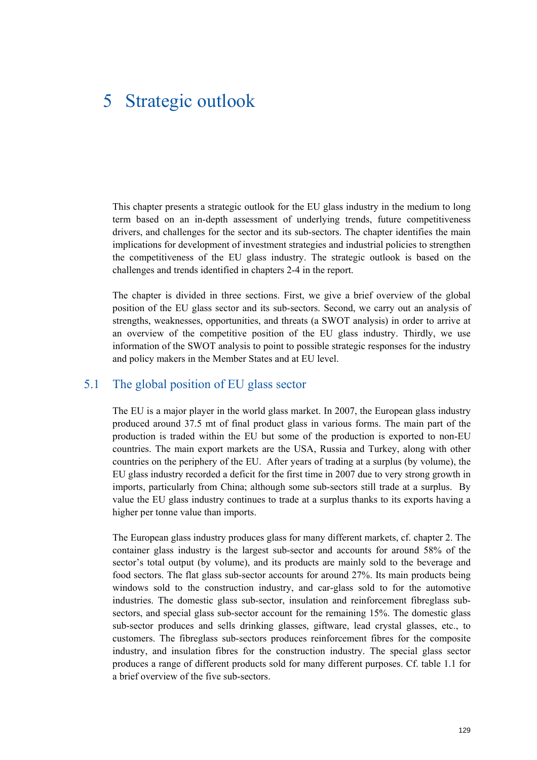# 5 Strategic outlook

This chapter presents a strategic outlook for the EU glass industry in the medium to long term based on an in-depth assessment of underlying trends, future competitiveness drivers, and challenges for the sector and its sub-sectors. The chapter identifies the main implications for development of investment strategies and industrial policies to strengthen the competitiveness of the EU glass industry. The strategic outlook is based on the challenges and trends identified in chapters 2-4 in the report.

The chapter is divided in three sections. First, we give a brief overview of the global position of the EU glass sector and its sub-sectors. Second, we carry out an analysis of strengths, weaknesses, opportunities, and threats (a SWOT analysis) in order to arrive at an overview of the competitive position of the EU glass industry. Thirdly, we use information of the SWOT analysis to point to possible strategic responses for the industry and policy makers in the Member States and at EU level.

# 5.1 The global position of EU glass sector

The EU is a major player in the world glass market. In 2007, the European glass industry produced around 37.5 mt of final product glass in various forms. The main part of the production is traded within the EU but some of the production is exported to non-EU countries. The main export markets are the USA, Russia and Turkey, along with other countries on the periphery of the EU. After years of trading at a surplus (by volume), the EU glass industry recorded a deficit for the first time in 2007 due to very strong growth in imports, particularly from China; although some sub-sectors still trade at a surplus. By value the EU glass industry continues to trade at a surplus thanks to its exports having a higher per tonne value than imports.

The European glass industry produces glass for many different markets, cf. chapter 2. The container glass industry is the largest sub-sector and accounts for around 58% of the sector's total output (by volume), and its products are mainly sold to the beverage and food sectors. The flat glass sub-sector accounts for around 27%. Its main products being windows sold to the construction industry, and car-glass sold to for the automotive industries. The domestic glass sub-sector, insulation and reinforcement fibreglass subsectors, and special glass sub-sector account for the remaining 15%. The domestic glass sub-sector produces and sells drinking glasses, giftware, lead crystal glasses, etc., to customers. The fibreglass sub-sectors produces reinforcement fibres for the composite industry, and insulation fibres for the construction industry. The special glass sector produces a range of different products sold for many different purposes. Cf. table 1.1 for a brief overview of the five sub-sectors.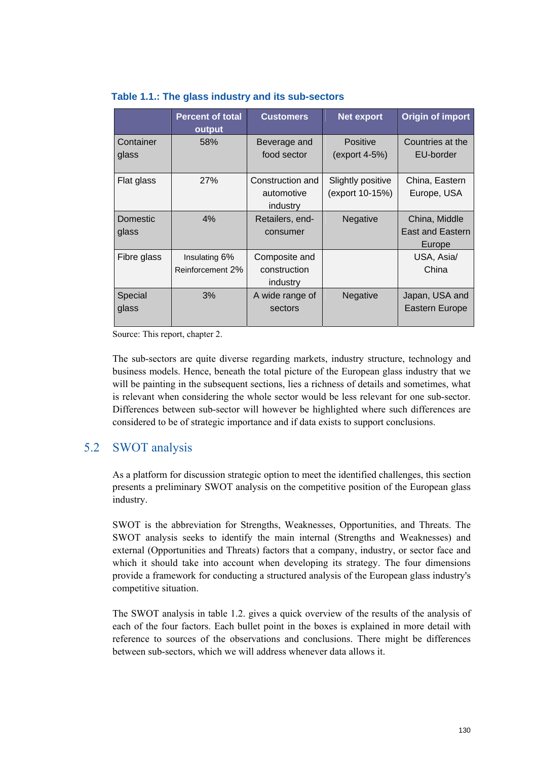|                          | <b>Percent of total</b><br>output | <b>Customers</b>                           | <b>Net export</b>                    | Origin of import                                   |
|--------------------------|-----------------------------------|--------------------------------------------|--------------------------------------|----------------------------------------------------|
| Container<br>glass       | 58%                               | Beverage and<br>food sector                | <b>Positive</b><br>(export 4-5%)     | Countries at the<br>EU-border                      |
| Flat glass               | 27%                               | Construction and<br>automotive<br>industry | Slightly positive<br>(export 10-15%) | China, Eastern<br>Europe, USA                      |
| <b>Domestic</b><br>glass | 4%                                | Retailers, end-<br>consumer                | Negative                             | China, Middle<br><b>East and Eastern</b><br>Europe |
| Fibre glass              | Insulating 6%<br>Reinforcement 2% | Composite and<br>construction<br>industry  |                                      | USA, Asia/<br>China                                |
| Special<br>glass         | 3%                                | A wide range of<br>sectors                 | Negative                             | Japan, USA and<br>Eastern Europe                   |

### **Table 1.1.: The glass industry and its sub-sectors**

Source: This report, chapter 2.

The sub-sectors are quite diverse regarding markets, industry structure, technology and business models. Hence, beneath the total picture of the European glass industry that we will be painting in the subsequent sections, lies a richness of details and sometimes, what is relevant when considering the whole sector would be less relevant for one sub-sector. Differences between sub-sector will however be highlighted where such differences are considered to be of strategic importance and if data exists to support conclusions.

# 5.2 SWOT analysis

As a platform for discussion strategic option to meet the identified challenges, this section presents a preliminary SWOT analysis on the competitive position of the European glass industry.

SWOT is the abbreviation for Strengths, Weaknesses, Opportunities, and Threats. The SWOT analysis seeks to identify the main internal (Strengths and Weaknesses) and external (Opportunities and Threats) factors that a company, industry, or sector face and which it should take into account when developing its strategy. The four dimensions provide a framework for conducting a structured analysis of the European glass industry's competitive situation.

The SWOT analysis in table 1.2. gives a quick overview of the results of the analysis of each of the four factors. Each bullet point in the boxes is explained in more detail with reference to sources of the observations and conclusions. There might be differences between sub-sectors, which we will address whenever data allows it.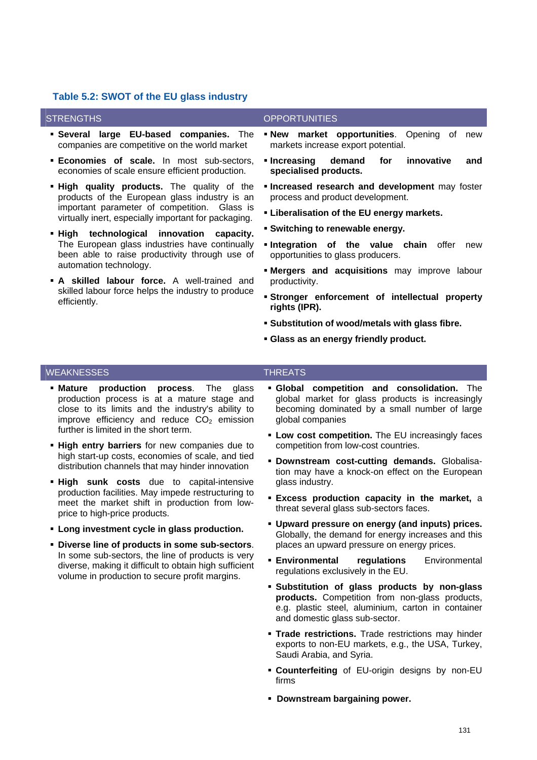#### **Table 5.2: SWOT of the EU glass industry**

- **Several large EU-based companies.** The companies are competitive on the world market
- **Economies of scale.** In most sub-sectors, economies of scale ensure efficient production.
- **High quality products.** The quality of the products of the European glass industry is an important parameter of competition. Glass is virtually inert, especially important for packaging.
- **High technological innovation capacity.**  The European glass industries have continually been able to raise productivity through use of automation technology.
- **A skilled labour force.** A well-trained and skilled labour force helps the industry to produce efficiently.

#### STRENGTHS **OPPORTUNITIES**

- **New market opportunities**. Opening of new markets increase export potential.
- **Increasing demand for innovative and specialised products.**
- **Increased research and development** may foster process and product development.
- **Liberalisation of the EU energy markets.**
- **Switching to renewable energy.**
- **Integration of the value chain** offer new opportunities to glass producers.
- **Mergers and acquisitions** may improve labour productivity.
- **Stronger enforcement of intellectual property rights (IPR).**
- **Substitution of wood/metals with glass fibre.**
- **Glass as an energy friendly product.**

#### WEAKNESSES THREATS

- **Mature production process**. The glass production process is at a mature stage and close to its limits and the industry's ability to improve efficiency and reduce  $CO<sub>2</sub>$  emission further is limited in the short term.
- **High entry barriers** for new companies due to high start-up costs, economies of scale, and tied distribution channels that may hinder innovation
- **High sunk costs** due to capital-intensive production facilities. May impede restructuring to meet the market shift in production from lowprice to high-price products.
- **Long investment cycle in glass production.**
- **Diverse line of products in some sub-sectors**. In some sub-sectors, the line of products is very diverse, making it difficult to obtain high sufficient volume in production to secure profit margins.
- **Global competition and consolidation.** The global market for glass products is increasingly becoming dominated by a small number of large global companies
- **Low cost competition.** The EU increasingly faces competition from low-cost countries.
- **Downstream cost-cutting demands.** Globalisation may have a knock-on effect on the European glass industry.
- **Excess production capacity in the market,** a threat several glass sub-sectors faces.
- **Upward pressure on energy (and inputs) prices.** Globally, the demand for energy increases and this places an upward pressure on energy prices.
- **Environmental regulations** Environmental regulations exclusively in the EU.
- **Substitution of glass products by non-glass products.** Competition from non-glass products, e.g. plastic steel, aluminium, carton in container and domestic glass sub-sector.
- **Trade restrictions.** Trade restrictions may hinder exports to non-EU markets, e.g., the USA, Turkey, Saudi Arabia, and Syria.
- **Counterfeiting** of EU-origin designs by non-EU firms
- **Downstream bargaining power.**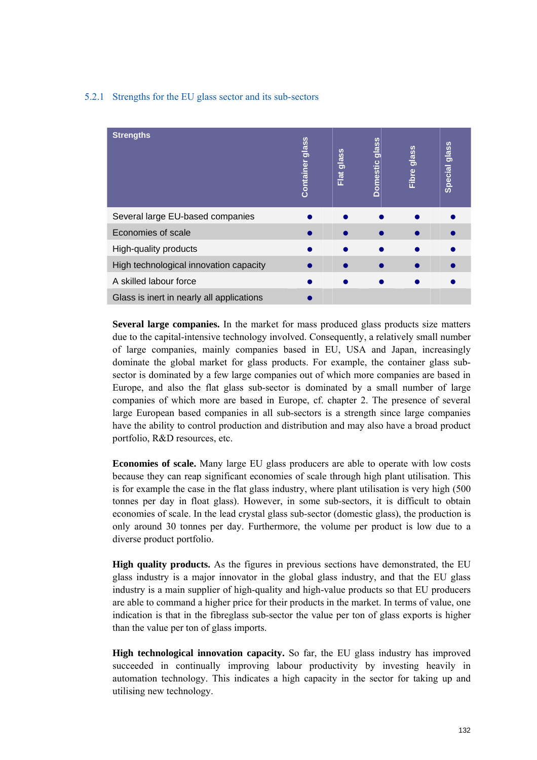#### 5.2.1 Strengths for the EU glass sector and its sub-sectors

| <b>Strengths</b>                          | glass<br>Container | Flat glass | glass<br><b>Domestic</b> | Fibre glass | Special glass |
|-------------------------------------------|--------------------|------------|--------------------------|-------------|---------------|
| Several large EU-based companies          |                    |            |                          |             |               |
| Economies of scale                        |                    |            |                          |             |               |
| High-quality products                     |                    |            |                          |             |               |
| High technological innovation capacity    |                    |            |                          |             |               |
| A skilled labour force                    |                    |            |                          |             |               |
| Glass is inert in nearly all applications |                    |            |                          |             |               |

**Several large companies.** In the market for mass produced glass products size matters due to the capital-intensive technology involved. Consequently, a relatively small number of large companies, mainly companies based in EU, USA and Japan, increasingly dominate the global market for glass products. For example, the container glass subsector is dominated by a few large companies out of which more companies are based in Europe, and also the flat glass sub-sector is dominated by a small number of large companies of which more are based in Europe, cf. chapter 2. The presence of several large European based companies in all sub-sectors is a strength since large companies have the ability to control production and distribution and may also have a broad product portfolio, R&D resources, etc.

**Economies of scale.** Many large EU glass producers are able to operate with low costs because they can reap significant economies of scale through high plant utilisation. This is for example the case in the flat glass industry, where plant utilisation is very high (500 tonnes per day in float glass). However, in some sub-sectors, it is difficult to obtain economies of scale. In the lead crystal glass sub-sector (domestic glass), the production is only around 30 tonnes per day. Furthermore, the volume per product is low due to a diverse product portfolio.

**High quality products.** As the figures in previous sections have demonstrated, the EU glass industry is a major innovator in the global glass industry, and that the EU glass industry is a main supplier of high-quality and high-value products so that EU producers are able to command a higher price for their products in the market. In terms of value, one indication is that in the fibreglass sub-sector the value per ton of glass exports is higher than the value per ton of glass imports.

**High technological innovation capacity.** So far, the EU glass industry has improved succeeded in continually improving labour productivity by investing heavily in automation technology. This indicates a high capacity in the sector for taking up and utilising new technology.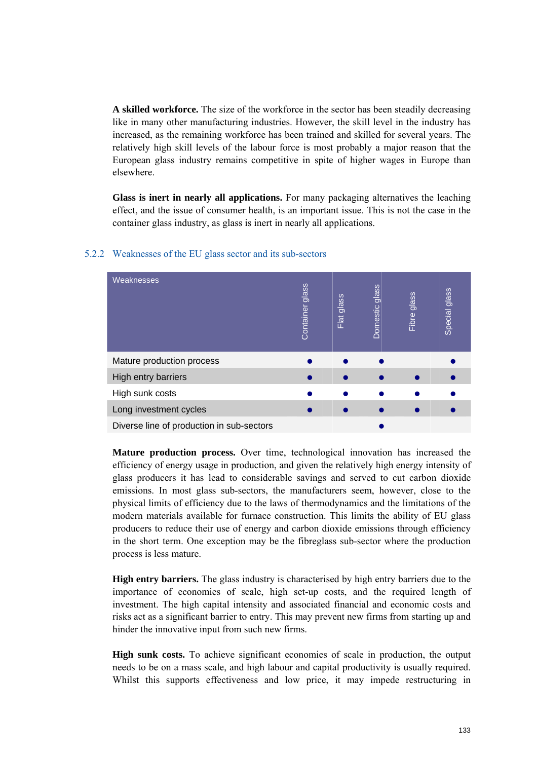**A skilled workforce.** The size of the workforce in the sector has been steadily decreasing like in many other manufacturing industries. However, the skill level in the industry has increased, as the remaining workforce has been trained and skilled for several years. The relatively high skill levels of the labour force is most probably a major reason that the European glass industry remains competitive in spite of higher wages in Europe than elsewhere.

**Glass is inert in nearly all applications.** For many packaging alternatives the leaching effect, and the issue of consumer health, is an important issue. This is not the case in the container glass industry, as glass is inert in nearly all applications.

| <b>Weaknesses</b>                         | glass<br>Container | Flat glass | glass<br>Domestic | <b>glass</b><br>Fibre | Special glass |
|-------------------------------------------|--------------------|------------|-------------------|-----------------------|---------------|
| Mature production process                 |                    |            |                   |                       |               |
| High entry barriers                       |                    |            |                   |                       |               |
| High sunk costs                           |                    |            |                   |                       |               |
| Long investment cycles                    |                    |            |                   |                       |               |
| Diverse line of production in sub-sectors |                    |            |                   |                       |               |

#### 5.2.2 Weaknesses of the EU glass sector and its sub-sectors

**Mature production process.** Over time, technological innovation has increased the efficiency of energy usage in production, and given the relatively high energy intensity of glass producers it has lead to considerable savings and served to cut carbon dioxide emissions. In most glass sub-sectors, the manufacturers seem, however, close to the physical limits of efficiency due to the laws of thermodynamics and the limitations of the modern materials available for furnace construction. This limits the ability of EU glass producers to reduce their use of energy and carbon dioxide emissions through efficiency in the short term. One exception may be the fibreglass sub-sector where the production process is less mature.

**High entry barriers.** The glass industry is characterised by high entry barriers due to the importance of economies of scale, high set-up costs, and the required length of investment. The high capital intensity and associated financial and economic costs and risks act as a significant barrier to entry. This may prevent new firms from starting up and hinder the innovative input from such new firms.

**High sunk costs.** To achieve significant economies of scale in production, the output needs to be on a mass scale, and high labour and capital productivity is usually required. Whilst this supports effectiveness and low price, it may impede restructuring in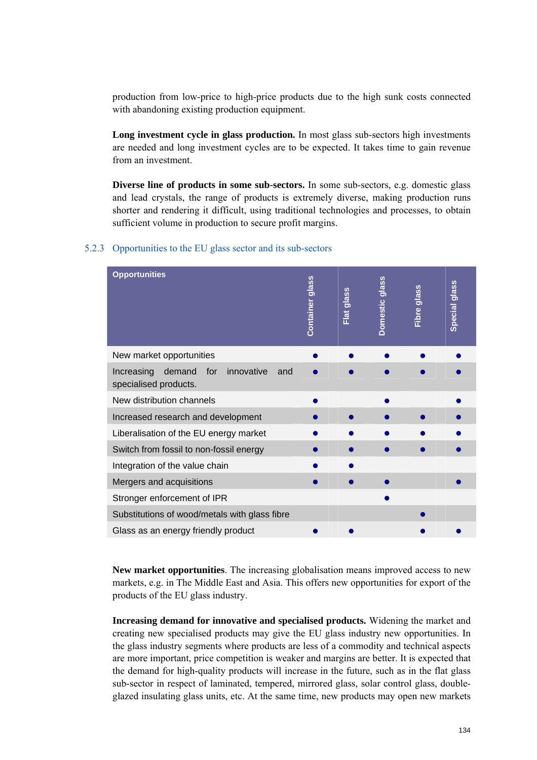production from low-price to high-price products due to the high sunk costs connected with abandoning existing production equipment.

**Long investment cycle in glass production.** In most glass sub-sectors high investments are needed and long investment cycles are to be expected. It takes time to gain revenue from an investment.

**Diverse line of products in some sub-sectors.** In some sub-sectors, e.g. domestic glass and lead crystals, the range of products is extremely diverse, making production runs shorter and rendering it difficult, using traditional technologies and processes, to obtain sufficient volume in production to secure profit margins.

#### 5.2.3 Opportunities to the EU glass sector and its sub-sectors

| <b>Opportunities</b>                                                   | <b>Container glass</b> | Flat glass | Domestic glass | Fibre glass | Special glass |
|------------------------------------------------------------------------|------------------------|------------|----------------|-------------|---------------|
| New market opportunities                                               |                        |            |                |             |               |
| Increasing demand<br>for<br>innovative<br>and<br>specialised products. |                        |            |                |             |               |
| New distribution channels                                              |                        |            |                |             |               |
| Increased research and development                                     |                        |            |                |             |               |
| Liberalisation of the EU energy market                                 |                        |            |                |             |               |
| Switch from fossil to non-fossil energy                                |                        |            |                |             |               |
| Integration of the value chain                                         |                        |            |                |             |               |
| Mergers and acquisitions                                               |                        |            |                |             |               |
| Stronger enforcement of IPR                                            |                        |            |                |             |               |
| Substitutions of wood/metals with glass fibre                          |                        |            |                |             |               |
| Glass as an energy friendly product                                    |                        |            |                |             |               |

**New market opportunities**. The increasing globalisation means improved access to new markets, e.g. in The Middle East and Asia. This offers new opportunities for export of the products of the EU glass industry.

**Increasing demand for innovative and specialised products.** Widening the market and creating new specialised products may give the EU glass industry new opportunities. In the glass industry segments where products are less of a commodity and technical aspects are more important, price competition is weaker and margins are better. It is expected that the demand for high-quality products will increase in the future, such as in the flat glass sub-sector in respect of laminated, tempered, mirrored glass, solar control glass, doubleglazed insulating glass units, etc. At the same time, new products may open new markets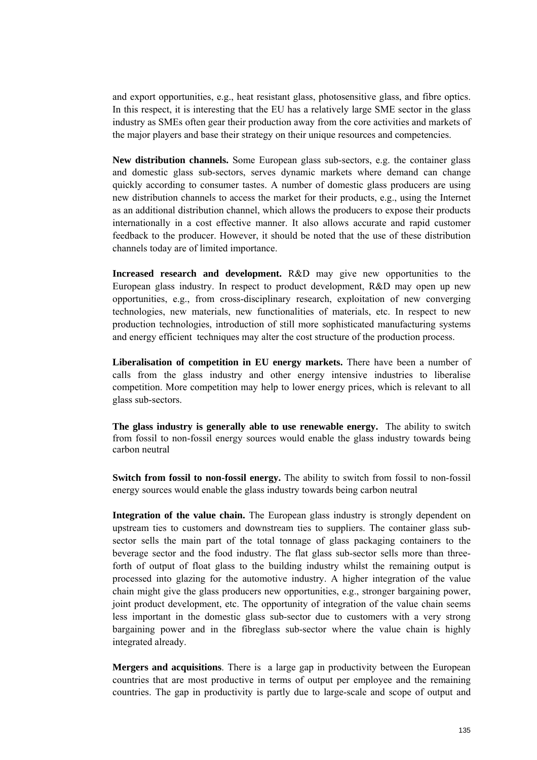and export opportunities, e.g., heat resistant glass, photosensitive glass, and fibre optics. In this respect, it is interesting that the EU has a relatively large SME sector in the glass industry as SMEs often gear their production away from the core activities and markets of the major players and base their strategy on their unique resources and competencies.

**New distribution channels.** Some European glass sub-sectors, e.g. the container glass and domestic glass sub-sectors, serves dynamic markets where demand can change quickly according to consumer tastes. A number of domestic glass producers are using new distribution channels to access the market for their products, e.g., using the Internet as an additional distribution channel, which allows the producers to expose their products internationally in a cost effective manner. It also allows accurate and rapid customer feedback to the producer. However, it should be noted that the use of these distribution channels today are of limited importance.

**Increased research and development.** R&D may give new opportunities to the European glass industry. In respect to product development, R&D may open up new opportunities, e.g., from cross-disciplinary research, exploitation of new converging technologies, new materials, new functionalities of materials, etc. In respect to new production technologies, introduction of still more sophisticated manufacturing systems and energy efficient techniques may alter the cost structure of the production process.

**Liberalisation of competition in EU energy markets.** There have been a number of calls from the glass industry and other energy intensive industries to liberalise competition. More competition may help to lower energy prices, which is relevant to all glass sub-sectors.

**The glass industry is generally able to use renewable energy.** The ability to switch from fossil to non-fossil energy sources would enable the glass industry towards being carbon neutral

**Switch from fossil to non-fossil energy.** The ability to switch from fossil to non-fossil energy sources would enable the glass industry towards being carbon neutral

**Integration of the value chain.** The European glass industry is strongly dependent on upstream ties to customers and downstream ties to suppliers. The container glass subsector sells the main part of the total tonnage of glass packaging containers to the beverage sector and the food industry. The flat glass sub-sector sells more than threeforth of output of float glass to the building industry whilst the remaining output is processed into glazing for the automotive industry. A higher integration of the value chain might give the glass producers new opportunities, e.g., stronger bargaining power, joint product development, etc. The opportunity of integration of the value chain seems less important in the domestic glass sub-sector due to customers with a very strong bargaining power and in the fibreglass sub-sector where the value chain is highly integrated already.

**Mergers and acquisitions**. There is a large gap in productivity between the European countries that are most productive in terms of output per employee and the remaining countries. The gap in productivity is partly due to large-scale and scope of output and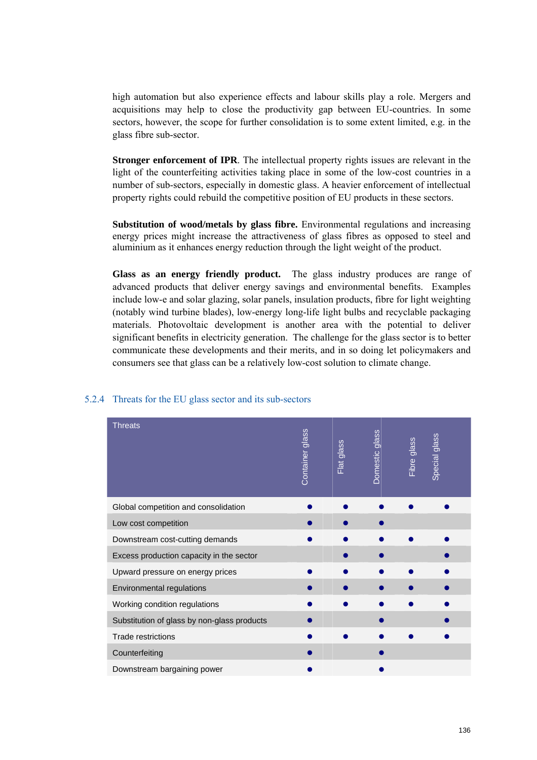high automation but also experience effects and labour skills play a role. Mergers and acquisitions may help to close the productivity gap between EU-countries. In some sectors, however, the scope for further consolidation is to some extent limited, e.g. in the glass fibre sub-sector.

**Stronger enforcement of IPR**. The intellectual property rights issues are relevant in the light of the counterfeiting activities taking place in some of the low-cost countries in a number of sub-sectors, especially in domestic glass. A heavier enforcement of intellectual property rights could rebuild the competitive position of EU products in these sectors.

**Substitution of wood/metals by glass fibre.** Environmental regulations and increasing energy prices might increase the attractiveness of glass fibres as opposed to steel and aluminium as it enhances energy reduction through the light weight of the product.

**Glass as an energy friendly product.** The glass industry produces are range of advanced products that deliver energy savings and environmental benefits. Examples include low-e and solar glazing, solar panels, insulation products, fibre for light weighting (notably wind turbine blades), low-energy long-life light bulbs and recyclable packaging materials. Photovoltaic development is another area with the potential to deliver significant benefits in electricity generation. The challenge for the glass sector is to better communicate these developments and their merits, and in so doing let policymakers and consumers see that glass can be a relatively low-cost solution to climate change.

| Threats                                     | glass<br>Container | Flat glass | Domestic glass | Fibre glass | Special glass |
|---------------------------------------------|--------------------|------------|----------------|-------------|---------------|
| Global competition and consolidation        |                    |            |                |             |               |
| Low cost competition                        |                    |            |                |             |               |
| Downstream cost-cutting demands             |                    |            |                |             |               |
| Excess production capacity in the sector    |                    |            |                |             |               |
| Upward pressure on energy prices            |                    |            |                |             |               |
| Environmental regulations                   |                    |            |                |             |               |
| Working condition regulations               |                    |            |                |             |               |
| Substitution of glass by non-glass products |                    |            |                |             |               |
| Trade restrictions                          |                    |            |                |             |               |
| Counterfeiting                              |                    |            |                |             |               |
| Downstream bargaining power                 |                    |            |                |             |               |

#### 5.2.4 Threats for the EU glass sector and its sub-sectors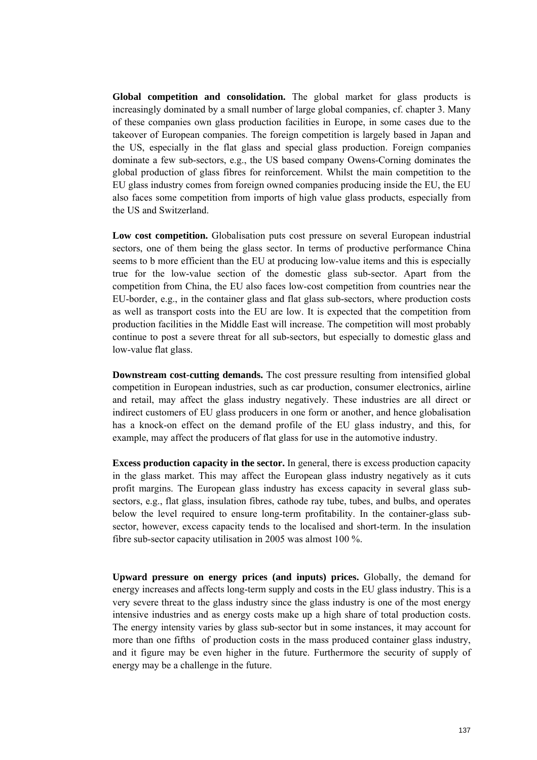**Global competition and consolidation.** The global market for glass products is increasingly dominated by a small number of large global companies, cf. chapter 3. Many of these companies own glass production facilities in Europe, in some cases due to the takeover of European companies. The foreign competition is largely based in Japan and the US, especially in the flat glass and special glass production. Foreign companies dominate a few sub-sectors, e.g., the US based company Owens-Corning dominates the global production of glass fibres for reinforcement. Whilst the main competition to the EU glass industry comes from foreign owned companies producing inside the EU, the EU also faces some competition from imports of high value glass products, especially from the US and Switzerland.

**Low cost competition.** Globalisation puts cost pressure on several European industrial sectors, one of them being the glass sector. In terms of productive performance China seems to b more efficient than the EU at producing low-value items and this is especially true for the low-value section of the domestic glass sub-sector. Apart from the competition from China, the EU also faces low-cost competition from countries near the EU-border, e.g., in the container glass and flat glass sub-sectors, where production costs as well as transport costs into the EU are low. It is expected that the competition from production facilities in the Middle East will increase. The competition will most probably continue to post a severe threat for all sub-sectors, but especially to domestic glass and low-value flat glass.

**Downstream cost-cutting demands.** The cost pressure resulting from intensified global competition in European industries, such as car production, consumer electronics, airline and retail, may affect the glass industry negatively. These industries are all direct or indirect customers of EU glass producers in one form or another, and hence globalisation has a knock-on effect on the demand profile of the EU glass industry, and this, for example, may affect the producers of flat glass for use in the automotive industry.

**Excess production capacity in the sector.** In general, there is excess production capacity in the glass market. This may affect the European glass industry negatively as it cuts profit margins. The European glass industry has excess capacity in several glass subsectors, e.g., flat glass, insulation fibres, cathode ray tube, tubes, and bulbs, and operates below the level required to ensure long-term profitability. In the container-glass subsector, however, excess capacity tends to the localised and short-term. In the insulation fibre sub-sector capacity utilisation in 2005 was almost 100 %.

**Upward pressure on energy prices (and inputs) prices.** Globally, the demand for energy increases and affects long-term supply and costs in the EU glass industry. This is a very severe threat to the glass industry since the glass industry is one of the most energy intensive industries and as energy costs make up a high share of total production costs. The energy intensity varies by glass sub-sector but in some instances, it may account for more than one fifths of production costs in the mass produced container glass industry, and it figure may be even higher in the future. Furthermore the security of supply of energy may be a challenge in the future.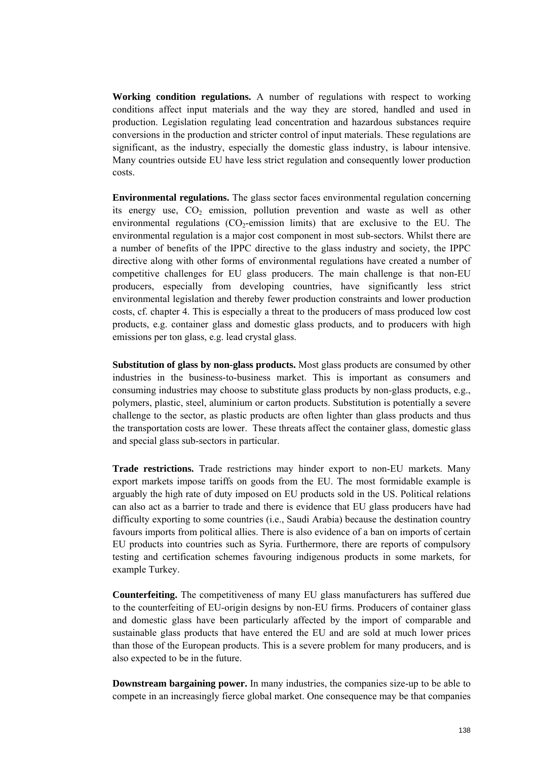**Working condition regulations.** A number of regulations with respect to working conditions affect input materials and the way they are stored, handled and used in production. Legislation regulating lead concentration and hazardous substances require conversions in the production and stricter control of input materials. These regulations are significant, as the industry, especially the domestic glass industry, is labour intensive. Many countries outside EU have less strict regulation and consequently lower production costs.

**Environmental regulations.** The glass sector faces environmental regulation concerning its energy use,  $CO<sub>2</sub>$  emission, pollution prevention and waste as well as other environmental regulations  $(CO<sub>2</sub>$ -emission limits) that are exclusive to the EU. The environmental regulation is a major cost component in most sub-sectors. Whilst there are a number of benefits of the IPPC directive to the glass industry and society, the IPPC directive along with other forms of environmental regulations have created a number of competitive challenges for EU glass producers. The main challenge is that non-EU producers, especially from developing countries, have significantly less strict environmental legislation and thereby fewer production constraints and lower production costs, cf. chapter 4. This is especially a threat to the producers of mass produced low cost products, e.g. container glass and domestic glass products, and to producers with high emissions per ton glass, e.g. lead crystal glass.

**Substitution of glass by non-glass products.** Most glass products are consumed by other industries in the business-to-business market. This is important as consumers and consuming industries may choose to substitute glass products by non-glass products, e.g., polymers, plastic, steel, aluminium or carton products. Substitution is potentially a severe challenge to the sector, as plastic products are often lighter than glass products and thus the transportation costs are lower. These threats affect the container glass, domestic glass and special glass sub-sectors in particular.

**Trade restrictions.** Trade restrictions may hinder export to non-EU markets. Many export markets impose tariffs on goods from the EU. The most formidable example is arguably the high rate of duty imposed on EU products sold in the US. Political relations can also act as a barrier to trade and there is evidence that EU glass producers have had difficulty exporting to some countries (i.e., Saudi Arabia) because the destination country favours imports from political allies. There is also evidence of a ban on imports of certain EU products into countries such as Syria. Furthermore, there are reports of compulsory testing and certification schemes favouring indigenous products in some markets, for example Turkey.

**Counterfeiting.** The competitiveness of many EU glass manufacturers has suffered due to the counterfeiting of EU-origin designs by non-EU firms. Producers of container glass and domestic glass have been particularly affected by the import of comparable and sustainable glass products that have entered the EU and are sold at much lower prices than those of the European products. This is a severe problem for many producers, and is also expected to be in the future.

**Downstream bargaining power.** In many industries, the companies size-up to be able to compete in an increasingly fierce global market. One consequence may be that companies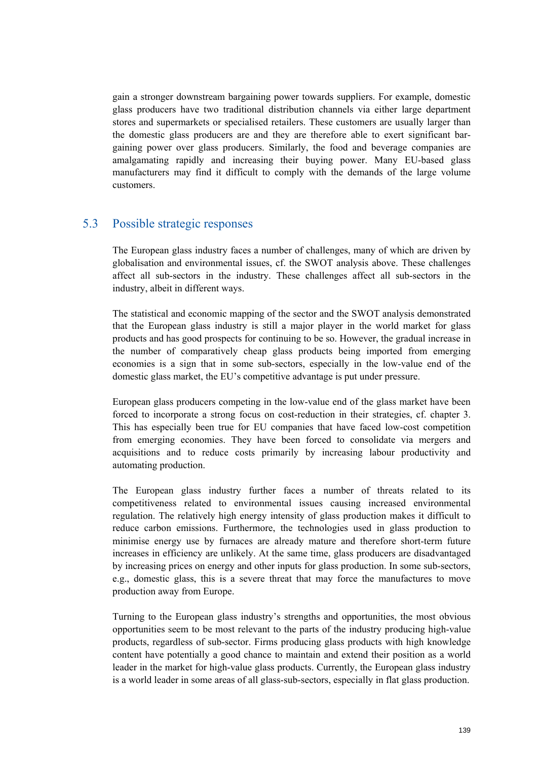gain a stronger downstream bargaining power towards suppliers. For example, domestic glass producers have two traditional distribution channels via either large department stores and supermarkets or specialised retailers. These customers are usually larger than the domestic glass producers are and they are therefore able to exert significant bargaining power over glass producers. Similarly, the food and beverage companies are amalgamating rapidly and increasing their buying power. Many EU-based glass manufacturers may find it difficult to comply with the demands of the large volume customers.

# 5.3 Possible strategic responses

The European glass industry faces a number of challenges, many of which are driven by globalisation and environmental issues, cf. the SWOT analysis above. These challenges affect all sub-sectors in the industry. These challenges affect all sub-sectors in the industry, albeit in different ways.

The statistical and economic mapping of the sector and the SWOT analysis demonstrated that the European glass industry is still a major player in the world market for glass products and has good prospects for continuing to be so. However, the gradual increase in the number of comparatively cheap glass products being imported from emerging economies is a sign that in some sub-sectors, especially in the low-value end of the domestic glass market, the EU's competitive advantage is put under pressure.

European glass producers competing in the low-value end of the glass market have been forced to incorporate a strong focus on cost-reduction in their strategies, cf. chapter 3. This has especially been true for EU companies that have faced low-cost competition from emerging economies. They have been forced to consolidate via mergers and acquisitions and to reduce costs primarily by increasing labour productivity and automating production.

The European glass industry further faces a number of threats related to its competitiveness related to environmental issues causing increased environmental regulation. The relatively high energy intensity of glass production makes it difficult to reduce carbon emissions. Furthermore, the technologies used in glass production to minimise energy use by furnaces are already mature and therefore short-term future increases in efficiency are unlikely. At the same time, glass producers are disadvantaged by increasing prices on energy and other inputs for glass production. In some sub-sectors, e.g., domestic glass, this is a severe threat that may force the manufactures to move production away from Europe.

Turning to the European glass industry's strengths and opportunities, the most obvious opportunities seem to be most relevant to the parts of the industry producing high-value products, regardless of sub-sector. Firms producing glass products with high knowledge content have potentially a good chance to maintain and extend their position as a world leader in the market for high-value glass products. Currently, the European glass industry is a world leader in some areas of all glass-sub-sectors, especially in flat glass production.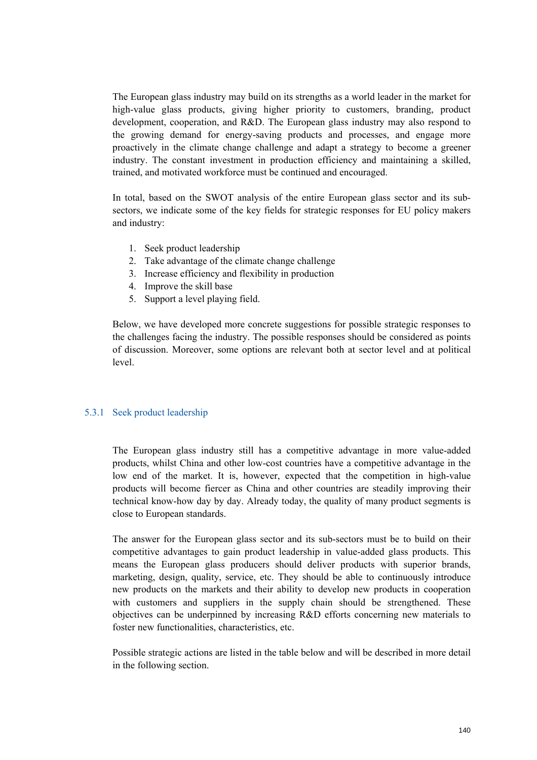The European glass industry may build on its strengths as a world leader in the market for high-value glass products, giving higher priority to customers, branding, product development, cooperation, and R&D. The European glass industry may also respond to the growing demand for energy-saving products and processes, and engage more proactively in the climate change challenge and adapt a strategy to become a greener industry. The constant investment in production efficiency and maintaining a skilled, trained, and motivated workforce must be continued and encouraged.

In total, based on the SWOT analysis of the entire European glass sector and its subsectors, we indicate some of the key fields for strategic responses for EU policy makers and industry:

- 1. Seek product leadership
- 2. Take advantage of the climate change challenge
- 3. Increase efficiency and flexibility in production
- 4. Improve the skill base
- 5. Support a level playing field.

Below, we have developed more concrete suggestions for possible strategic responses to the challenges facing the industry. The possible responses should be considered as points of discussion. Moreover, some options are relevant both at sector level and at political level.

#### 5.3.1 Seek product leadership

The European glass industry still has a competitive advantage in more value-added products, whilst China and other low-cost countries have a competitive advantage in the low end of the market. It is, however, expected that the competition in high-value products will become fiercer as China and other countries are steadily improving their technical know-how day by day. Already today, the quality of many product segments is close to European standards.

The answer for the European glass sector and its sub-sectors must be to build on their competitive advantages to gain product leadership in value-added glass products. This means the European glass producers should deliver products with superior brands, marketing, design, quality, service, etc. They should be able to continuously introduce new products on the markets and their ability to develop new products in cooperation with customers and suppliers in the supply chain should be strengthened. These objectives can be underpinned by increasing R&D efforts concerning new materials to foster new functionalities, characteristics, etc.

Possible strategic actions are listed in the table below and will be described in more detail in the following section.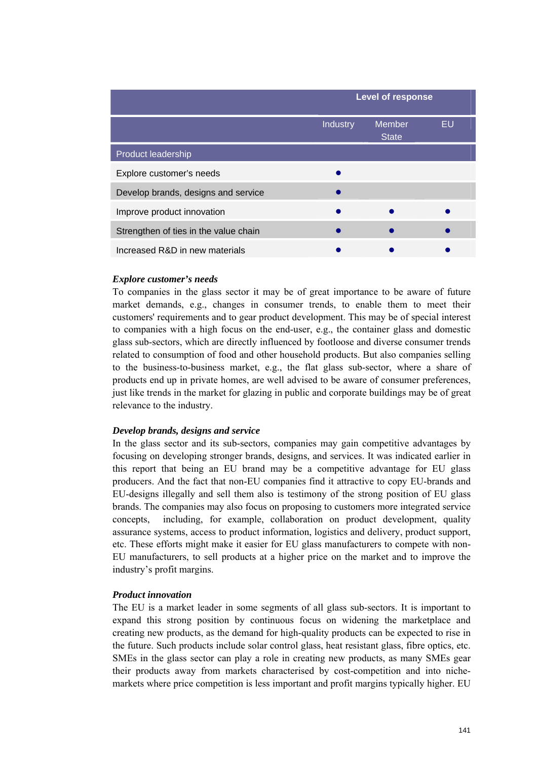|                                       |                 | <b>Level of response</b>      |    |  |  |  |  |  |
|---------------------------------------|-----------------|-------------------------------|----|--|--|--|--|--|
|                                       | <b>Industry</b> | <b>Member</b><br><b>State</b> | EU |  |  |  |  |  |
| <b>Product leadership</b>             |                 |                               |    |  |  |  |  |  |
| Explore customer's needs              |                 |                               |    |  |  |  |  |  |
| Develop brands, designs and service   |                 |                               |    |  |  |  |  |  |
| Improve product innovation            |                 |                               |    |  |  |  |  |  |
| Strengthen of ties in the value chain |                 |                               |    |  |  |  |  |  |
| Increased R&D in new materials        |                 |                               |    |  |  |  |  |  |

#### *Explore customer's needs*

To companies in the glass sector it may be of great importance to be aware of future market demands, e.g., changes in consumer trends, to enable them to meet their customers' requirements and to gear product development. This may be of special interest to companies with a high focus on the end-user, e.g., the container glass and domestic glass sub-sectors, which are directly influenced by footloose and diverse consumer trends related to consumption of food and other household products. But also companies selling to the business-to-business market, e.g., the flat glass sub-sector, where a share of products end up in private homes, are well advised to be aware of consumer preferences, just like trends in the market for glazing in public and corporate buildings may be of great relevance to the industry.

#### *Develop brands, designs and service*

In the glass sector and its sub-sectors, companies may gain competitive advantages by focusing on developing stronger brands, designs, and services. It was indicated earlier in this report that being an EU brand may be a competitive advantage for EU glass producers. And the fact that non-EU companies find it attractive to copy EU-brands and EU-designs illegally and sell them also is testimony of the strong position of EU glass brands. The companies may also focus on proposing to customers more integrated service concepts, including, for example, collaboration on product development, quality assurance systems, access to product information, logistics and delivery, product support, etc. These efforts might make it easier for EU glass manufacturers to compete with non-EU manufacturers, to sell products at a higher price on the market and to improve the industry's profit margins.

#### *Product innovation*

The EU is a market leader in some segments of all glass sub-sectors. It is important to expand this strong position by continuous focus on widening the marketplace and creating new products, as the demand for high-quality products can be expected to rise in the future. Such products include solar control glass, heat resistant glass, fibre optics, etc. SMEs in the glass sector can play a role in creating new products, as many SMEs gear their products away from markets characterised by cost-competition and into nichemarkets where price competition is less important and profit margins typically higher. EU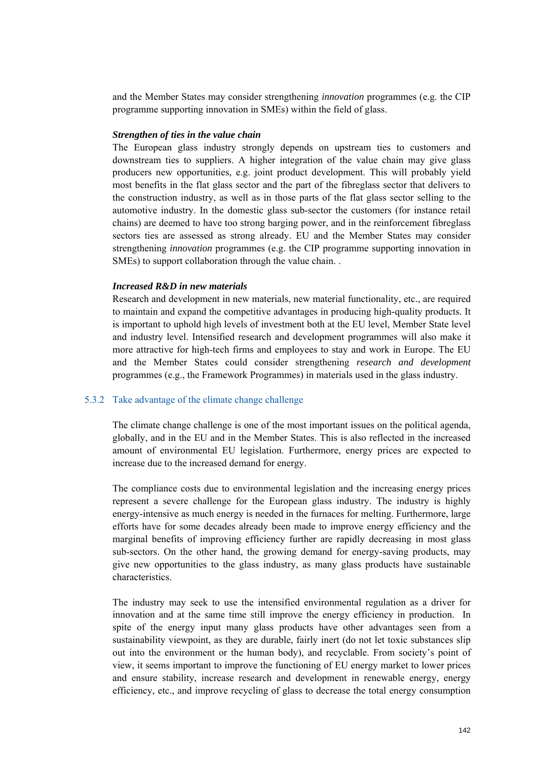and the Member States may consider strengthening *innovation* programmes (e.g. the CIP programme supporting innovation in SMEs) within the field of glass.

#### *Strengthen of ties in the value chain*

The European glass industry strongly depends on upstream ties to customers and downstream ties to suppliers. A higher integration of the value chain may give glass producers new opportunities, e.g. joint product development. This will probably yield most benefits in the flat glass sector and the part of the fibreglass sector that delivers to the construction industry, as well as in those parts of the flat glass sector selling to the automotive industry. In the domestic glass sub-sector the customers (for instance retail chains) are deemed to have too strong barging power, and in the reinforcement fibreglass sectors ties are assessed as strong already. EU and the Member States may consider strengthening *innovation* programmes (e.g. the CIP programme supporting innovation in SMEs) to support collaboration through the value chain. .

#### *Increased R&D in new materials*

Research and development in new materials, new material functionality, etc., are required to maintain and expand the competitive advantages in producing high-quality products. It is important to uphold high levels of investment both at the EU level, Member State level and industry level. Intensified research and development programmes will also make it more attractive for high-tech firms and employees to stay and work in Europe. The EU and the Member States could consider strengthening *research and development* programmes (e.g., the Framework Programmes) in materials used in the glass industry.

#### 5.3.2 Take advantage of the climate change challenge

The climate change challenge is one of the most important issues on the political agenda, globally, and in the EU and in the Member States. This is also reflected in the increased amount of environmental EU legislation. Furthermore, energy prices are expected to increase due to the increased demand for energy.

The compliance costs due to environmental legislation and the increasing energy prices represent a severe challenge for the European glass industry. The industry is highly energy-intensive as much energy is needed in the furnaces for melting. Furthermore, large efforts have for some decades already been made to improve energy efficiency and the marginal benefits of improving efficiency further are rapidly decreasing in most glass sub-sectors. On the other hand, the growing demand for energy-saving products, may give new opportunities to the glass industry, as many glass products have sustainable characteristics.

The industry may seek to use the intensified environmental regulation as a driver for innovation and at the same time still improve the energy efficiency in production. In spite of the energy input many glass products have other advantages seen from a sustainability viewpoint, as they are durable, fairly inert (do not let toxic substances slip out into the environment or the human body), and recyclable. From society's point of view, it seems important to improve the functioning of EU energy market to lower prices and ensure stability, increase research and development in renewable energy, energy efficiency, etc., and improve recycling of glass to decrease the total energy consumption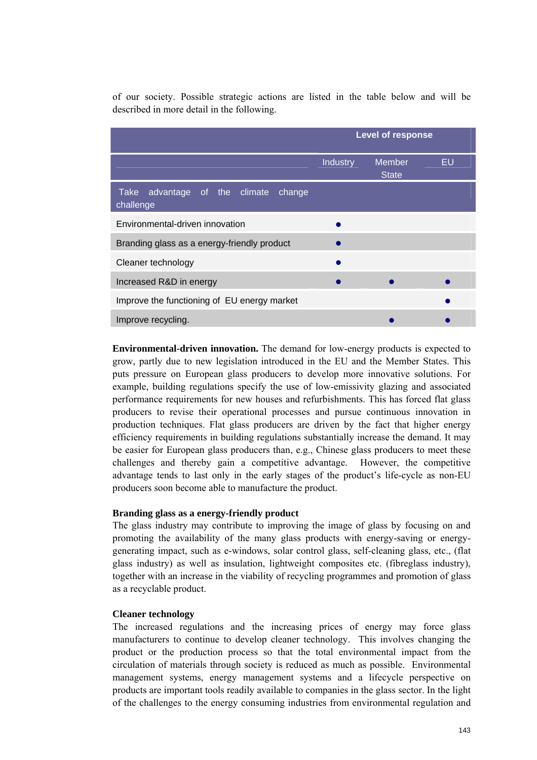of our society. Possible strategic actions are listed in the table below and will be described in more detail in the following.

|                                                         | <b>Level of response</b> |                               |    |  |  |
|---------------------------------------------------------|--------------------------|-------------------------------|----|--|--|
|                                                         | Industry                 | <b>Member</b><br><b>State</b> | EU |  |  |
| advantage of the climate<br>Take<br>change<br>challenge |                          |                               |    |  |  |
| Environmental-driven innovation                         |                          |                               |    |  |  |
| Branding glass as a energy-friendly product             |                          |                               |    |  |  |
| Cleaner technology                                      |                          |                               |    |  |  |
| Increased R&D in energy                                 |                          |                               |    |  |  |
| Improve the functioning of EU energy market             |                          |                               |    |  |  |
| Improve recycling.                                      |                          |                               |    |  |  |

**Environmental-driven innovation.** The demand for low-energy products is expected to grow, partly due to new legislation introduced in the EU and the Member States. This puts pressure on European glass producers to develop more innovative solutions. For example, building regulations specify the use of low-emissivity glazing and associated performance requirements for new houses and refurbishments. This has forced flat glass producers to revise their operational processes and pursue continuous innovation in production techniques. Flat glass producers are driven by the fact that higher energy efficiency requirements in building regulations substantially increase the demand. It may be easier for European glass producers than, e.g., Chinese glass producers to meet these challenges and thereby gain a competitive advantage. However, the competitive advantage tends to last only in the early stages of the product's life-cycle as non-EU producers soon become able to manufacture the product.

#### **Branding glass as a energy-friendly product**

The glass industry may contribute to improving the image of glass by focusing on and promoting the availability of the many glass products with energy-saving or energygenerating impact, such as e-windows, solar control glass, self-cleaning glass, etc., (flat glass industry) as well as insulation, lightweight composites etc. (fibreglass industry), together with an increase in the viability of recycling programmes and promotion of glass as a recyclable product.

#### **Cleaner technology**

The increased regulations and the increasing prices of energy may force glass manufacturers to continue to develop cleaner technology. This involves changing the product or the production process so that the total environmental impact from the circulation of materials through society is reduced as much as possible. Environmental management systems, energy management systems and a lifecycle perspective on products are important tools readily available to companies in the glass sector. In the light of the challenges to the energy consuming industries from environmental regulation and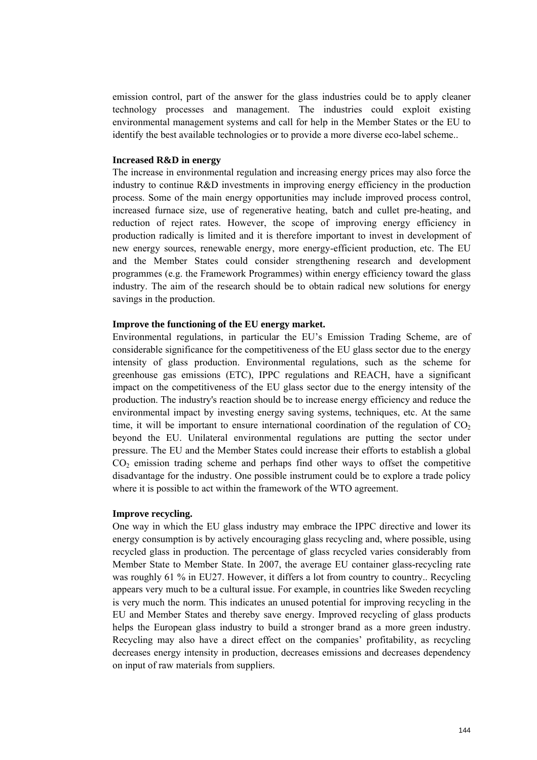emission control, part of the answer for the glass industries could be to apply cleaner technology processes and management. The industries could exploit existing environmental management systems and call for help in the Member States or the EU to identify the best available technologies or to provide a more diverse eco-label scheme..

#### **Increased R&D in energy**

The increase in environmental regulation and increasing energy prices may also force the industry to continue R&D investments in improving energy efficiency in the production process. Some of the main energy opportunities may include improved process control, increased furnace size, use of regenerative heating, batch and cullet pre-heating, and reduction of reject rates. However, the scope of improving energy efficiency in production radically is limited and it is therefore important to invest in development of new energy sources, renewable energy, more energy-efficient production, etc. The EU and the Member States could consider strengthening research and development programmes (e.g. the Framework Programmes) within energy efficiency toward the glass industry. The aim of the research should be to obtain radical new solutions for energy savings in the production.

#### **Improve the functioning of the EU energy market.**

Environmental regulations, in particular the EU's Emission Trading Scheme, are of considerable significance for the competitiveness of the EU glass sector due to the energy intensity of glass production. Environmental regulations, such as the scheme for greenhouse gas emissions (ETC), IPPC regulations and REACH, have a significant impact on the competitiveness of the EU glass sector due to the energy intensity of the production. The industry's reaction should be to increase energy efficiency and reduce the environmental impact by investing energy saving systems, techniques, etc. At the same time, it will be important to ensure international coordination of the regulation of  $CO<sub>2</sub>$ beyond the EU. Unilateral environmental regulations are putting the sector under pressure. The EU and the Member States could increase their efforts to establish a global  $CO<sub>2</sub>$  emission trading scheme and perhaps find other ways to offset the competitive disadvantage for the industry. One possible instrument could be to explore a trade policy where it is possible to act within the framework of the WTO agreement.

#### **Improve recycling.**

One way in which the EU glass industry may embrace the IPPC directive and lower its energy consumption is by actively encouraging glass recycling and, where possible, using recycled glass in production. The percentage of glass recycled varies considerably from Member State to Member State. In 2007, the average EU container glass-recycling rate was roughly 61 % in EU27. However, it differs a lot from country to country.. Recycling appears very much to be a cultural issue. For example, in countries like Sweden recycling is very much the norm. This indicates an unused potential for improving recycling in the EU and Member States and thereby save energy. Improved recycling of glass products helps the European glass industry to build a stronger brand as a more green industry. Recycling may also have a direct effect on the companies' profitability, as recycling decreases energy intensity in production, decreases emissions and decreases dependency on input of raw materials from suppliers.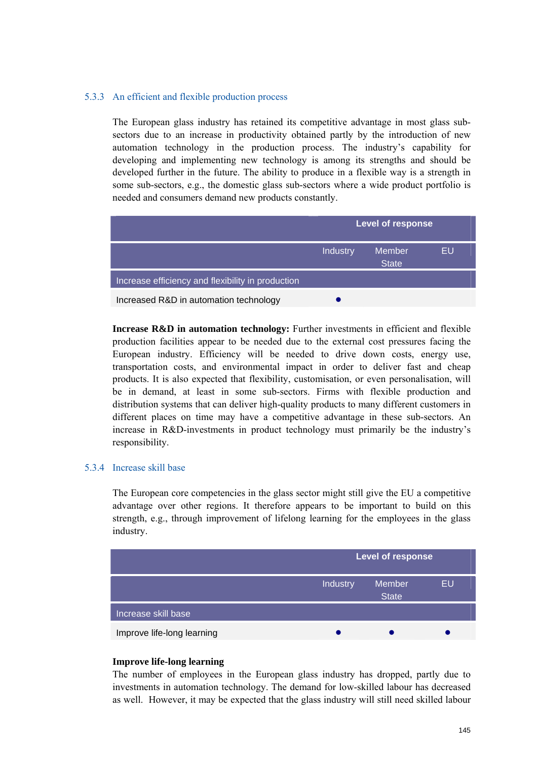### 5.3.3 An efficient and flexible production process

The European glass industry has retained its competitive advantage in most glass subsectors due to an increase in productivity obtained partly by the introduction of new automation technology in the production process. The industry's capability for developing and implementing new technology is among its strengths and should be developed further in the future. The ability to produce in a flexible way is a strength in some sub-sectors, e.g., the domestic glass sub-sectors where a wide product portfolio is needed and consumers demand new products constantly.

|                                                   | <b>Level of response</b> |                               |    |  |
|---------------------------------------------------|--------------------------|-------------------------------|----|--|
|                                                   | <b>Industry</b>          | <b>Member</b><br><b>State</b> | EU |  |
| Increase efficiency and flexibility in production |                          |                               |    |  |
| Increased R&D in automation technology            |                          |                               |    |  |

**Increase R&D in automation technology:** Further investments in efficient and flexible production facilities appear to be needed due to the external cost pressures facing the European industry. Efficiency will be needed to drive down costs, energy use, transportation costs, and environmental impact in order to deliver fast and cheap products. It is also expected that flexibility, customisation, or even personalisation, will be in demand, at least in some sub-sectors. Firms with flexible production and distribution systems that can deliver high-quality products to many different customers in different places on time may have a competitive advantage in these sub-sectors. An increase in R&D-investments in product technology must primarily be the industry's responsibility.

#### 5.3.4 Increase skill base

The European core competencies in the glass sector might still give the EU a competitive advantage over other regions. It therefore appears to be important to build on this strength, e.g., through improvement of lifelong learning for the employees in the glass industry.

|                            |          | Level of response      |    |  |  |
|----------------------------|----------|------------------------|----|--|--|
|                            | Industry | Member<br><b>State</b> | EU |  |  |
| Increase skill base        |          |                        |    |  |  |
| Improve life-long learning |          |                        |    |  |  |

### **Improve life-long learning**

The number of employees in the European glass industry has dropped, partly due to investments in automation technology. The demand for low-skilled labour has decreased as well. However, it may be expected that the glass industry will still need skilled labour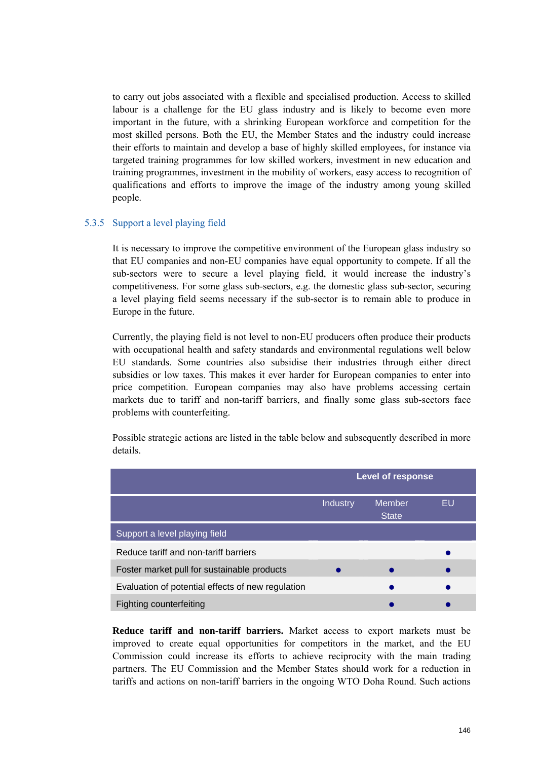to carry out jobs associated with a flexible and specialised production. Access to skilled labour is a challenge for the EU glass industry and is likely to become even more important in the future, with a shrinking European workforce and competition for the most skilled persons. Both the EU, the Member States and the industry could increase their efforts to maintain and develop a base of highly skilled employees, for instance via targeted training programmes for low skilled workers, investment in new education and training programmes, investment in the mobility of workers, easy access to recognition of qualifications and efforts to improve the image of the industry among young skilled people.

### 5.3.5 Support a level playing field

It is necessary to improve the competitive environment of the European glass industry so that EU companies and non-EU companies have equal opportunity to compete. If all the sub-sectors were to secure a level playing field, it would increase the industry's competitiveness. For some glass sub-sectors, e.g. the domestic glass sub-sector, securing a level playing field seems necessary if the sub-sector is to remain able to produce in Europe in the future.

Currently, the playing field is not level to non-EU producers often produce their products with occupational health and safety standards and environmental regulations well below EU standards. Some countries also subsidise their industries through either direct subsidies or low taxes. This makes it ever harder for European companies to enter into price competition. European companies may also have problems accessing certain markets due to tariff and non-tariff barriers, and finally some glass sub-sectors face problems with counterfeiting.

Possible strategic actions are listed in the table below and subsequently described in more details.

|                                                   | <b>Level of response</b> |                               |    |  |
|---------------------------------------------------|--------------------------|-------------------------------|----|--|
|                                                   | <b>Industry</b>          | <b>Member</b><br><b>State</b> | EU |  |
| Support a level playing field                     |                          |                               |    |  |
| Reduce tariff and non-tariff barriers             |                          |                               |    |  |
| Foster market pull for sustainable products       |                          |                               |    |  |
| Evaluation of potential effects of new regulation |                          |                               |    |  |
| Fighting counterfeiting                           |                          |                               |    |  |

**Reduce tariff and non-tariff barriers.** Market access to export markets must be improved to create equal opportunities for competitors in the market, and the EU Commission could increase its efforts to achieve reciprocity with the main trading partners. The EU Commission and the Member States should work for a reduction in tariffs and actions on non-tariff barriers in the ongoing WTO Doha Round. Such actions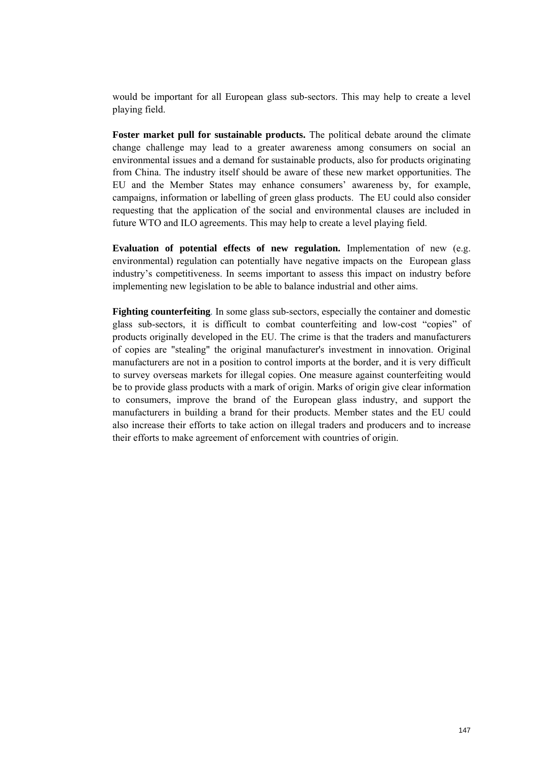would be important for all European glass sub-sectors. This may help to create a level playing field.

**Foster market pull for sustainable products.** The political debate around the climate change challenge may lead to a greater awareness among consumers on social an environmental issues and a demand for sustainable products, also for products originating from China. The industry itself should be aware of these new market opportunities. The EU and the Member States may enhance consumers' awareness by, for example, campaigns, information or labelling of green glass products. The EU could also consider requesting that the application of the social and environmental clauses are included in future WTO and ILO agreements. This may help to create a level playing field.

**Evaluation of potential effects of new regulation.** Implementation of new (e.g. environmental) regulation can potentially have negative impacts on the European glass industry's competitiveness. In seems important to assess this impact on industry before implementing new legislation to be able to balance industrial and other aims.

**Fighting counterfeiting***.* In some glass sub-sectors, especially the container and domestic glass sub-sectors, it is difficult to combat counterfeiting and low-cost "copies" of products originally developed in the EU. The crime is that the traders and manufacturers of copies are "stealing" the original manufacturer's investment in innovation. Original manufacturers are not in a position to control imports at the border, and it is very difficult to survey overseas markets for illegal copies. One measure against counterfeiting would be to provide glass products with a mark of origin. Marks of origin give clear information to consumers, improve the brand of the European glass industry, and support the manufacturers in building a brand for their products. Member states and the EU could also increase their efforts to take action on illegal traders and producers and to increase their efforts to make agreement of enforcement with countries of origin.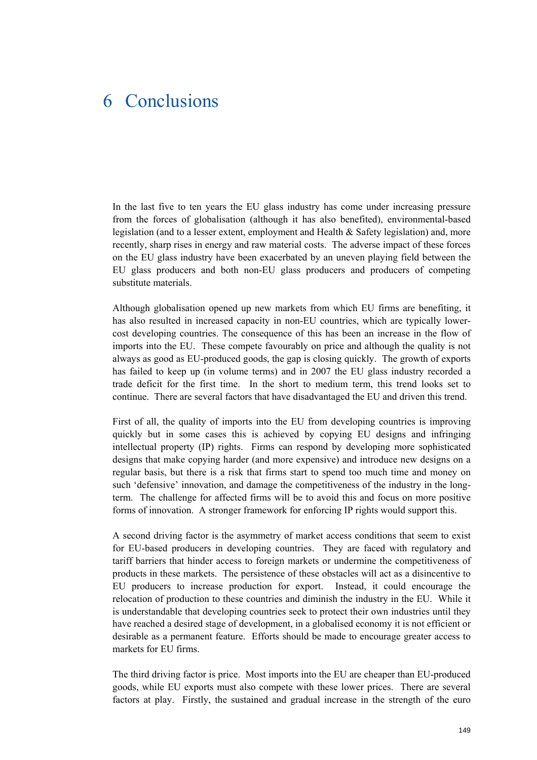# 6 Conclusions

In the last five to ten years the EU glass industry has come under increasing pressure from the forces of globalisation (although it has also benefited), environmental-based legislation (and to a lesser extent, employment and Health & Safety legislation) and, more recently, sharp rises in energy and raw material costs. The adverse impact of these forces on the EU glass industry have been exacerbated by an uneven playing field between the EU glass producers and both non-EU glass producers and producers of competing substitute materials.

Although globalisation opened up new markets from which EU firms are benefiting, it has also resulted in increased capacity in non-EU countries, which are typically lowercost developing countries. The consequence of this has been an increase in the flow of imports into the EU. These compete favourably on price and although the quality is not always as good as EU-produced goods, the gap is closing quickly. The growth of exports has failed to keep up (in volume terms) and in 2007 the EU glass industry recorded a trade deficit for the first time. In the short to medium term, this trend looks set to continue. There are several factors that have disadvantaged the EU and driven this trend.

First of all, the quality of imports into the EU from developing countries is improving quickly but in some cases this is achieved by copying EU designs and infringing intellectual property (IP) rights. Firms can respond by developing more sophisticated designs that make copying harder (and more expensive) and introduce new designs on a regular basis, but there is a risk that firms start to spend too much time and money on such 'defensive' innovation, and damage the competitiveness of the industry in the longterm. The challenge for affected firms will be to avoid this and focus on more positive forms of innovation. A stronger framework for enforcing IP rights would support this.

A second driving factor is the asymmetry of market access conditions that seem to exist for EU-based producers in developing countries. They are faced with regulatory and tariff barriers that hinder access to foreign markets or undermine the competitiveness of products in these markets. The persistence of these obstacles will act as a disincentive to EU producers to increase production for export. Instead, it could encourage the relocation of production to these countries and diminish the industry in the EU. While it is understandable that developing countries seek to protect their own industries until they have reached a desired stage of development, in a globalised economy it is not efficient or desirable as a permanent feature. Efforts should be made to encourage greater access to markets for EU firms.

The third driving factor is price. Most imports into the EU are cheaper than EU-produced goods, while EU exports must also compete with these lower prices. There are several factors at play. Firstly, the sustained and gradual increase in the strength of the euro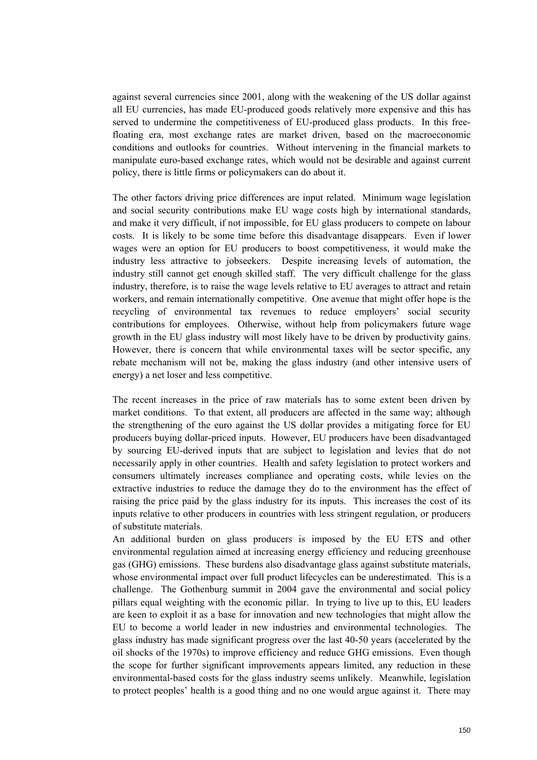against several currencies since 2001, along with the weakening of the US dollar against all EU currencies, has made EU-produced goods relatively more expensive and this has served to undermine the competitiveness of EU-produced glass products. In this freefloating era, most exchange rates are market driven, based on the macroeconomic conditions and outlooks for countries. Without intervening in the financial markets to manipulate euro-based exchange rates, which would not be desirable and against current policy, there is little firms or policymakers can do about it.

The other factors driving price differences are input related. Minimum wage legislation and social security contributions make EU wage costs high by international standards, and make it very difficult, if not impossible, for EU glass producers to compete on labour costs. It is likely to be some time before this disadvantage disappears. Even if lower wages were an option for EU producers to boost competitiveness, it would make the industry less attractive to jobseekers. Despite increasing levels of automation, the industry still cannot get enough skilled staff. The very difficult challenge for the glass industry, therefore, is to raise the wage levels relative to EU averages to attract and retain workers, and remain internationally competitive. One avenue that might offer hope is the recycling of environmental tax revenues to reduce employers' social security contributions for employees. Otherwise, without help from policymakers future wage growth in the EU glass industry will most likely have to be driven by productivity gains. However, there is concern that while environmental taxes will be sector specific, any rebate mechanism will not be, making the glass industry (and other intensive users of energy) a net loser and less competitive.

The recent increases in the price of raw materials has to some extent been driven by market conditions. To that extent, all producers are affected in the same way; although the strengthening of the euro against the US dollar provides a mitigating force for EU producers buying dollar-priced inputs. However, EU producers have been disadvantaged by sourcing EU-derived inputs that are subject to legislation and levies that do not necessarily apply in other countries. Health and safety legislation to protect workers and consumers ultimately increases compliance and operating costs, while levies on the extractive industries to reduce the damage they do to the environment has the effect of raising the price paid by the glass industry for its inputs. This increases the cost of its inputs relative to other producers in countries with less stringent regulation, or producers of substitute materials.

An additional burden on glass producers is imposed by the EU ETS and other environmental regulation aimed at increasing energy efficiency and reducing greenhouse gas (GHG) emissions. These burdens also disadvantage glass against substitute materials, whose environmental impact over full product lifecycles can be underestimated. This is a challenge. The Gothenburg summit in 2004 gave the environmental and social policy pillars equal weighting with the economic pillar. In trying to live up to this, EU leaders are keen to exploit it as a base for innovation and new technologies that might allow the EU to become a world leader in new industries and environmental technologies. The glass industry has made significant progress over the last 40-50 years (accelerated by the oil shocks of the 1970s) to improve efficiency and reduce GHG emissions. Even though the scope for further significant improvements appears limited, any reduction in these environmental-based costs for the glass industry seems unlikely. Meanwhile, legislation to protect peoples' health is a good thing and no one would argue against it. There may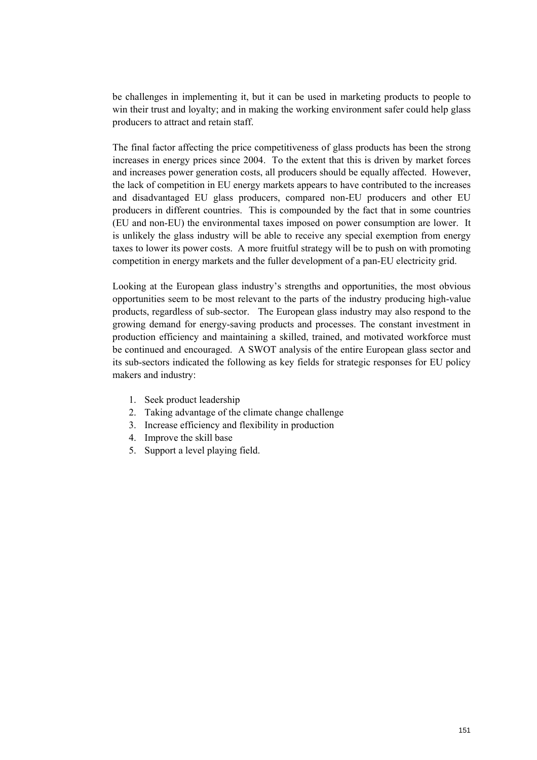be challenges in implementing it, but it can be used in marketing products to people to win their trust and loyalty; and in making the working environment safer could help glass producers to attract and retain staff.

The final factor affecting the price competitiveness of glass products has been the strong increases in energy prices since 2004. To the extent that this is driven by market forces and increases power generation costs, all producers should be equally affected. However, the lack of competition in EU energy markets appears to have contributed to the increases and disadvantaged EU glass producers, compared non-EU producers and other EU producers in different countries. This is compounded by the fact that in some countries (EU and non-EU) the environmental taxes imposed on power consumption are lower. It is unlikely the glass industry will be able to receive any special exemption from energy taxes to lower its power costs. A more fruitful strategy will be to push on with promoting competition in energy markets and the fuller development of a pan-EU electricity grid.

Looking at the European glass industry's strengths and opportunities, the most obvious opportunities seem to be most relevant to the parts of the industry producing high-value products, regardless of sub-sector. The European glass industry may also respond to the growing demand for energy-saving products and processes. The constant investment in production efficiency and maintaining a skilled, trained, and motivated workforce must be continued and encouraged. A SWOT analysis of the entire European glass sector and its sub-sectors indicated the following as key fields for strategic responses for EU policy makers and industry:

- 1. Seek product leadership
- 2. Taking advantage of the climate change challenge
- 3. Increase efficiency and flexibility in production
- 4. Improve the skill base
- 5. Support a level playing field.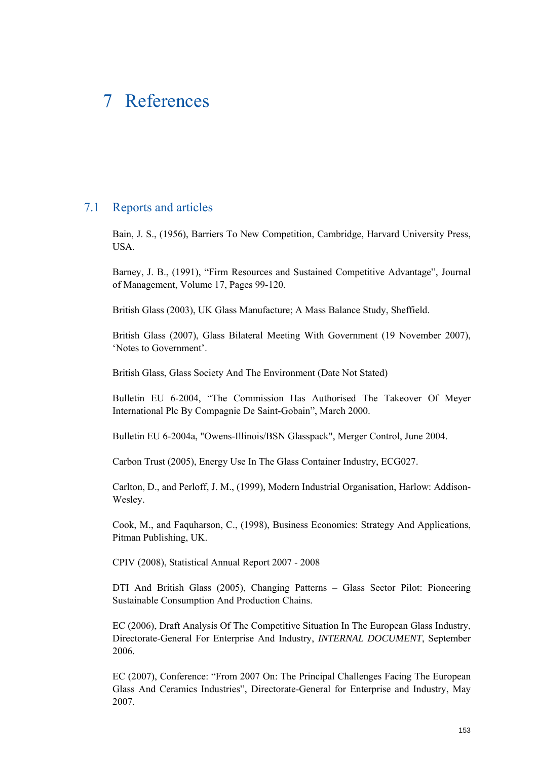## 7 References

## 7.1 Reports and articles

Bain, J. S., (1956), Barriers To New Competition, Cambridge, Harvard University Press, USA.

Barney, J. B., (1991), "Firm Resources and Sustained Competitive Advantage", Journal of Management, Volume 17, Pages 99-120.

British Glass (2003), UK Glass Manufacture; A Mass Balance Study, Sheffield.

British Glass (2007), Glass Bilateral Meeting With Government (19 November 2007), 'Notes to Government'.

British Glass, Glass Society And The Environment (Date Not Stated)

Bulletin EU 6-2004, "The Commission Has Authorised The Takeover Of Meyer International Plc By Compagnie De Saint-Gobain", March 2000.

Bulletin EU 6-2004a, "Owens-Illinois/BSN Glasspack", Merger Control, June 2004.

Carbon Trust (2005), Energy Use In The Glass Container Industry, ECG027.

Carlton, D., and Perloff, J. M., (1999), Modern Industrial Organisation, Harlow: Addison-Wesley.

Cook, M., and Faquharson, C., (1998), Business Economics: Strategy And Applications, Pitman Publishing, UK.

CPIV (2008), Statistical Annual Report 2007 - 2008

DTI And British Glass (2005), Changing Patterns – Glass Sector Pilot: Pioneering Sustainable Consumption And Production Chains.

EC (2006), Draft Analysis Of The Competitive Situation In The European Glass Industry, Directorate-General For Enterprise And Industry, *INTERNAL DOCUMENT*, September 2006.

EC (2007), Conference: "From 2007 On: The Principal Challenges Facing The European Glass And Ceramics Industries", Directorate-General for Enterprise and Industry, May 2007.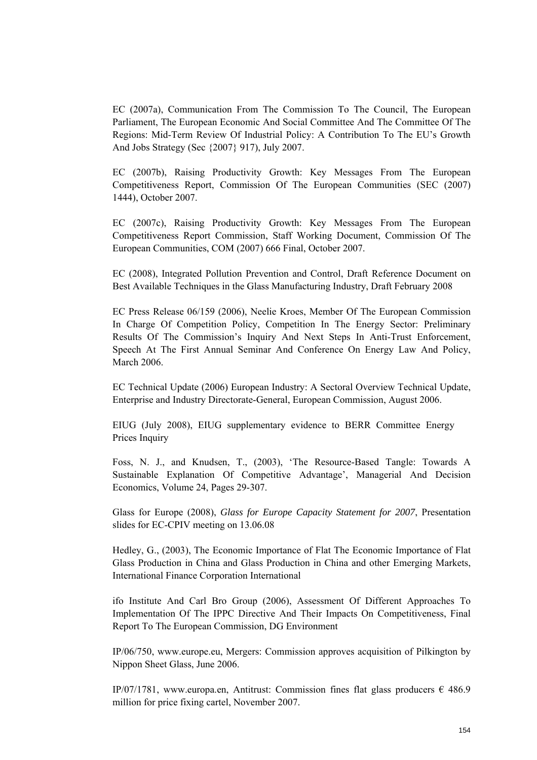EC (2007a), Communication From The Commission To The Council, The European Parliament, The European Economic And Social Committee And The Committee Of The Regions: Mid-Term Review Of Industrial Policy: A Contribution To The EU's Growth And Jobs Strategy (Sec {2007} 917), July 2007.

EC (2007b), Raising Productivity Growth: Key Messages From The European Competitiveness Report, Commission Of The European Communities (SEC (2007) 1444), October 2007.

EC (2007c), Raising Productivity Growth: Key Messages From The European Competitiveness Report Commission, Staff Working Document, Commission Of The European Communities, COM (2007) 666 Final, October 2007.

EC (2008), Integrated Pollution Prevention and Control, Draft Reference Document on Best Available Techniques in the Glass Manufacturing Industry, Draft February 2008

EC Press Release 06/159 (2006), Neelie Kroes, Member Of The European Commission In Charge Of Competition Policy, Competition In The Energy Sector: Preliminary Results Of The Commission's Inquiry And Next Steps In Anti-Trust Enforcement, Speech At The First Annual Seminar And Conference On Energy Law And Policy, March 2006.

EC Technical Update (2006) European Industry: A Sectoral Overview Technical Update, Enterprise and Industry Directorate-General, European Commission, August 2006.

EIUG (July 2008), EIUG supplementary evidence to BERR Committee Energy Prices Inquiry

Foss, N. J., and Knudsen, T., (2003), 'The Resource-Based Tangle: Towards A Sustainable Explanation Of Competitive Advantage', Managerial And Decision Economics, Volume 24, Pages 29-307.

Glass for Europe (2008), *Glass for Europe Capacity Statement for 2007*, Presentation slides for EC-CPIV meeting on 13.06.08

Hedley, G., (2003), The Economic Importance of Flat The Economic Importance of Flat Glass Production in China and Glass Production in China and other Emerging Markets, International Finance Corporation International

ifo Institute And Carl Bro Group (2006), Assessment Of Different Approaches To Implementation Of The IPPC Directive And Their Impacts On Competitiveness, Final Report To The European Commission, DG Environment

IP/06/750, www.europe.eu, Mergers: Commission approves acquisition of Pilkington by Nippon Sheet Glass, June 2006.

IP/07/1781, www.europa.en, Antitrust: Commission fines flat glass producers  $\epsilon$  486.9 million for price fixing cartel, November 2007.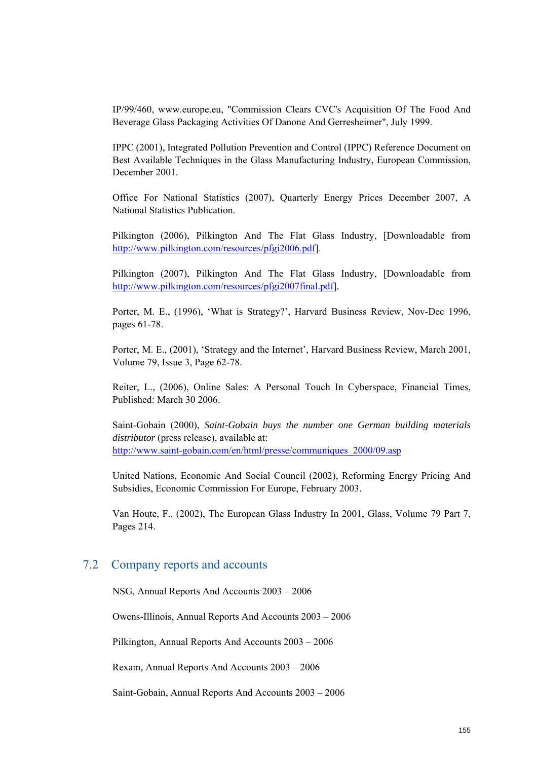IP/99/460, www.europe.eu, "Commission Clears CVC's Acquisition Of The Food And Beverage Glass Packaging Activities Of Danone And Gerresheimer", July 1999.

IPPC (2001), Integrated Pollution Prevention and Control (IPPC) Reference Document on Best Available Techniques in the Glass Manufacturing Industry, European Commission, December 2001.

Office For National Statistics (2007), Quarterly Energy Prices December 2007, A National Statistics Publication.

Pilkington (2006), Pilkington And The Flat Glass Industry, [Downloadable from http://www.pilkington.com/resources/pfgi2006.pdf].

Pilkington (2007), Pilkington And The Flat Glass Industry, [Downloadable from http://www.pilkington.com/resources/pfgi2007final.pdf].

Porter, M. E., (1996), 'What is Strategy?', Harvard Business Review, Nov-Dec 1996, pages 61-78.

Porter, M. E., (2001), 'Strategy and the Internet', Harvard Business Review, March 2001, Volume 79, Issue 3, Page 62-78.

Reiter, L., (2006), Online Sales: A Personal Touch In Cyberspace, Financial Times, Published: March 30 2006.

Saint-Gobain (2000), *Saint-Gobain buys the number one German building materials distributor* (press release), available at: http://www.saint-gobain.com/en/html/presse/communiques\_2000/09.asp

United Nations, Economic And Social Council (2002), Reforming Energy Pricing And Subsidies, Economic Commission For Europe, February 2003.

Van Houte, F., (2002), The European Glass Industry In 2001, Glass, Volume 79 Part 7, Pages 214.

## 7.2 Company reports and accounts

NSG, Annual Reports And Accounts 2003 – 2006

Owens-Illinois, Annual Reports And Accounts 2003 – 2006

Pilkington, Annual Reports And Accounts 2003 – 2006

Rexam, Annual Reports And Accounts 2003 – 2006

Saint-Gobain, Annual Reports And Accounts 2003 – 2006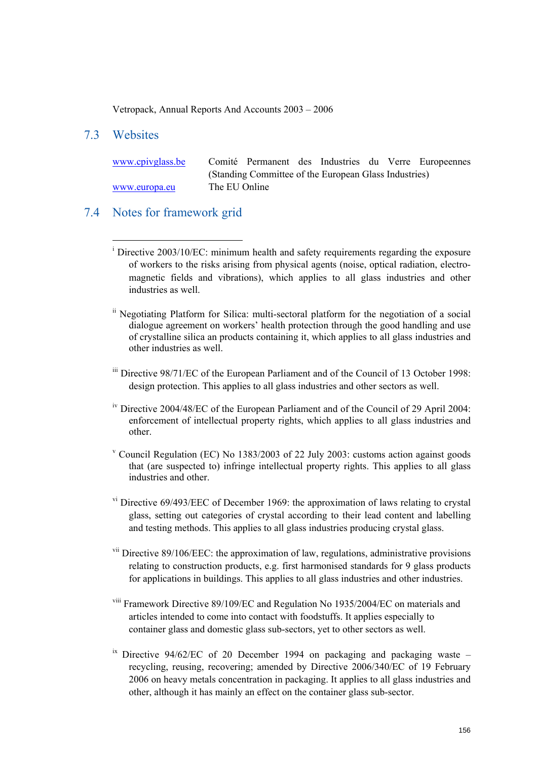Vetropack, Annual Reports And Accounts 2003 – 2006

## 7.3 Websites

 $\overline{a}$ 

| www.cpivglass.be |               |                                                       |  |  | Comité Permanent des Industries du Verre Europeennes |
|------------------|---------------|-------------------------------------------------------|--|--|------------------------------------------------------|
|                  |               | (Standing Committee of the European Glass Industries) |  |  |                                                      |
| www.europa.eu    | The EU Online |                                                       |  |  |                                                      |

### 7.4 Notes for framework grid

- ii Negotiating Platform for Silica: multi-sectoral platform for the negotiation of a social dialogue agreement on workers' health protection through the good handling and use of crystalline silica an products containing it, which applies to all glass industries and other industries as well.
- iii Directive 98/71/EC of the European Parliament and of the Council of 13 October 1998: design protection. This applies to all glass industries and other sectors as well.
- <sup>iv</sup> Directive 2004/48/EC of the European Parliament and of the Council of 29 April 2004: enforcement of intellectual property rights, which applies to all glass industries and other.
- v Council Regulation (EC) No 1383/2003 of 22 July 2003: customs action against goods that (are suspected to) infringe intellectual property rights. This applies to all glass industries and other.
- v<sup>i</sup> Directive 69/493/EEC of December 1969: the approximation of laws relating to crystal glass, setting out categories of crystal according to their lead content and labelling and testing methods. This applies to all glass industries producing crystal glass.
- vii Directive 89/106/EEC: the approximation of law, regulations, administrative provisions relating to construction products, e.g. first harmonised standards for 9 glass products for applications in buildings. This applies to all glass industries and other industries.
- viii Framework Directive 89/109/EC and Regulation No 1935/2004/EC on materials and articles intended to come into contact with foodstuffs. It applies especially to container glass and domestic glass sub-sectors, yet to other sectors as well.
- <sup>ix</sup> Directive 94/62/EC of 20 December 1994 on packaging and packaging waste recycling, reusing, recovering; amended by Directive 2006/340/EC of 19 February 2006 on heavy metals concentration in packaging. It applies to all glass industries and other, although it has mainly an effect on the container glass sub-sector.

<sup>&</sup>lt;sup>i</sup> Directive 2003/10/EC: minimum health and safety requirements regarding the exposure of workers to the risks arising from physical agents (noise, optical radiation, electromagnetic fields and vibrations), which applies to all glass industries and other industries as well.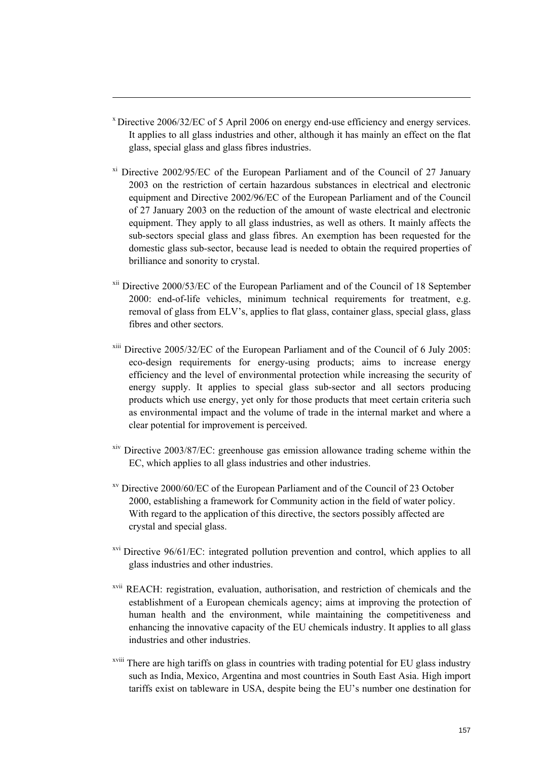<sup>x</sup> Directive 2006/32/EC of 5 April 2006 on energy end-use efficiency and energy services. It applies to all glass industries and other, although it has mainly an effect on the flat glass, special glass and glass fibres industries.

 $\overline{a}$ 

- xi Directive 2002/95/EC of the European Parliament and of the Council of 27 January 2003 on the restriction of certain hazardous substances in electrical and electronic equipment and Directive 2002/96/EC of the European Parliament and of the Council of 27 January 2003 on the reduction of the amount of waste electrical and electronic equipment. They apply to all glass industries, as well as others. It mainly affects the sub-sectors special glass and glass fibres. An exemption has been requested for the domestic glass sub-sector, because lead is needed to obtain the required properties of brilliance and sonority to crystal.
- xii Directive 2000/53/EC of the European Parliament and of the Council of 18 September 2000: end-of-life vehicles, minimum technical requirements for treatment, e.g. removal of glass from ELV's, applies to flat glass, container glass, special glass, glass fibres and other sectors.
- xiii Directive 2005/32/EC of the European Parliament and of the Council of 6 July 2005: eco-design requirements for energy-using products; aims to increase energy efficiency and the level of environmental protection while increasing the security of energy supply. It applies to special glass sub-sector and all sectors producing products which use energy, yet only for those products that meet certain criteria such as environmental impact and the volume of trade in the internal market and where a clear potential for improvement is perceived.
- xiv Directive 2003/87/EC: greenhouse gas emission allowance trading scheme within the EC, which applies to all glass industries and other industries.
- xv Directive 2000/60/EC of the European Parliament and of the Council of 23 October 2000, establishing a framework for Community action in the field of water policy. With regard to the application of this directive, the sectors possibly affected are crystal and special glass.
- $xvi$  Directive 96/61/EC: integrated pollution prevention and control, which applies to all glass industries and other industries.
- xvii REACH: registration, evaluation, authorisation, and restriction of chemicals and the establishment of a European chemicals agency; aims at improving the protection of human health and the environment, while maintaining the competitiveness and enhancing the innovative capacity of the EU chemicals industry. It applies to all glass industries and other industries.
- xviii There are high tariffs on glass in countries with trading potential for EU glass industry such as India, Mexico, Argentina and most countries in South East Asia. High import tariffs exist on tableware in USA, despite being the EU's number one destination for